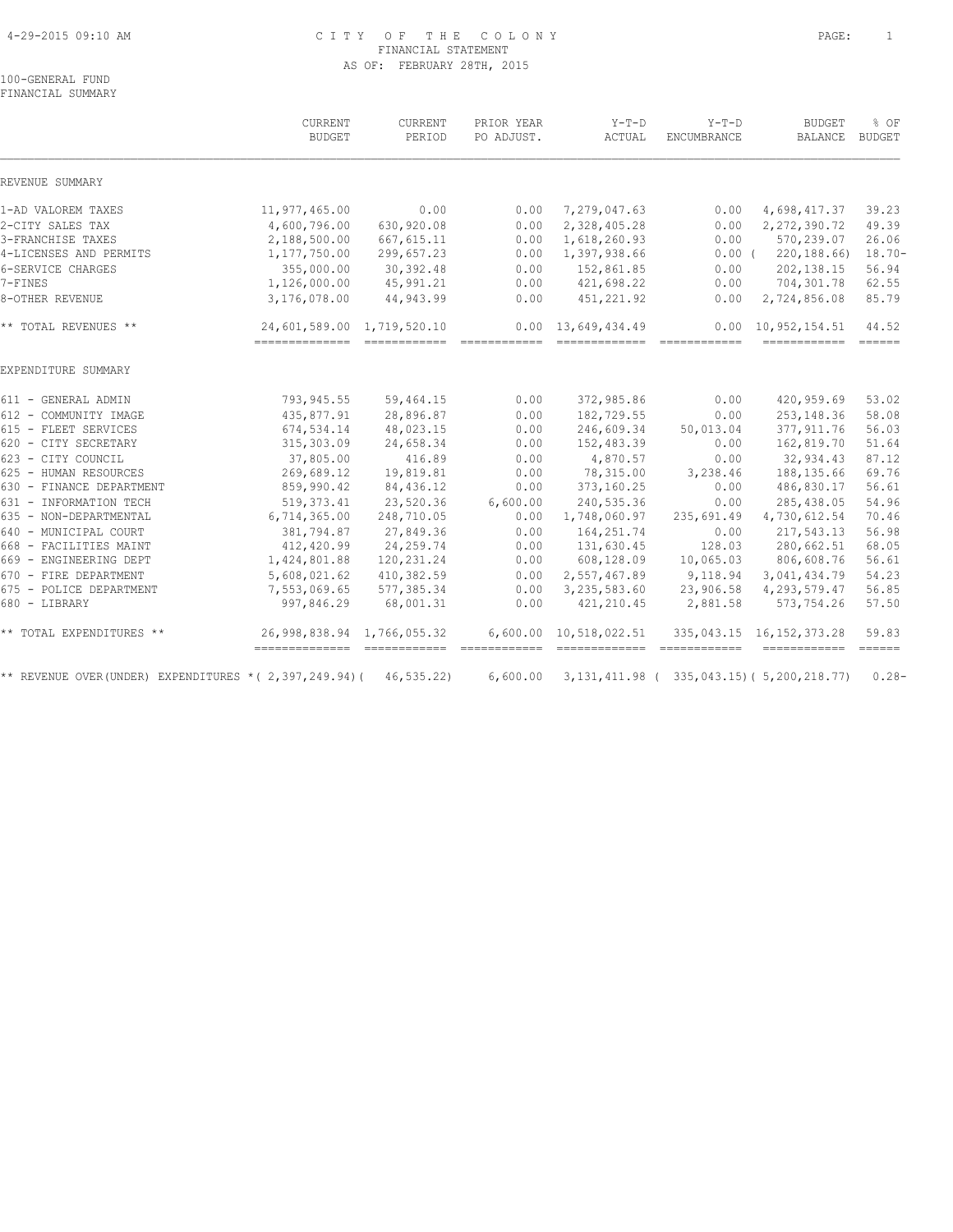#### 4-29-2015 09:10 AM C I T Y O F T H E C O L O N Y PAGE: 1 FINANCIAL STATEMENT AS OF: FEBRUARY 28TH, 2015

100-GENERAL FUND FINANCIAL SUMMARY

|                                                      | CURRENT<br><b>BUDGET</b>    | CURRENT<br>PERIOD | PRIOR YEAR<br>PO ADJUST. | $Y-T-D$<br>ACTUAL                           | $Y-T-D$<br>ENCUMBRANCE                                                                                                                                                                                                                                                                                                                                                                                                                                                                 | <b>BUDGET</b><br><b>BALANCE</b>                       | % OF<br><b>BUDGET</b> |
|------------------------------------------------------|-----------------------------|-------------------|--------------------------|---------------------------------------------|----------------------------------------------------------------------------------------------------------------------------------------------------------------------------------------------------------------------------------------------------------------------------------------------------------------------------------------------------------------------------------------------------------------------------------------------------------------------------------------|-------------------------------------------------------|-----------------------|
| REVENUE SUMMARY                                      |                             |                   |                          |                                             |                                                                                                                                                                                                                                                                                                                                                                                                                                                                                        |                                                       |                       |
| 1-AD VALOREM TAXES                                   | 11,977,465.00               | 0.00              | 0.00                     | 7,279,047.63                                | 0.00                                                                                                                                                                                                                                                                                                                                                                                                                                                                                   | 4,698,417.37                                          | 39.23                 |
| 2-CITY SALES TAX                                     | 4,600,796.00                | 630,920.08        | 0.00                     | 2,328,405.28                                | 0.00                                                                                                                                                                                                                                                                                                                                                                                                                                                                                   | 2, 272, 390.72                                        | 49.39                 |
| 3-FRANCHISE TAXES                                    | 2,188,500.00                | 667, 615.11       | 0.00                     | 1,618,260.93                                | 0.00                                                                                                                                                                                                                                                                                                                                                                                                                                                                                   | 570,239.07                                            | 26.06                 |
| 4-LICENSES AND PERMITS                               | 1, 177, 750.00              | 299,657.23        | 0.00                     | 1,397,938.66                                | $0.00$ (                                                                                                                                                                                                                                                                                                                                                                                                                                                                               | 220, 188.66                                           | $18.70 -$             |
| 6-SERVICE CHARGES                                    | 355,000.00                  | 30,392.48         | 0.00                     | 152,861.85                                  | 0.00                                                                                                                                                                                                                                                                                                                                                                                                                                                                                   | 202, 138.15                                           | 56.94                 |
| 7-FINES                                              | 1,126,000.00                | 45,991.21         | 0.00                     | 421,698.22                                  | 0.00                                                                                                                                                                                                                                                                                                                                                                                                                                                                                   | 704,301.78                                            | 62.55                 |
| 8-OTHER REVENUE                                      | 3,176,078.00                | 44,943.99         | 0.00                     | 451,221.92                                  | 0.00                                                                                                                                                                                                                                                                                                                                                                                                                                                                                   | 2,724,856.08                                          | 85.79                 |
| ** TOTAL REVENUES **                                 | 24,601,589.00 1,719,520.10  |                   |                          | $0.00 \quad 13,649,434.49$<br>============= | $\begin{array}{cccccccccc} \multicolumn{2}{c}{} & \multicolumn{2}{c}{} & \multicolumn{2}{c}{} & \multicolumn{2}{c}{} & \multicolumn{2}{c}{} & \multicolumn{2}{c}{} & \multicolumn{2}{c}{} & \multicolumn{2}{c}{} & \multicolumn{2}{c}{} & \multicolumn{2}{c}{} & \multicolumn{2}{c}{} & \multicolumn{2}{c}{} & \multicolumn{2}{c}{} & \multicolumn{2}{c}{} & \multicolumn{2}{c}{} & \multicolumn{2}{c}{} & \multicolumn{2}{c}{} & \multicolumn{2}{c}{} & \multicolumn{2}{c}{} & \mult$ | $0.00 \quad 10,952,154.51$<br>======================= | 44.52                 |
| EXPENDITURE SUMMARY                                  |                             |                   |                          |                                             |                                                                                                                                                                                                                                                                                                                                                                                                                                                                                        |                                                       |                       |
| 611 - GENERAL ADMIN                                  | 793,945.55                  | 59,464.15         | 0.00                     | 372,985.86                                  | 0.00                                                                                                                                                                                                                                                                                                                                                                                                                                                                                   | 420,959.69                                            | 53.02                 |
| 612 - COMMUNITY IMAGE                                | 435,877.91                  | 28,896.87         | 0.00                     | 182,729.55                                  | 0.00                                                                                                                                                                                                                                                                                                                                                                                                                                                                                   | 253, 148.36                                           | 58.08                 |
| 615 - FLEET SERVICES                                 | 674,534.14                  | 48,023.15         | 0.00                     | 246,609.34                                  | 50,013.04                                                                                                                                                                                                                                                                                                                                                                                                                                                                              | 377, 911.76                                           | 56.03                 |
| 620 - CITY SECRETARY                                 | 315, 303.09                 | 24,658.34         | 0.00                     | 152,483.39                                  | 0.00                                                                                                                                                                                                                                                                                                                                                                                                                                                                                   | 162,819.70                                            | 51.64                 |
| 623 - CITY COUNCIL                                   | 37,805.00                   | 416.89            | 0.00                     | 4,870.57                                    | 0.00                                                                                                                                                                                                                                                                                                                                                                                                                                                                                   | 32,934.43                                             | 87.12                 |
| 625 - HUMAN RESOURCES                                | 269,689.12                  | 19,819.81         | 0.00                     | 78,315.00                                   | 3,238.46                                                                                                                                                                                                                                                                                                                                                                                                                                                                               | 188,135.66                                            | 69.76                 |
| 630 - FINANCE DEPARTMENT                             | 859,990.42                  | 84,436.12         | 0.00                     | 373,160.25                                  | 0.00                                                                                                                                                                                                                                                                                                                                                                                                                                                                                   | 486,830.17                                            | 56.61                 |
| 631 - INFORMATION TECH                               | 519, 373.41                 | 23,520.36         | 6,600.00                 | 240,535.36                                  | 0.00                                                                                                                                                                                                                                                                                                                                                                                                                                                                                   | 285, 438.05                                           | 54.96                 |
| 635 - NON-DEPARTMENTAL                               | 6,714,365.00                | 248,710.05        | 0.00                     | 1,748,060.97                                | 235,691.49                                                                                                                                                                                                                                                                                                                                                                                                                                                                             | 4,730,612.54                                          | 70.46                 |
| 640 - MUNICIPAL COURT                                | 381,794.87                  | 27,849.36         | 0.00                     | 164, 251.74                                 | 0.00                                                                                                                                                                                                                                                                                                                                                                                                                                                                                   | 217,543.13                                            | 56.98                 |
| 668 - FACILITIES MAINT                               | 412,420.99                  | 24, 259.74        | 0.00                     | 131,630.45                                  | 128.03                                                                                                                                                                                                                                                                                                                                                                                                                                                                                 | 280,662.51                                            | 68.05                 |
| 669 - ENGINEERING DEPT                               | 1,424,801.88                | 120,231.24        | 0.00                     | 608,128.09                                  | 10,065.03                                                                                                                                                                                                                                                                                                                                                                                                                                                                              | 806,608.76                                            | 56.61                 |
| 670 - FIRE DEPARTMENT                                | 5,608,021.62                | 410,382.59        | 0.00                     | 2,557,467.89                                | 9,118.94                                                                                                                                                                                                                                                                                                                                                                                                                                                                               | 3,041,434.79                                          | 54.23                 |
| 675 - POLICE DEPARTMENT                              | 7,553,069.65                | 577,385.34        | 0.00                     | 3,235,583.60                                | 23,906.58                                                                                                                                                                                                                                                                                                                                                                                                                                                                              | 4, 293, 579.47                                        | 56.85                 |
| 680 - LIBRARY                                        | 997,846.29                  | 68,001.31         | 0.00                     | 421, 210.45                                 | 2,881.58                                                                                                                                                                                                                                                                                                                                                                                                                                                                               | 573,754.26                                            | 57.50                 |
| ** TOTAL EXPENDITURES **                             | 26,998,838.94 1,766,055.32  |                   | 6,600.00                 | 10,518,022.51                               |                                                                                                                                                                                                                                                                                                                                                                                                                                                                                        | 335, 043.15 16, 152, 373.28                           | 59.83                 |
| ** REVENUE OVER(UNDER) EXPENDITURES *(2,397,249.94)( | -------------- ------------ | 46, 535.22        | 6,600.00                 |                                             | -------------                                                                                                                                                                                                                                                                                                                                                                                                                                                                          | 3, 131, 411.98 (335, 043.15) (5, 200, 218.77)         | $0.28 -$              |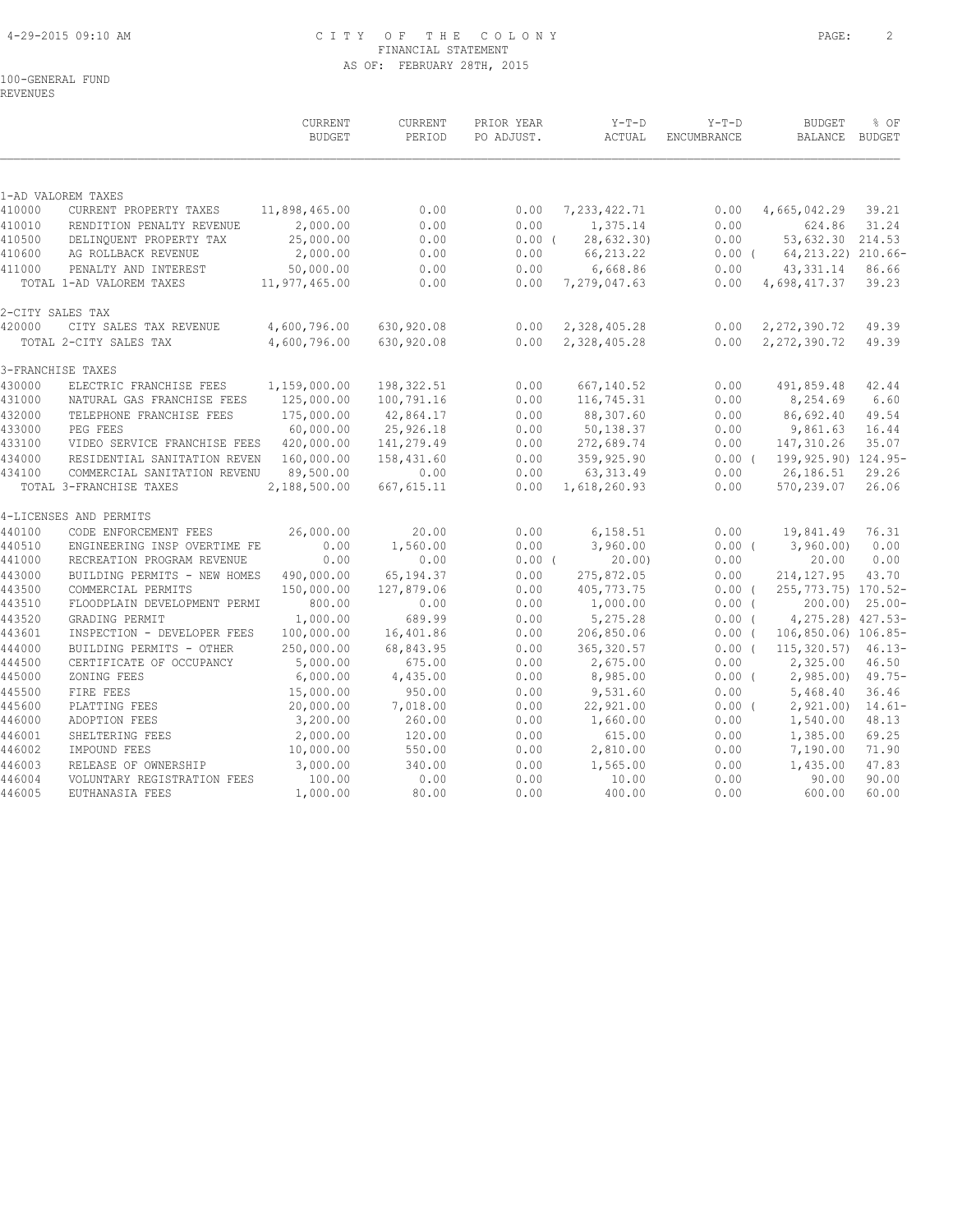#### 4-29-2015 09:10 AM C I T Y O F T H E C O L O N Y PAGE: 2 FINANCIAL STATEMENT AS OF: FEBRUARY 28TH, 2015

100-GENERAL FUND REVENUES

 CURRENT CURRENT PRIOR YEAR Y-T-D Y-T-D BUDGET % OF BUDGET PERIOD PO ADJUST. ACTUAL ENCUMBRANCE BALANCE BUDGET  $\mathcal{L} = \{ \mathcal{L} = \{ \mathcal{L} = \{ \mathcal{L} = \{ \mathcal{L} = \{ \mathcal{L} = \{ \mathcal{L} = \{ \mathcal{L} = \{ \mathcal{L} = \{ \mathcal{L} = \{ \mathcal{L} = \{ \mathcal{L} = \{ \mathcal{L} = \{ \mathcal{L} = \{ \mathcal{L} = \{ \mathcal{L} = \{ \mathcal{L} = \{ \mathcal{L} = \{ \mathcal{L} = \{ \mathcal{L} = \{ \mathcal{L} = \{ \mathcal{L} = \{ \mathcal{L} = \{ \mathcal{L} = \{ \mathcal{$ 1-AD VALOREM TAXES 410000 CURRENT PROPERTY TAXES 11,898,465.00 0.00 0.00 7,233,422.71 0.00 4,665,042.29 39.21 410010 RENDITION PENALTY REVENUE 2,000.00 0.00 0.00 1,375.14 0.00 624.86 31.24 410500 DELINQUENT PROPERTY TAX 25,000.00 0.00 0.00 ( 28,632.30) 0.00 53,632.30 214.53 410600 AG ROLLBACK REVENUE 2,000.00 0.00 0.00 66,213.22 0.00 ( 64,213.22) 210.66- 411000 PENALTY AND INTEREST 50,000.00 0.00 0.00 6,668.86 0.00 43,331.14 86.66 TOTAL 1-AD VALOREM TAXES 11,977,465.00 0.00 0.00 7,279,047.63 0.00 4,698,417.37 39.23 2-CITY SALES TAX 420000 CITY SALES TAX REVENUE 4,600,796.00 630,920.08 0.00 2,328,405.28 0.00 2,272,390.72 49.39 TOTAL 2-CITY SALES TAX 4,600,796.00 630,920.08 0.00 2,328,405.28 0.00 2,272,390.72 49.39 3-FRANCHISE TAXES 430000 ELECTRIC FRANCHISE FEES 1,159,000.00 198,322.51 0.00 667,140.52 0.00 491,859.48 42.44 431000 NATURAL GAS FRANCHISE FEES 125,000.00 100,791.16 0.00 116,745.31 0.00 8,254.69 6.60 432000 TELEPHONE FRANCHISE FEES 175,000.00 42,864.17 0.00 88,307.60 0.00 86,692.40 49.54 433000 PEG FEES 60,000.00 25,926.18 0.00 50,138.37 0.00 9,861.63 16.44 433100 VIDEO SERVICE FRANCHISE FEES 420,000.00 141,279.49 0.00 272,689.74 0.00 147,310.26 35.07 434000 RESIDENTIAL SANITATION REVEN 160,000.00 158,431.60 0.00 359,925.90 0.00 ( 199,925.90) 124.95- 434100 COMMERCIAL SANITATION REVENU 89,500.00 0.00 0.00 63,313.49 0.00 26,186.51 29.26 TOTAL 3-FRANCHISE TAXES 2,188,500.00 667,615.11 0.00 1,618,260.93 0.00 570,239.07 26.06 4-LICENSES AND PERMITS 440100 CODE ENFORCEMENT FEES 26,000.00 20.00 0.00 6,158.51 0.00 19,841.49 76.31 440510 ENGINEERING INSP OVERTIME FE 0.00 1,560.00 0.00 3,960.00 0.00 ( 3,960.00) 0.00 441000 RECREATION PROGRAM REVENUE 0.00 0.00 0.00 ( 20.00) 0.00 20.00 0.00 443000 BUILDING PERMITS - NEW HOMES 490,000.00 65,194.37 0.00 275,872.05 0.00 214,127.95 43.70 443500 COMMERCIAL PERMITS 150,000.00 127,879.06 0.00 405,773.75 0.00 ( 255,773.75) 170.52- 443510 FLOODPLAIN DEVELOPMENT PERMI 800.00 0.00 0.00 1,000.00 0.00 ( 200.00) 25.00- 443520 GRADING PERMIT 1,000.00 689.99 0.00 5,275.28 0.00 ( 4,275.28) 427.53- 443601 INSPECTION - DEVELOPER FEES 100,000.00 16,401.86 0.00 206,850.06 0.00 ( 106,850.06) 106.85- 444000 BUILDING PERMITS - OTHER 250,000.00 68,843.95 0.00 365,320.57 0.00 ( 115,320.57) 46.13- 444500 CERTIFICATE OF OCCUPANCY 5,000.00 675.00 0.00 2,675.00 0.00 2,325.00 46.50 445000 ZONING FEES 6,000.00 4,435.00 0.00 8,985.00 0.00 ( 2,985.00) 49.75- 445500 FIRE FEES 15,000.00 950.00 0.00 9,531.60 0.00 5,468.40 36.46 445600 PLATTING FEES 20,000.00 7,018.00 0.00 22,921.00 0.00 ( 2,921.00) 14.61- 446000 ADOPTION FEES 3,200.00 260.00 0.00 1,660.00 0.00 1,540.00 48.13 446001 SHELTERING FEES 2,000.00 120.00 0.00 615.00 0.00 1,385.00 69.25

446002 IMPOUND FEES 10,000.00 550.00 0.00 2,810.00 0.00 7,190.00 71.90 446003 RELEASE OF OWNERSHIP 3,000.00 340.00 0.00 1,565.00 0.00 1,435.00 47.83 446004 VOLUNTARY REGISTRATION FEES 100.00 0.00 0.00 10.00 0.00 90.00 90.00 446005 EUTHANASIA FEES 1,000.00 80.00 0.00 400.00 0.00 600.00 60.00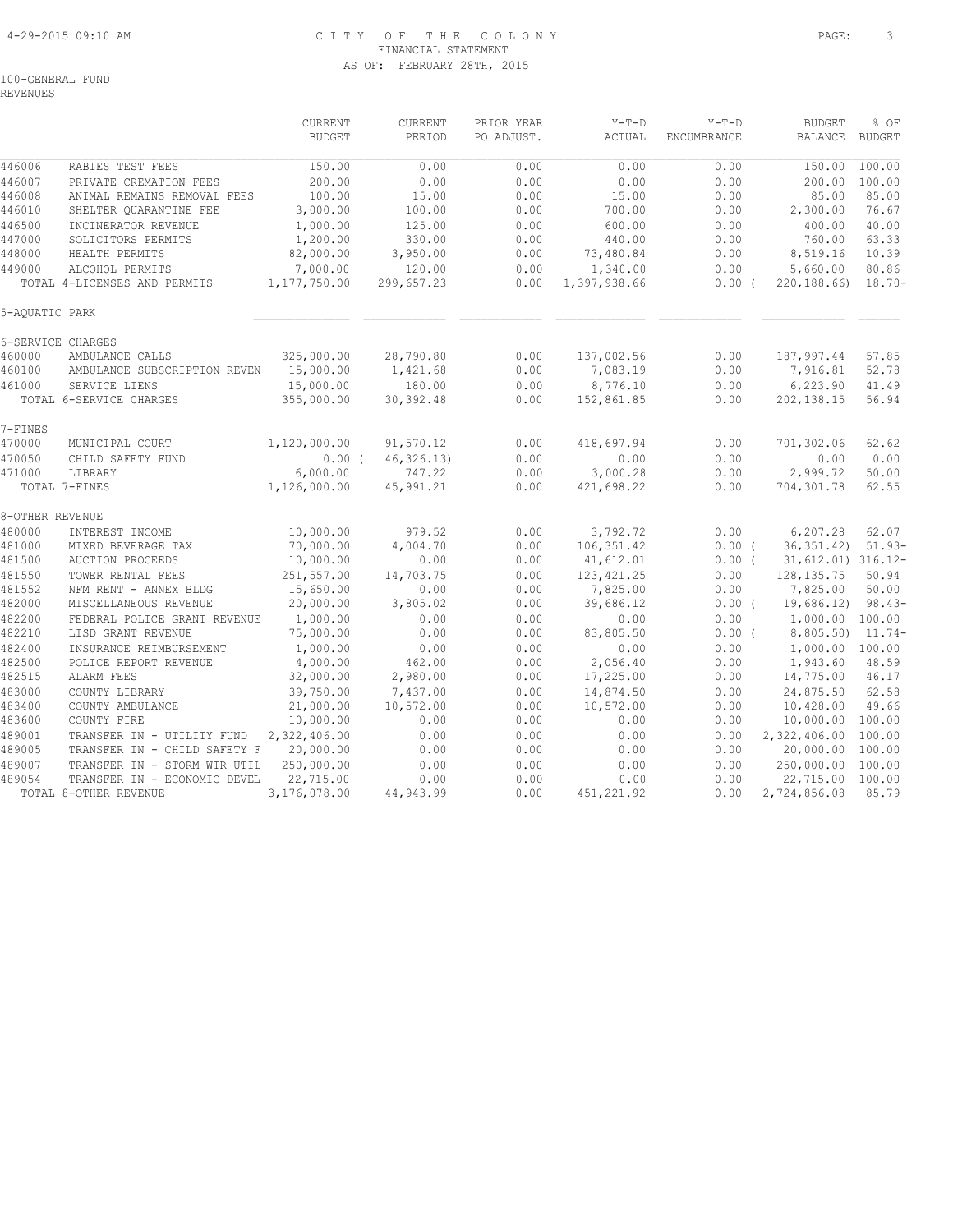#### 4-29-2015 09:10 AM C I T Y O F T H E C O L O N Y PAGE: 3 FINANCIAL STATEMENT AS OF: FEBRUARY 28TH, 2015

100-GENERAL FUND

REVENUES

|                  |                                                    | CURRENT<br><b>BUDGET</b> | CURRENT<br>PERIOD | PRIOR YEAR<br>PO ADJUST. | $Y-T-D$<br>ACTUAL | $Y-T-D$<br>ENCUMBRANCE | <b>BUDGET</b><br><b>BALANCE</b> | % OF<br><b>BUDGET</b> |
|------------------|----------------------------------------------------|--------------------------|-------------------|--------------------------|-------------------|------------------------|---------------------------------|-----------------------|
| 446006           | RABIES TEST FEES                                   | 150.00                   | 0.00              | 0.00                     | 0.00              | 0.00                   | 150.00                          | 100.00                |
| 446007           | PRIVATE CREMATION FEES                             | 200.00                   | 0.00              | 0.00                     | 0.00              | 0.00                   | 200.00                          | 100.00                |
| 446008           | ANIMAL REMAINS REMOVAL FEES                        | 100.00                   | 15.00             | 0.00                     | 15.00             | 0.00                   | 85.00                           | 85.00                 |
| 446010           | SHELTER QUARANTINE FEE                             | 3,000.00                 | 100.00            | 0.00                     | 700.00            | 0.00                   | 2,300.00                        | 76.67                 |
| 446500           | INCINERATOR REVENUE                                | 1,000.00                 | 125.00            | 0.00                     | 600.00            | 0.00                   | 400.00                          | 40.00                 |
| 447000           | SOLICITORS PERMITS                                 | 1,200.00                 | 330.00            | 0.00                     | 440.00            | 0.00                   | 760.00                          | 63.33                 |
| 448000           | HEALTH PERMITS                                     | 82,000.00                | 3,950.00          | 0.00                     | 73,480.84         | 0.00                   | 8,519.16                        | 10.39                 |
| 449000           | ALCOHOL PERMITS                                    | 7,000.00                 | 120.00            | 0.00                     | 1,340.00          | 0.00                   | 5,660.00                        | 80.86                 |
|                  | TOTAL 4-LICENSES AND PERMITS                       | 1,177,750.00             | 299,657.23        | 0.00                     | 1,397,938.66      | $0.00$ (               | 220,188.66)                     | $18.70 -$             |
| 5-AQUATIC PARK   |                                                    |                          |                   |                          |                   |                        |                                 |                       |
|                  | 6-SERVICE CHARGES                                  |                          |                   |                          |                   |                        |                                 |                       |
| 460000           | AMBULANCE CALLS                                    | 325,000.00               | 28,790.80         | 0.00                     | 137,002.56        | 0.00                   | 187,997.44                      | 57.85                 |
| 460100           | AMBULANCE SUBSCRIPTION REVEN                       | 15,000.00                | 1,421.68          | 0.00                     | 7,083.19          | 0.00                   | 7,916.81                        | 52.78                 |
| 461000           | SERVICE LIENS                                      | 15,000.00                | 180.00            | 0.00                     | 8,776.10          | 0.00                   | 6,223.90                        | 41.49                 |
|                  | TOTAL 6-SERVICE CHARGES                            | 355,000.00               | 30, 392.48        | 0.00                     | 152,861.85        | 0.00                   | 202, 138.15                     | 56.94                 |
| 7-FINES          |                                                    |                          |                   |                          |                   |                        |                                 |                       |
| 470000           | MUNICIPAL COURT                                    | 1,120,000.00             | 91,570.12         | 0.00                     | 418,697.94        | 0.00                   | 701,302.06                      | 62.62                 |
| 470050           | CHILD SAFETY FUND                                  | $0.00$ (                 | 46, 326.13        | 0.00                     | 0.00              | 0.00                   | 0.00                            | 0.00                  |
| 471000           | LIBRARY                                            | 6,000.00                 | 747.22            | 0.00                     | 3,000.28          | 0.00                   | 2,999.72                        | 50.00                 |
|                  | TOTAL 7-FINES                                      | 1,126,000.00             | 45,991.21         | 0.00                     | 421,698.22        | 0.00                   | 704,301.78                      | 62.55                 |
| 8-OTHER REVENUE  |                                                    |                          |                   |                          |                   |                        |                                 |                       |
| 480000           | INTEREST INCOME                                    | 10,000.00                | 979.52            | 0.00                     | 3,792.72          | 0.00                   | 6, 207.28                       | 62.07                 |
| 481000           | MIXED BEVERAGE TAX                                 | 70,000.00                | 4,004.70          | 0.00                     | 106, 351.42       | 0.00(                  | 36, 351, 42)                    | $51.93-$              |
| 481500           | <b>AUCTION PROCEEDS</b>                            | 10,000.00                | 0.00              | 0.00                     | 41,612.01         | $0.00$ (               | 31,612.01) 316.12-              |                       |
| 481550           | TOWER RENTAL FEES                                  | 251,557.00               | 14,703.75         | 0.00                     | 123, 421.25       | 0.00                   | 128, 135.75                     | 50.94                 |
| 481552           | NFM RENT - ANNEX BLDG                              | 15,650.00                | 0.00              | 0.00                     | 7,825.00          | 0.00                   | 7,825.00                        | 50.00                 |
| 482000           | MISCELLANEOUS REVENUE                              | 20,000.00                | 3,805.02<br>0.00  | 0.00                     | 39,686.12         | $0.00$ (               | 19,686.12)                      | $98.43-$              |
| 482200<br>482210 | FEDERAL POLICE GRANT REVENUE<br>LISD GRANT REVENUE | 1,000.00<br>75,000.00    | 0.00              | 0.00<br>0.00             | 0.00<br>83,805.50 | 0.00<br>0.00(          | 1,000.00 100.00<br>8,805.50)    | 11.74-                |
| 482400           | INSURANCE REIMBURSEMENT                            | 1,000.00                 | 0.00              | 0.00                     | 0.00              | 0.00                   | 1,000.00 100.00                 |                       |
| 482500           | POLICE REPORT REVENUE                              | 4,000.00                 | 462.00            | 0.00                     | 2,056.40          | 0.00                   | 1,943.60                        | 48.59                 |
| 482515           | ALARM FEES                                         | 32,000.00                | 2,980.00          | 0.00                     | 17,225.00         | 0.00                   | 14,775.00                       | 46.17                 |
| 483000           | COUNTY LIBRARY                                     | 39,750.00                | 7,437.00          | 0.00                     | 14,874.50         | 0.00                   | 24,875.50                       | 62.58                 |
| 483400           | COUNTY AMBULANCE                                   | 21,000.00                | 10,572.00         | 0.00                     | 10,572.00         | 0.00                   | 10,428.00                       | 49.66                 |
| 483600           | COUNTY FIRE                                        | 10,000.00                | 0.00              | 0.00                     | 0.00              | 0.00                   | 10,000.00                       | 100.00                |
| 489001           | TRANSFER IN - UTILITY FUND                         | 2,322,406.00             | 0.00              | 0.00                     | 0.00              | 0.00                   | 2,322,406.00                    | 100.00                |
| 489005           | TRANSFER IN - CHILD SAFETY F                       | 20,000.00                | 0.00              | 0.00                     | 0.00              | 0.00                   | 20,000.00                       | 100.00                |
| 489007           | TRANSFER IN - STORM WTR UTIL                       | 250,000.00               | 0.00              | 0.00                     | 0.00              | 0.00                   | 250,000.00 100.00               |                       |
| 489054           | TRANSFER IN - ECONOMIC DEVEL                       | 22,715.00                | 0.00              | 0.00                     | 0.00              | 0.00                   | 22,715.00 100.00                |                       |
|                  | TOTAL 8-OTHER REVENUE                              | 3,176,078.00             | 44,943.99         | 0.00                     | 451,221.92        | 0.00                   | 2,724,856.08                    | 85.79                 |
|                  |                                                    |                          |                   |                          |                   |                        |                                 |                       |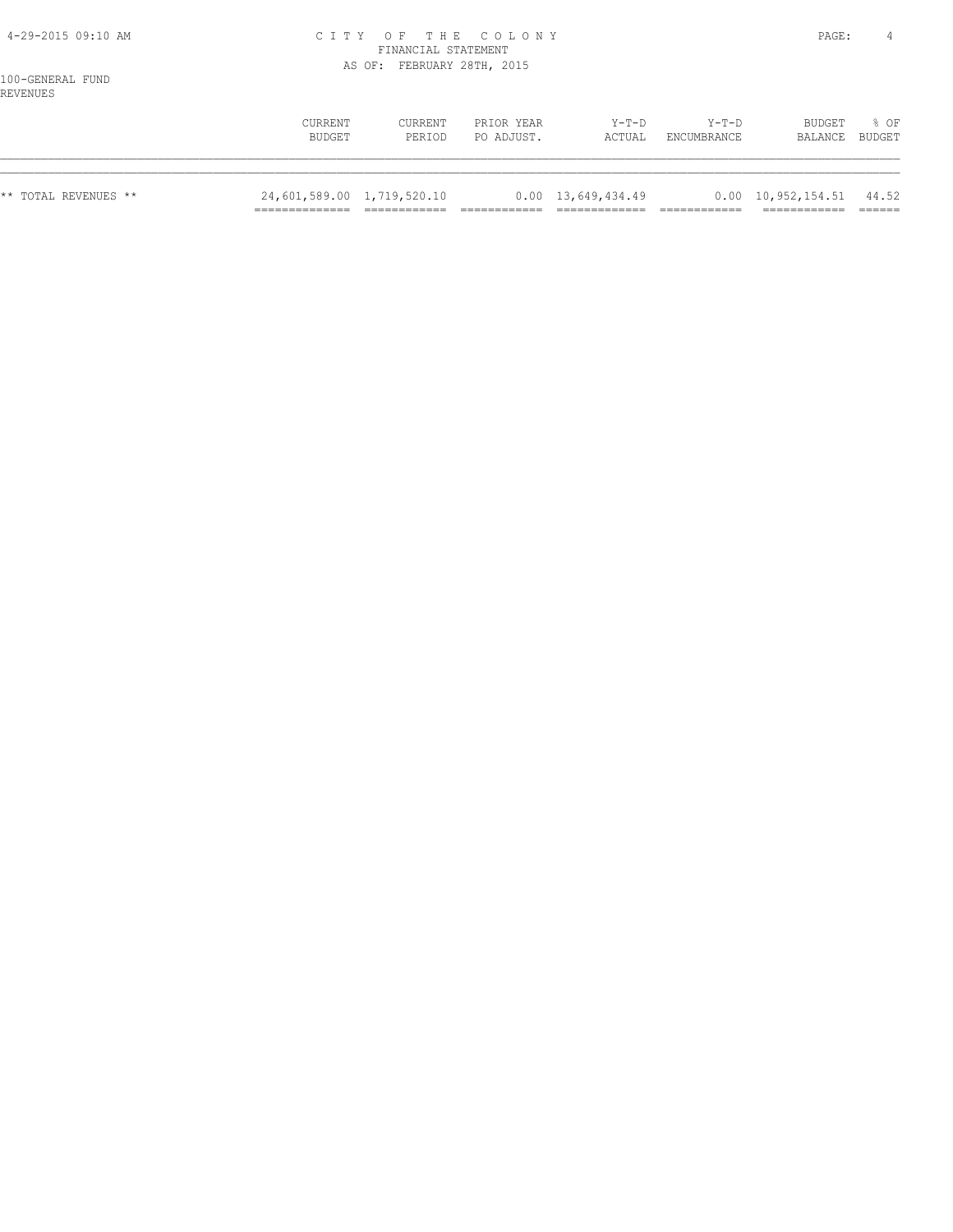#### 4-29-2015 09:10 AM C I T Y O F T H E C O L O N Y PAGE: 4 FINANCIAL STATEMENT AS OF: FEBRUARY 28TH, 2015

| --------             | CURRENT<br>BUDGET          | CURRENT<br>PERIOD | PRIOR YEAR<br>PO ADJUST. | $Y-T-D$<br>ACTUAL          | $Y-T-D$<br>ENCUMBRANCE | BUDGET<br>BALANCE                      | 8 OF<br>BUDGET |
|----------------------|----------------------------|-------------------|--------------------------|----------------------------|------------------------|----------------------------------------|----------------|
|                      |                            |                   |                          |                            |                        |                                        |                |
| ** TOTAL REVENUES ** | 24,601,589.00 1,719,520.10 |                   |                          | $0.00 \quad 13,649,434.49$ |                        | $0.00 \quad 10,952,154.51 \quad 44.52$ |                |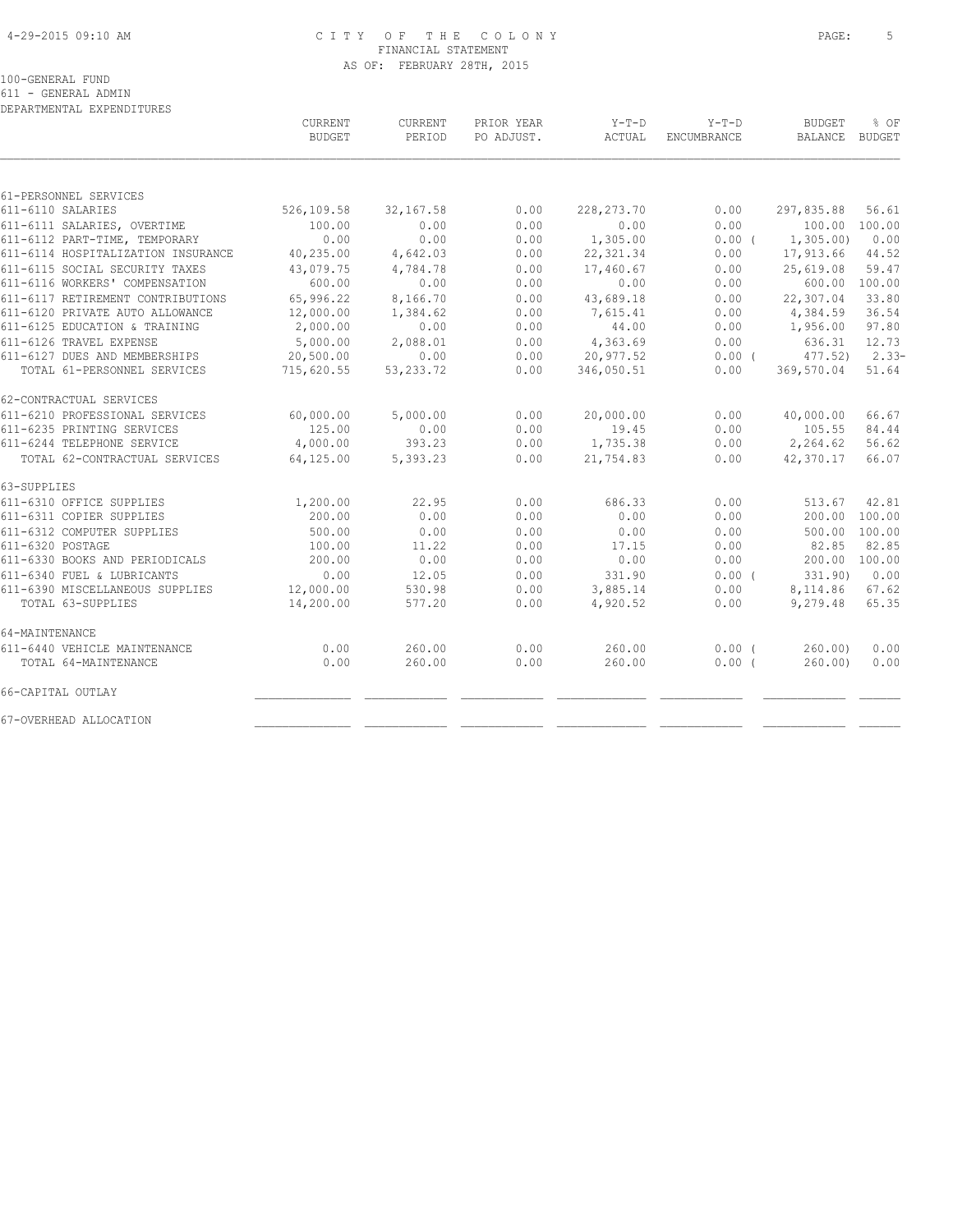#### 4-29-2015 09:10 AM C I T Y O F T H E C O L O N Y PAGE: 5 FINANCIAL STATEMENT AS OF: FEBRUARY 28TH, 2015

100-GENERAL FUND

611 - GENERAL ADMIN

| DEPARTMENTAL EXPENDITURES          |                |             |            |              |                    |               |               |
|------------------------------------|----------------|-------------|------------|--------------|--------------------|---------------|---------------|
|                                    | <b>CURRENT</b> | CURRENT     | PRIOR YEAR | Y-T-D        | $Y-T-D$            | <b>BUDGET</b> | % OF          |
|                                    | <b>BUDGET</b>  | PERIOD      | PO ADJUST. | ACTUAL       | <b>ENCUMBRANCE</b> | BALANCE       | <b>BUDGET</b> |
|                                    |                |             |            |              |                    |               |               |
| 61-PERSONNEL SERVICES              |                |             |            |              |                    |               |               |
| 611-6110 SALARIES                  | 526,109.58     | 32, 167.58  | 0.00       | 228, 273. 70 | 0.00               | 297,835.88    | 56.61         |
| 611-6111 SALARIES, OVERTIME        | 100.00         | 0.00        | 0.00       | 0.00         | 0.00               | 100.00        | 100.00        |
| 611-6112 PART-TIME, TEMPORARY      | 0.00           | 0.00        | 0.00       | 1,305.00     | $0.00$ (           | 1,305.00      | 0.00          |
| 611-6114 HOSPITALIZATION INSURANCE | 40,235.00      | 4,642.03    | 0.00       | 22, 321.34   | 0.00               | 17,913.66     | 44.52         |
| 611-6115 SOCIAL SECURITY TAXES     | 43,079.75      | 4,784.78    | 0.00       | 17,460.67    | 0.00               | 25,619.08     | 59.47         |
| 611-6116 WORKERS' COMPENSATION     | 600.00         | 0.00        | 0.00       | 0.00         | 0.00               | 600.00        | 100.00        |
| 611-6117 RETIREMENT CONTRIBUTIONS  | 65,996.22      | 8,166.70    | 0.00       | 43,689.18    | 0.00               | 22,307.04     | 33.80         |
| 611-6120 PRIVATE AUTO ALLOWANCE    | 12,000.00      | 1,384.62    | 0.00       | 7,615.41     | 0.00               | 4,384.59      | 36.54         |
| 611-6125 EDUCATION & TRAINING      | 2,000.00       | 0.00        | 0.00       | 44.00        | 0.00               | 1,956.00      | 97.80         |
| 611-6126 TRAVEL EXPENSE            | 5,000.00       | 2,088.01    | 0.00       | 4,363.69     | 0.00               | 636.31        | 12.73         |
| 611-6127 DUES AND MEMBERSHIPS      | 20,500.00      | 0.00        | 0.00       | 20,977.52    | $0.00$ (           | 477.52        | $2.33-$       |
| TOTAL 61-PERSONNEL SERVICES        | 715,620.55     | 53, 233. 72 | 0.00       | 346,050.51   | 0.00               | 369,570.04    | 51.64         |
| 62-CONTRACTUAL SERVICES            |                |             |            |              |                    |               |               |
| 611-6210 PROFESSIONAL SERVICES     | 60,000.00      | 5,000.00    | 0.00       | 20,000.00    | 0.00               | 40,000.00     | 66.67         |
| 611-6235 PRINTING SERVICES         | 125.00         | 0.00        | 0.00       | 19.45        | 0.00               | 105.55        | 84.44         |
| 611-6244 TELEPHONE SERVICE         | 4,000.00       | 393.23      | 0.00       | 1,735.38     | 0.00               | 2,264.62      | 56.62         |
| TOTAL 62-CONTRACTUAL SERVICES      | 64,125.00      | 5,393.23    | 0.00       | 21,754.83    | 0.00               | 42,370.17     | 66.07         |
| 63-SUPPLIES                        |                |             |            |              |                    |               |               |
| 611-6310 OFFICE SUPPLIES           | 1,200.00       | 22.95       | 0.00       | 686.33       | 0.00               | 513.67        | 42.81         |
| 611-6311 COPIER SUPPLIES           | 200.00         | 0.00        | 0.00       | 0.00         | 0.00               | 200.00        | 100.00        |
| 611-6312 COMPUTER SUPPLIES         | 500.00         | 0.00        | 0.00       | 0.00         | 0.00               | 500.00        | 100.00        |
| 611-6320 POSTAGE                   | 100.00         | 11.22       | 0.00       | 17.15        | 0.00               | 82.85         | 82.85         |
| 611-6330 BOOKS AND PERIODICALS     | 200.00         | 0.00        | 0.00       | 0.00         | 0.00               | 200.00        | 100.00        |
| 611-6340 FUEL & LUBRICANTS         | 0.00           | 12.05       | 0.00       | 331.90       | 0.00(              | 331.90)       | 0.00          |
| 611-6390 MISCELLANEOUS SUPPLIES    | 12,000.00      | 530.98      | 0.00       | 3,885.14     | 0.00               | 8,114.86      | 67.62         |
| TOTAL 63-SUPPLIES                  | 14,200.00      | 577.20      | 0.00       | 4,920.52     | 0.00               | 9,279.48      | 65.35         |
| 64-MAINTENANCE                     |                |             |            |              |                    |               |               |
| 611-6440 VEHICLE MAINTENANCE       | 0.00           | 260.00      | 0.00       | 260.00       | $0.00$ (           | 260.00        | 0.00          |
| TOTAL 64-MAINTENANCE               | 0.00           | 260.00      | 0.00       | 260.00       | 0.00(              | 260.00        | 0.00          |
| 66-CAPITAL OUTLAY                  |                |             |            |              |                    |               |               |
| 67-OVERHEAD ALLOCATION             |                |             |            |              |                    |               |               |
|                                    |                |             |            |              |                    |               |               |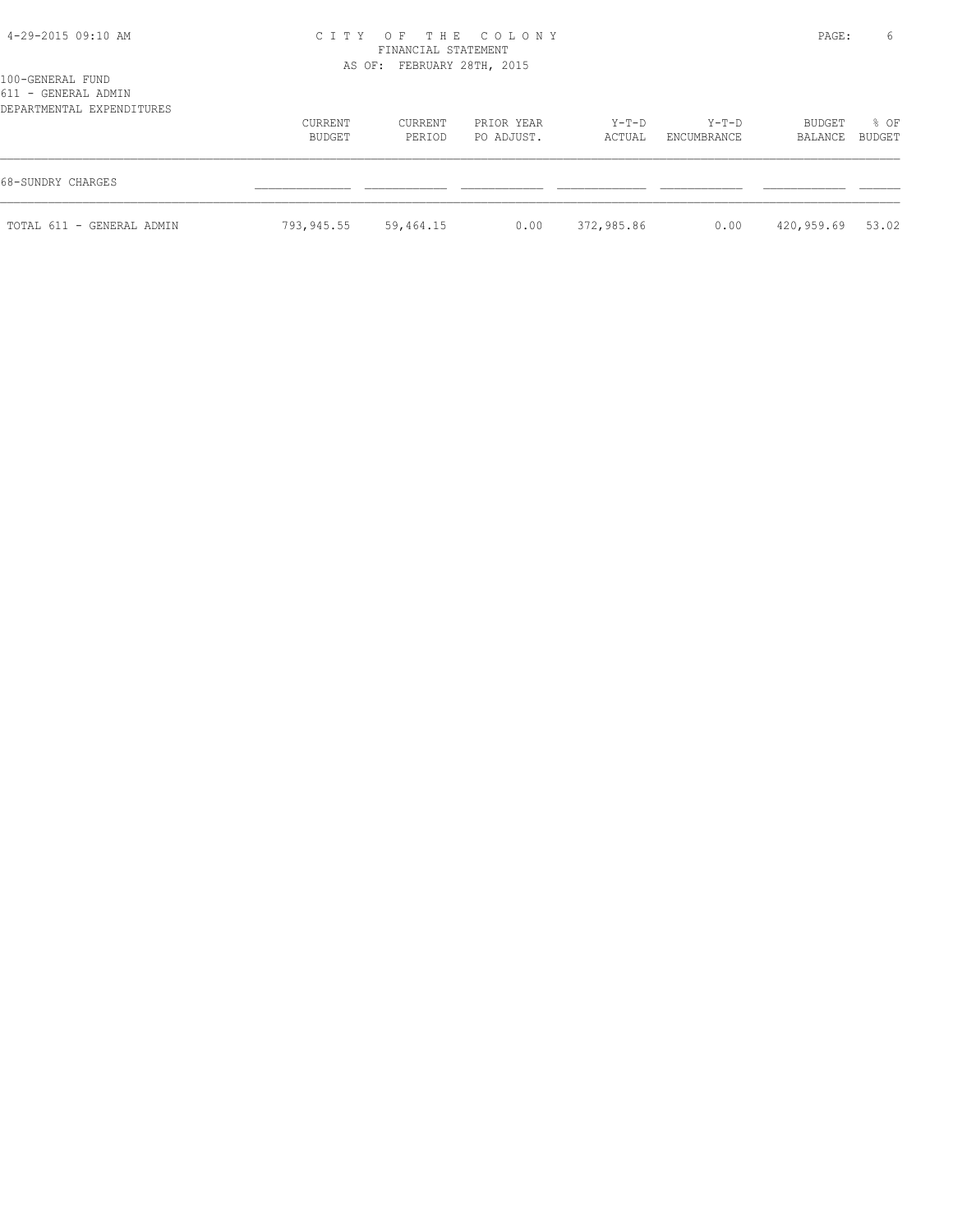#### 4-29-2015 09:10 AM C I T Y O F T H E C O L O N Y PAGE: 6 FINANCIAL STATEMENT AS OF: FEBRUARY 28TH, 2015

|  |  | 100-GENERAL FUND    |  |  |
|--|--|---------------------|--|--|
|  |  | 611 - GENERAL ADMIN |  |  |
|  |  |                     |  |  |

| 011 - GENEKAL ADMIN<br>DEPARTMENTAL EXPENDITURES |                   |                   |                          |                   |                        |                   |                |
|--------------------------------------------------|-------------------|-------------------|--------------------------|-------------------|------------------------|-------------------|----------------|
|                                                  | CURRENT<br>BUDGET | CURRENT<br>PERIOD | PRIOR YEAR<br>PO ADJUST. | $Y-T-D$<br>ACTUAL | $Y-T-D$<br>ENCUMBRANCE | BUDGET<br>BALANCE | % OF<br>BUDGET |
| 68-SUNDRY CHARGES                                |                   |                   |                          |                   |                        |                   |                |
| TOTAL 611 - GENERAL ADMIN                        | 793,945.55        | 59,464.15         | 0.00                     | 372,985.86        | 0.00                   | 420,959.69        | 53.02          |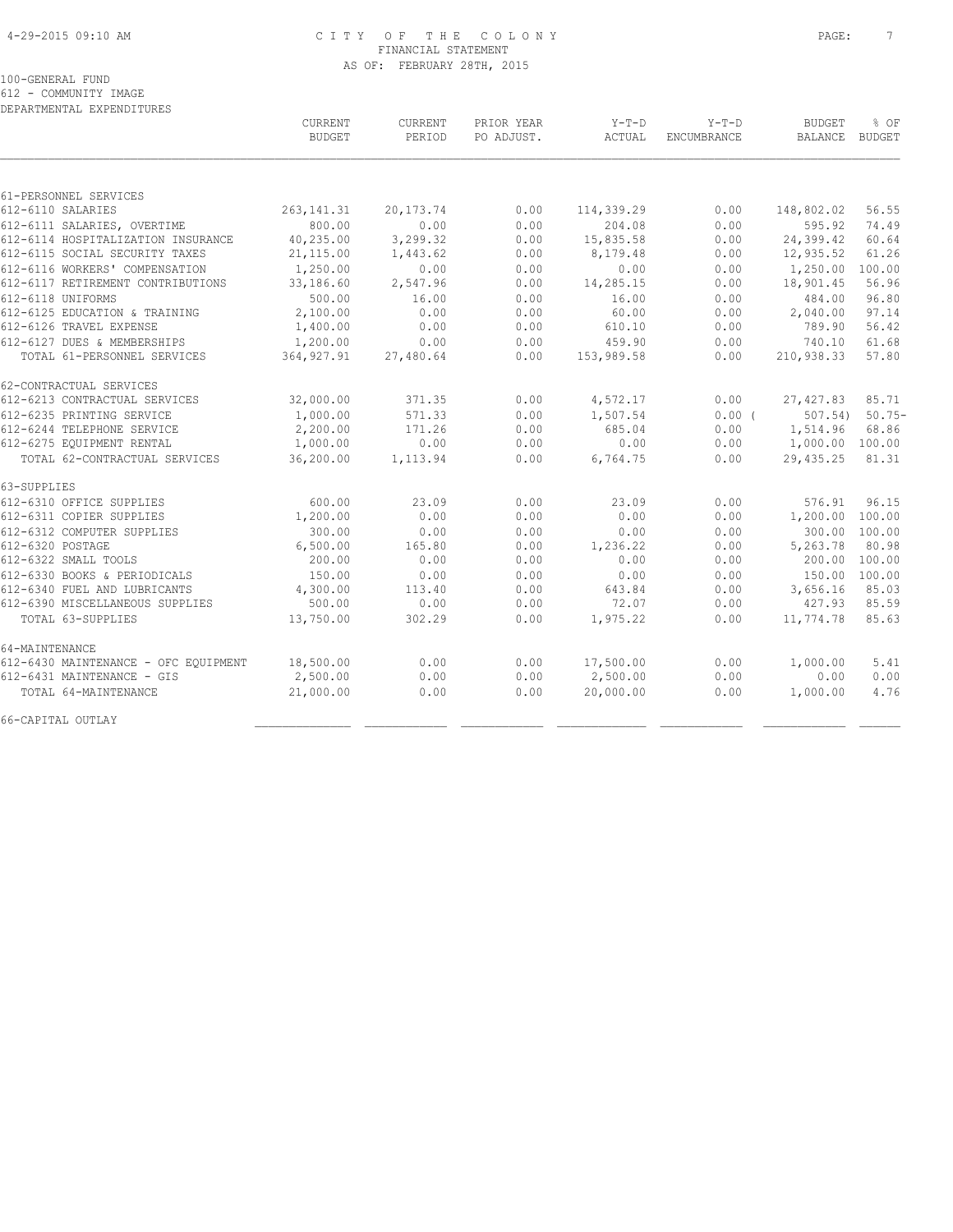#### 4-29-2015 09:10 AM C I T Y O F T H E C O L O N Y PAGE: 7 FINANCIAL STATEMENT AS OF: FEBRUARY 28TH, 2015

100-GENERAL FUND

612 - COMMUNITY IMAGE DEPARTMENTAL EXPENDITURES

 CURRENT CURRENT PRIOR YEAR Y-T-D Y-T-D BUDGET % OF BUDGET PERIOD PO ADJUST. ACTUAL ENCUMBRANCE BALANCE BUDGET  $\mathcal{L} = \{ \mathcal{L} = \{ \mathcal{L} = \{ \mathcal{L} = \{ \mathcal{L} = \{ \mathcal{L} = \{ \mathcal{L} = \{ \mathcal{L} = \{ \mathcal{L} = \{ \mathcal{L} = \{ \mathcal{L} = \{ \mathcal{L} = \{ \mathcal{L} = \{ \mathcal{L} = \{ \mathcal{L} = \{ \mathcal{L} = \{ \mathcal{L} = \{ \mathcal{L} = \{ \mathcal{L} = \{ \mathcal{L} = \{ \mathcal{L} = \{ \mathcal{L} = \{ \mathcal{L} = \{ \mathcal{L} = \{ \mathcal{$ 61-PERSONNEL SERVICES 612-6110 SALARIES 263,141.31 20,173.74 0.00 114,339.29 0.00 148,802.02 56.55 612-6111 SALARIES, OVERTIME 800.00 0.00 0.00 204.08 0.00 595.92 74.49 612-6114 HOSPITALIZATION INSURANCE 40,235.00 3,299.32 0.00 15,835.58 0.00 24,399.42 60.64 612-6115 SOCIAL SECURITY TAXES 21,115.00 1,443.62 0.00 8,179.48 0.00 12,935.52 61.26 612-6116 WORKERS' COMPENSATION 1,250.00 0.00 0.00 0.00 0.00 1,250.00 100.00 612-6117 RETIREMENT CONTRIBUTIONS 33,186.60 2,547.96 0.00 14,285.15 0.00 18,901.45 56.96 612-6118 UNIFORMS 500.00 16.00 0.00 16.00 0.00 484.00 96.80 612-6125 EDUCATION & TRAINING 2,100.00 0.00 0.00 60.00 0.00 2,040.00 97.14 612-6126 TRAVEL EXPENSE 1,400.00 0.00 0.00 610.10 0.00 789.90 56.42 612-6127 DUES & MEMBERSHIPS 1,200.00 0.00 0.00 459.90 0.00 740.10 61.68 TOTAL 61-PERSONNEL SERVICES 364,927.91 27,480.64 0.00 153,989.58 0.00 210,938.33 57.80 62-CONTRACTUAL SERVICES<br>612-6213 CONTRACTUAL SERVICES 612-6213 CONTRACTUAL SERVICES 32,000.00 371.35 0.00 4,572.17 0.00 27,427.83 85.71 612-6235 PRINTING SERVICE 1,000.00 571.33 0.00 1,507.54 0.00 ( 507.54) 50.75- 612-6244 TELEPHONE SERVICE 2,200.00 171.26 0.00 685.04 0.00 1,514.96 68.86 612-6275 EQUIPMENT RENTAL 1,000.00 0.00 0.00 0.00 0.00 1,000.00 100.00 TOTAL 62-CONTRACTUAL SERVICES 36,200.00 1,113.94 0.00 6,764.75 0.00 29,435.25 81.31 63-SUPPLIES 612-6310 OFFICE SUPPLIES 600.00 23.09 0.00 23.09 0.00 576.91 96.15 612-6311 COPIER SUPPLIES 1,200.00 0.00 0.00 0.00 0.00 1,200.00 100.00 612-6312 COMPUTER SUPPLIES 300.00 0.00 0.00 0.00 0.00 300.00 100.00 612-6320 POSTAGE 6,500.00 165.80 0.00 1,236.22 0.00 5,263.78 80.98 612-6322 SMALL TOOLS 200.00 0.00 0.00 0.00 0.00 200.00 100.00 612-6330 BOOKS & PERIODICALS 150.00 0.00 0.00 0.00 0.00 150.00 100.00 612-6340 FUEL AND LUBRICANTS 4,300.00 113.40 0.00 643.84 0.00 3,656.16 85.03 612-6390 MISCELLANEOUS SUPPLIES 500.00 0.00 0.00 72.07 0.00 427.93 85.59 TOTAL 63-SUPPLIES 13,750.00 302.29 0.00 1,975.22 0.00 11,774.78 85.63 64-MAINTENANCE 612-6430 MAINTENANCE - OFC EQUIPMENT 18,500.00 0.00 0.00 17,500.00 0.00 1,000.00 5.41 612-6431 MAINTENANCE - GIS 2,500.00 0.00 0.00 2,500.00 0.00 0.00 0.00 TOTAL 64-MAINTENANCE 21,000.00 0.00 0.00 20,000.00 0.00 1,000.00 4.76 66-CAPITAL OUTLAY \_\_\_\_\_\_\_\_\_\_\_\_\_\_ \_\_\_\_\_\_\_\_\_\_\_\_ \_\_\_\_\_\_\_\_\_\_\_\_ \_\_\_\_\_\_\_\_\_\_\_\_\_ \_\_\_\_\_\_\_\_\_\_\_\_ \_\_\_\_\_\_\_\_\_\_\_\_ \_\_\_\_\_\_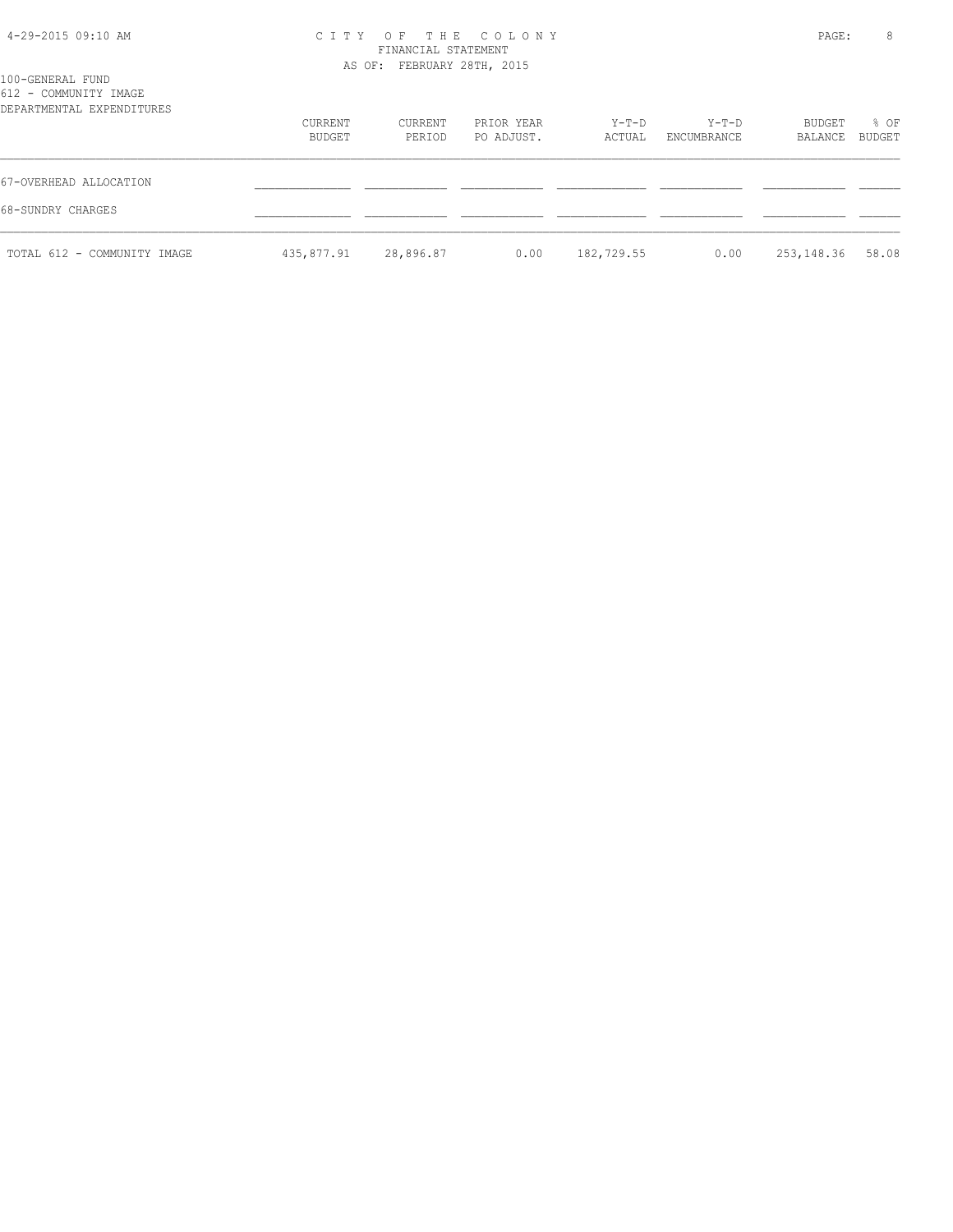| 4-29-2015 09:10 AM |  |  |
|--------------------|--|--|
|--------------------|--|--|

# CITY OF THE COLONY PAGE: 8

| 100-GENERAL FUND                                   |                   | FINANCIAL STATEMENT<br>AS OF: FEBRUARY 28TH, 2015 |                          |                 |                        |                   |                  |
|----------------------------------------------------|-------------------|---------------------------------------------------|--------------------------|-----------------|------------------------|-------------------|------------------|
| 612 - COMMUNITY IMAGE<br>DEPARTMENTAL EXPENDITURES | CURRENT<br>BUDGET | CURRENT<br>PERIOD                                 | PRIOR YEAR<br>PO ADJUST. | Y-T-D<br>ACTUAL | $Y-T-D$<br>ENCUMBRANCE | BUDGET<br>BALANCE | $8$ OF<br>BUDGET |
| 67-OVERHEAD ALLOCATION<br>68-SUNDRY CHARGES        |                   |                                                   |                          |                 |                        |                   |                  |
| TOTAL 612 - COMMUNITY IMAGE                        | 435,877.91        | 28,896.87                                         | 0.00                     | 182,729.55      | 0.00                   | 253,148.36        | 58.08            |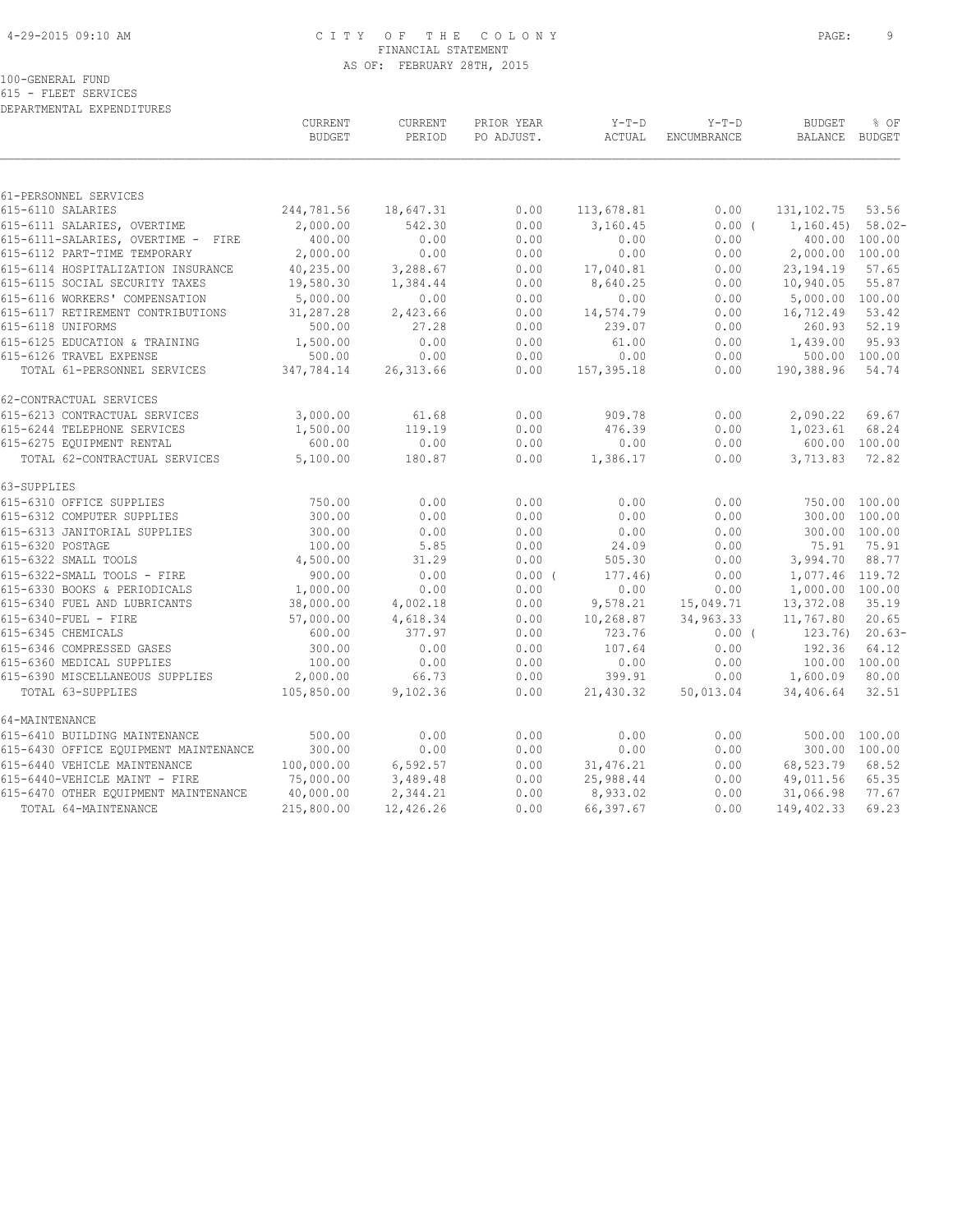#### 4-29-2015 09:10 AM C I T Y O F T H E C O L O N Y PAGE: 9 FINANCIAL STATEMENT AS OF: FEBRUARY 28TH, 2015

100-GENERAL FUND

615 - FLEET SERVICES

| DEPARTMENTAL EXPENDITURES                                          |                          |                          |                          |                       |                               |                                  |                |
|--------------------------------------------------------------------|--------------------------|--------------------------|--------------------------|-----------------------|-------------------------------|----------------------------------|----------------|
|                                                                    | CURRENT<br><b>BUDGET</b> | <b>CURRENT</b><br>PERIOD | PRIOR YEAR<br>PO ADJUST. | $Y-T-D$<br>ACTUAL     | $Y-T-D$<br><b>ENCUMBRANCE</b> | <b>BUDGET</b><br>BALANCE         | % OF<br>BUDGET |
|                                                                    |                          |                          |                          |                       |                               |                                  |                |
| 61-PERSONNEL SERVICES                                              |                          |                          |                          |                       |                               |                                  |                |
| 615-6110 SALARIES                                                  | 244,781.56               | 18,647.31                | 0.00                     | 113,678.81            | 0.00                          | 131, 102. 75                     | 53.56          |
| 615-6111 SALARIES, OVERTIME                                        | 2,000.00                 | 542.30                   | 0.00                     | 3,160.45              | 0.00(                         | $1, 160.45$ 58.02-               |                |
| 615-6111-SALARIES, OVERTIME - FIRE                                 | 400.00<br>2,000.00       | 0.00<br>0.00             | 0.00<br>0.00             | 0.00                  | 0.00                          | 400.00 100.00<br>2,000.00 100.00 |                |
| 615-6112 PART-TIME TEMPORARY<br>615-6114 HOSPITALIZATION INSURANCE | 40,235.00                | 3,288.67                 | 0.00                     | 0.00                  | 0.00<br>0.00                  | 23, 194. 19                      | 57.65          |
| 615-6115 SOCIAL SECURITY TAXES                                     | 19,580.30                | 1,384.44                 | 0.00                     | 17,040.81<br>8,640.25 | 0.00                          | 10,940.05                        | 55.87          |
| 615-6116 WORKERS' COMPENSATION                                     | 5,000.00                 | 0.00                     | 0.00                     | 0.00                  | 0.00                          | 5,000.00                         | 100.00         |
| 615-6117 RETIREMENT CONTRIBUTIONS                                  | 31,287.28                | 2,423.66                 | 0.00                     | 14,574.79             | 0.00                          | 16,712.49                        | 53.42          |
| 615-6118 UNIFORMS                                                  | 500.00                   | 27.28                    | 0.00                     | 239.07                | 0.00                          | 260.93                           | 52.19          |
| 615-6125 EDUCATION & TRAINING                                      | 1,500.00                 | 0.00                     | 0.00                     | 61.00                 | 0.00                          | 1,439.00                         | 95.93          |
| 615-6126 TRAVEL EXPENSE                                            | 500.00                   | 0.00                     | 0.00                     | 0.00                  | 0.00                          | 500.00 100.00                    |                |
| TOTAL 61-PERSONNEL SERVICES                                        | 347,784.14               | 26, 313.66               | 0.00                     | 157,395.18            | 0.00                          | 190,388.96                       | 54.74          |
|                                                                    |                          |                          |                          |                       |                               |                                  |                |
| 62-CONTRACTUAL SERVICES                                            |                          |                          |                          |                       |                               |                                  |                |
| 615-6213 CONTRACTUAL SERVICES                                      | 3,000.00                 | 61.68                    | 0.00                     | 909.78                | 0.00                          | 2,090.22                         | 69.67          |
| 615-6244 TELEPHONE SERVICES                                        | 1,500.00                 | 119.19                   | 0.00                     | 476.39                | 0.00                          | 1,023.61                         | 68.24          |
| 615-6275 EQUIPMENT RENTAL                                          | 600.00                   | 0.00                     | 0.00                     | 0.00                  | 0.00                          | 600.00 100.00                    |                |
| TOTAL 62-CONTRACTUAL SERVICES                                      | 5,100.00                 | 180.87                   | 0.00                     | 1,386.17              | 0.00                          | 3,713.83                         | 72.82          |
| 63-SUPPLIES                                                        |                          |                          |                          |                       |                               |                                  |                |
| 615-6310 OFFICE SUPPLIES                                           | 750.00                   | 0.00                     | 0.00                     | 0.00                  | 0.00                          | 750.00 100.00                    |                |
| 615-6312 COMPUTER SUPPLIES                                         | 300.00                   | 0.00                     | 0.00                     | 0.00                  | 0.00                          | 300.00                           | 100.00         |
| 615-6313 JANITORIAL SUPPLIES                                       | 300.00                   | 0.00                     | 0.00                     | 0.00                  | 0.00                          | 300.00                           | 100.00         |
| 615-6320 POSTAGE                                                   | 100.00                   | 5.85                     | 0.00                     | 24.09                 | 0.00                          | 75.91                            | 75.91          |
| 615-6322 SMALL TOOLS                                               | 4,500.00                 | 31.29                    | 0.00                     | 505.30                | 0.00                          | 3,994.70                         | 88.77          |
| 615-6322-SMALL TOOLS - FIRE                                        | 900.00                   | 0.00                     | 0.00(                    | 177.46)               | 0.00                          | 1,077.46 119.72                  |                |
| 615-6330 BOOKS & PERIODICALS                                       | 1,000.00                 | 0.00                     | 0.00                     | 0.00                  | 0.00                          | 1,000.00 100.00                  |                |
| 615-6340 FUEL AND LUBRICANTS                                       | 38,000.00                | 4,002.18                 | 0.00                     | 9,578.21              | 15,049.71                     | 13,372.08                        | 35.19          |
| 615-6340-FUEL - FIRE                                               | 57,000.00                | 4,618.34                 | 0.00                     | 10,268.87             | 34,963.33                     | 11,767.80                        | 20.65          |
| 615-6345 CHEMICALS                                                 | 600.00                   | 377.97                   | 0.00                     | 723.76                | $0.00$ (                      | 123.76                           | $20.63-$       |
| 615-6346 COMPRESSED GASES                                          | 300.00                   | 0.00                     | 0.00                     | 107.64                | 0.00                          | 192.36                           | 64.12          |
| 615-6360 MEDICAL SUPPLIES                                          | 100.00                   | 0.00                     | 0.00                     | 0.00                  | 0.00                          | 100.00 100.00                    |                |
| 615-6390 MISCELLANEOUS SUPPLIES                                    | 2,000.00                 | 66.73                    | 0.00                     | 399.91                | 0.00                          | 1,600.09                         | 80.00          |
| TOTAL 63-SUPPLIES                                                  | 105,850.00               | 9,102.36                 | 0.00                     | 21,430.32             | 50,013.04                     | 34,406.64                        | 32.51          |
| 64-MAINTENANCE                                                     |                          |                          |                          |                       |                               |                                  |                |
| 615-6410 BUILDING MAINTENANCE                                      | 500.00                   | 0.00                     | 0.00                     | 0.00                  | 0.00                          | 500.00                           | 100.00         |
| 615-6430 OFFICE EQUIPMENT MAINTENANCE                              | 300.00                   | 0.00                     | 0.00                     | 0.00                  | 0.00                          | 300.00 100.00                    |                |
| 615-6440 VEHICLE MAINTENANCE                                       | 100,000.00               | 6,592.57                 | 0.00                     | 31,476.21             | 0.00                          | 68,523.79                        | 68.52          |
| 615-6440-VEHICLE MAINT - FIRE                                      | 75,000.00                | 3,489.48                 | 0.00                     | 25,988.44             | 0.00                          | 49,011.56                        | 65.35          |
| 615-6470 OTHER EQUIPMENT MAINTENANCE                               | 40,000.00                | 2,344.21                 | 0.00                     | 8,933.02              | 0.00                          | 31,066.98                        | 77.67          |
| TOTAL 64-MAINTENANCE                                               | 215,800.00               | 12,426.26                | 0.00                     | 66,397.67             | 0.00                          | 149,402.33                       | 69.23          |
|                                                                    |                          |                          |                          |                       |                               |                                  |                |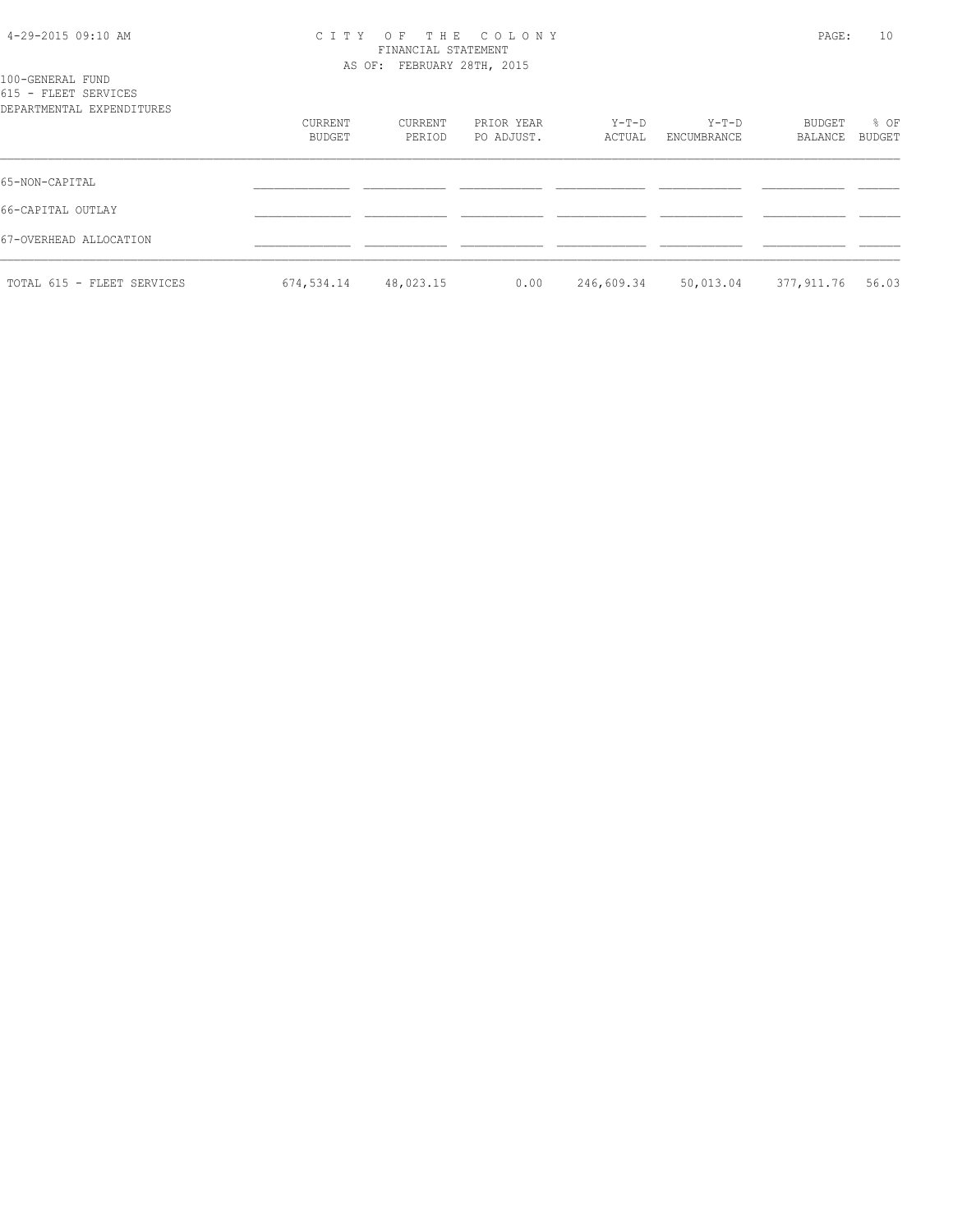#### 4-29-2015 09:10 AM C I T Y O F T H E C O L O N Y PAGE: 10 FINANCIAL STATEMENT AS OF: FEBRUARY 28TH, 2015

| 100-GENERAL FUND<br>615 - FLEET SERVICES<br>DEPARTMENTAL EXPENDITURES |                   |                   |                          |                 |                      |                   |                |
|-----------------------------------------------------------------------|-------------------|-------------------|--------------------------|-----------------|----------------------|-------------------|----------------|
|                                                                       | CURRENT<br>BUDGET | CURRENT<br>PERIOD | PRIOR YEAR<br>PO ADJUST. | Y-T-D<br>ACTUAL | Y-T-D<br>ENCUMBRANCE | BUDGET<br>BALANCE | % OF<br>BUDGET |
| 65-NON-CAPITAL                                                        |                   |                   |                          |                 |                      |                   |                |
| 66-CAPITAL OUTLAY                                                     |                   |                   |                          |                 |                      |                   |                |
| 67-OVERHEAD ALLOCATION                                                |                   |                   |                          |                 |                      |                   |                |
| TOTAL 615 - FLEET SERVICES                                            | 674,534.14        | 48,023.15         | 0.00                     | 246,609.34      | 50,013.04            | 377,911.76        | 56.03          |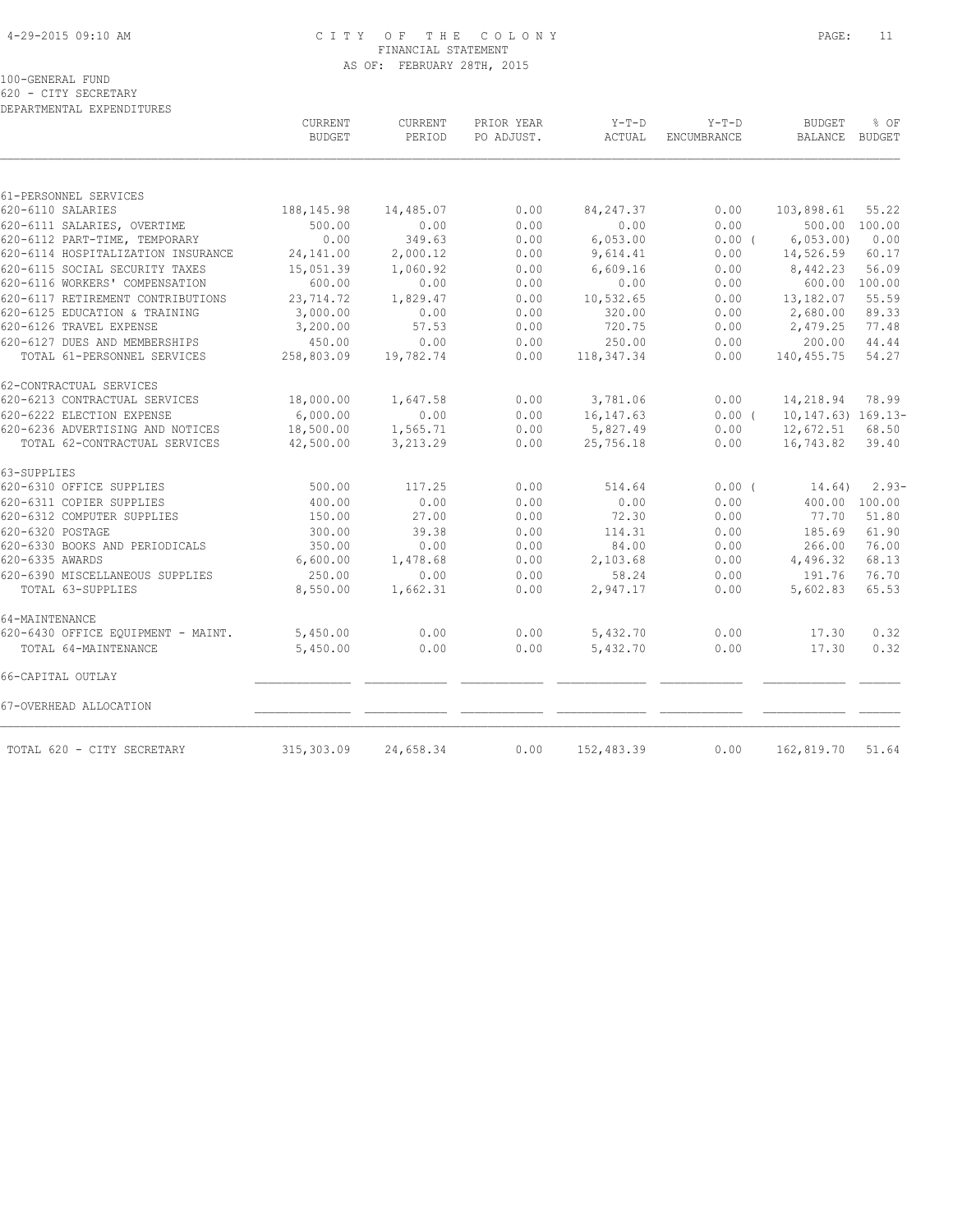#### 4-29-2015 09:10 AM C I T Y O F T H E C O L O N Y PAGE: 11 FINANCIAL STATEMENT AS OF: FEBRUARY 28TH, 2015

100-GENERAL FUND

620 - CITY SECRETARY DEPARTMENTAL EXPENDITURES

|                                    | CURRENT<br><b>BUDGET</b> | CURRENT<br>PERIOD | PRIOR YEAR<br>PO ADJUST. | $Y-T-D$<br><b>ACTUAL</b> | $Y-T-D$<br><b>ENCUMBRANCE</b> | <b>BUDGET</b><br><b>BALANCE</b> | % OF<br><b>BUDGET</b> |
|------------------------------------|--------------------------|-------------------|--------------------------|--------------------------|-------------------------------|---------------------------------|-----------------------|
|                                    |                          |                   |                          |                          |                               |                                 |                       |
| 61-PERSONNEL SERVICES              |                          |                   |                          |                          |                               |                                 |                       |
| 620-6110 SALARIES                  | 188,145.98               | 14,485.07         | 0.00                     | 84, 247.37               | 0.00                          | 103,898.61                      | 55.22                 |
| 620-6111 SALARIES, OVERTIME        | 500.00                   | 0.00              | 0.00                     | 0.00                     | 0.00                          | 500.00 100.00                   |                       |
| 620-6112 PART-TIME, TEMPORARY      | 0.00                     | 349.63            | 0.00                     | 6,053.00                 | 0.00(                         | 6,053.00                        | 0.00                  |
| 620-6114 HOSPITALIZATION INSURANCE | 24,141.00                | 2,000.12          | 0.00                     | 9,614.41                 | 0.00                          | 14,526.59                       | 60.17                 |
| 620-6115 SOCIAL SECURITY TAXES     | 15,051.39                | 1,060.92          | 0.00                     | 6,609.16                 | 0.00                          | 8,442.23                        | 56.09                 |
| 620-6116 WORKERS' COMPENSATION     | 600.00                   | 0.00              | 0.00                     | 0.00                     | 0.00                          | 600.00                          | 100.00                |
| 620-6117 RETIREMENT CONTRIBUTIONS  | 23,714.72                | 1,829.47          | 0.00                     | 10,532.65                | 0.00                          | 13,182.07                       | 55.59                 |
| 620-6125 EDUCATION & TRAINING      | 3,000.00                 | 0.00              | 0.00                     | 320.00                   | 0.00                          | 2,680.00                        | 89.33                 |
| 620-6126 TRAVEL EXPENSE            | 3,200.00                 | 57.53             | 0.00                     | 720.75                   | 0.00                          | 2,479.25                        | 77.48                 |
| 620-6127 DUES AND MEMBERSHIPS      | 450.00                   | 0.00              | 0.00                     | 250.00                   | 0.00                          | 200.00                          | 44.44                 |
| TOTAL 61-PERSONNEL SERVICES        | 258,803.09               | 19,782.74         | 0.00                     | 118, 347. 34             | 0.00                          | 140,455.75                      | 54.27                 |
| 62-CONTRACTUAL SERVICES            |                          |                   |                          |                          |                               |                                 |                       |
| 620-6213 CONTRACTUAL SERVICES      | 18,000.00                | 1,647.58          | 0.00                     | 3,781.06                 | 0.00                          | 14,218.94                       | 78.99                 |
| 620-6222 ELECTION EXPENSE          | 6,000.00                 | 0.00              | 0.00                     | 16, 147.63               | $0.00$ $($                    | $10, 147.63)$ $169.13-$         |                       |
| 620-6236 ADVERTISING AND NOTICES   | 18,500.00                | 1,565.71          | 0.00                     | 5,827.49                 | 0.00                          | 12,672.51                       | 68.50                 |
| TOTAL 62-CONTRACTUAL SERVICES      | 42,500.00                | 3,213.29          | 0.00                     | 25,756.18                | 0.00                          | 16,743.82                       | 39.40                 |
| 63-SUPPLIES                        |                          |                   |                          |                          |                               |                                 |                       |
| 620-6310 OFFICE SUPPLIES           | 500.00                   | 117.25            | 0.00                     | 514.64                   | 0.00(                         | 14.64)                          | $2.93-$               |
| 620-6311 COPIER SUPPLIES           | 400.00                   | 0.00              | 0.00                     | 0.00                     | 0.00                          | 400.00                          | 100.00                |
| 620-6312 COMPUTER SUPPLIES         | 150.00                   | 27.00             | 0.00                     | 72.30                    | 0.00                          | 77.70                           | 51.80                 |
| 620-6320 POSTAGE                   | 300.00                   | 39.38             | 0.00                     | 114.31                   | 0.00                          | 185.69                          | 61.90                 |
| 620-6330 BOOKS AND PERIODICALS     | 350.00                   | 0.00              | 0.00                     | 84.00                    | 0.00                          | 266.00                          | 76.00                 |
| 620-6335 AWARDS                    | 6,600.00                 | 1,478.68          | 0.00                     | 2,103.68                 | 0.00                          | 4,496.32                        | 68.13                 |
| 620-6390 MISCELLANEOUS SUPPLIES    | 250.00                   | 0.00              | 0.00                     | 58.24                    | 0.00                          | 191.76                          | 76.70                 |
| TOTAL 63-SUPPLIES                  | 8,550.00                 | 1,662.31          | 0.00                     | 2,947.17                 | 0.00                          | 5,602.83                        | 65.53                 |
| 64-MAINTENANCE                     |                          |                   |                          |                          |                               |                                 |                       |
| 620-6430 OFFICE EQUIPMENT - MAINT. | 5,450.00                 | 0.00              | 0.00                     | 5,432.70                 | 0.00                          | 17.30                           | 0.32                  |
| TOTAL 64-MAINTENANCE               | 5,450.00                 | 0.00              | 0.00                     | 5,432.70                 | 0.00                          | 17.30                           | 0.32                  |
| 66-CAPITAL OUTLAY                  |                          |                   |                          |                          |                               |                                 |                       |
| 67-OVERHEAD ALLOCATION             |                          |                   |                          |                          |                               |                                 |                       |
| TOTAL 620 - CITY SECRETARY         | 315,303.09               | 24,658.34         | 0.00                     | 152,483.39               | 0.00                          | 162,819.70                      | 51.64                 |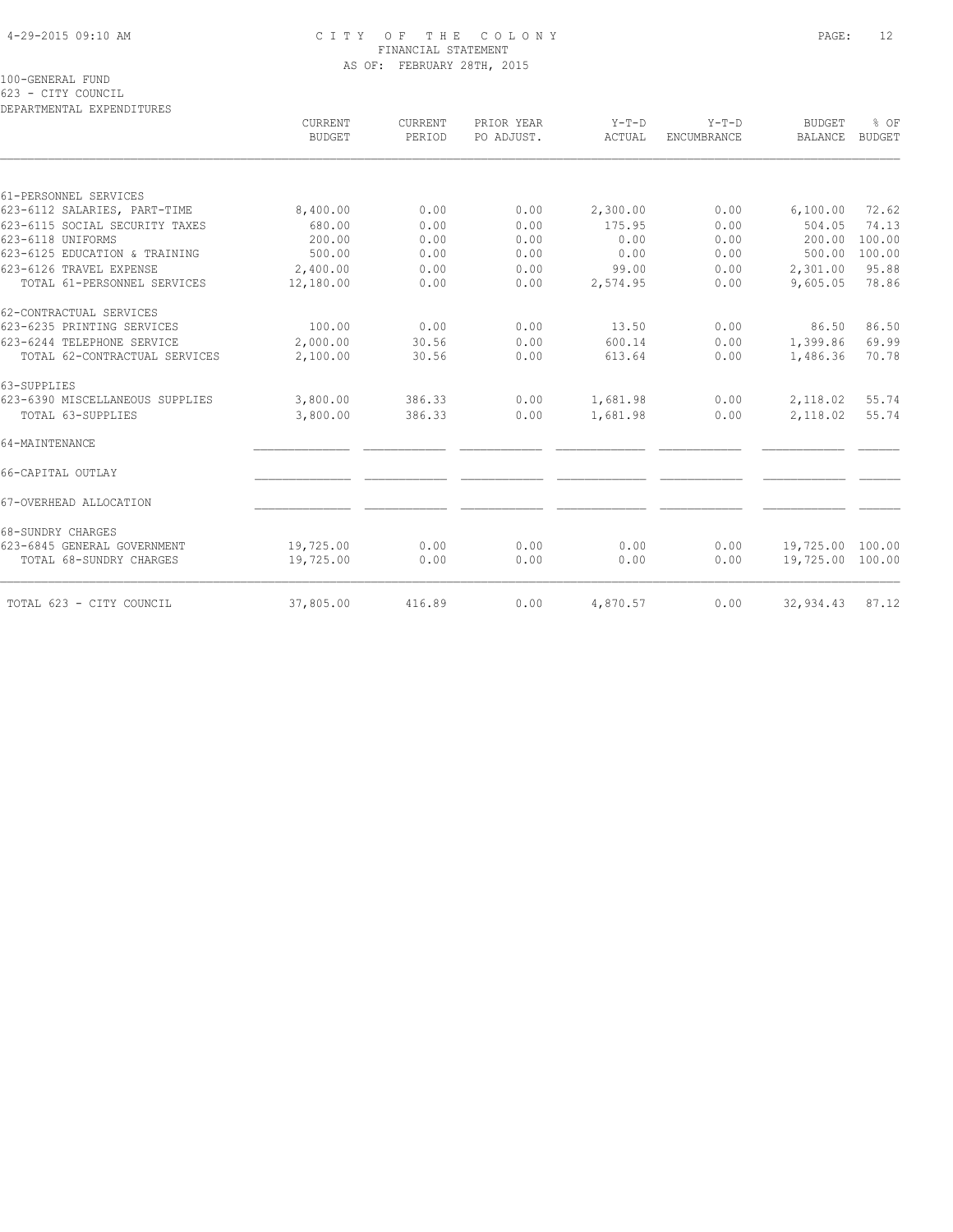#### 4-29-2015 09:10 AM C I T Y O F T H E C O L O N Y PAGE: 12 FINANCIAL STATEMENT AS OF: FEBRUARY 28TH, 2015

100-GENERAL FUND

623 - CITY COUNCIL

DEPARTMENTAL EXPENDITURES CURRENT CURRENT PRIOR YEAR Y-T-D Y-T-D BUDGET % OF BUDGET PERIOD PO ADJUST. ACTUAL ENCUMBRANCE BALANCE BUDGET  $\mathcal{L} = \{ \mathcal{L} = \{ \mathcal{L} = \{ \mathcal{L} = \{ \mathcal{L} = \{ \mathcal{L} = \{ \mathcal{L} = \{ \mathcal{L} = \{ \mathcal{L} = \{ \mathcal{L} = \{ \mathcal{L} = \{ \mathcal{L} = \{ \mathcal{L} = \{ \mathcal{L} = \{ \mathcal{L} = \{ \mathcal{L} = \{ \mathcal{L} = \{ \mathcal{L} = \{ \mathcal{L} = \{ \mathcal{L} = \{ \mathcal{L} = \{ \mathcal{L} = \{ \mathcal{L} = \{ \mathcal{L} = \{ \mathcal{$ 61-PERSONNEL SERVICES

| 61-PERSONNEL SERVICES           |           |        |      |          |      |                  |        |
|---------------------------------|-----------|--------|------|----------|------|------------------|--------|
| 623-6112 SALARIES, PART-TIME    | 8,400.00  | 0.00   | 0.00 | 2,300.00 | 0.00 | 6,100.00         | 72.62  |
| 623-6115 SOCIAL SECURITY TAXES  | 680.00    | 0.00   | 0.00 | 175.95   | 0.00 | 504.05           | 74.13  |
| 623-6118 UNIFORMS               | 200.00    | 0.00   | 0.00 | 0.00     | 0.00 | 200.00           | 100.00 |
| 623-6125 EDUCATION & TRAINING   | 500.00    | 0.00   | 0.00 | 0.00     | 0.00 | 500.00           | 100.00 |
| 623-6126 TRAVEL EXPENSE         | 2,400.00  | 0.00   | 0.00 | 99.00    | 0.00 | 2,301.00         | 95.88  |
| TOTAL 61-PERSONNEL SERVICES     | 12,180.00 | 0.00   | 0.00 | 2,574.95 | 0.00 | 9,605.05         | 78.86  |
| 62-CONTRACTUAL SERVICES         |           |        |      |          |      |                  |        |
| 623-6235 PRINTING SERVICES      | 100.00    | 0.00   | 0.00 | 13.50    | 0.00 | 86.50            | 86.50  |
| 623-6244 TELEPHONE SERVICE      | 2,000.00  | 30.56  | 0.00 | 600.14   | 0.00 | 1,399.86         | 69.99  |
| TOTAL 62-CONTRACTUAL SERVICES   | 2,100.00  | 30.56  | 0.00 | 613.64   | 0.00 | 1,486.36         | 70.78  |
| 63-SUPPLIES                     |           |        |      |          |      |                  |        |
| 623-6390 MISCELLANEOUS SUPPLIES | 3,800.00  | 386.33 | 0.00 | 1,681.98 | 0.00 | 2,118.02         | 55.74  |
| TOTAL 63-SUPPLIES               | 3,800.00  | 386.33 | 0.00 | 1,681.98 | 0.00 | 2,118.02         | 55.74  |
| 64-MAINTENANCE                  |           |        |      |          |      |                  |        |
| 66-CAPITAL OUTLAY               |           |        |      |          |      |                  |        |
| 67-OVERHEAD ALLOCATION          |           |        |      |          |      |                  |        |
| 68-SUNDRY CHARGES               |           |        |      |          |      |                  |        |
| 623-6845 GENERAL GOVERNMENT     | 19,725.00 | 0.00   | 0.00 | 0.00     | 0.00 | 19,725.00 100.00 |        |
| TOTAL 68-SUNDRY CHARGES         | 19,725.00 | 0.00   | 0.00 | 0.00     | 0.00 | 19,725.00 100.00 |        |
| TOTAL 623 - CITY COUNCIL        | 37,805.00 | 416.89 | 0.00 | 4,870.57 | 0.00 | 32,934.43        | 87.12  |
|                                 |           |        |      |          |      |                  |        |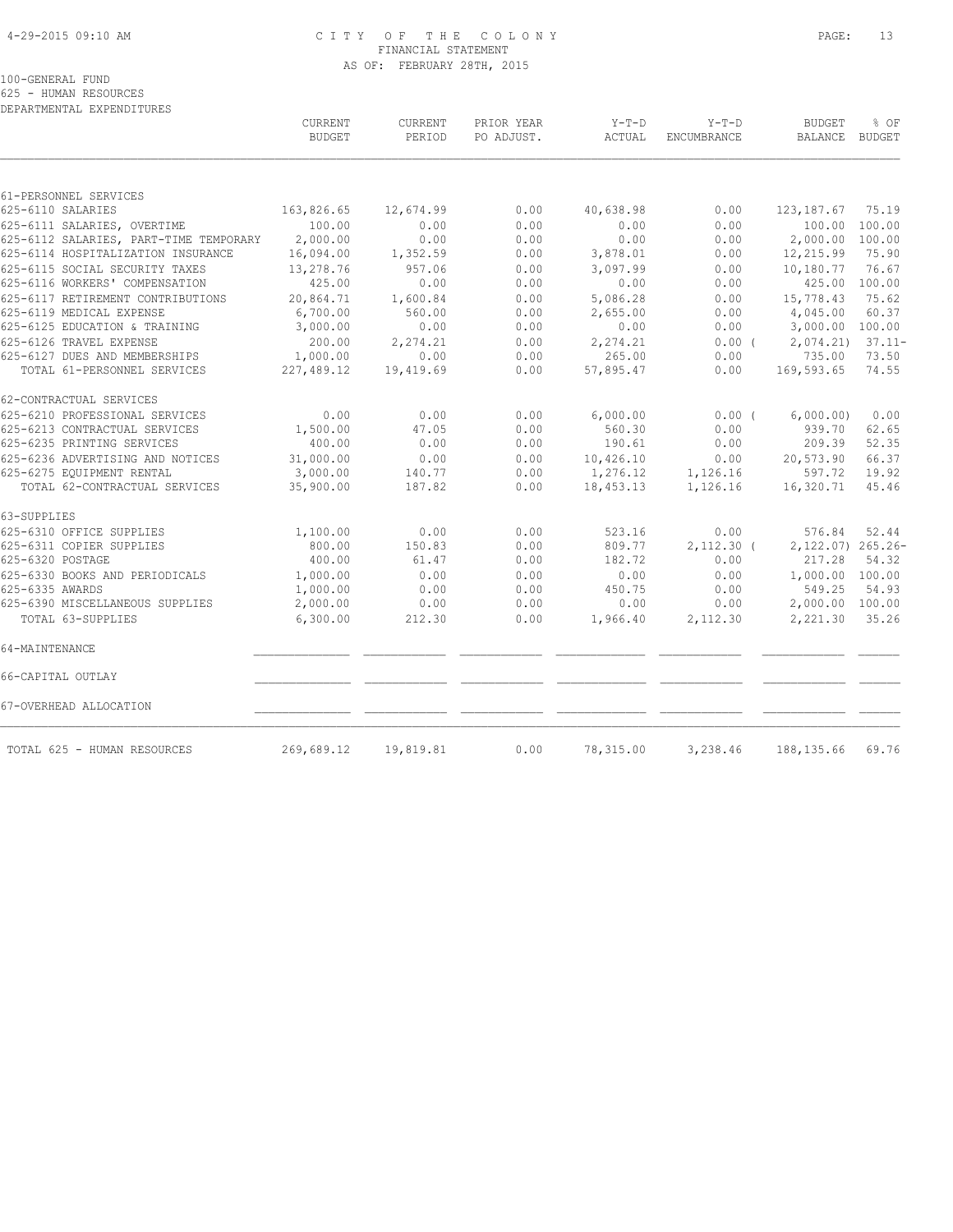#### 4-29-2015 09:10 AM C I T Y O F T H E C O L O N Y PAGE: 13 FINANCIAL STATEMENT AS OF: FEBRUARY 28TH, 2015

100-GENERAL FUND

625 - HUMAN RESOURCES

| DEPARTMENTAL EXPENDITURES                                 |                          |                          |                          |                    |                        |                                 |                    |
|-----------------------------------------------------------|--------------------------|--------------------------|--------------------------|--------------------|------------------------|---------------------------------|--------------------|
|                                                           | CURRENT<br><b>BUDGET</b> | <b>CURRENT</b><br>PERIOD | PRIOR YEAR<br>PO ADJUST. | Y-T-D<br>ACTUAL    | $Y-T-D$<br>ENCUMBRANCE | <b>BUDGET</b><br><b>BALANCE</b> | % OF<br>BUDGET     |
|                                                           |                          |                          |                          |                    |                        |                                 |                    |
| 61-PERSONNEL SERVICES                                     |                          |                          |                          |                    |                        |                                 |                    |
| 625-6110 SALARIES                                         | 163,826.65               | 12,674.99                | 0.00                     | 40,638.98          | 0.00                   | 123, 187.67                     | 75.19              |
| 625-6111 SALARIES, OVERTIME                               | 100.00                   | 0.00                     | 0.00                     | 0.00               | 0.00                   | 100.00                          | 100.00             |
| 625-6112 SALARIES, PART-TIME TEMPORARY                    | 2,000.00                 | 0.00                     | 0.00                     | 0.00               | 0.00                   | 2,000.00                        | 100.00             |
| 625-6114 HOSPITALIZATION INSURANCE                        | 16,094.00                | 1,352.59                 | 0.00                     | 3,878.01           | 0.00                   | 12,215.99                       | 75.90              |
| 625-6115 SOCIAL SECURITY TAXES                            | 13,278.76                | 957.06                   | 0.00                     | 3,097.99           | 0.00                   | 10,180.77                       | 76.67              |
| 625-6116 WORKERS' COMPENSATION                            | 425.00                   | 0.00                     | 0.00                     | 0.00               | 0.00                   | 425.00                          | 100.00             |
| 625-6117 RETIREMENT CONTRIBUTIONS                         | 20,864.71                | 1,600.84                 | 0.00                     | 5,086.28           | 0.00                   | 15,778.43                       | 75.62              |
| 625-6119 MEDICAL EXPENSE<br>625-6125 EDUCATION & TRAINING | 6,700.00<br>3,000.00     | 560.00<br>0.00           | 0.00<br>0.00             | 2,655.00           | 0.00<br>0.00           | 4,045.00<br>3,000.00            | 60.37<br>100.00    |
| 625-6126 TRAVEL EXPENSE                                   |                          |                          |                          | 0.00               |                        |                                 |                    |
| 625-6127 DUES AND MEMBERSHIPS                             | 200.00<br>1,000.00       | 2,274.21<br>0.00         | 0.00<br>0.00             | 2,274.21<br>265.00 | 0.00(<br>0.00          | 2,074.21<br>735.00              | $37.11 -$<br>73.50 |
| TOTAL 61-PERSONNEL SERVICES                               | 227,489.12               | 19,419.69                | 0.00                     | 57,895.47          | 0.00                   | 169,593.65                      | 74.55              |
|                                                           |                          |                          |                          |                    |                        |                                 |                    |
| 62-CONTRACTUAL SERVICES                                   |                          |                          |                          |                    |                        |                                 |                    |
| 625-6210 PROFESSIONAL SERVICES                            | 0.00                     | 0.00                     | 0.00                     | 6,000.00           | $0.00$ (               | 6,000.00)                       | 0.00               |
| 625-6213 CONTRACTUAL SERVICES                             | 1,500.00                 | 47.05                    | 0.00                     | 560.30             | 0.00                   | 939.70                          | 62.65              |
| 625-6235 PRINTING SERVICES                                | 400.00                   | 0.00                     | 0.00                     | 190.61             | 0.00                   | 209.39                          | 52.35              |
| 625-6236 ADVERTISING AND NOTICES                          | 31,000.00                | 0.00                     | 0.00                     | 10,426.10          | 0.00                   | 20,573.90                       | 66.37              |
| 625-6275 EQUIPMENT RENTAL                                 | 3,000.00                 | 140.77                   | 0.00                     | 1,276.12           | 1,126.16               | 597.72                          | 19.92              |
| TOTAL 62-CONTRACTUAL SERVICES                             | 35,900.00                | 187.82                   | 0.00                     | 18,453.13          | 1,126.16               | 16,320.71                       | 45.46              |
| 63-SUPPLIES                                               |                          |                          |                          |                    |                        |                                 |                    |
| 625-6310 OFFICE SUPPLIES                                  | 1,100.00                 | 0.00                     | 0.00                     | 523.16             | 0.00                   | 576.84                          | 52.44              |
| 625-6311 COPIER SUPPLIES                                  | 800.00                   | 150.83                   | 0.00                     | 809.77             | $2,112.30$ (           | 2,122.07) 265.26-               |                    |
| 625-6320 POSTAGE                                          | 400.00                   | 61.47                    | 0.00                     | 182.72             | 0.00                   | 217.28                          | 54.32              |
| 625-6330 BOOKS AND PERIODICALS                            | 1,000.00                 | 0.00                     | 0.00                     | 0.00               | 0.00                   | 1,000.00 100.00                 |                    |
| 625-6335 AWARDS                                           | 1,000.00                 | 0.00                     | 0.00                     | 450.75             | 0.00                   | 549.25                          | 54.93              |
| 625-6390 MISCELLANEOUS SUPPLIES                           | 2,000.00                 | 0.00                     | 0.00                     | 0.00               | 0.00                   | 2,000.00 100.00                 |                    |
| TOTAL 63-SUPPLIES                                         | 6,300.00                 | 212.30                   | 0.00                     | 1,966.40           | 2,112.30               | 2,221.30                        | 35.26              |
| 64-MAINTENANCE                                            |                          |                          |                          |                    |                        |                                 |                    |
| 66-CAPITAL OUTLAY                                         |                          |                          |                          |                    |                        |                                 |                    |
| 67-OVERHEAD ALLOCATION                                    |                          |                          |                          |                    |                        |                                 |                    |
| TOTAL 625 - HUMAN RESOURCES                               | 269,689.12               | 19,819.81                | 0.00                     | 78,315.00          | 3,238.46               | 188, 135.66                     | 69.76              |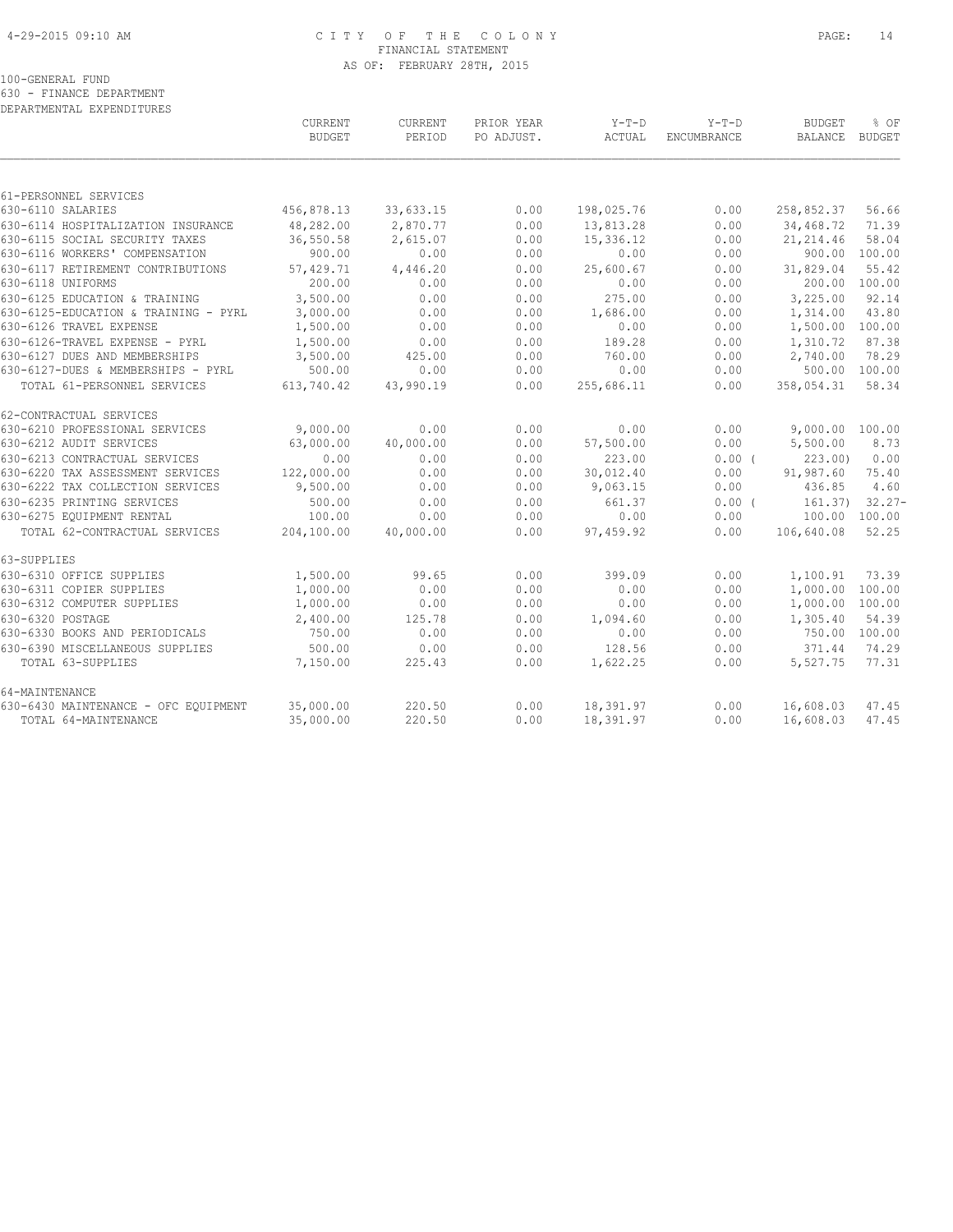#### 4-29-2015 09:10 AM C I T Y O F T H E C O L O N Y PAGE: 14 FINANCIAL STATEMENT AS OF: FEBRUARY 28TH, 2015

100-GENERAL FUND

630 - FINANCE DEPARTMENT DEPARTMENTAL EXPENDITURES

|                                                                      | <b>CURRENT</b><br><b>BUDGET</b> | <b>CURRENT</b><br>PERIOD | PRIOR YEAR<br>PO ADJUST. | $Y-T-D$<br>ACTUAL | $Y-T-D$<br><b>ENCUMBRANCE</b> | <b>BUDGET</b><br>BALANCE | % OF<br>BUDGET |
|----------------------------------------------------------------------|---------------------------------|--------------------------|--------------------------|-------------------|-------------------------------|--------------------------|----------------|
|                                                                      |                                 |                          |                          |                   |                               |                          |                |
| 61-PERSONNEL SERVICES<br>630-6110 SALARIES                           | 456,878.13                      | 33,633.15                | 0.00                     | 198,025.76        | 0.00                          |                          | 56.66          |
|                                                                      | 48,282.00                       | 2,870.77                 | 0.00                     | 13,813.28         | 0.00                          | 258,852.37               | 71.39          |
| 630-6114 HOSPITALIZATION INSURANCE<br>630-6115 SOCIAL SECURITY TAXES | 36,550.58                       | 2,615.07                 | 0.00                     | 15,336.12         | 0.00                          | 34,468.72<br>21, 214.46  | 58.04          |
| 630-6116 WORKERS' COMPENSATION                                       | 900.00                          | 0.00                     | 0.00                     | 0.00              | 0.00                          |                          | 900.00 100.00  |
| 630-6117 RETIREMENT CONTRIBUTIONS                                    | 57,429.71                       | 4,446.20                 | 0.00                     | 25,600.67         | 0.00                          | 31,829.04                | 55.42          |
| 630-6118 UNIFORMS                                                    | 200.00                          | 0.00                     | 0.00                     | 0.00              | 0.00                          | 200.00                   | 100.00         |
| 630-6125 EDUCATION & TRAINING                                        | 3,500.00                        | 0.00                     | 0.00                     | 275.00            | 0.00                          | 3,225.00                 | 92.14          |
| 630-6125-EDUCATION & TRAINING - PYRL                                 | 3,000.00                        | 0.00                     | 0.00                     | 1,686.00          | 0.00                          | 1,314.00                 | 43.80          |
| 630-6126 TRAVEL EXPENSE                                              | 1,500.00                        | 0.00                     | 0.00                     | 0.00              | 0.00                          | 1,500.00                 | 100.00         |
| 630-6126-TRAVEL EXPENSE - PYRL                                       | 1,500.00                        | 0.00                     | 0.00                     | 189.28            | 0.00                          | 1,310.72                 | 87.38          |
| 630-6127 DUES AND MEMBERSHIPS                                        | 3,500.00                        | 425.00                   | 0.00                     | 760.00            | 0.00                          | 2,740.00                 | 78.29          |
| 630-6127-DUES & MEMBERSHIPS - PYRL                                   | 500.00                          | 0.00                     | 0.00                     | 0.00              | 0.00                          |                          | 500.00 100.00  |
| TOTAL 61-PERSONNEL SERVICES                                          | 613,740.42                      | 43,990.19                | 0.00                     | 255,686.11        | 0.00                          | 358,054.31               | 58.34          |
| 62-CONTRACTUAL SERVICES                                              |                                 |                          |                          |                   |                               |                          |                |
| 630-6210 PROFESSIONAL SERVICES                                       | 9,000.00                        | 0.00                     | 0.00                     | 0.00              | 0.00                          | 9,000.00 100.00          |                |
| 630-6212 AUDIT SERVICES                                              | 63,000.00                       | 40,000.00                | 0.00                     | 57,500.00         | 0.00                          | 5,500.00                 | 8.73           |
| 630-6213 CONTRACTUAL SERVICES                                        | 0.00                            | 0.00                     | 0.00                     | 223.00            | 0.00(                         | 223.00                   | 0.00           |
| 630-6220 TAX ASSESSMENT SERVICES                                     | 122,000.00                      | 0.00                     | 0.00                     | 30,012.40         | 0.00                          | 91,987.60                | 75.40          |
| 630-6222 TAX COLLECTION SERVICES                                     | 9,500.00                        | 0.00                     | 0.00                     | 9,063.15          | 0.00                          | 436.85                   | 4.60           |
| 630-6235 PRINTING SERVICES                                           | 500.00                          | 0.00                     | 0.00                     | 661.37            | 0.00(                         | 161.37)                  | $32.27 -$      |
| 630-6275 EOUIPMENT RENTAL                                            | 100.00                          | 0.00                     | 0.00                     | 0.00              | 0.00                          |                          | 100.00 100.00  |
| TOTAL 62-CONTRACTUAL SERVICES                                        | 204,100.00                      | 40,000.00                | 0.00                     | 97,459.92         | 0.00                          | 106,640.08               | 52.25          |
| 63-SUPPLIES                                                          |                                 |                          |                          |                   |                               |                          |                |
| 630-6310 OFFICE SUPPLIES                                             | 1,500.00                        | 99.65                    | 0.00                     | 399.09            | 0.00                          | 1,100.91                 | 73.39          |
| 630-6311 COPIER SUPPLIES                                             | 1,000.00                        | 0.00                     | 0.00                     | 0.00              | 0.00                          | 1,000.00                 | 100.00         |
| 630-6312 COMPUTER SUPPLIES                                           | 1,000.00                        | 0.00                     | 0.00                     | 0.00              | 0.00                          | 1,000.00                 | 100.00         |
| 630-6320 POSTAGE                                                     | 2,400.00                        | 125.78                   | 0.00                     | 1,094.60          | 0.00                          | 1,305.40                 | 54.39          |
| 630-6330 BOOKS AND PERIODICALS                                       | 750.00                          | 0.00                     | 0.00                     | 0.00              | 0.00                          | 750.00 100.00            |                |
| 630-6390 MISCELLANEOUS SUPPLIES                                      | 500.00                          | 0.00                     | 0.00                     | 128.56            | 0.00                          | 371.44                   | 74.29          |
| TOTAL 63-SUPPLIES                                                    | 7,150.00                        | 225.43                   | 0.00                     | 1,622.25          | 0.00                          | 5,527.75                 | 77.31          |
| 64-MAINTENANCE                                                       |                                 |                          |                          |                   |                               |                          |                |
| 630-6430 MAINTENANCE - OFC EOUIPMENT                                 | 35,000.00                       | 220.50                   | 0.00                     | 18,391.97         | 0.00                          | 16,608.03                | 47.45          |
| TOTAL 64-MAINTENANCE                                                 | 35,000.00                       | 220.50                   | 0.00                     | 18,391.97         | 0.00                          | 16,608.03                | 47.45          |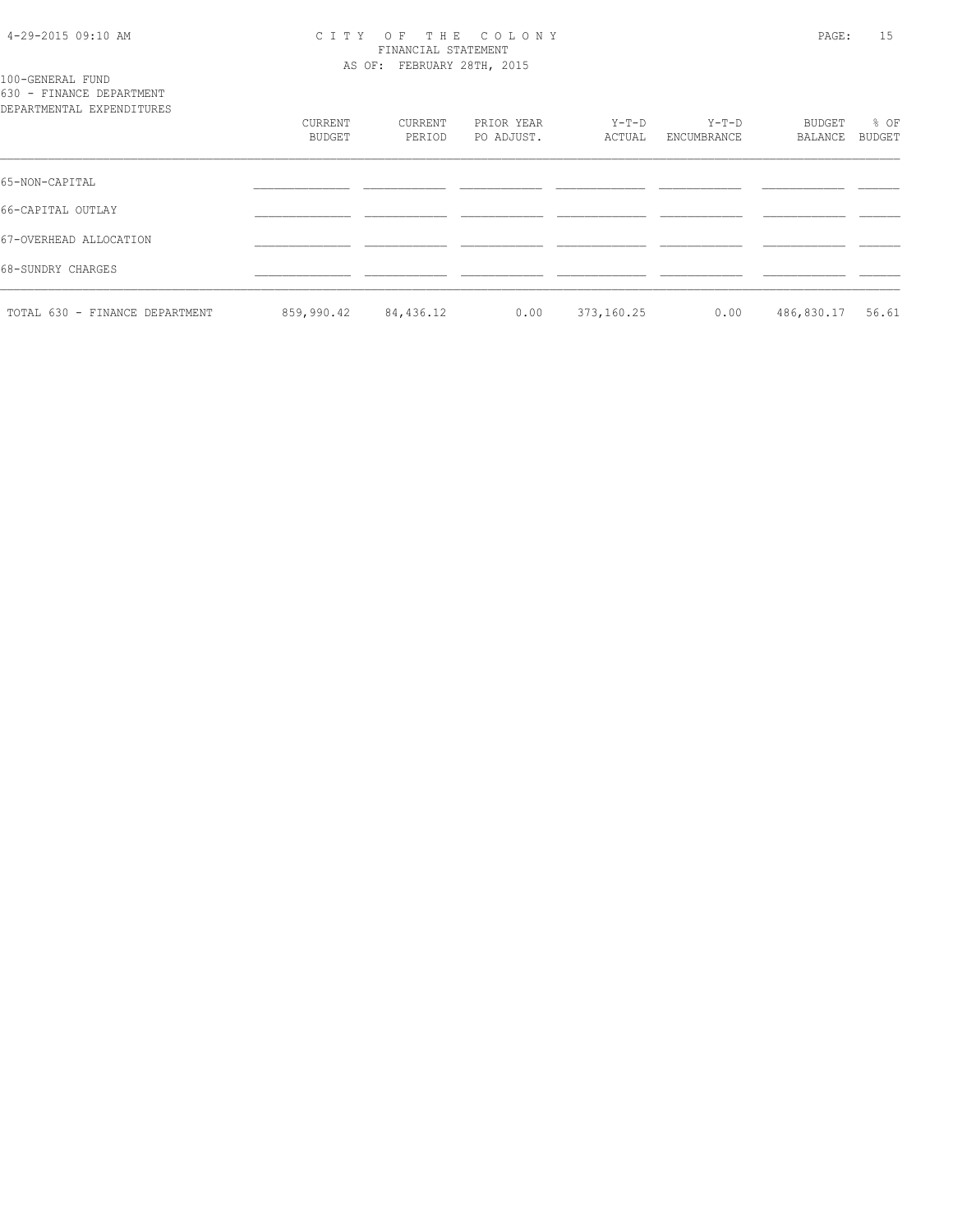#### 4-29-2015 09:10 AM C I T Y O F T H E C O L O N Y PAGE: 15 FINANCIAL STATEMENT AS OF: FEBRUARY 28TH, 2015

100-GENERAL FUND 630 - FINANCE DEPARTMENT

| DEPARTMENTAL EXPENDITURES      |                   |                   |                          |                 |                        |                   |                |
|--------------------------------|-------------------|-------------------|--------------------------|-----------------|------------------------|-------------------|----------------|
|                                | CURRENT<br>BUDGET | CURRENT<br>PERIOD | PRIOR YEAR<br>PO ADJUST. | Y-T-D<br>ACTUAL | $Y-T-D$<br>ENCUMBRANCE | BUDGET<br>BALANCE | % OF<br>BUDGET |
| 65-NON-CAPITAL                 |                   |                   |                          |                 |                        |                   |                |
| 66-CAPITAL OUTLAY              |                   |                   |                          |                 |                        |                   |                |
| 67-OVERHEAD ALLOCATION         |                   |                   |                          |                 |                        |                   |                |
| 68-SUNDRY CHARGES              |                   |                   |                          |                 |                        |                   |                |
| TOTAL 630 - FINANCE DEPARTMENT | 859,990.42        | 84,436.12         | 0.00                     | 373,160.25      | 0.00                   | 486,830.17        | 56.61          |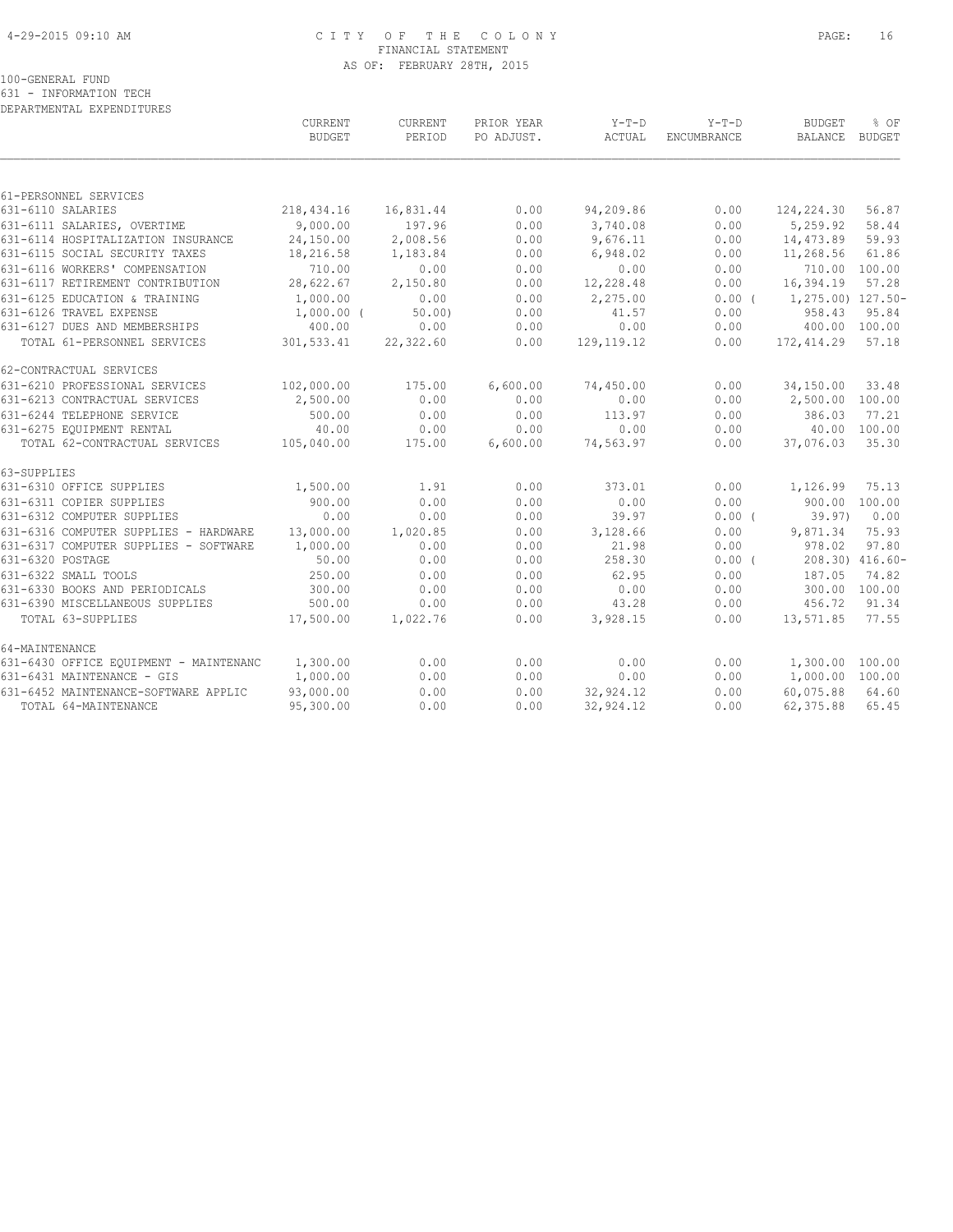#### 4-29-2015 09:10 AM C I T Y O F T H E C O L O N Y PAGE: 16 FINANCIAL STATEMENT AS OF: FEBRUARY 28TH, 2015

100-GENERAL FUND

631 - INFORMATION TECH DEPARTMENTAL EXPENDITURES

|                                                 | CURRENT<br><b>BUDGET</b> | CURRENT<br>PERIOD | PRIOR YEAR<br>PO ADJUST. | Y-T-D<br>ACTUAL | $Y-T-D$<br><b>ENCUMBRANCE</b> | <b>BUDGET</b><br>BALANCE BUDGET | % OF            |
|-------------------------------------------------|--------------------------|-------------------|--------------------------|-----------------|-------------------------------|---------------------------------|-----------------|
|                                                 |                          |                   |                          |                 |                               |                                 |                 |
| 61-PERSONNEL SERVICES                           |                          |                   |                          |                 |                               |                                 |                 |
| 631-6110 SALARIES                               | 218,434.16               | 16,831.44         | 0.00                     | 94,209.86       | 0.00                          | 124,224.30                      | 56.87           |
| 631-6111 SALARIES, OVERTIME                     | 9,000.00                 | 197.96            | 0.00                     | 3,740.08        | 0.00                          | 5,259.92                        | 58.44           |
| 631-6114 HOSPITALIZATION INSURANCE              | 24,150.00                | 2,008.56          | 0.00                     | 9,676.11        | 0.00                          | 14,473.89                       | 59.93           |
| 631-6115 SOCIAL SECURITY TAXES                  | 18,216.58                | 1,183.84          | 0.00                     | 6,948.02        | 0.00                          | 11,268.56                       | 61.86           |
| 631-6116 WORKERS' COMPENSATION                  | 710.00                   | 0.00              | 0.00                     | 0.00            | 0.00                          | 710.00 100.00                   |                 |
| 631-6117 RETIREMENT CONTRIBUTION                | 28,622.67                | 2,150.80          | 0.00                     | 12,228.48       | 0.00                          | 16,394.19                       | 57.28           |
| 631-6125 EDUCATION & TRAINING                   | 1,000.00                 | 0.00              | 0.00                     | 2,275.00        |                               | $0.00$ ( $1,275.00$ ) 127.50-   |                 |
| 631-6126 TRAVEL EXPENSE                         | $1,000.00$ (             | $50.00$ )         | 0.00                     | 41.57           | 0.00                          | 958.43                          | 95.84           |
| 631-6127 DUES AND MEMBERSHIPS                   | 400.00                   | 0.00              | 0.00                     | 0.00            | 0.00                          | 400.00 100.00                   |                 |
| TOTAL 61-PERSONNEL SERVICES                     | 301,533.41               | 22,322.60         | 0.00                     | 129, 119. 12    | 0.00                          | 172,414.29                      | 57.18           |
| 62-CONTRACTUAL SERVICES                         |                          |                   |                          |                 |                               |                                 |                 |
| 631-6210 PROFESSIONAL SERVICES                  | 102,000.00               | 175.00            | 6,600.00                 | 74,450.00       | 0.00                          | 34,150.00                       | 33.48           |
| 631-6213 CONTRACTUAL SERVICES                   | 2,500.00                 | 0.00              | 0.00                     | 0.00            | 0.00                          | 2,500.00 100.00                 |                 |
| 631-6244 TELEPHONE SERVICE                      | 500.00                   | 0.00              | 0.00                     | 113.97          | 0.00                          | 386.03                          | 77.21           |
| 631-6275 EQUIPMENT RENTAL                       | 40.00                    | 0.00              | 0.00                     | 0.00            | 0.00                          | 40.00 100.00                    |                 |
| TOTAL 62-CONTRACTUAL SERVICES 105,040.00        |                          | 175.00            | 6,600.00                 | 74,563.97       | 0.00                          | 37,076.03                       | 35.30           |
| 63-SUPPLIES                                     |                          |                   |                          |                 |                               |                                 |                 |
| 631-6310 OFFICE SUPPLIES                        | 1,500.00                 | 1.91              | 0.00                     | 373.01          | 0.00                          | 1,126.99                        | 75.13           |
| 631-6311 COPIER SUPPLIES                        | 900.00                   | 0.00              | 0.00                     | 0.00            | 0.00                          | 900.00 100.00                   |                 |
| 631-6312 COMPUTER SUPPLIES                      | 0.00                     | 0.00              | 0.00                     | 39.97           | $0.00$ (                      | 39.97)                          | 0.00            |
| 631-6316 COMPUTER SUPPLIES - HARDWARE 13,000.00 |                          | 1,020.85          | 0.00                     | 3,128.66        | 0.00                          | 9,871.34                        | 75.93           |
| 631-6317 COMPUTER SUPPLIES - SOFTWARE           | 1,000.00                 | 0.00              | 0.00                     | 21.98           | 0.00                          | 978.02                          | 97.80           |
| 631-6320 POSTAGE                                | 50.00                    | 0.00              | 0.00                     | 258.30          | 0.00(                         |                                 | 208.30) 416.60- |
| 631-6322 SMALL TOOLS                            | 250.00                   | 0.00              | 0.00                     | 62.95           | 0.00                          | 187.05                          | 74.82           |
| 631-6330 BOOKS AND PERIODICALS                  | 300.00                   | 0.00              | 0.00                     | 0.00            | 0.00                          | 300.00 100.00                   |                 |
| 631-6390 MISCELLANEOUS SUPPLIES                 | 500.00                   | 0.00              | 0.00                     | 43.28           | 0.00                          | 456.72                          | 91.34           |
| TOTAL 63-SUPPLIES                               | 17,500.00                | 1,022.76          | 0.00                     | 3,928.15        | 0.00                          | 13,571.85                       | 77.55           |
| 64-MAINTENANCE                                  |                          |                   |                          |                 |                               |                                 |                 |
| 631-6430 OFFICE EQUIPMENT - MAINTENANC          | 1,300.00                 | 0.00              | 0.00                     | 0.00            | 0.00                          | 1,300.00 100.00                 |                 |
| 631-6431 MAINTENANCE - GIS                      | 1,000.00                 | 0.00              | 0.00                     | 0.00            | 0.00                          | 1,000.00 100.00                 |                 |
| 631-6452 MAINTENANCE-SOFTWARE APPLIC            | 93,000.00                | 0.00              | 0.00                     | 32,924.12       | 0.00                          | 60,075.88                       | 64.60           |
| TOTAL 64-MAINTENANCE                            | 95,300.00                | 0.00              | 0.00                     | 32,924.12       | 0.00                          | 62,375.88                       | 65.45           |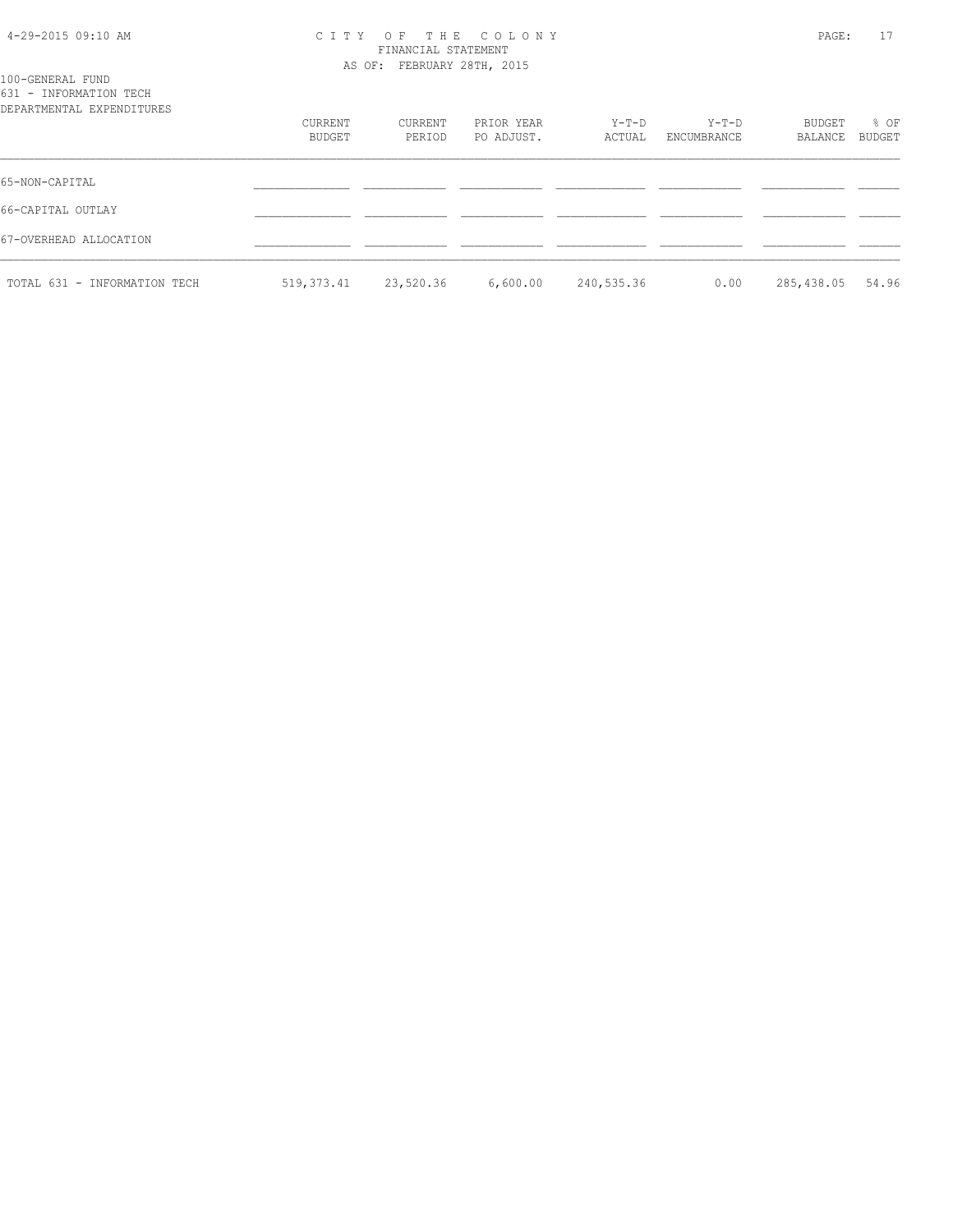#### 4-29-2015 09:10 AM C I T Y O F T H E C O L O N Y PAGE: 17 FINANCIAL STATEMENT AS OF: FEBRUARY 28TH, 2015

| 100-GENERAL FUND<br>631 - INFORMATION TECH<br>DEPARTMENTAL EXPENDITURES |            |           |            |            |             |            |               |
|-------------------------------------------------------------------------|------------|-----------|------------|------------|-------------|------------|---------------|
|                                                                         | CURRENT    | CURRENT   | PRIOR YEAR | Y-T-D      | Y-T-D       | BUDGET     | % OF          |
|                                                                         | BUDGET     | PERIOD    | PO ADJUST. | ACTUAL     | ENCUMBRANCE | BALANCE    | <b>BUDGET</b> |
| 65-NON-CAPITAL                                                          |            |           |            |            |             |            |               |
| 66-CAPITAL OUTLAY                                                       |            |           |            |            |             |            |               |
| 67-OVERHEAD ALLOCATION                                                  |            |           |            |            |             |            |               |
| TOTAL 631 - INFORMATION TECH                                            | 519,373.41 | 23,520.36 | 6,600.00   | 240,535.36 | 0.00        | 285,438.05 | 54.96         |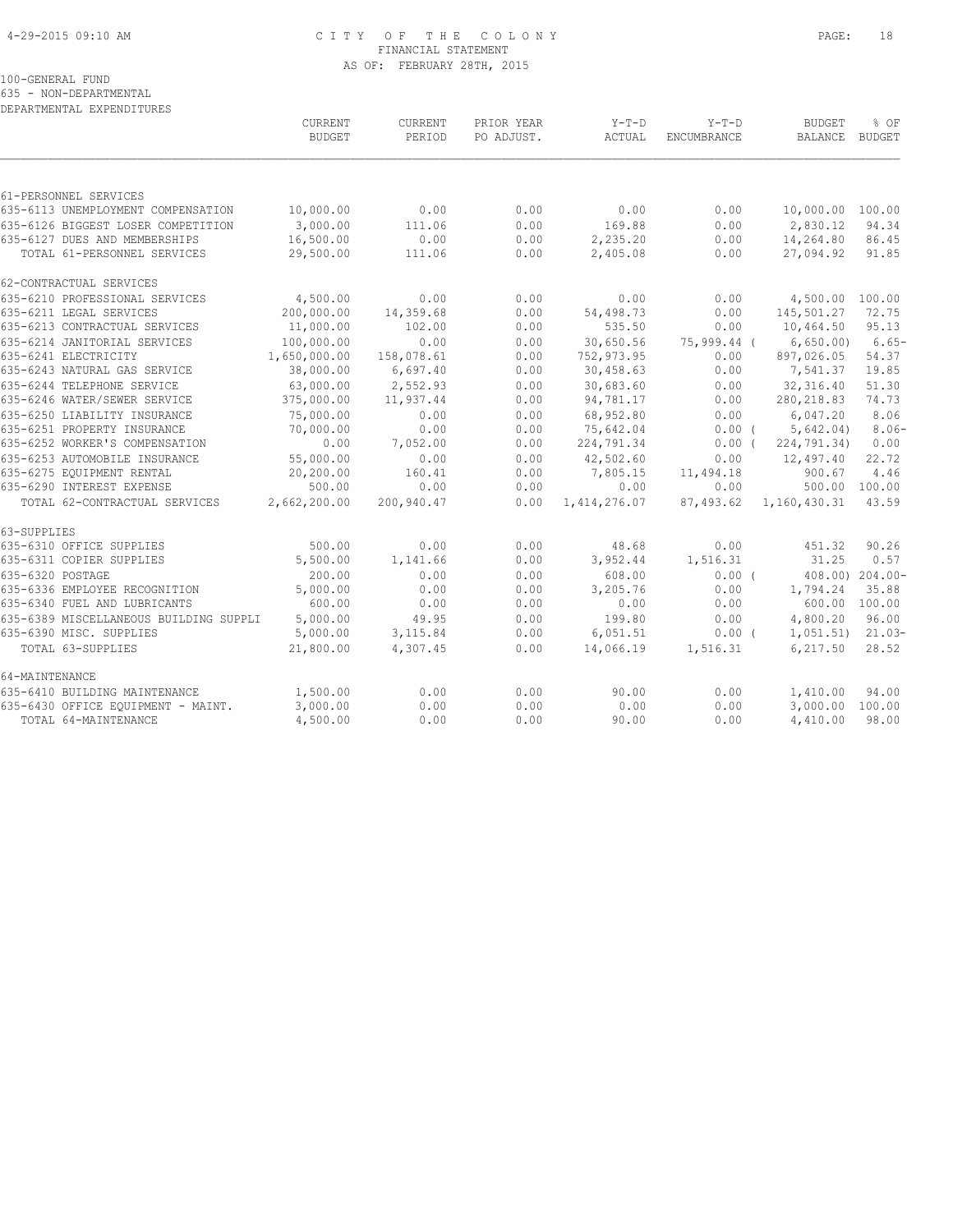#### 4-29-2015 09:10 AM C I T Y O F T H E C O L O N Y PAGE: 18 FINANCIAL STATEMENT AS OF: FEBRUARY 28TH, 2015

100-GENERAL FUND

635 - NON-DEPARTMENTAL

| DEPARTMENTAL EXPENDITURES                                     |                        |                |              |                      |              |                        |                        |
|---------------------------------------------------------------|------------------------|----------------|--------------|----------------------|--------------|------------------------|------------------------|
|                                                               | CURRENT                | CURRENT        | PRIOR YEAR   | $Y-T-D$              | $Y-T-D$      | <b>BUDGET</b>          | % OF                   |
|                                                               | <b>BUDGET</b>          | PERIOD         | PO ADJUST.   | ACTUAL               | ENCUMBRANCE  | <b>BALANCE</b>         | BUDGET                 |
|                                                               |                        |                |              |                      |              |                        |                        |
| 61-PERSONNEL SERVICES                                         |                        |                |              |                      |              |                        |                        |
| 635-6113 UNEMPLOYMENT COMPENSATION                            | 10,000.00              | 0.00           | 0.00         | 0.00                 | 0.00         | 10,000.00 100.00       |                        |
| 635-6126 BIGGEST LOSER COMPETITION                            | 3,000.00               | 111.06         | 0.00         | 169.88               | 0.00         | 2,830.12               | 94.34                  |
| 635-6127 DUES AND MEMBERSHIPS<br>TOTAL 61-PERSONNEL SERVICES  | 16,500.00<br>29,500.00 | 0.00<br>111.06 | 0.00<br>0.00 | 2,235.20<br>2,405.08 | 0.00<br>0.00 | 14,264.80<br>27,094.92 | 86.45<br>91.85         |
| 62-CONTRACTUAL SERVICES                                       |                        |                |              |                      |              |                        |                        |
| 635-6210 PROFESSIONAL SERVICES                                | 4,500.00               | 0.00           | 0.00         | 0.00                 | 0.00         | 4,500.00 100.00        |                        |
| 635-6211 LEGAL SERVICES                                       | 200,000.00             | 14,359.68      | 0.00         | 54,498.73            | 0.00         | 145,501.27             | 72.75                  |
| 635-6213 CONTRACTUAL SERVICES                                 | 11,000.00              | 102.00         | 0.00         | 535.50               | 0.00         | 10,464.50              | 95.13                  |
| 635-6214 JANITORIAL SERVICES                                  | 100,000.00             | 0.00           | 0.00         | 30,650.56            | 75,999.44 (  | 6,650.00               | $6.65-$                |
| 635-6241 ELECTRICITY                                          | 1,650,000.00           | 158,078.61     | 0.00         | 752,973.95           | 0.00         | 897,026.05             | 54.37                  |
| 635-6243 NATURAL GAS SERVICE                                  | 38,000.00              | 6,697.40       | 0.00         | 30,458.63            | 0.00         | 7,541.37               | 19.85                  |
| 635-6244 TELEPHONE SERVICE                                    | 63,000.00              | 2,552.93       | 0.00         | 30,683.60            | 0.00         | 32,316.40              | 51.30                  |
| 635-6246 WATER/SEWER SERVICE                                  | 375,000.00             | 11,937.44      | 0.00         | 94,781.17            | 0.00         | 280, 218.83            | 74.73                  |
| 635-6250 LIABILITY INSURANCE                                  | 75,000.00              | 0.00           | 0.00         | 68,952.80            | 0.00         | 6,047.20               | 8.06                   |
| 635-6251 PROPERTY INSURANCE                                   | 70,000.00              | 0.00           | 0.00         | 75,642.04            | $0.00$ (     | 5,642.04)              | $8.06-$                |
| 635-6252 WORKER'S COMPENSATION                                | 0.00                   | 7,052.00       | 0.00         | 224,791.34           | $0.00$ (     | 224,791.34)            | 0.00                   |
| 635-6253 AUTOMOBILE INSURANCE                                 | 55,000.00              | 0.00           | 0.00         | 42,502.60            | 0.00         | 12,497.40              | 22.72                  |
| 635-6275 EOUIPMENT RENTAL                                     | 20,200.00              | 160.41         | 0.00         | 7,805.15             | 11,494.18    | 900.67                 | 4.46                   |
| 635-6290 INTEREST EXPENSE                                     | 500.00                 | 0.00           | 0.00         | 0.00                 | 0.00         |                        | 500.00 100.00          |
| TOTAL 62-CONTRACTUAL SERVICES                                 | 2,662,200.00           | 200,940.47     | 0.00         | 1, 414, 276.07       | 87,493.62    | 1,160,430.31           | 43.59                  |
| 63-SUPPLIES                                                   |                        |                |              |                      |              |                        |                        |
| 635-6310 OFFICE SUPPLIES                                      | 500.00                 | 0.00           | 0.00         | 48.68                | 0.00         | 451.32                 | 90.26                  |
| 635-6311 COPIER SUPPLIES                                      | 5,500.00               | 1,141.66       | 0.00         | 3,952.44             | 1,516.31     | 31.25                  | 0.57                   |
| 635-6320 POSTAGE                                              | 200.00                 | 0.00           | 0.00         | 608.00               | 0.00(        |                        | 408.00) 204.00-        |
| 635-6336 EMPLOYEE RECOGNITION<br>635-6340 FUEL AND LUBRICANTS | 5,000.00<br>600.00     | 0.00           | 0.00         | 3,205.76             | 0.00         | 1,794.24               | 35.88<br>600.00 100.00 |
| 635-6389 MISCELLANEOUS BUILDING SUPPLI                        | 5,000.00               | 0.00<br>49.95  | 0.00<br>0.00 | 0.00<br>199.80       | 0.00<br>0.00 | 4,800.20               | 96.00                  |
| 635-6390 MISC. SUPPLIES                                       | 5,000.00               | 3,115.84       | 0.00         | 6,051.51             | $0.00$ (     | 1,051.51)              | $21.03-$               |
| TOTAL 63-SUPPLIES                                             | 21,800.00              | 4,307.45       | 0.00         | 14,066.19            | 1,516.31     | 6,217.50               | 28.52                  |
|                                                               |                        |                |              |                      |              |                        |                        |
| 64-MAINTENANCE                                                |                        |                |              |                      |              |                        |                        |
| 635-6410 BUILDING MAINTENANCE                                 | 1,500.00               | 0.00           | 0.00         | 90.00                | 0.00         | 1,410.00               | 94.00                  |
| 635-6430 OFFICE EQUIPMENT - MAINT.                            | 3,000.00               | 0.00           | 0.00         | 0.00                 | 0.00         | 3,000.00               | 100.00                 |
| TOTAL 64-MAINTENANCE                                          | 4,500.00               | 0.00           | 0.00         | 90.00                | 0.00         | 4,410.00               | 98.00                  |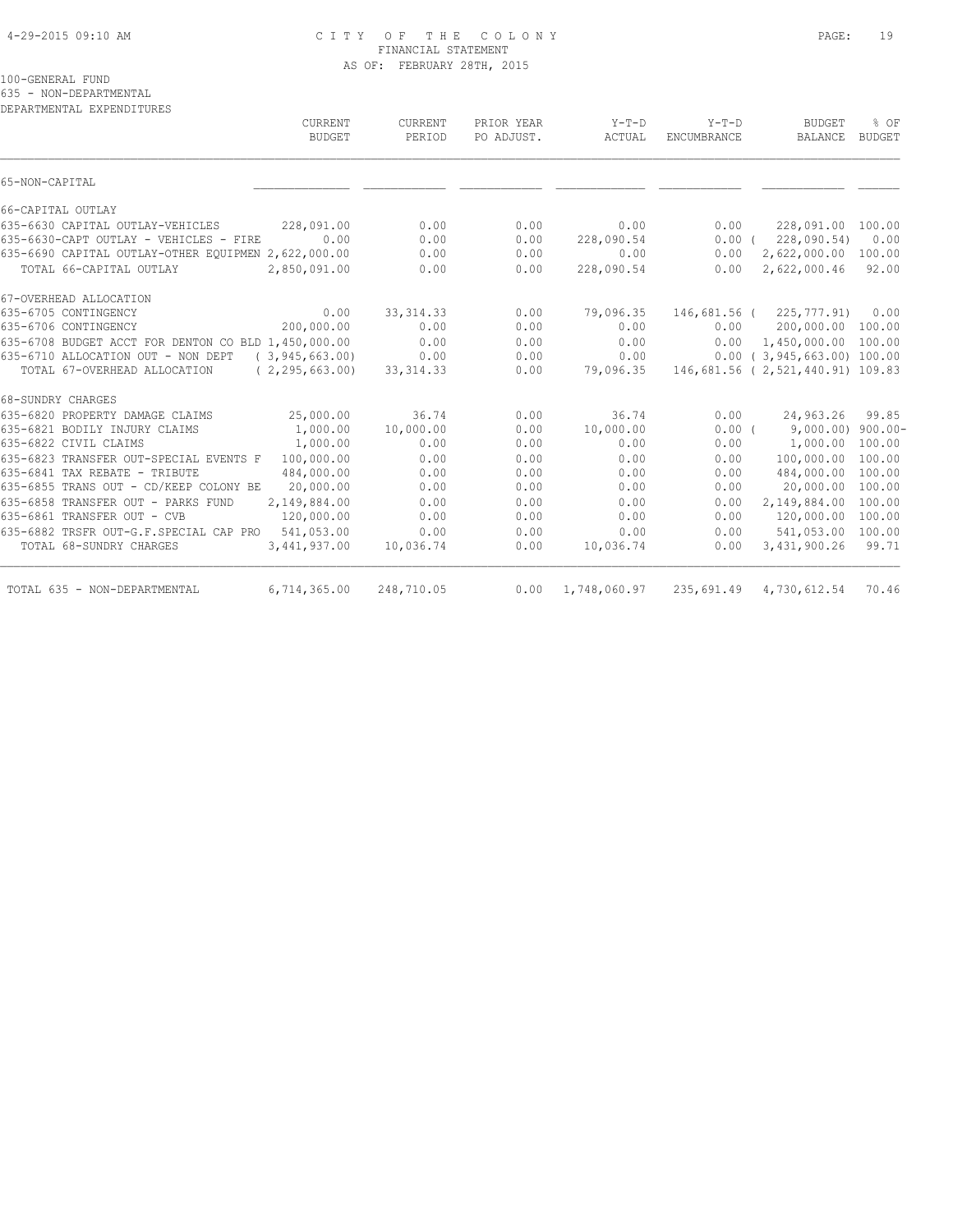#### 4-29-2015 09:10 AM C I T Y O F T H E C O L O N Y PAGE: 19 FINANCIAL STATEMENT AS OF: FEBRUARY 28TH, 2015

100-GENERAL FUND

635 - NON-DEPARTMENTAL

| CURRENT<br><b>BUDGET</b>                                | CURRENT<br>PERIOD | PRIOR YEAR<br>PO ADJUST. | $Y-T-D$<br>ACTUAL | $Y-T-D$<br>ENCUMBRANCE | <b>BUDGET</b><br><b>BALANCE</b>   | % OF<br><b>BUDGET</b> |
|---------------------------------------------------------|-------------------|--------------------------|-------------------|------------------------|-----------------------------------|-----------------------|
| 65-NON-CAPITAL                                          |                   |                          |                   |                        |                                   |                       |
| 66-CAPITAL OUTLAY                                       |                   |                          |                   |                        |                                   |                       |
| 635-6630 CAPITAL OUTLAY-VEHICLES<br>228,091.00          | 0.00              | 0.00                     | 0.00              | 0.00                   | 228,091.00 100.00                 |                       |
| 0.00<br>635-6630-CAPT OUTLAY - VEHICLES - FIRE          | 0.00              | 0.00                     | 228,090.54        | 0.00(                  | 228,090.54)                       | 0.00                  |
| 635-6690 CAPITAL OUTLAY-OTHER EOUIPMEN 2,622,000.00     | 0.00              | 0.00                     | 0.00              | 0.00                   | 2,622,000.00                      | 100.00                |
| TOTAL 66-CAPITAL OUTLAY<br>2,850,091.00                 | 0.00              | 0.00                     | 228,090.54        | 0.00                   | 2,622,000.46                      | 92.00                 |
| 67-OVERHEAD ALLOCATION                                  |                   |                          |                   |                        |                                   |                       |
| 635-6705 CONTINGENCY<br>0.00                            | 33, 314.33        | 0.00                     | 79,096.35         |                        | 146,681.56 ( 225,777.91)          | 0.00                  |
| 200,000.00<br>635-6706 CONTINGENCY                      | 0.00              | 0.00                     | 0.00              | 0.00                   | 200,000.00 100.00                 |                       |
| 635-6708 BUDGET ACCT FOR DENTON CO BLD 1,450,000.00     | 0.00              | 0.00                     | 0.00              | 0.00                   | 1,450,000.00 100.00               |                       |
| 635-6710 ALLOCATION OUT - NON DEPT<br>(3, 945, 663, 00) | 0.00              | 0.00                     | 0.00              |                        | $0.00$ ( 3,945,663.00) 100.00     |                       |
| TOTAL 67-OVERHEAD ALLOCATION<br>(2, 295, 663, 00)       | 33, 314. 33       | 0.00                     | 79,096.35         |                        | 146,681.56 ( 2,521,440.91) 109.83 |                       |
| 68-SUNDRY CHARGES                                       |                   |                          |                   |                        |                                   |                       |
| 25,000.00<br>635-6820 PROPERTY DAMAGE CLAIMS            | 36.74             | 0.00                     | 36.74             | 0.00                   | 24,963.26                         | 99.85                 |
| 635-6821 BODILY INJURY CLAIMS<br>1,000.00               | 10,000.00         | 0.00                     | 10,000.00         | $0.00$ (               | $9,000.00)$ 900.00-               |                       |
| 635-6822 CIVIL CLAIMS<br>1,000.00                       | 0.00              | 0.00                     | 0.00              | 0.00                   | 1,000.00                          | 100.00                |
| 635-6823 TRANSFER OUT-SPECIAL EVENTS F<br>100,000.00    | 0.00              | 0.00                     | 0.00              | 0.00                   | 100,000.00                        | 100.00                |
| 635-6841 TAX REBATE - TRIBUTE<br>484,000.00             | 0.00              | 0.00                     | 0.00              | 0.00                   | 484,000.00                        | 100.00                |
| 635-6855 TRANS OUT - CD/KEEP COLONY BE<br>20,000.00     | 0.00              | 0.00                     | 0.00              | 0.00                   | 20,000.00                         | 100.00                |
| 2,149,884.00<br>635-6858 TRANSFER OUT - PARKS FUND      | 0.00              | 0.00                     | 0.00              | 0.00                   | 2,149,884.00                      | 100.00                |
| 635-6861 TRANSFER OUT - CVB<br>120,000.00               | 0.00              | 0.00                     | 0.00              | 0.00                   | 120,000.00                        | 100.00                |
| 635-6882 TRSFR OUT-G.F.SPECIAL CAP PRO<br>541,053.00    | 0.00              | 0.00                     | 0.00              | 0.00                   | 541,053.00 100.00                 |                       |
| TOTAL 68-SUNDRY CHARGES<br>3,441,937.00                 | 10,036.74         | 0.00                     | 10,036.74         | 0.00                   | 3,431,900.26                      | 99.71                 |
| 6,714,365.00<br>TOTAL 635 - NON-DEPARTMENTAL            | 248,710.05        | 0.00                     | 1,748,060.97      | 235,691.49             | 4,730,612.54                      | 70.46                 |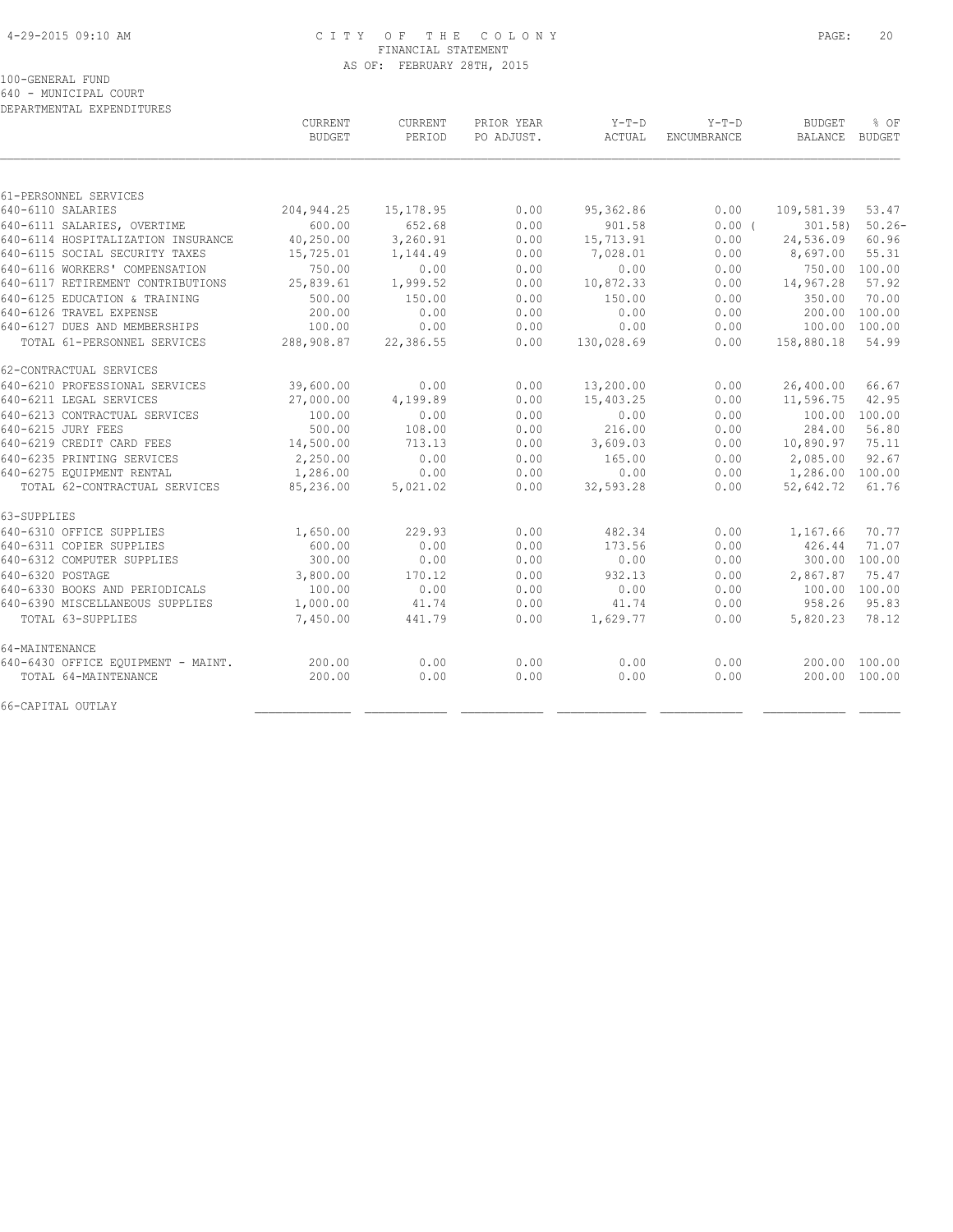#### 4-29-2015 09:10 AM C I T Y O F T H E C O L O N Y PAGE: 20 FINANCIAL STATEMENT AS OF: FEBRUARY 28TH, 2015

100-GENERAL FUND

640 - MUNICIPAL COURT

| DEPARTMENTAL EXPENDITURES          |                          |                   |                          |                   |                               |                                 |                |
|------------------------------------|--------------------------|-------------------|--------------------------|-------------------|-------------------------------|---------------------------------|----------------|
|                                    | CURRENT<br><b>BUDGET</b> | CURRENT<br>PERIOD | PRIOR YEAR<br>PO ADJUST. | $Y-T-D$<br>ACTUAL | $Y-T-D$<br><b>ENCUMBRANCE</b> | <b>BUDGET</b><br><b>BALANCE</b> | % OF<br>BUDGET |
|                                    |                          |                   |                          |                   |                               |                                 |                |
| 61-PERSONNEL SERVICES              |                          |                   |                          |                   |                               |                                 |                |
| 640-6110 SALARIES                  | 204, 944.25              | 15, 178.95        | 0.00                     | 95,362.86         | 0.00                          | 109,581.39                      | 53.47          |
| 640-6111 SALARIES, OVERTIME        | 600.00                   | 652.68            | 0.00                     | 901.58            | 0.00(                         | $301.58$ )                      | $50.26 -$      |
| 640-6114 HOSPITALIZATION INSURANCE | 40,250.00                | 3,260.91          | 0.00                     | 15,713.91         | 0.00                          | 24,536.09                       | 60.96          |
| 640-6115 SOCIAL SECURITY TAXES     | 15,725.01                | 1,144.49          | 0.00                     | 7,028.01          | 0.00                          | 8,697.00                        | 55.31          |
| 640-6116 WORKERS' COMPENSATION     | 750.00                   | 0.00              | 0.00                     | 0.00              | 0.00                          | 750.00 100.00                   |                |
| 640-6117 RETIREMENT CONTRIBUTIONS  | 25,839.61                | 1,999.52          | 0.00                     | 10,872.33         | 0.00                          | 14,967.28                       | 57.92          |
| 640-6125 EDUCATION & TRAINING      | 500.00                   | 150.00            | 0.00                     | 150.00            | 0.00                          | 350.00                          | 70.00          |
| 640-6126 TRAVEL EXPENSE            | 200.00                   | 0.00              | 0.00                     | 0.00              | 0.00                          | 200.00                          | 100.00         |
| 640-6127 DUES AND MEMBERSHIPS      | 100.00                   | 0.00              | 0.00                     | 0.00              | 0.00                          | 100.00                          | 100.00         |
| TOTAL 61-PERSONNEL SERVICES        | 288,908.87               | 22,386.55         | 0.00                     | 130,028.69        | 0.00                          | 158,880.18                      | 54.99          |
| 62-CONTRACTUAL SERVICES            |                          |                   |                          |                   |                               |                                 |                |
| 640-6210 PROFESSIONAL SERVICES     | 39,600.00                | 0.00              | 0.00                     | 13,200.00         | 0.00                          | 26,400.00                       | 66.67          |
| 640-6211 LEGAL SERVICES            | 27,000.00                | 4,199.89          | 0.00                     | 15,403.25         | 0.00                          | 11,596.75                       | 42.95          |
| 640-6213 CONTRACTUAL SERVICES      | 100.00                   | 0.00              | 0.00                     | 0.00              | 0.00                          | 100.00                          | 100.00         |
| 640-6215 JURY FEES                 | 500.00                   | 108.00            | 0.00                     | 216.00            | 0.00                          | 284.00                          | 56.80          |
| 640-6219 CREDIT CARD FEES          | 14,500.00                | 713.13            | 0.00                     | 3,609.03          | 0.00                          | 10,890.97                       | 75.11          |
| 640-6235 PRINTING SERVICES         | 2,250.00                 | 0.00              | 0.00                     | 165.00            | 0.00                          | 2,085.00                        | 92.67          |
| 640-6275 EQUIPMENT RENTAL          | 1,286.00                 | 0.00              | 0.00                     | 0.00              | 0.00                          | 1,286.00                        | 100.00         |
| TOTAL 62-CONTRACTUAL SERVICES      | 85,236.00                | 5,021.02          | 0.00                     | 32,593.28         | 0.00                          | 52,642.72                       | 61.76          |
| 63-SUPPLIES                        |                          |                   |                          |                   |                               |                                 |                |
| 640-6310 OFFICE SUPPLIES           | 1,650.00                 | 229.93            | 0.00                     | 482.34            | 0.00                          | 1,167.66                        | 70.77          |
| 640-6311 COPIER SUPPLIES           | 600.00                   | 0.00              | 0.00                     | 173.56            | 0.00                          | 426.44                          | 71.07          |
| 640-6312 COMPUTER SUPPLIES         | 300.00                   | 0.00              | 0.00                     | 0.00              | 0.00                          | 300.00 100.00                   |                |
| 640-6320 POSTAGE                   | 3,800.00                 | 170.12            | 0.00                     | 932.13            | 0.00                          | 2,867.87                        | 75.47          |
| 640-6330 BOOKS AND PERIODICALS     | 100.00                   | 0.00              | 0.00                     | 0.00              | 0.00                          | 100.00                          | 100.00         |
| 640-6390 MISCELLANEOUS SUPPLIES    | 1,000.00                 | 41.74             | 0.00                     | 41.74             | 0.00                          | 958.26                          | 95.83          |
| TOTAL 63-SUPPLIES                  | 7,450.00                 | 441.79            | 0.00                     | 1,629.77          | 0.00                          | 5,820.23                        | 78.12          |
| 64-MAINTENANCE                     |                          |                   |                          |                   |                               |                                 |                |
| 640-6430 OFFICE EQUIPMENT - MAINT. | 200.00                   | 0.00              | 0.00                     | 0.00              | 0.00                          | 200.00 100.00                   |                |
| TOTAL 64-MAINTENANCE               | 200.00                   | 0.00              | 0.00                     | 0.00              | 0.00                          | 200.00 100.00                   |                |
| 66-CAPITAL OUTLAY                  |                          |                   |                          |                   |                               |                                 |                |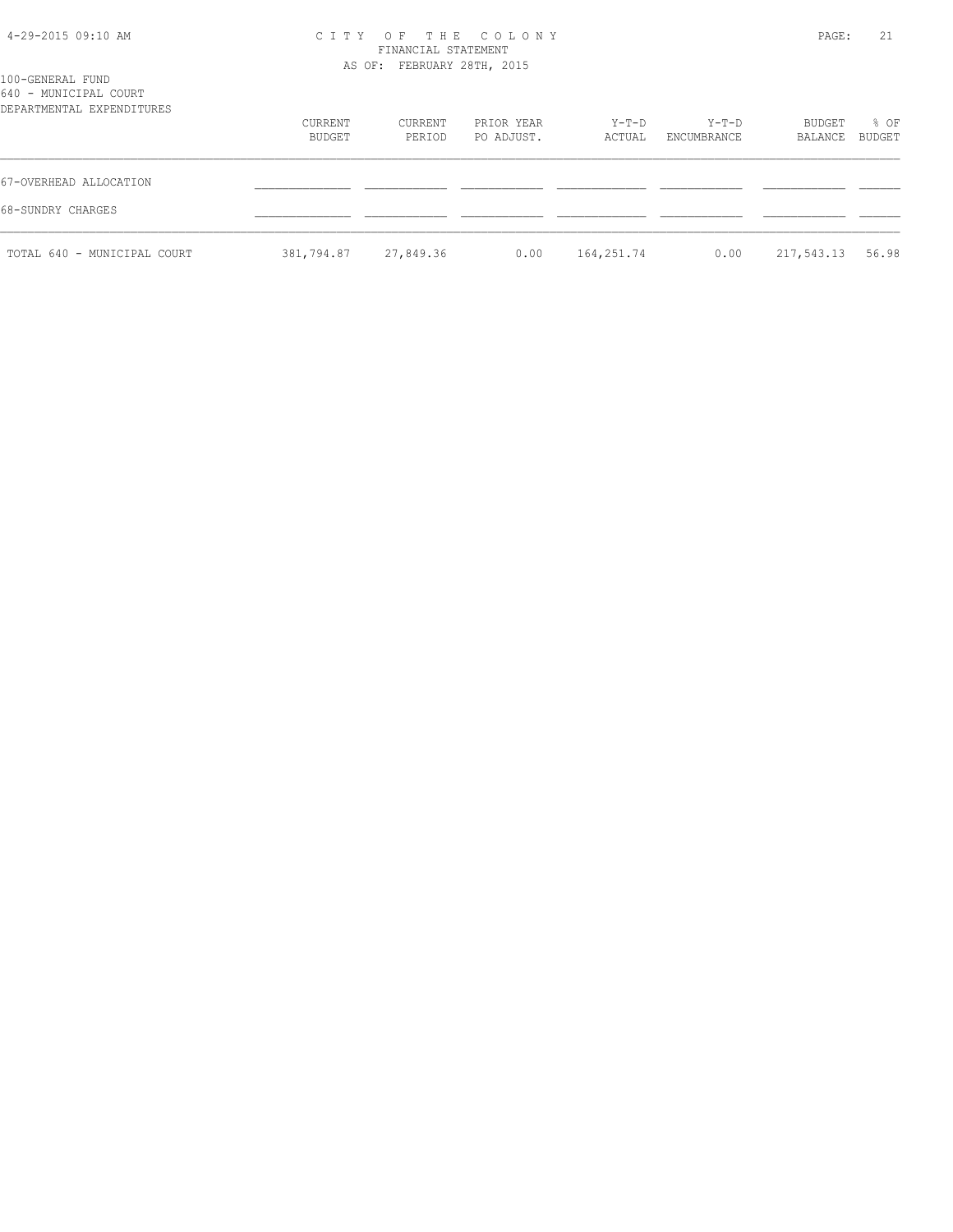| 4-29-2015 09:10 AM |  |  |
|--------------------|--|--|
|--------------------|--|--|

#### 4-29-2015 09:10 AM C I T Y O F T H E C O L O N Y PAGE: 21 FINANCIAL STATEMENT AS OF: FEBRUARY 28TH, 2015

| CURRENT | CURRENT | PRIOR YEAR | Y-T-D  | Y-T-D       | BUDGET | % OF    |
|---------|---------|------------|--------|-------------|--------|---------|
| BUDGET  | PERIOD  | PO ADJUST. | ACTUAL | ENCUMBRANCE |        | BUDGET  |
|         |         |            |        |             |        |         |
|         |         |            |        |             |        | BALANCE |

| 67-OVERHEAD ALLOCATION      |                      |  |                     |                           |  |
|-----------------------------|----------------------|--|---------------------|---------------------------|--|
| 68-SUNDRY CHARGES           |                      |  |                     |                           |  |
| TOTAL 640 - MUNICIPAL COURT | 381,794.87 27,849.36 |  | $0.00$ $164,251.74$ | $0.00$ $217,543.13$ 56.98 |  |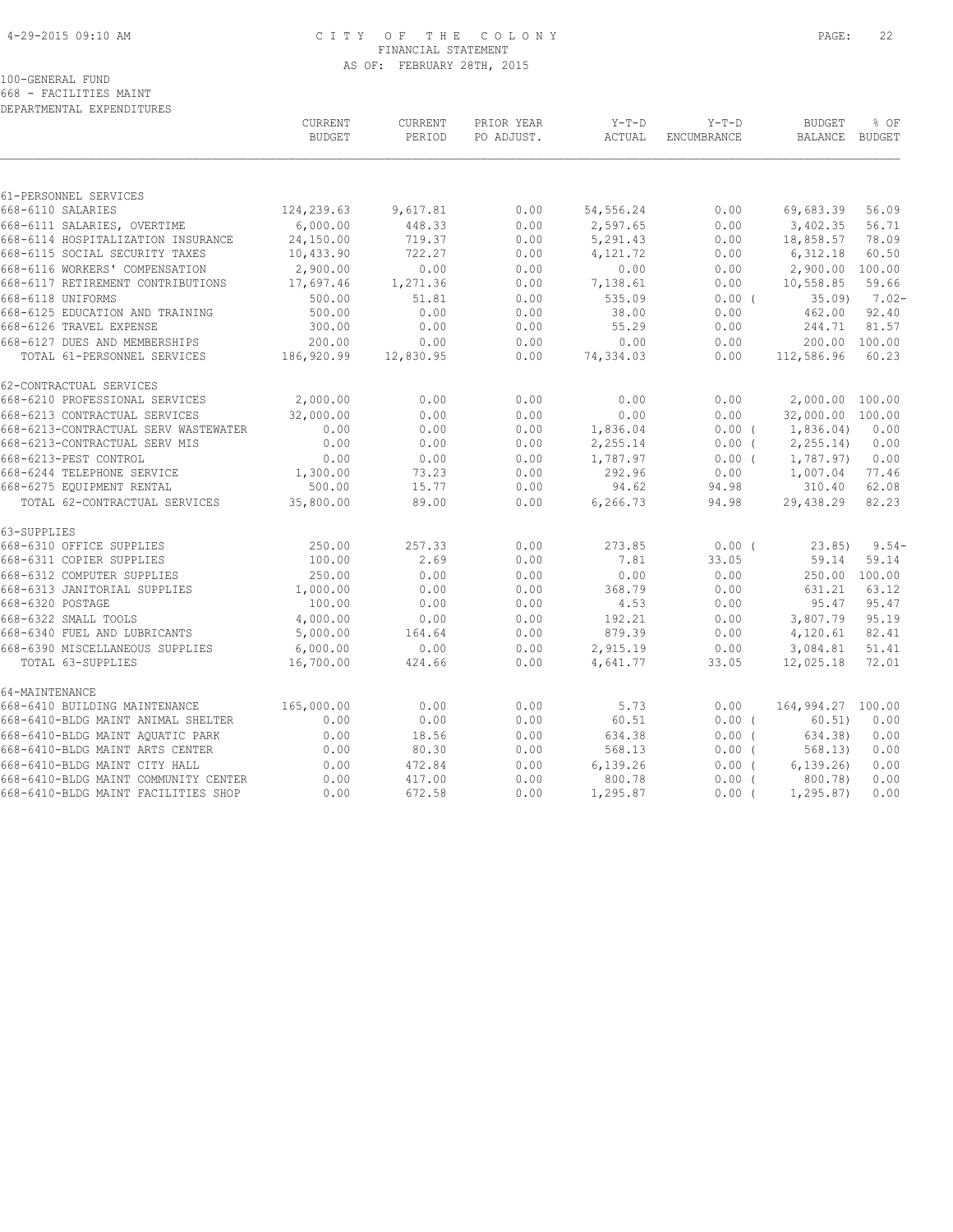#### 4-29-2015 09:10 AM C I T Y O F T H E C O L O N Y PAGE: 22 FINANCIAL STATEMENT AS OF: FEBRUARY 28TH, 2015

#### 100-GENERAL FUND

668 - FACILITIES MAINT DEPARTMENTAL EXPENDITURES

|                                            | CURRENT<br><b>BUDGET</b> | <b>CURRENT</b><br>PERIOD | PRIOR YEAR<br>PO ADJUST. | $Y-T-D$<br>ACTUAL | $Y-T-D$<br>ENCUMBRANCE | <b>BUDGET</b><br>BALANCE | % OF<br>BUDGET |
|--------------------------------------------|--------------------------|--------------------------|--------------------------|-------------------|------------------------|--------------------------|----------------|
|                                            |                          |                          |                          |                   |                        |                          |                |
| 61-PERSONNEL SERVICES<br>668-6110 SALARIES | 124,239.63               | 9,617.81                 | 0.00                     | 54, 556.24        | 0.00                   | 69,683.39                | 56.09          |
| 668-6111 SALARIES, OVERTIME                | 6,000.00                 | 448.33                   | 0.00                     | 2,597.65          | 0.00                   | 3,402.35                 | 56.71          |
| 668-6114 HOSPITALIZATION INSURANCE         | 24,150.00                | 719.37                   | 0.00                     | 5,291.43          | 0.00                   | 18,858.57                | 78.09          |
| 668-6115 SOCIAL SECURITY TAXES             | 10,433.90                | 722.27                   | 0.00                     | 4,121.72          | 0.00                   | 6,312.18                 | 60.50          |
| 668-6116 WORKERS' COMPENSATION             |                          | 0.00                     | 0.00                     |                   | 0.00                   | 2,900.00 100.00          |                |
| 668-6117 RETIREMENT CONTRIBUTIONS          | 2,900.00<br>17,697.46    | 1,271.36                 | 0.00                     | 0.00              | 0.00                   | 10,558.85                | 59.66          |
|                                            |                          |                          |                          | 7,138.61          |                        |                          |                |
| 668-6118 UNIFORMS                          | 500.00                   | 51.81                    | 0.00                     | 535.09            | 0.00(                  | 35.09                    | $7.02 -$       |
| 668-6125 EDUCATION AND TRAINING            | 500.00                   | 0.00                     | 0.00                     | 38.00             | 0.00                   | 462.00                   | 92.40          |
| 668-6126 TRAVEL EXPENSE                    | 300.00                   | 0.00                     | 0.00                     | 55.29             | 0.00                   | 244.71                   | 81.57          |
| 668-6127 DUES AND MEMBERSHIPS              | 200.00                   | 0.00                     | 0.00                     | 0.00              | 0.00                   |                          | 200.00 100.00  |
| TOTAL 61-PERSONNEL SERVICES                | 186,920.99               | 12,830.95                | 0.00                     | 74,334.03         | 0.00                   | 112,586.96               | 60.23          |
| 62-CONTRACTUAL SERVICES                    |                          |                          |                          |                   |                        |                          |                |
| 668-6210 PROFESSIONAL SERVICES             | 2,000.00                 | 0.00                     | 0.00                     | 0.00              | 0.00                   | 2,000.00 100.00          |                |
| 668-6213 CONTRACTUAL SERVICES              | 32,000.00                | 0.00                     | 0.00                     | 0.00              | 0.00                   | 32,000.00 100.00         |                |
| 668-6213-CONTRACTUAL SERV WASTEWATER       | 0.00                     | 0.00                     | 0.00                     | 1,836.04          | 0.00(                  | 1,836.04)                | 0.00           |
| 668-6213-CONTRACTUAL SERV MIS              | 0.00                     | 0.00                     | 0.00                     | 2,255.14          | $0.00$ (               | 2, 255.14                | 0.00           |
| 668-6213-PEST CONTROL                      | 0.00                     | 0.00                     | 0.00                     | 1,787.97          | $0.00$ (               | 1,787.97)                | 0.00           |
| 668-6244 TELEPHONE SERVICE                 | 1,300.00                 | 73.23                    | 0.00                     | 292.96            | 0.00                   | 1,007.04                 | 77.46          |
| 668-6275 EQUIPMENT RENTAL                  | 500.00                   | 15.77                    | 0.00                     | 94.62             | 94.98                  | 310.40                   | 62.08          |
| TOTAL 62-CONTRACTUAL SERVICES              | 35,800.00                | 89.00                    | 0.00                     | 6,266.73          | 94.98                  | 29,438.29                | 82.23          |
| 63-SUPPLIES                                |                          |                          |                          |                   |                        |                          |                |
| 668-6310 OFFICE SUPPLIES                   | 250.00                   | 257.33                   | 0.00                     | 273.85            | 0.00(                  | 23.851                   | $9.54-$        |
| 668-6311 COPIER SUPPLIES                   | 100.00                   | 2.69                     | 0.00                     | 7.81              | 33.05                  | 59.14                    | 59.14          |
| 668-6312 COMPUTER SUPPLIES                 | 250.00                   | 0.00                     | 0.00                     | 0.00              | 0.00                   |                          | 250.00 100.00  |
| 668-6313 JANITORIAL SUPPLIES               | 1,000.00                 | 0.00                     | 0.00                     | 368.79            | 0.00                   | 631.21                   | 63.12          |
| 668-6320 POSTAGE                           | 100.00                   | 0.00                     | 0.00                     | 4.53              | 0.00                   | 95.47                    | 95.47          |
| 668-6322 SMALL TOOLS                       | 4,000.00                 | 0.00                     | 0.00                     | 192.21            | 0.00                   | 3,807.79                 | 95.19          |
| 668-6340 FUEL AND LUBRICANTS               | 5,000.00                 | 164.64                   | 0.00                     | 879.39            | 0.00                   | 4,120.61                 | 82.41          |
| 668-6390 MISCELLANEOUS SUPPLIES            | 6,000.00                 | 0.00                     | 0.00                     | 2,915.19          | 0.00                   | 3,084.81                 | 51.41          |
| TOTAL 63-SUPPLIES                          | 16,700.00                | 424.66                   | 0.00                     | 4,641.77          | 33.05                  | 12,025.18                | 72.01          |
| 64-MAINTENANCE                             |                          |                          |                          |                   |                        |                          |                |
| 668-6410 BUILDING MAINTENANCE              | 165,000.00               | 0.00                     | 0.00                     | 5.73              | 0.00                   | 164,994.27 100.00        |                |
| 668-6410-BLDG MAINT ANIMAL SHELTER         | 0.00                     | 0.00                     | 0.00                     | 60.51             | $0.00$ (               | 60.51)                   | 0.00           |
| 668-6410-BLDG MAINT AOUATIC PARK           | 0.00                     | 18.56                    | 0.00                     | 634.38            | 0.00(                  | 634.38)                  | 0.00           |
| 668-6410-BLDG MAINT ARTS CENTER            | 0.00                     | 80.30                    | 0.00                     | 568.13            | $0.00$ (               | 568.13)                  | 0.00           |
| 668-6410-BLDG MAINT CITY HALL              | 0.00                     | 472.84                   | 0.00                     | 6,139.26          | 0.00(                  | 6, 139, 26)              | 0.00           |
| 668-6410-BLDG MAINT COMMUNITY CENTER       | 0.00                     | 417.00                   | 0.00                     | 800.78            | $0.00$ (               | 800.78)                  | 0.00           |
| 668-6410-BLDG MAINT FACILITIES SHOP        | 0.00                     | 672.58                   | 0.00                     | 1,295.87          | $0.00$ (               | 1, 295.87                | 0.00           |
|                                            |                          |                          |                          |                   |                        |                          |                |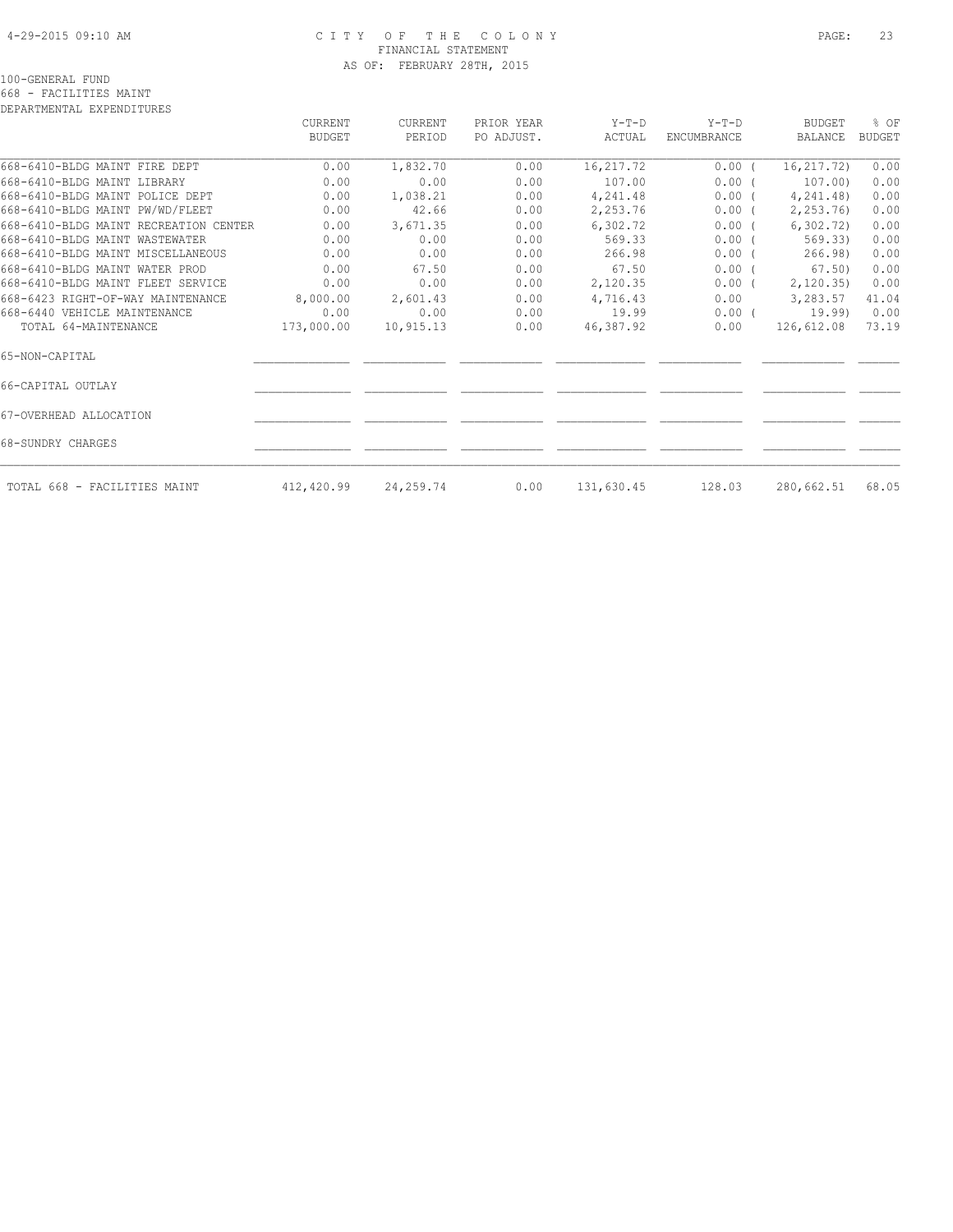#### 4-29-2015 09:10 AM C I T Y O F T H E C O L O N Y PAGE: 23 FINANCIAL STATEMENT AS OF: FEBRUARY 28TH, 2015

100-GENERAL FUND

668 - FACILITIES MAINT DEPARTMENTAL EXPENDITURES

|                                       | CURRENT<br>BUDGET | CURRENT<br>PERIOD | PRIOR YEAR<br>PO ADJUST. | $Y-T-D$<br>ACTUAL | $Y-T-D$<br>ENCUMBRANCE | <b>BUDGET</b><br>BALANCE | % OF<br><b>BUDGET</b> |
|---------------------------------------|-------------------|-------------------|--------------------------|-------------------|------------------------|--------------------------|-----------------------|
| 668-6410-BLDG MAINT FIRE DEPT         | 0.00              | 1,832.70          | 0.00                     | 16, 217.72        | $0.00$ (               | 16, 217.72)              | 0.00                  |
| 668-6410-BLDG MAINT LIBRARY           | 0.00              | 0.00              | 0.00                     | 107.00            | 0.00(                  | 107.00)                  | 0.00                  |
| 668-6410-BLDG MAINT POLICE DEPT       | 0.00              | 1,038.21          | 0.00                     | 4,241.48          | $0.00$ (               | 4,241.48)                | 0.00                  |
| 668-6410-BLDG MAINT PW/WD/FLEET       | 0.00              | 42.66             | 0.00                     | 2,253.76          | $0.00$ (               | 2,253.76)                | 0.00                  |
| 668-6410-BLDG MAINT RECREATION CENTER | 0.00              | 3,671.35          | 0.00                     | 6,302.72          | 0.00(                  | 6,302,72)                | 0.00                  |
| 668-6410-BLDG MAINT WASTEWATER        | 0.00              | 0.00              | 0.00                     | 569.33            | 0.00(                  | 569.33)                  | 0.00                  |
| 668-6410-BLDG MAINT MISCELLANEOUS     | 0.00              | 0.00              | 0.00                     | 266.98            | $0.00$ (               | 266.98                   | 0.00                  |
| 668-6410-BLDG MAINT WATER PROD        | 0.00              | 67.50             | 0.00                     | 67.50             | $0.00$ (               | 67.50)                   | 0.00                  |
| 668-6410-BLDG MAINT FLEET SERVICE     | 0.00              | 0.00              | 0.00                     | 2,120.35          | $0.00$ (               | 2,120.35)                | 0.00                  |
| 668-6423 RIGHT-OF-WAY MAINTENANCE     | 8,000.00          | 2,601.43          | 0.00                     | 4,716.43          | 0.00                   | 3,283.57                 | 41.04                 |
| 668-6440 VEHICLE MAINTENANCE          | 0.00              | 0.00              | 0.00                     | 19.99             | $0.00$ (               | 19.99)                   | 0.00                  |
| TOTAL 64-MAINTENANCE                  | 173,000.00        | 10,915.13         | 0.00                     | 46,387.92         | 0.00                   | 126,612.08               | 73.19                 |
| 65-NON-CAPITAL                        |                   |                   |                          |                   |                        |                          |                       |
| 66-CAPITAL OUTLAY                     |                   |                   |                          |                   |                        |                          |                       |
| 67-OVERHEAD ALLOCATION                |                   |                   |                          |                   |                        |                          |                       |
| 68-SUNDRY CHARGES                     |                   |                   |                          |                   |                        |                          |                       |
| TOTAL 668 - FACILITIES MAINT          | 412,420.99        | 24,259.74         | 0.00                     | 131,630.45        | 128.03                 | 280,662.51               | 68.05                 |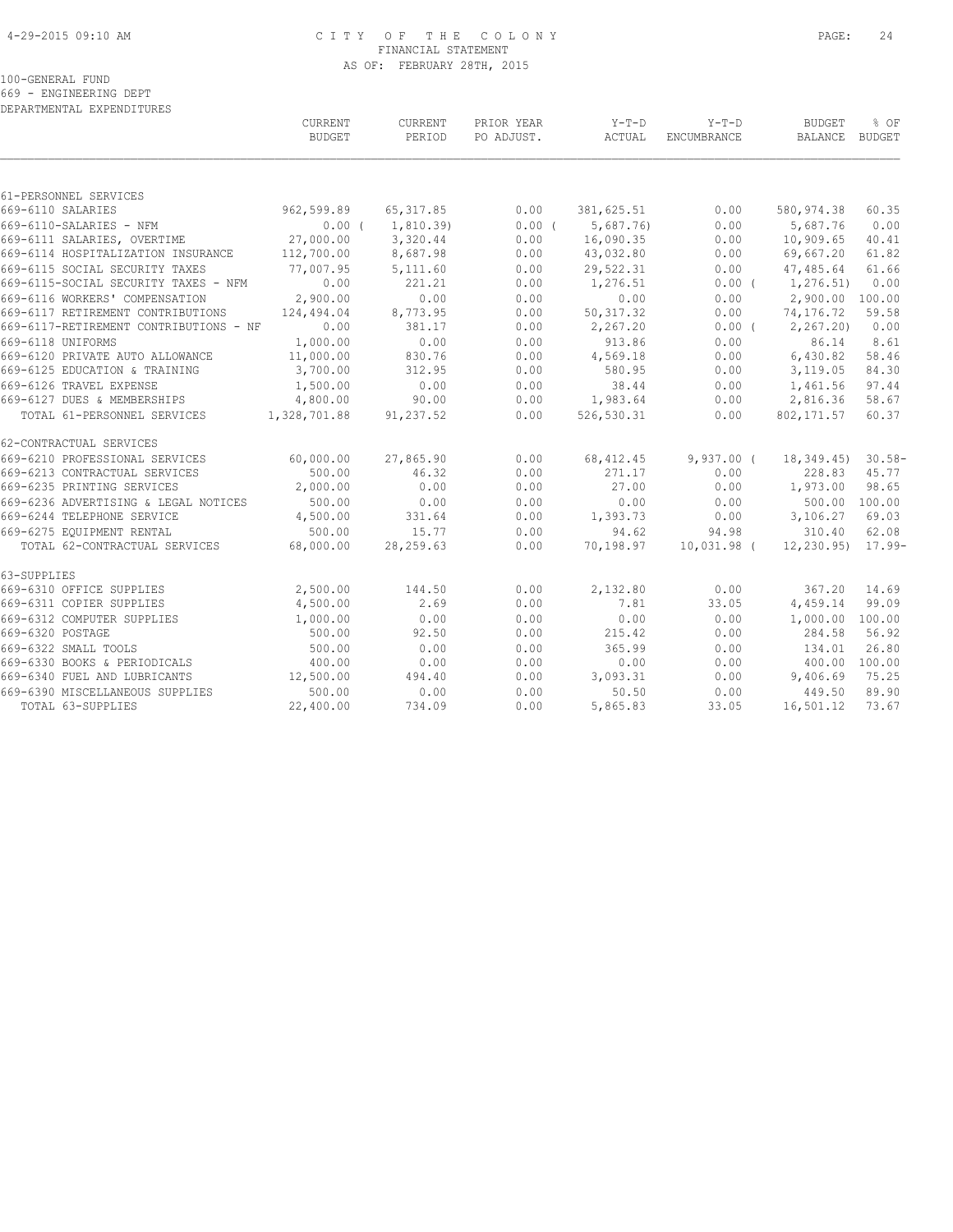#### 4-29-2015 09:10 AM C I T Y O F T H E C O L O N Y PAGE: 24 FINANCIAL STATEMENT AS OF: FEBRUARY 28TH, 2015

100-GENERAL FUND

669 - ENGINEERING DEPT

| DEPARTMENTAL EXPENDITURES              |                |            |            |            |               |                       |               |
|----------------------------------------|----------------|------------|------------|------------|---------------|-----------------------|---------------|
|                                        | <b>CURRENT</b> | CURRENT    | PRIOR YEAR | $Y-T-D$    | $Y-T-D$       | <b>BUDGET</b>         | % OF          |
|                                        | <b>BUDGET</b>  | PERIOD     | PO ADJUST. | ACTUAL     | ENCUMBRANCE   | BALANCE BUDGET        |               |
|                                        |                |            |            |            |               |                       |               |
| 61-PERSONNEL SERVICES                  |                |            |            |            |               |                       |               |
| 669-6110 SALARIES                      | 962,599.89     | 65, 317.85 | 0.00       | 381,625.51 | 0.00          | 580,974.38            | 60.35         |
| 669-6110-SALARIES - NFM                | $0.00$ (       | 1,810.39)  | $0.00$ (   | 5,687.76)  | 0.00          | 5,687.76              | 0.00          |
| 669-6111 SALARIES, OVERTIME            | 27,000.00      | 3,320.44   | 0.00       | 16,090.35  | 0.00          | 10,909.65             | 40.41         |
| 669-6114 HOSPITALIZATION INSURANCE     | 112,700.00     | 8,687.98   | 0.00       | 43,032.80  | 0.00          | 69,667.20             | 61.82         |
| 669-6115 SOCIAL SECURITY TAXES         | 77,007.95      | 5,111.60   | 0.00       | 29,522.31  | 0.00          | 47,485.64             | 61.66         |
| 669-6115-SOCIAL SECURITY TAXES - NFM   | 0.00           | 221.21     | 0.00       | 1,276.51   | $0.00$ (      | 1,276.51)             | 0.00          |
| 669-6116 WORKERS' COMPENSATION         | 2,900.00       | 0.00       | 0.00       | 0.00       | 0.00          | 2,900.00 100.00       |               |
| 669-6117 RETIREMENT CONTRIBUTIONS      | 124,494.04     | 8,773.95   | 0.00       | 50, 317.32 | 0.00          | 74,176.72             | 59.58         |
| 669-6117-RETIREMENT CONTRIBUTIONS - NF | 0.00           | 381.17     | 0.00       | 2,267.20   | $0.00$ (      | 2, 267.20             | 0.00          |
| 669-6118 UNIFORMS                      | 1,000.00       | 0.00       | 0.00       | 913.86     | 0.00          | 86.14                 | 8.61          |
| 669-6120 PRIVATE AUTO ALLOWANCE        | 11,000.00      | 830.76     | 0.00       | 4,569.18   | 0.00          | 6,430.82              | 58.46         |
| 669-6125 EDUCATION & TRAINING          | 3,700.00       | 312.95     | 0.00       | 580.95     | 0.00          | 3,119.05              | 84.30         |
| 669-6126 TRAVEL EXPENSE                | 1,500.00       | 0.00       | 0.00       | 38.44      | 0.00          | 1,461.56              | 97.44         |
| 669-6127 DUES & MEMBERSHIPS            | 4,800.00       | 90.00      | 0.00       | 1,983.64   | 0.00          | 2,816.36              | 58.67         |
| TOTAL 61-PERSONNEL SERVICES            | 1,328,701.88   | 91,237.52  | 0.00       | 526,530.31 | 0.00          | 802, 171.57           | 60.37         |
| 62-CONTRACTUAL SERVICES                |                |            |            |            |               |                       |               |
| 669-6210 PROFESSIONAL SERVICES         | 60,000.00      | 27,865.90  | 0.00       | 68, 412.45 | $9,937.00$ (  | 18,349.45)            | $30.58-$      |
| 669-6213 CONTRACTUAL SERVICES          | 500.00         | 46.32      | 0.00       | 271.17     | 0.00          | 228.83                | 45.77         |
| 669-6235 PRINTING SERVICES             | 2,000.00       | 0.00       | 0.00       | 27.00      | 0.00          | 1,973.00              | 98.65         |
| 669-6236 ADVERTISING & LEGAL NOTICES   | 500.00         | 0.00       | 0.00       | 0.00       | 0.00          |                       | 500.00 100.00 |
| 669-6244 TELEPHONE SERVICE             | 4,500.00       | 331.64     | 0.00       | 1,393.73   | 0.00          | 3,106.27              | 69.03         |
| 669-6275 EQUIPMENT RENTAL              | 500.00         | 15.77      | 0.00       | 94.62      | 94.98         | 310.40                | 62.08         |
| TOTAL 62-CONTRACTUAL SERVICES          | 68,000.00      | 28,259.63  | 0.00       | 70,198.97  | $10,031.98$ ( | $12, 230.95$ $17.99-$ |               |
| 63-SUPPLIES                            |                |            |            |            |               |                       |               |
| 669-6310 OFFICE SUPPLIES               | 2,500.00       | 144.50     | 0.00       | 2,132.80   | 0.00          | 367.20                | 14.69         |
| 669-6311 COPIER SUPPLIES               | 4,500.00       | 2.69       | 0.00       | 7.81       | 33.05         | 4,459.14              | 99.09         |
| 669-6312 COMPUTER SUPPLIES             | 1,000.00       | 0.00       | 0.00       | 0.00       | 0.00          | 1,000.00 100.00       |               |
| 669-6320 POSTAGE                       | 500.00         | 92.50      | 0.00       | 215.42     | 0.00          | 284.58                | 56.92         |
| 669-6322 SMALL TOOLS                   | 500.00         | 0.00       | 0.00       | 365.99     | 0.00          | 134.01                | 26.80         |
| 669-6330 BOOKS & PERIODICALS           | 400.00         | 0.00       | 0.00       | 0.00       | 0.00          | 400.00 100.00         |               |
| 669-6340 FUEL AND LUBRICANTS           | 12,500.00      | 494.40     | 0.00       | 3,093.31   | 0.00          | 9,406.69              | 75.25         |
| 669-6390 MISCELLANEOUS SUPPLIES        | 500.00         | 0.00       | 0.00       | 50.50      | 0.00          | 449.50                | 89.90         |
| TOTAL 63-SUPPLIES                      | 22,400.00      | 734.09     | 0.00       | 5,865.83   | 33.05         | 16,501.12             | 73.67         |
|                                        |                |            |            |            |               |                       |               |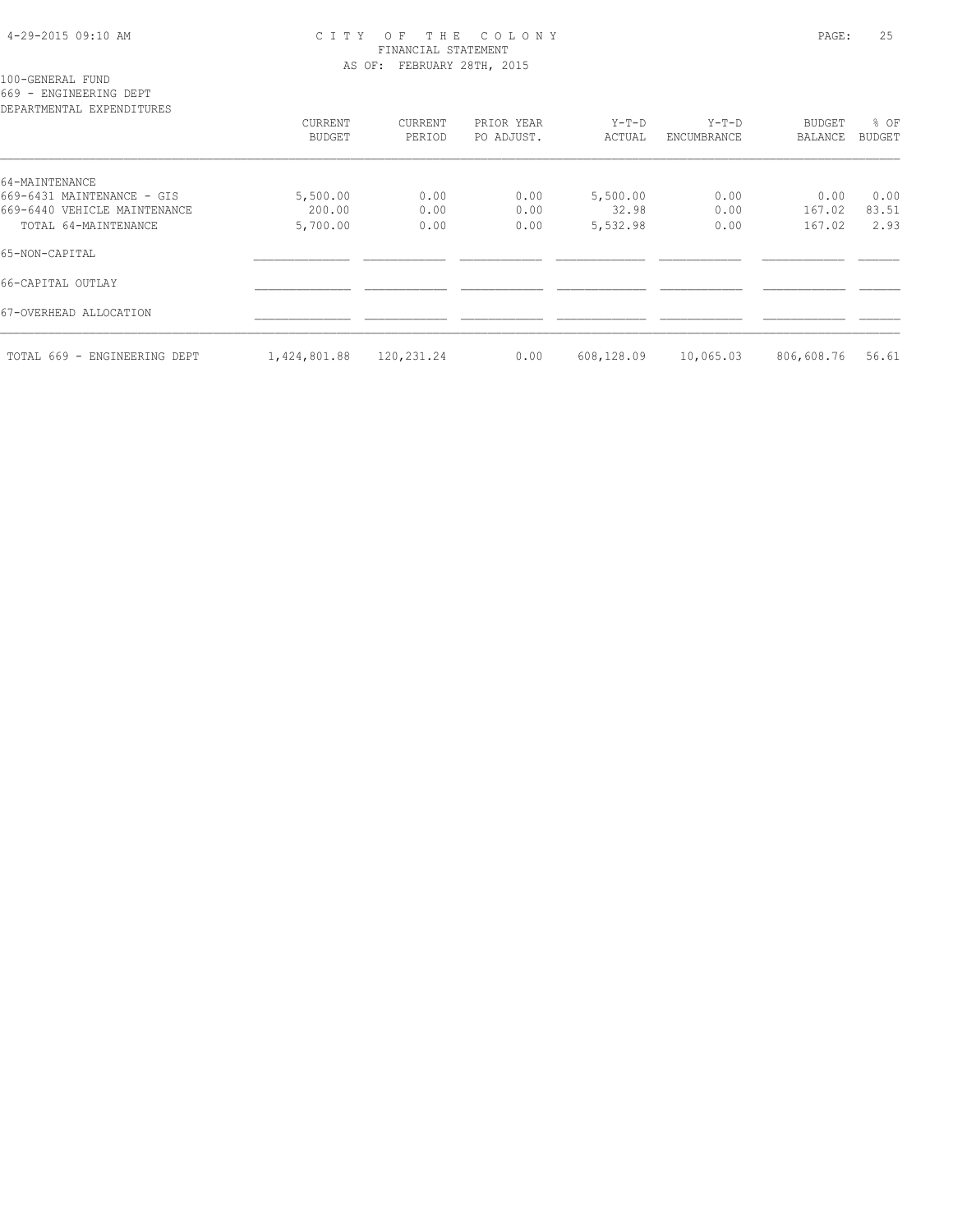#### 4-29-2015 09:10 AM C I T Y O F T H E C O L O N Y PAGE: 25 FINANCIAL STATEMENT AS OF: FEBRUARY 28TH, 2015

100-GENERAL FUND

669 - ENGINEERING DEPT

| DEPARTMENTAL EXPENDITURES    |                   |                   |                          |                   |                        |                          |                |
|------------------------------|-------------------|-------------------|--------------------------|-------------------|------------------------|--------------------------|----------------|
|                              | CURRENT<br>BUDGET | CURRENT<br>PERIOD | PRIOR YEAR<br>PO ADJUST. | $Y-T-D$<br>ACTUAL | $Y-T-D$<br>ENCUMBRANCE | BUDGET<br><b>BALANCE</b> | % OF<br>BUDGET |
|                              |                   |                   |                          |                   |                        |                          |                |
| 64-MAINTENANCE               |                   |                   |                          |                   |                        |                          |                |
| 669-6431 MAINTENANCE - GIS   | 5,500.00          | 0.00              | 0.00                     | 5,500.00          | 0.00                   | 0.00                     | 0.00           |
| 669-6440 VEHICLE MAINTENANCE | 200.00            | 0.00              | 0.00                     | 32.98             | 0.00                   | 167.02                   | 83.51          |
| TOTAL 64-MAINTENANCE         | 5,700.00          | 0.00              | 0.00                     | 5,532.98          | 0.00                   | 167.02                   | 2.93           |
| 65-NON-CAPITAL               |                   |                   |                          |                   |                        |                          |                |
| 66-CAPITAL OUTLAY            |                   |                   |                          |                   |                        |                          |                |
| 67-OVERHEAD ALLOCATION       |                   |                   |                          |                   |                        |                          |                |
| TOTAL 669 - ENGINEERING DEPT | 1,424,801.88      | 120,231.24        | 0.00                     | 608,128.09        | 10,065.03              | 806,608.76               | 56.61          |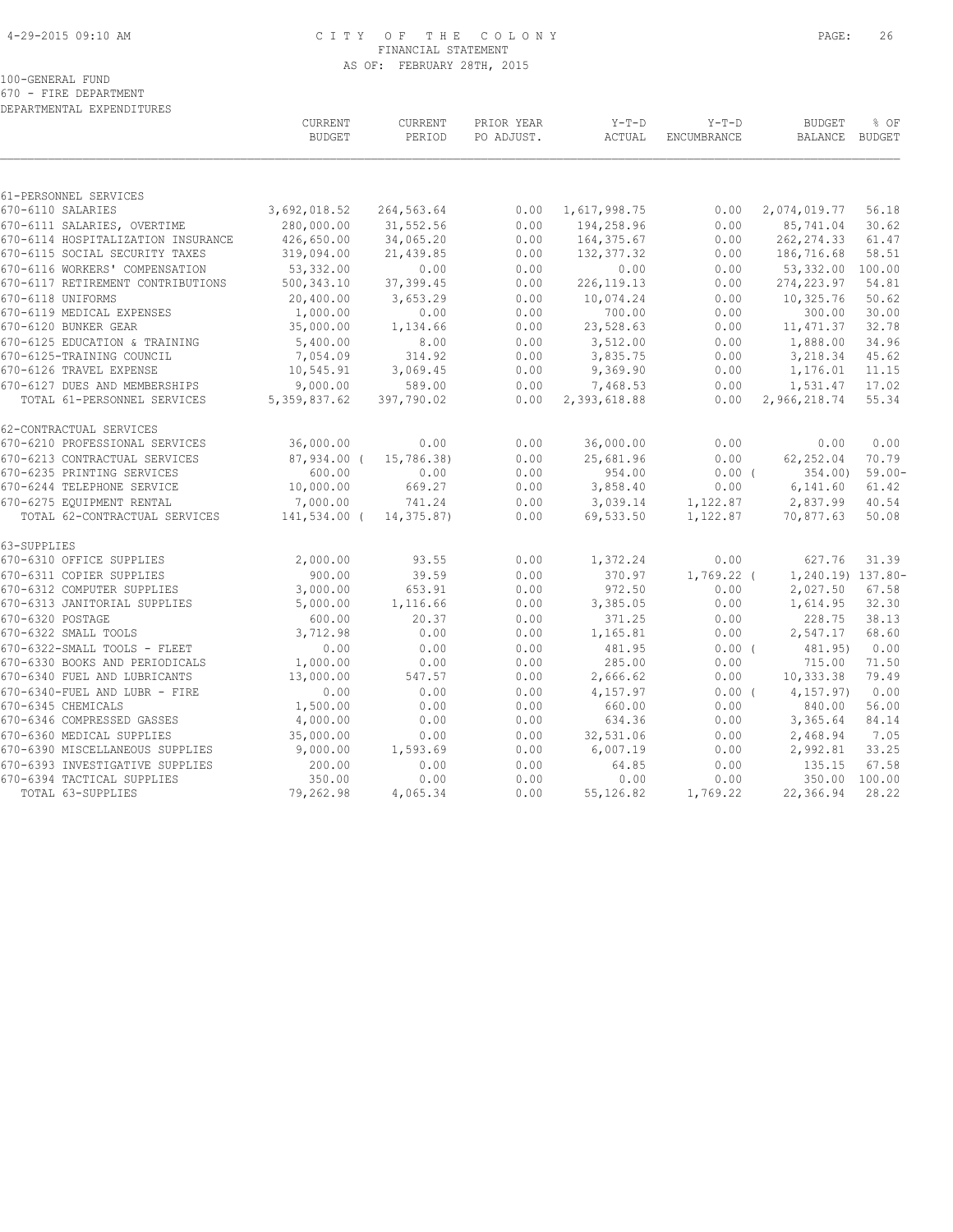#### 4-29-2015 09:10 AM C I T Y O F T H E C O L O N Y PAGE: 26 FINANCIAL STATEMENT AS OF: FEBRUARY 28TH, 2015

100-GENERAL FUND

670 - FIRE DEPARTMENT

| DEPARTMENTAL EXPENDITURES          |                          |                   |                          |                   |                        |                          |                |
|------------------------------------|--------------------------|-------------------|--------------------------|-------------------|------------------------|--------------------------|----------------|
|                                    | CURRENT<br><b>BUDGET</b> | CURRENT<br>PERIOD | PRIOR YEAR<br>PO ADJUST. | $Y-T-D$<br>ACTUAL | $Y-T-D$<br>ENCUMBRANCE | <b>BUDGET</b><br>BALANCE | % OF<br>BUDGET |
|                                    |                          |                   |                          |                   |                        |                          |                |
| 61-PERSONNEL SERVICES              |                          |                   |                          |                   |                        |                          |                |
| 670-6110 SALARIES                  | 3,692,018.52             | 264,563.64        | 0.00                     | 1,617,998.75      | 0.00                   | 2,074,019.77             | 56.18          |
| 670-6111 SALARIES, OVERTIME        | 280,000.00               | 31,552.56         | 0.00                     | 194,258.96        | 0.00                   | 85,741.04                | 30.62          |
| 670-6114 HOSPITALIZATION INSURANCE | 426,650.00               | 34,065.20         | 0.00                     | 164, 375.67       | 0.00                   | 262, 274.33              | 61.47          |
| 670-6115 SOCIAL SECURITY TAXES     | 319,094.00               | 21,439.85         | 0.00                     | 132, 377.32       | 0.00                   | 186,716.68               | 58.51          |
| 670-6116 WORKERS' COMPENSATION     | 53, 332.00               | 0.00              | 0.00                     | 0.00              | 0.00                   | 53,332.00                | 100.00         |
| 670-6117 RETIREMENT CONTRIBUTIONS  | 500, 343.10              | 37,399.45         | 0.00                     | 226, 119. 13      | 0.00                   | 274, 223.97              | 54.81          |
| 670-6118 UNIFORMS                  | 20,400.00                | 3,653.29          | 0.00                     | 10,074.24         | 0.00                   | 10,325.76                | 50.62          |
| 670-6119 MEDICAL EXPENSES          | 1,000.00                 | 0.00              | 0.00                     | 700.00            | 0.00                   | 300.00                   | 30.00          |
| 670-6120 BUNKER GEAR               | 35,000.00                | 1,134.66          | 0.00                     | 23,528.63         | 0.00                   | 11, 471.37               | 32.78          |
| 670-6125 EDUCATION & TRAINING      | 5,400.00                 | 8.00              | 0.00                     | 3,512.00          | 0.00                   | 1,888.00                 | 34.96          |
| 670-6125-TRAINING COUNCIL          | 7,054.09                 | 314.92            | 0.00                     | 3,835.75          | 0.00                   | 3,218.34                 | 45.62          |
| 670-6126 TRAVEL EXPENSE            | 10,545.91                | 3,069.45          | 0.00                     | 9,369.90          | 0.00                   | 1,176.01                 | 11.15          |
| 670-6127 DUES AND MEMBERSHIPS      | 9,000.00                 | 589.00            | 0.00                     | 7,468.53          | 0.00                   | 1,531.47                 | 17.02          |
| TOTAL 61-PERSONNEL SERVICES        | 5, 359, 837.62           | 397,790.02        | 0.00                     | 2,393,618.88      | 0.00                   | 2,966,218.74             | 55.34          |
| 62-CONTRACTUAL SERVICES            |                          |                   |                          |                   |                        |                          |                |
| 670-6210 PROFESSIONAL SERVICES     | 36,000.00                | 0.00              | 0.00                     | 36,000.00         | 0.00                   | 0.00                     | 0.00           |
| 670-6213 CONTRACTUAL SERVICES      | 87,934.00 (              | 15,786.38)        | 0.00                     | 25,681.96         | 0.00                   | 62,252.04                | 70.79          |
| 670-6235 PRINTING SERVICES         | 600.00                   | 0.00              | 0.00                     | 954.00            | $0.00$ (               | 354.00)                  | $59.00 -$      |
| 670-6244 TELEPHONE SERVICE         | 10,000.00                | 669.27            | 0.00                     | 3,858.40          | 0.00                   | 6,141.60                 | 61.42          |
| 670-6275 EQUIPMENT RENTAL          | 7,000.00                 | 741.24            | 0.00                     | 3,039.14          | 1,122.87               | 2,837.99                 | 40.54          |
| TOTAL 62-CONTRACTUAL SERVICES      | 141,534.00 (             | 14,375.87)        | 0.00                     | 69,533.50         | 1,122.87               | 70,877.63                | 50.08          |
| 63-SUPPLIES                        |                          |                   |                          |                   |                        |                          |                |
| 670-6310 OFFICE SUPPLIES           | 2,000.00                 | 93.55             | 0.00                     | 1,372.24          | 0.00                   | 627.76                   | 31.39          |
| 670-6311 COPIER SUPPLIES           | 900.00                   | 39.59             | 0.00                     | 370.97            | $1,769.22$ (           | 1,240.19) 137.80-        |                |
| 670-6312 COMPUTER SUPPLIES         | 3,000.00                 | 653.91            | 0.00                     | 972.50            | 0.00                   | 2,027.50                 | 67.58          |
| 670-6313 JANITORIAL SUPPLIES       | 5,000.00                 | 1,116.66          | 0.00                     | 3,385.05          | 0.00                   | 1,614.95                 | 32.30          |
| 670-6320 POSTAGE                   | 600.00                   | 20.37             | 0.00                     | 371.25            | 0.00                   | 228.75                   | 38.13          |
| 670-6322 SMALL TOOLS               | 3,712.98                 | 0.00              | 0.00                     | 1,165.81          | 0.00                   | 2,547.17                 | 68.60          |
| 670-6322-SMALL TOOLS - FLEET       | 0.00                     | 0.00              | 0.00                     | 481.95            | 0.00(                  | 481.95)                  | 0.00           |
| 670-6330 BOOKS AND PERIODICALS     | 1,000.00                 | 0.00              | 0.00                     | 285.00            | 0.00                   | 715.00                   | 71.50          |
| 670-6340 FUEL AND LUBRICANTS       | 13,000.00                | 547.57            | 0.00                     | 2,666.62          | 0.00                   | 10,333.38                | 79.49          |
| 670-6340-FUEL AND LUBR - FIRE      | 0.00                     | 0.00              | 0.00                     | 4,157.97          | $0.00$ (               | 4, 157.97)               | 0.00           |
| 670-6345 CHEMICALS                 | 1,500.00                 | 0.00              | 0.00                     | 660.00            | 0.00                   | 840.00                   | 56.00          |
| 670-6346 COMPRESSED GASSES         | 4,000.00                 | 0.00              | 0.00                     | 634.36            | 0.00                   | 3,365.64                 | 84.14          |
| 670-6360 MEDICAL SUPPLIES          | 35,000.00                | 0.00              | 0.00                     | 32,531.06         | 0.00                   | 2,468.94                 | 7.05           |
| 670-6390 MISCELLANEOUS SUPPLIES    | 9,000.00                 | 1,593.69          | 0.00                     | 6,007.19          | 0.00                   | 2,992.81                 | 33.25          |
| 670-6393 INVESTIGATIVE SUPPLIES    | 200.00                   | 0.00              | 0.00                     | 64.85             | 0.00                   | 135.15                   | 67.58          |
| 670-6394 TACTICAL SUPPLIES         | 350.00                   | 0.00              | 0.00                     | 0.00              | 0.00                   | 350.00                   | 100.00         |
| TOTAL 63-SUPPLIES                  | 79,262.98                | 4,065.34          | 0.00                     | 55,126.82         | 1,769.22               | 22,366.94                | 28.22          |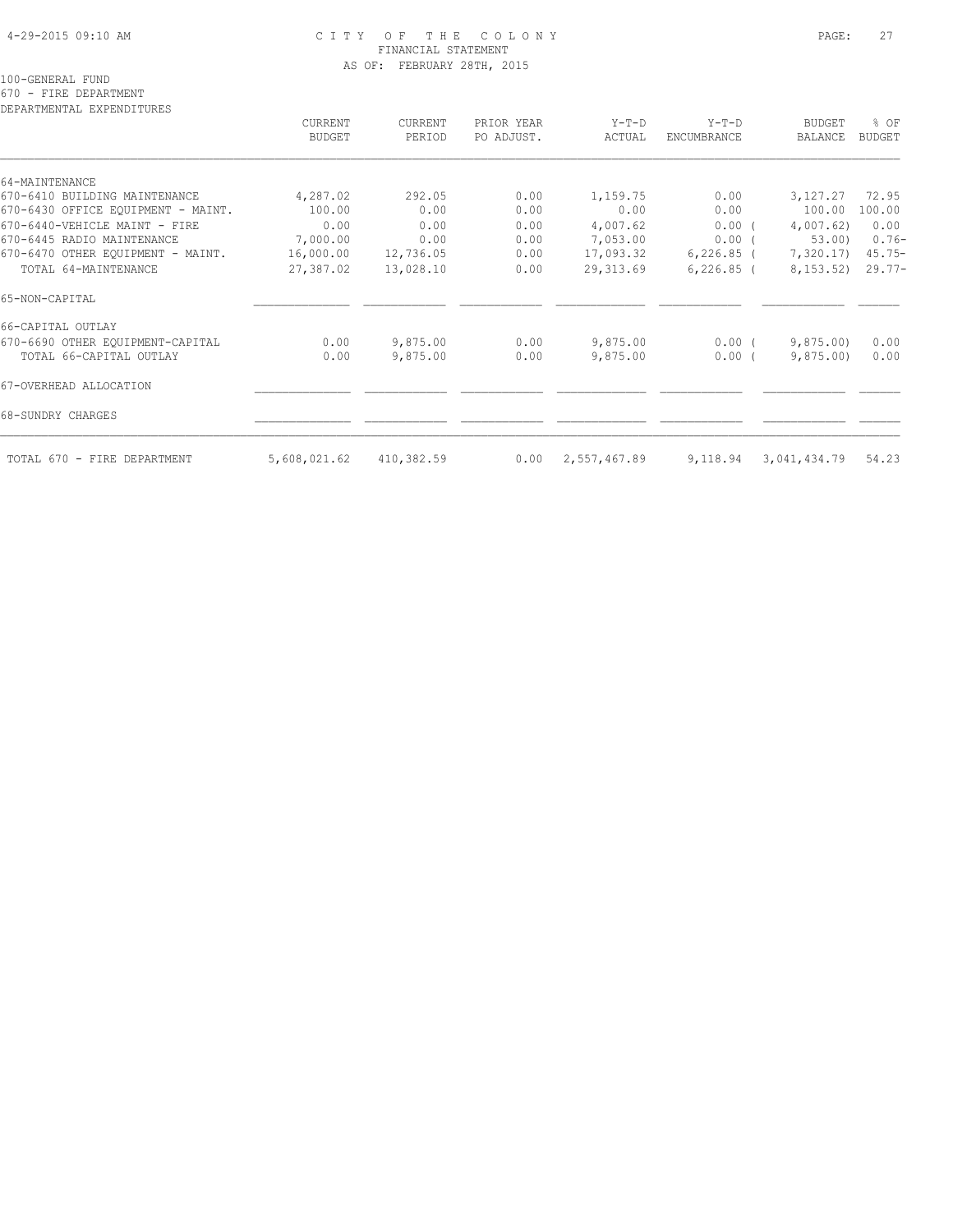#### 4-29-2015 09:10 AM C I T Y O F T H E C O L O N Y PAGE: 27 FINANCIAL STATEMENT AS OF: FEBRUARY 28TH, 2015

100-GENERAL FUND

670 - FIRE DEPARTMENT

| DEPARTMENTAL EXPENDITURES          | CURRENT<br><b>BUDGET</b> | CURRENT<br>PERIOD | PRIOR YEAR<br>PO ADJUST. | $Y-T-D$<br>ACTUAL | $Y-T-D$<br>ENCUMBRANCE | <b>BUDGET</b><br>BALANCE | % OF<br><b>BUDGET</b> |
|------------------------------------|--------------------------|-------------------|--------------------------|-------------------|------------------------|--------------------------|-----------------------|
|                                    |                          |                   |                          |                   |                        |                          |                       |
| 64-MAINTENANCE                     |                          |                   |                          |                   |                        |                          |                       |
| 670-6410 BUILDING MAINTENANCE      | 4,287.02                 | 292.05            | 0.00                     | 1,159.75          | 0.00                   | 3,127.27                 | 72.95                 |
| 670-6430 OFFICE EQUIPMENT - MAINT. | 100.00                   | 0.00              | 0.00                     | 0.00              | 0.00                   | 100.00                   | 100.00                |
| 670-6440-VEHICLE MAINT - FIRE      | 0.00                     | 0.00              | 0.00                     | 4,007.62          | $0.00$ (               | 4,007.62)                | 0.00                  |
| 670-6445 RADIO MAINTENANCE         | 7,000.00                 | 0.00              | 0.00                     | 7,053.00          | $0.00$ (               | 53.00                    | $0.76-$               |
| 670-6470 OTHER EOUIPMENT - MAINT.  | 16,000.00                | 12,736.05         | 0.00                     | 17,093.32         | 6,226.85 (             | 7,320.17)                | $45.75 -$             |
| TOTAL 64-MAINTENANCE               | 27,387.02                | 13,028.10         | 0.00                     | 29, 313.69        | $6,226.85$ (           | 8,153.52)                | $29.77-$              |
| 65-NON-CAPITAL                     |                          |                   |                          |                   |                        |                          |                       |
| 66-CAPITAL OUTLAY                  |                          |                   |                          |                   |                        |                          |                       |
| 670-6690 OTHER EQUIPMENT-CAPITAL   | 0.00                     | 9,875.00          | 0.00                     | 9,875.00          | $0.00$ (               | 9,875.00                 | 0.00                  |
| TOTAL 66-CAPITAL OUTLAY            | 0.00                     | 9,875.00          | 0.00                     | 9,875.00          | $0.00$ (               | 9,875,00                 | 0.00                  |
| 67-OVERHEAD ALLOCATION             |                          |                   |                          |                   |                        |                          |                       |
| 68-SUNDRY CHARGES                  |                          |                   |                          |                   |                        |                          |                       |
| TOTAL 670 - FIRE DEPARTMENT        | 5,608,021.62             | 410,382.59        | 0.00                     | 2,557,467.89      | 9,118.94               | 3,041,434.79             | 54.23                 |
|                                    |                          |                   |                          |                   |                        |                          |                       |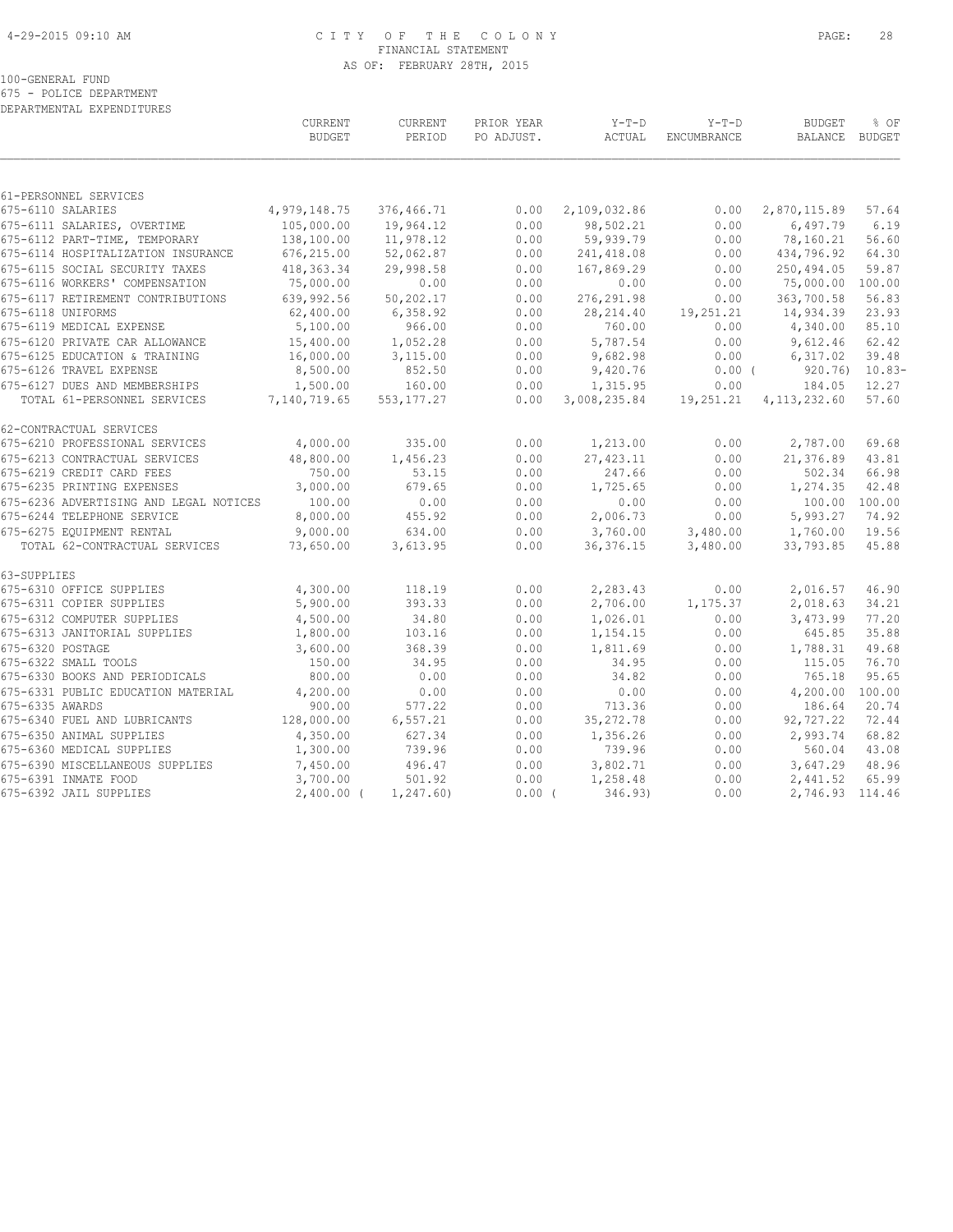#### 4-29-2015 09:10 AM C I T Y O F T H E C O L O N Y PAGE: 28 FINANCIAL STATEMENT AS OF: FEBRUARY 28TH, 2015

100-GENERAL FUND

675 - POLICE DEPARTMENT DEPARTMENTAL EXPENDITURES

|                                                       | CURRENT<br><b>BUDGET</b> | CURRENT<br>PERIOD   | PRIOR YEAR<br>PO ADJUST. | $Y-T-D$<br>ACTUAL    | $Y-T-D$<br>ENCUMBRANCE | <b>BUDGET</b><br>BALANCE BUDGET | % OF           |
|-------------------------------------------------------|--------------------------|---------------------|--------------------------|----------------------|------------------------|---------------------------------|----------------|
|                                                       |                          |                     |                          |                      |                        |                                 |                |
| 61-PERSONNEL SERVICES<br>675-6110 SALARIES            | 4,979,148.75             | 376,466.71          | 0.00                     | 2,109,032.86         | 0.00                   | 2,870,115.89                    | 57.64          |
| 675-6111 SALARIES, OVERTIME                           | 105,000.00               | 19,964.12           | 0.00                     | 98,502.21            | 0.00                   | 6,497.79                        | 6.19           |
| 675-6112 PART-TIME, TEMPORARY                         | 138,100.00               | 11,978.12           | 0.00                     | 59,939.79            | 0.00                   | 78,160.21                       | 56.60          |
| 675-6114 HOSPITALIZATION INSURANCE                    | 676,215.00               | 52,062.87           | 0.00                     | 241, 418.08          | 0.00                   | 434,796.92                      | 64.30          |
| 675-6115 SOCIAL SECURITY TAXES                        | 418, 363. 34             | 29,998.58           | 0.00                     | 167,869.29           | 0.00                   | 250,494.05                      | 59.87          |
| 675-6116 WORKERS' COMPENSATION                        | 75,000.00                | 0.00                | 0.00                     | 0.00                 | 0.00                   | 75,000.00                       | 100.00         |
| 675-6117 RETIREMENT CONTRIBUTIONS                     | 639,992.56               | 50,202.17           | 0.00                     | 276, 291.98          | 0.00                   | 363,700.58                      | 56.83          |
| 675-6118 UNIFORMS                                     | 62,400.00                | 6,358.92            | 0.00                     | 28, 214.40           | 19,251.21              | 14,934.39                       | 23.93          |
| 675-6119 MEDICAL EXPENSE                              | 5,100.00                 | 966.00              | 0.00                     | 760.00               | 0.00                   | 4,340.00                        | 85.10          |
| 675-6120 PRIVATE CAR ALLOWANCE                        | 15,400.00                | 1,052.28            | 0.00                     | 5,787.54             | 0.00                   | 9,612.46                        | 62.42          |
| 675-6125 EDUCATION & TRAINING                         | 16,000.00                | 3,115.00            | 0.00                     | 9,682.98             | 0.00                   | 6,317.02                        | 39.48          |
| 675-6126 TRAVEL EXPENSE                               | 8,500.00                 | 852.50              | 0.00                     | 9,420.76             | $0.00$ (               | 920.76)                         | $10.83-$       |
| 675-6127 DUES AND MEMBERSHIPS                         | 1,500.00                 | 160.00              | 0.00                     | 1,315.95             | 0.00                   | 184.05                          | 12.27          |
| TOTAL 61-PERSONNEL SERVICES                           | 7,140,719.65             | 553, 177.27         | 0.00                     | 3,008,235.84         | 19,251.21              | 4, 113, 232.60                  | 57.60          |
| 62-CONTRACTUAL SERVICES                               |                          |                     |                          |                      |                        |                                 |                |
| 675-6210 PROFESSIONAL SERVICES                        | 4,000.00                 | 335.00              | 0.00                     | 1,213.00             | 0.00                   | 2,787.00                        | 69.68          |
| 675-6213 CONTRACTUAL SERVICES                         | 48,800.00                | 1,456.23            | 0.00                     | 27, 423.11           | 0.00                   | 21,376.89                       | 43.81          |
| 675-6219 CREDIT CARD FEES                             | 750.00                   | 53.15               | 0.00                     | 247.66               | 0.00                   | 502.34                          | 66.98          |
| 675-6235 PRINTING EXPENSES                            | 3,000.00                 | 679.65              | 0.00                     | 1,725.65             | 0.00                   | 1,274.35                        | 42.48          |
| 675-6236 ADVERTISING AND LEGAL NOTICES                | 100.00                   | 0.00                | 0.00                     | 0.00                 | 0.00                   |                                 | 100.00 100.00  |
| 675-6244 TELEPHONE SERVICE                            | 8,000.00                 | 455.92              | 0.00                     | 2,006.73             | 0.00                   | 5,993.27                        | 74.92          |
| 675-6275 EQUIPMENT RENTAL                             | 9,000.00                 | 634.00              | 0.00                     | 3,760.00             | 3,480.00               | 1,760.00                        | 19.56          |
| TOTAL 62-CONTRACTUAL SERVICES                         | 73,650.00                | 3,613.95            | 0.00                     | 36, 376.15           | 3,480.00               | 33,793.85                       | 45.88          |
| 63-SUPPLIES                                           |                          |                     |                          |                      |                        |                                 |                |
| 675-6310 OFFICE SUPPLIES                              | 4,300.00                 | 118.19              | 0.00                     | 2,283.43             | 0.00                   | 2,016.57                        | 46.90          |
| 675-6311 COPIER SUPPLIES                              | 5,900.00                 | 393.33              | 0.00                     | 2,706.00             | 1,175.37               | 2,018.63                        | 34.21          |
| 675-6312 COMPUTER SUPPLIES                            | 4,500.00                 | 34.80               | 0.00                     | 1,026.01             | 0.00                   | 3,473.99                        | 77.20          |
| 675-6313 JANITORIAL SUPPLIES                          | 1,800.00                 | 103.16              | 0.00                     | 1,154.15             | 0.00                   | 645.85                          | 35.88          |
| 675-6320 POSTAGE                                      | 3,600.00                 | 368.39              | 0.00                     | 1,811.69             | 0.00                   | 1,788.31                        | 49.68          |
| 675-6322 SMALL TOOLS                                  | 150.00                   | 34.95               | 0.00                     | 34.95                | 0.00                   | 115.05                          | 76.70          |
| 675-6330 BOOKS AND PERIODICALS                        | 800.00                   | 0.00                | 0.00                     | 34.82                | 0.00                   | 765.18                          | 95.65          |
| 675-6331 PUBLIC EDUCATION MATERIAL                    | 4,200.00                 | 0.00                | 0.00                     | 0.00                 | 0.00                   | 4,200.00                        | 100.00         |
| 675-6335 AWARDS<br>675-6340 FUEL AND LUBRICANTS       | 900.00<br>128,000.00     | 577.22<br>6, 557.21 | 0.00<br>0.00             | 713.36<br>35, 272.78 | 0.00                   | 186.64<br>92,727.22             | 20.74<br>72.44 |
|                                                       |                          |                     |                          |                      | 0.00                   |                                 |                |
| 675-6350 ANIMAL SUPPLIES<br>675-6360 MEDICAL SUPPLIES | 4,350.00<br>1,300.00     | 627.34<br>739.96    | 0.00<br>0.00             | 1,356.26<br>739.96   | 0.00<br>0.00           | 2,993.74<br>560.04              | 68.82<br>43.08 |
| 675-6390 MISCELLANEOUS SUPPLIES                       | 7,450.00                 | 496.47              | 0.00                     | 3,802.71             | 0.00                   | 3,647.29                        | 48.96          |
| 675-6391 INMATE FOOD                                  | 3,700.00                 | 501.92              | 0.00                     | 1,258.48             | 0.00                   | 2,441.52                        | 65.99          |
| 675-6392 JAIL SUPPLIES                                | $2,400.00$ (             | 1, 247.60           | $0.00$ (                 | 346.93)              | 0.00                   | 2,746.93 114.46                 |                |
|                                                       |                          |                     |                          |                      |                        |                                 |                |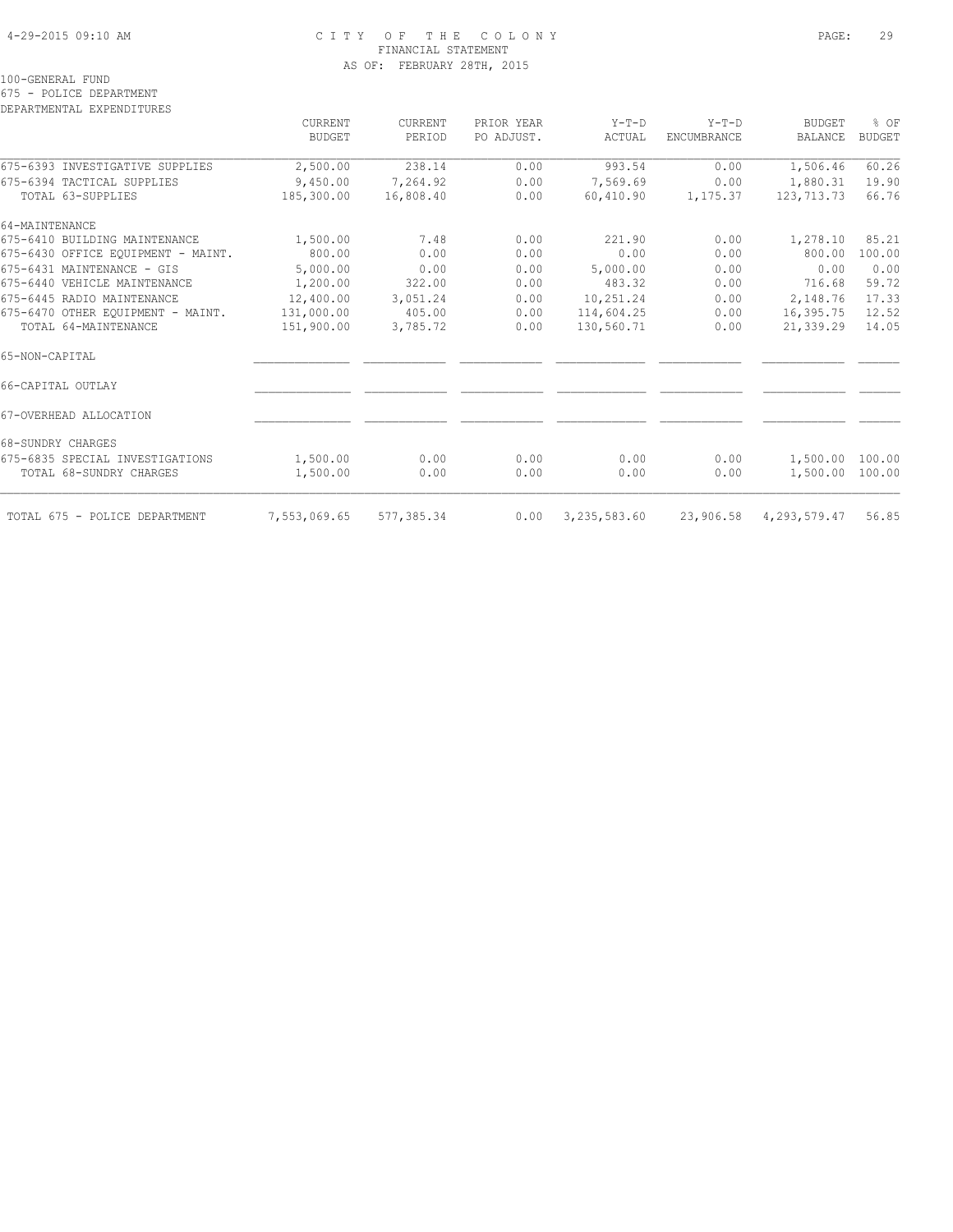#### 4-29-2015 09:10 AM C I T Y O F T H E C O L O N Y PAGE: 29 FINANCIAL STATEMENT AS OF: FEBRUARY 28TH, 2015

100-GENERAL FUND

#### 675 - POLICE DEPARTMENT

|                                    | CURRENT<br><b>BUDGET</b> | CURRENT<br>PERIOD | PRIOR YEAR<br>PO ADJUST. | $Y-T-D$<br>ACTUAL | $Y-T-D$<br>ENCUMBRANCE | <b>BUDGET</b><br>BALANCE | % OF<br><b>BUDGET</b> |
|------------------------------------|--------------------------|-------------------|--------------------------|-------------------|------------------------|--------------------------|-----------------------|
|                                    |                          |                   |                          |                   |                        |                          |                       |
| 675-6393 INVESTIGATIVE SUPPLIES    | 2,500.00                 | 238.14            | 0.00                     | 993.54            | 0.00                   | 1,506.46                 | 60.26                 |
| 675-6394 TACTICAL SUPPLIES         | 9,450.00                 | 7,264.92          | 0.00                     | 7,569.69          | 0.00                   | 1,880.31                 | 19.90                 |
| TOTAL 63-SUPPLIES                  | 185,300.00               | 16,808.40         | 0.00                     | 60,410.90         | 1,175.37               | 123,713.73               | 66.76                 |
| 64-MAINTENANCE                     |                          |                   |                          |                   |                        |                          |                       |
| 675-6410 BUILDING MAINTENANCE      | 1,500.00                 | 7.48              | 0.00                     | 221.90            | 0.00                   | 1,278.10                 | 85.21                 |
| 675-6430 OFFICE EOUIPMENT - MAINT. | 800.00                   | 0.00              | 0.00                     | 0.00              | 0.00                   | 800.00                   | 100.00                |
| 675-6431 MAINTENANCE - GIS         | 5,000.00                 | 0.00              | 0.00                     | 5,000.00          | 0.00                   | 0.00                     | 0.00                  |
| 675-6440 VEHICLE MAINTENANCE       | 1,200.00                 | 322.00            | 0.00                     | 483.32            | 0.00                   | 716.68                   | 59.72                 |
| 675-6445 RADIO MAINTENANCE         | 12,400.00                | 3,051.24          | 0.00                     | 10,251.24         | 0.00                   | 2,148.76                 | 17.33                 |
| 675-6470 OTHER EOUIPMENT - MAINT.  | 131,000.00               | 405.00            | 0.00                     | 114,604.25        | 0.00                   | 16,395.75                | 12.52                 |
| TOTAL 64-MAINTENANCE               | 151,900.00               | 3,785.72          | 0.00                     | 130,560.71        | 0.00                   | 21,339.29                | 14.05                 |
| 65-NON-CAPITAL                     |                          |                   |                          |                   |                        |                          |                       |
| 66-CAPITAL OUTLAY                  |                          |                   |                          |                   |                        |                          |                       |
| 67-OVERHEAD ALLOCATION             |                          |                   |                          |                   |                        |                          |                       |
| 68-SUNDRY CHARGES                  |                          |                   |                          |                   |                        |                          |                       |
| 675-6835 SPECIAL INVESTIGATIONS    | 1,500.00                 | 0.00              | 0.00                     | 0.00              | 0.00                   | 1,500.00                 | 100.00                |
| TOTAL 68-SUNDRY CHARGES            | 1,500.00                 | 0.00              | 0.00                     | 0.00              | 0.00                   | 1,500.00                 | 100.00                |
| TOTAL 675 - POLICE DEPARTMENT      | 7,553,069.65             | 577,385.34        | 0.00                     | 3, 235, 583.60    | 23,906.58              | 4, 293, 579.47           | 56.85                 |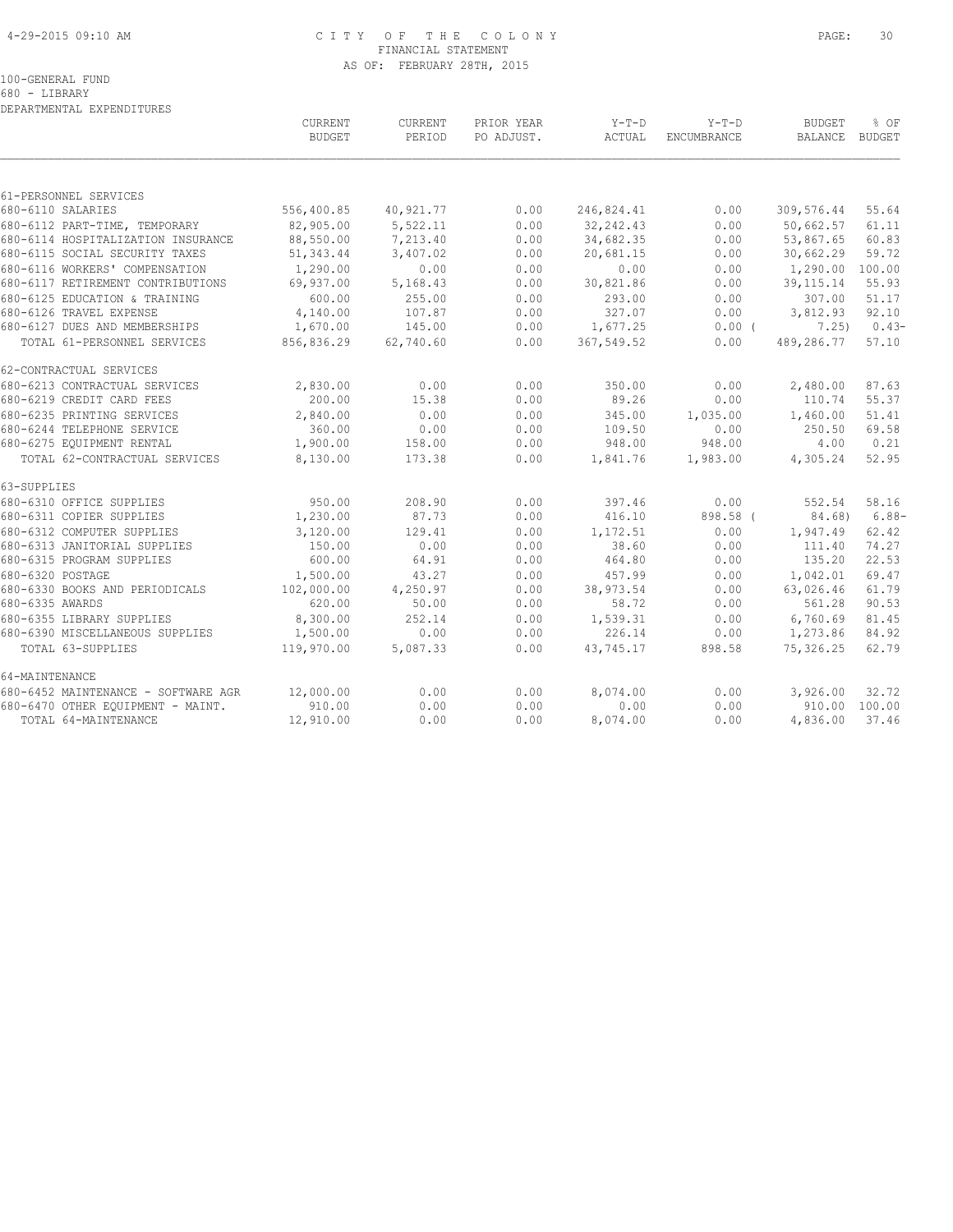#### 4-29-2015 09:10 AM C I T Y O F T H E C O L O N Y PAGE: 30 FINANCIAL STATEMENT AS OF: FEBRUARY 28TH, 2015

100-GENERAL FUND

680 - LIBRARY DEPARTMENTAL EXPENDITURES

|                                     | CURRENT<br><b>BUDGET</b> | CURRENT<br>PERIOD | PRIOR YEAR<br>PO ADJUST. | $Y-T-D$<br>ACTUAL | $Y-T-D$<br><b>ENCUMBRANCE</b> | <b>BUDGET</b><br>BALANCE BUDGET | % OF          |
|-------------------------------------|--------------------------|-------------------|--------------------------|-------------------|-------------------------------|---------------------------------|---------------|
|                                     |                          |                   |                          |                   |                               |                                 |               |
| 61-PERSONNEL SERVICES               |                          |                   |                          |                   |                               |                                 |               |
| 680-6110 SALARIES                   | 556,400.85               | 40,921.77         | 0.00                     | 246,824.41        | 0.00                          | 309,576.44                      | 55.64         |
| 680-6112 PART-TIME, TEMPORARY       | 82,905.00                | 5,522.11          | 0.00                     | 32, 242.43        | 0.00                          | 50,662.57                       | 61.11         |
| 680-6114 HOSPITALIZATION INSURANCE  | 88,550.00                | 7,213.40          | 0.00                     | 34,682.35         | 0.00                          | 53,867.65                       | 60.83         |
| 680-6115 SOCIAL SECURITY TAXES      | 51, 343.44               | 3,407.02          | 0.00                     | 20,681.15         | 0.00                          | 30,662.29                       | 59.72         |
| 680-6116 WORKERS' COMPENSATION      | 1,290.00                 | 0.00              | 0.00                     | 0.00              | 0.00                          | 1,290.00                        | 100.00        |
| 680-6117 RETIREMENT CONTRIBUTIONS   | 69,937.00                | 5,168.43          | 0.00                     | 30,821.86         | 0.00                          | 39, 115. 14                     | 55.93         |
| 680-6125 EDUCATION & TRAINING       | 600.00                   | 255.00            | 0.00                     | 293.00            | 0.00                          | 307.00                          | 51.17         |
| 680-6126 TRAVEL EXPENSE             | 4,140.00                 | 107.87            | 0.00                     | 327.07            | 0.00                          | 3,812.93                        | 92.10         |
| 680-6127 DUES AND MEMBERSHIPS       | 1,670.00                 | 145.00            | 0.00                     | 1,677.25          | $0.00$ (                      | 7.25)                           | $0.43-$       |
| TOTAL 61-PERSONNEL SERVICES         | 856,836.29               | 62,740.60         | 0.00                     | 367,549.52        | 0.00                          | 489,286.77                      | 57.10         |
| 62-CONTRACTUAL SERVICES             |                          |                   |                          |                   |                               |                                 |               |
| 680-6213 CONTRACTUAL SERVICES       | 2,830.00                 | 0.00              | 0.00                     | 350.00            | 0.00                          | 2,480.00                        | 87.63         |
| 680-6219 CREDIT CARD FEES           | 200.00                   | 15.38             | 0.00                     | 89.26             | 0.00                          | 110.74                          | 55.37         |
| 680-6235 PRINTING SERVICES          | 2,840.00                 | 0.00              | 0.00                     | 345.00            | 1,035.00                      | 1,460.00                        | 51.41         |
| 680-6244 TELEPHONE SERVICE          | 360.00                   | 0.00              | 0.00                     | 109.50            | 0.00                          | 250.50                          | 69.58         |
| 680-6275 EQUIPMENT RENTAL           | 1,900.00                 | 158.00            | 0.00                     | 948.00            | 948.00                        | 4.00                            | 0.21          |
| TOTAL 62-CONTRACTUAL SERVICES       | 8,130.00                 | 173.38            | 0.00                     | 1,841.76          | 1,983.00                      | 4,305.24                        | 52.95         |
| 63-SUPPLIES                         |                          |                   |                          |                   |                               |                                 |               |
| 680-6310 OFFICE SUPPLIES            | 950.00                   | 208.90            | 0.00                     | 397.46            | 0.00                          | 552.54                          | 58.16         |
| 680-6311 COPIER SUPPLIES            | 1,230.00                 | 87.73             | 0.00                     | 416.10            | 898.58 (                      | 84.68)                          | $6.88-$       |
| 680-6312 COMPUTER SUPPLIES          | 3,120.00                 | 129.41            | 0.00                     | 1,172.51          | 0.00                          | 1,947.49                        | 62.42         |
| 680-6313 JANITORIAL SUPPLIES        | 150.00                   | 0.00              | 0.00                     | 38.60             | 0.00                          | 111.40                          | 74.27         |
| 680-6315 PROGRAM SUPPLIES           | 600.00                   | 64.91             | 0.00                     | 464.80            | 0.00                          | 135.20                          | 22.53         |
| 680-6320 POSTAGE                    | 1,500.00                 | 43.27             | 0.00                     | 457.99            | 0.00                          | 1,042.01                        | 69.47         |
| 680-6330 BOOKS AND PERIODICALS      | 102,000.00               | 4,250.97          | 0.00                     | 38,973.54         | 0.00                          | 63,026.46                       | 61.79         |
| 680-6335 AWARDS                     | 620.00                   | 50.00             | 0.00                     | 58.72             | 0.00                          | 561.28                          | 90.53         |
| 680-6355 LIBRARY SUPPLIES           | 8,300.00                 | 252.14            | 0.00                     | 1,539.31          | 0.00                          | 6,760.69                        | 81.45         |
| 680-6390 MISCELLANEOUS SUPPLIES     | 1,500.00                 | 0.00              | 0.00                     | 226.14            | 0.00                          | 1,273.86                        | 84.92         |
| TOTAL 63-SUPPLIES                   | 119,970.00               | 5,087.33          | 0.00                     | 43,745.17         | 898.58                        | 75,326.25                       | 62.79         |
| 64-MAINTENANCE                      |                          |                   |                          |                   |                               |                                 |               |
| 680-6452 MAINTENANCE - SOFTWARE AGR | 12,000.00                | 0.00              | 0.00                     | 8,074.00          | 0.00                          | 3,926.00                        | 32.72         |
| 680-6470 OTHER EQUIPMENT - MAINT.   | 910.00                   | 0.00              | 0.00                     | 0.00              | 0.00                          |                                 | 910.00 100.00 |
| TOTAL 64-MAINTENANCE                | 12,910.00                | 0.00              | 0.00                     | 8,074.00          | 0.00                          | 4,836.00                        | 37.46         |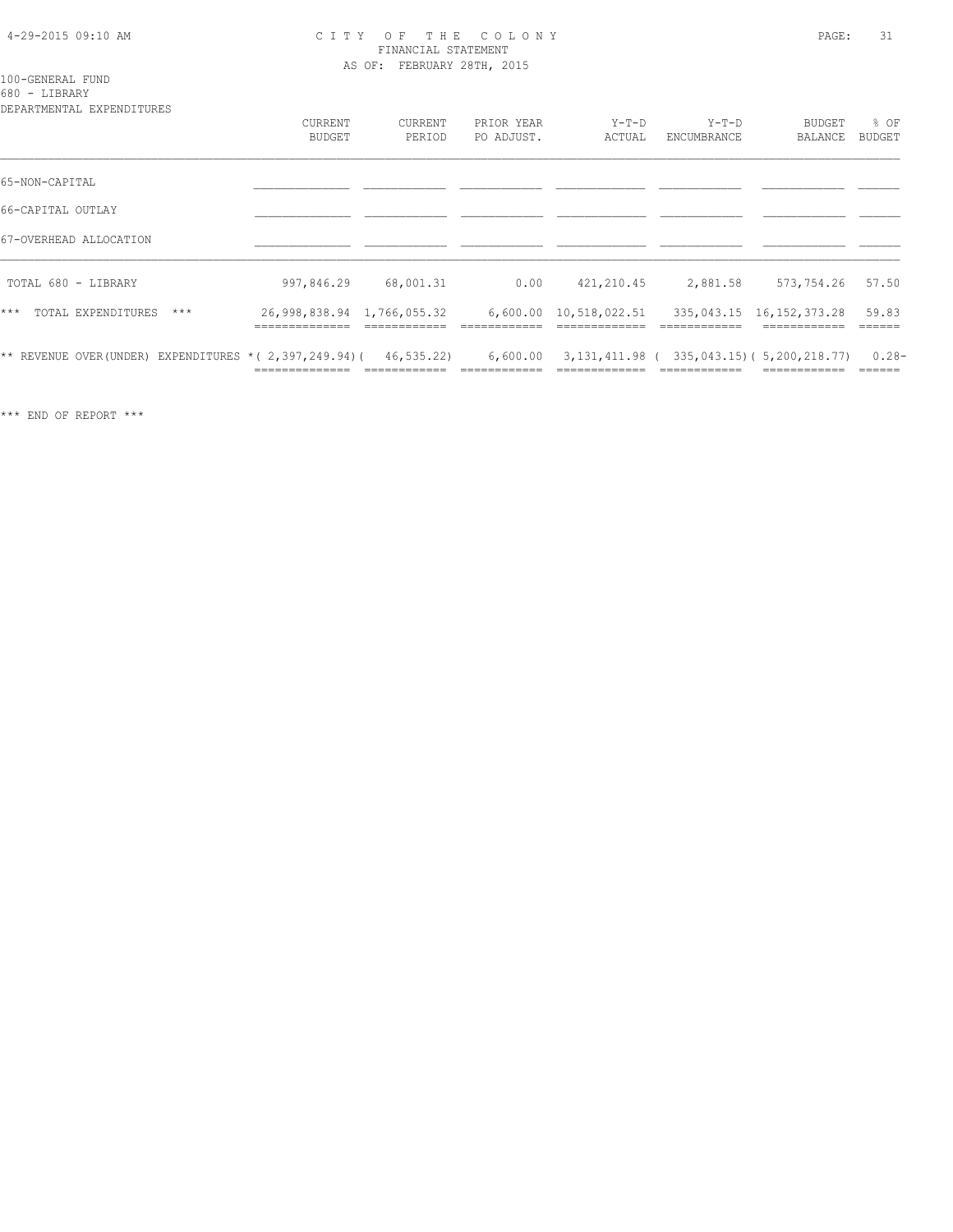#### 4-29-2015 09:10 AM C I T Y O F T H E C O L O N Y PAGE: 31 FINANCIAL STATEMENT AS OF: FEBRUARY 28TH, 2015

#### 100-GENERAL FUND 680 - LIBRARY

| DEPARTMENTAL EXPENDITURES                                              |                                           |                   |                          |                                               |                        |                          |                 |
|------------------------------------------------------------------------|-------------------------------------------|-------------------|--------------------------|-----------------------------------------------|------------------------|--------------------------|-----------------|
|                                                                        | <b>CURRENT</b><br>BUDGET                  | CURRENT<br>PERIOD | PRIOR YEAR<br>PO ADJUST. | $Y-T-D$<br>ACTUAL                             | $Y-T-D$<br>ENCUMBRANCE | <b>BUDGET</b><br>BALANCE | % OF<br>BUDGET  |
| 65-NON-CAPITAL                                                         |                                           |                   |                          |                                               |                        |                          |                 |
| 66-CAPITAL OUTLAY                                                      |                                           |                   |                          |                                               |                        |                          |                 |
| 67-OVERHEAD ALLOCATION                                                 |                                           |                   |                          |                                               |                        |                          |                 |
| TOTAL 680 - LIBRARY                                                    | 997,846.29                                | 68,001.31         | 0.00                     | 421,210.45                                    | 2,881.58               | 573,754.26               | 57.50           |
| $***$<br>TOTAL EXPENDITURES<br>$***$                                   | 26,998,838.94 1,766,055.32<br>----------- |                   |                          | 6,600.00 10,518,022.51                        | ------------           | 335,043.15 16,152,373.28 | 59.83<br>====== |
| ** REVENUE OVER (UNDER) EXPENDITURES * ( 2, 397, 249.94) ( 46, 535.22) |                                           |                   | 6,600.00                 | 3, 131, 411.98 (335, 043.15) (5, 200, 218.77) |                        |                          | $0.28 -$        |

\*\*\* END OF REPORT \*\*\*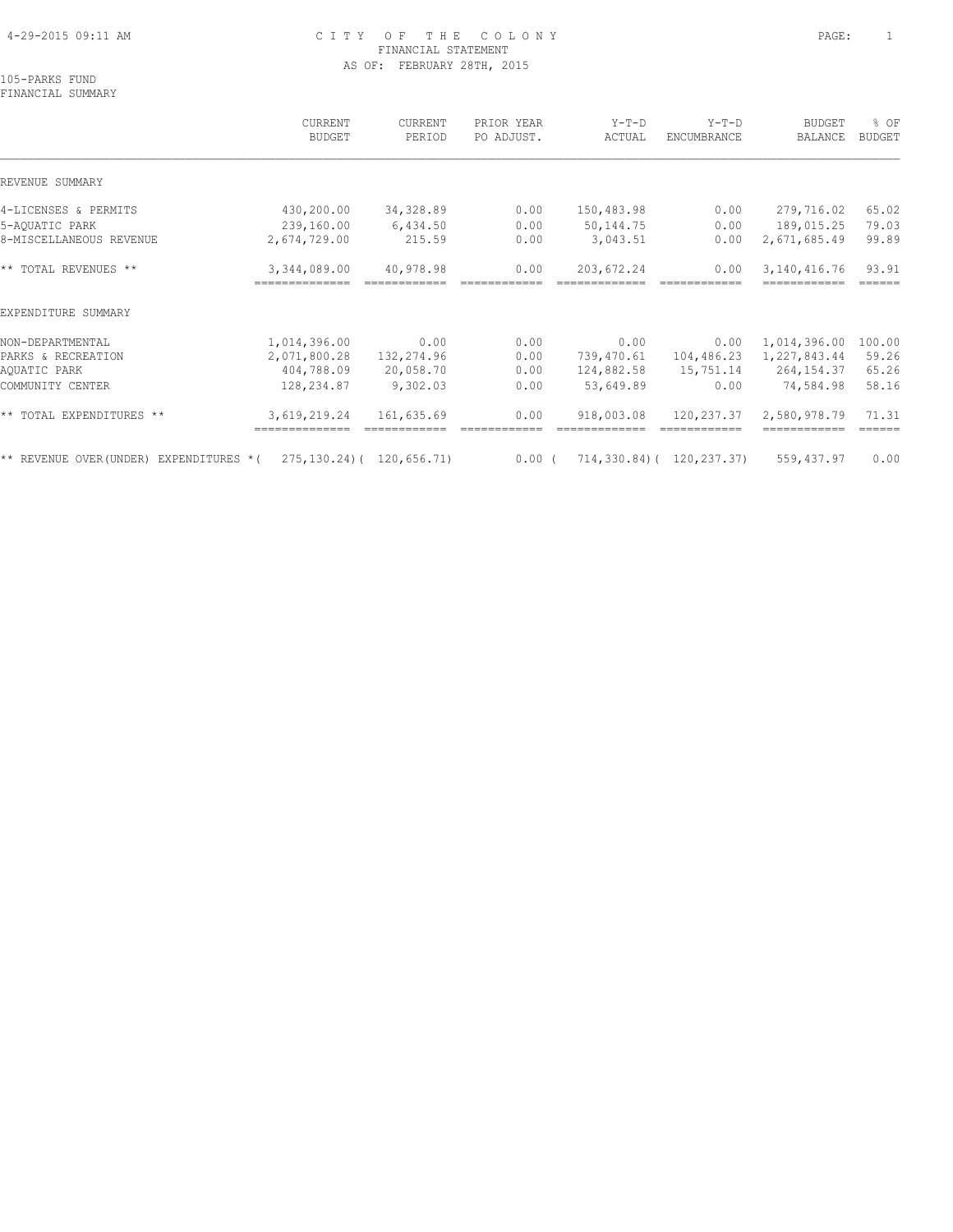#### 4-29-2015 09:11 AM C I T Y O F T H E C O L O N Y PAGE: 1 FINANCIAL STATEMENT AS OF: FEBRUARY 28TH, 2015

105-PARKS FUND FINANCIAL SUMMARY

## CURRENT CURRENT PRIOR YEAR Y-T-D Y-T-D BUDGET % OF BUDGET PERIOD PO ADJUST. ACTUAL ENCUMBRANCE BALANCE BUDGET  $\mathcal{L} = \{ \mathcal{L} = \{ \mathcal{L} = \{ \mathcal{L} = \{ \mathcal{L} = \{ \mathcal{L} = \{ \mathcal{L} = \{ \mathcal{L} = \{ \mathcal{L} = \{ \mathcal{L} = \{ \mathcal{L} = \{ \mathcal{L} = \{ \mathcal{L} = \{ \mathcal{L} = \{ \mathcal{L} = \{ \mathcal{L} = \{ \mathcal{L} = \{ \mathcal{L} = \{ \mathcal{L} = \{ \mathcal{L} = \{ \mathcal{L} = \{ \mathcal{L} = \{ \mathcal{L} = \{ \mathcal{L} = \{ \mathcal{$ REVENUE SUMMARY 4-LICENSES & PERMITS 430,200.00 34,328.89 0.00 150,483.98 0.00 279,716.02 65.02 5-AQUATIC PARK 239,160.00 6,434.50 0.00 50,144.75 0.00 189,015.25 79.03 8-MISCELLANEOUS REVENUE 2,674,729.00 215.59 0.00 3,043.51 0.00 2,671,685.49 99.89 \*\* TOTAL REVENUES \*\* 3,344,089.00 40,978.98 0.00 203,672.24 0.00 3,140,416.76 93.91 ============== ============ ============ ============= ============ ============ ====== EXPENDITURE SUMMARY NON-DEPARTMENTAL 1,014,396.00 0.00 0.00 0.00 0.00 1,014,396.00 100.00 PARKS & RECREATION 2,071,800.28 132,274.96 0.00 739,470.61 104,486.23 1,227,843.44 59.26 AQUATIC PARK 404,788.09 20,058.70 0.00 124,882.58 15,751.14 264,154.37 65.26 COMMUNITY CENTER 128,234.87 9,302.03 0.00 53,649.89 0.00 74,584.98 58.16 \*\* TOTAL EXPENDITURES \*\* 3,619,219.24 161,635.69 0.00 918,003.08 120,237.37 2,580,978.79 71.31 ============== ============ ============ ============= ============ ============ ====== \*\* REVENUE OVER(UNDER) EXPENDITURES \*( 275,130.24)( 120,656.71) 0.00 ( 714,330.84)( 120,237.37) 559,437.97 0.00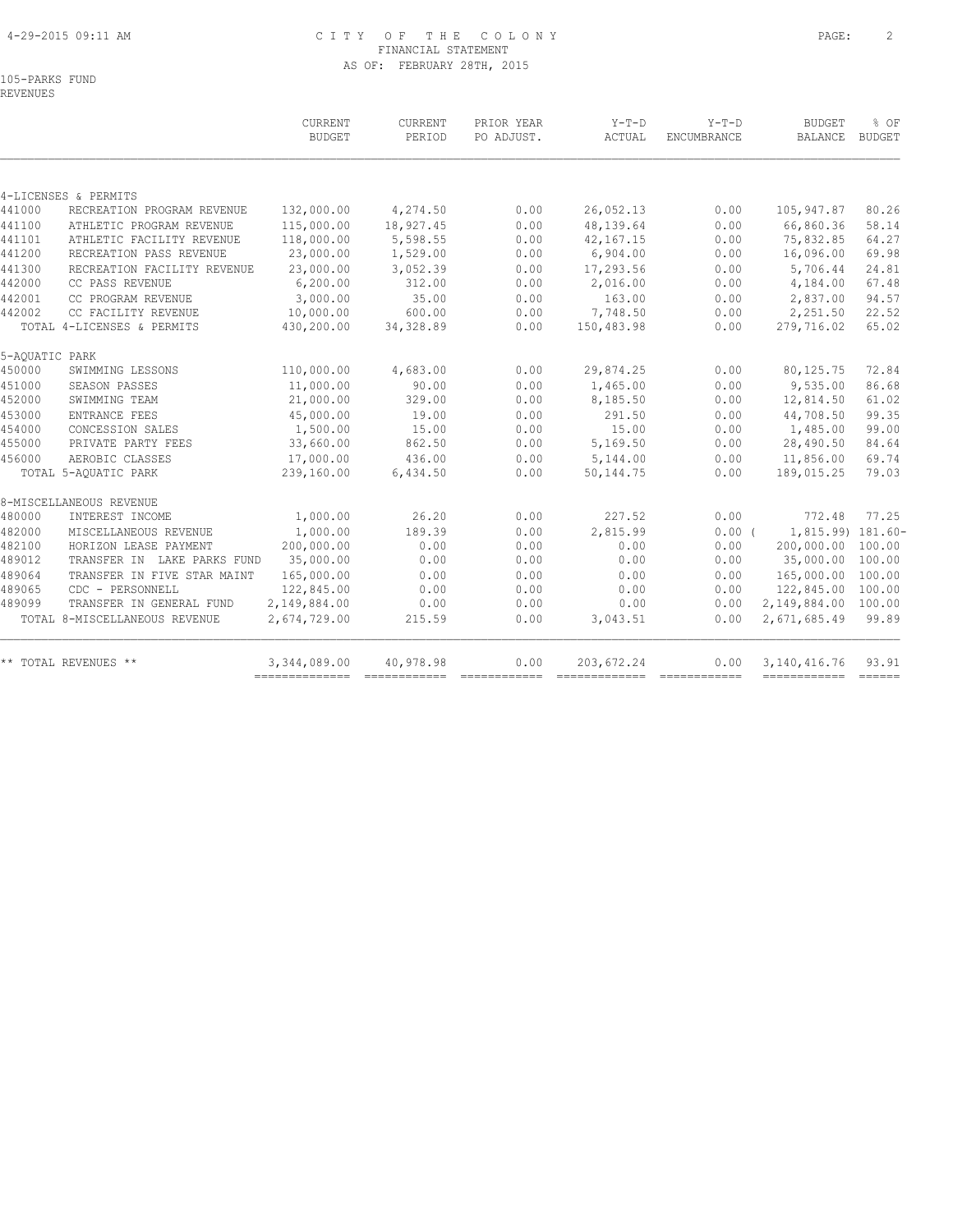#### 4-29-2015 09:11 AM C I T Y O F T H E C O L O N Y PAGE: 2 FINANCIAL STATEMENT AS OF: FEBRUARY 28TH, 2015

|                |                               | <b>CURRENT</b><br><b>BUDGET</b> | CURRENT<br>PERIOD | PRIOR YEAR<br>PO ADJUST. | $Y-T-D$<br>ACTUAL | $Y-T-D$<br>ENCUMBRANCE | <b>BUDGET</b><br><b>BALANCE</b> | % OF<br><b>BUDGET</b> |
|----------------|-------------------------------|---------------------------------|-------------------|--------------------------|-------------------|------------------------|---------------------------------|-----------------------|
|                |                               |                                 |                   |                          |                   |                        |                                 |                       |
|                | 4-LICENSES & PERMITS          |                                 |                   |                          |                   |                        |                                 |                       |
| 441000         | RECREATION PROGRAM REVENUE    | 132,000.00                      | 4,274.50          | 0.00                     | 26,052.13         | 0.00                   | 105,947.87                      | 80.26                 |
| 441100         | ATHLETIC PROGRAM REVENUE      | 115,000.00                      | 18,927.45         | 0.00                     | 48,139.64         | 0.00                   | 66,860.36                       | 58.14                 |
| 441101         | ATHLETIC FACILITY REVENUE     | 118,000.00                      | 5,598.55          | 0.00                     | 42,167.15         | 0.00                   | 75,832.85                       | 64.27                 |
| 441200         | RECREATION PASS REVENUE       | 23,000.00                       | 1,529.00          | 0.00                     | 6,904.00          | 0.00                   | 16,096.00                       | 69.98                 |
| 441300         | RECREATION FACILITY REVENUE   | 23,000.00                       | 3,052.39          | 0.00                     | 17,293.56         | 0.00                   | 5,706.44                        | 24.81                 |
| 442000         | CC PASS REVENUE               | 6, 200.00                       | 312.00            | 0.00                     | 2,016.00          | 0.00                   | 4,184.00                        | 67.48                 |
| 442001         | CC PROGRAM REVENUE            | 3,000.00                        | 35.00             | 0.00                     | 163.00            | 0.00                   | 2,837.00                        | 94.57                 |
| 442002         | CC FACILITY REVENUE           | 10,000.00                       | 600.00            | 0.00                     | 7,748.50          | 0.00                   | 2,251.50                        | 22.52                 |
|                | TOTAL 4-LICENSES & PERMITS    | 430,200.00                      | 34, 328.89        | 0.00                     | 150,483.98        | 0.00                   | 279,716.02                      | 65.02                 |
| 5-AQUATIC PARK |                               |                                 |                   |                          |                   |                        |                                 |                       |
| 450000         | SWIMMING LESSONS              | 110,000.00                      | 4,683.00          | 0.00                     | 29,874.25         | 0.00                   | 80, 125.75                      | 72.84                 |
| 451000         | SEASON PASSES                 | 11,000.00                       | 90.00             | 0.00                     | 1,465.00          | 0.00                   | 9,535.00                        | 86.68                 |
| 452000         | SWIMMING TEAM                 | 21,000.00                       | 329.00            | 0.00                     | 8,185.50          | 0.00                   | 12,814.50                       | 61.02                 |
| 453000         | ENTRANCE FEES                 | 45,000.00                       | 19.00             | 0.00                     | 291.50            | 0.00                   | 44,708.50                       | 99.35                 |
| 454000         | CONCESSION SALES              | 1,500.00                        | 15.00             | 0.00                     | 15.00             | 0.00                   | 1,485.00                        | 99.00                 |
| 455000         | PRIVATE PARTY FEES            | 33,660.00                       | 862.50            | 0.00                     | 5,169.50          | 0.00                   | 28,490.50                       | 84.64                 |
| 456000         | AEROBIC CLASSES               | 17,000.00                       | 436.00            | 0.00                     | 5,144.00          | 0.00                   | 11,856.00                       | 69.74                 |
|                | TOTAL 5-AQUATIC PARK          | 239,160.00                      | 6,434.50          | 0.00                     | 50,144.75         | 0.00                   | 189,015.25                      | 79.03                 |
|                | 8-MISCELLANEOUS REVENUE       |                                 |                   |                          |                   |                        |                                 |                       |
| 480000         | INTEREST INCOME               | 1,000.00                        | 26.20             | 0.00                     | 227.52            | 0.00                   | 772.48                          | 77.25                 |
| 482000         | MISCELLANEOUS REVENUE         | 1,000.00                        | 189.39            | 0.00                     | 2,815.99          | 0.00(                  | 1,815.99) 181.60-               |                       |
| 482100         | HORIZON LEASE PAYMENT         | 200,000.00                      | 0.00              | 0.00                     | 0.00              | 0.00                   | 200,000.00                      | 100.00                |
| 489012         | TRANSFER IN LAKE PARKS FUND   | 35,000.00                       | 0.00              | 0.00                     | 0.00              | 0.00                   | 35,000.00                       | 100.00                |
| 489064         | TRANSFER IN FIVE STAR MAINT   | 165,000.00                      | 0.00              | 0.00                     | 0.00              | 0.00                   | 165,000.00                      | 100.00                |
| 489065         | CDC - PERSONNELL              | 122,845.00                      | 0.00              | 0.00                     | 0.00              | 0.00                   | 122,845.00                      | 100.00                |
| 489099         | TRANSFER IN GENERAL FUND      | 2,149,884.00                    | 0.00              | 0.00                     | 0.00              | 0.00                   | 2,149,884.00                    | 100.00                |
|                | TOTAL 8-MISCELLANEOUS REVENUE | 2,674,729.00                    | 215.59            | 0.00                     | 3,043.51          | 0.00                   | 2,671,685.49                    | 99.89                 |
|                |                               |                                 |                   |                          |                   |                        |                                 |                       |
|                | ** TOTAL REVENUES **          | 3,344,089.00                    | 40,978.98         | 0.00                     | 203,672.24        | 0.00                   | 3, 140, 416.76                  | 93.91                 |

============== ============ ============ ============= ============ ============ ======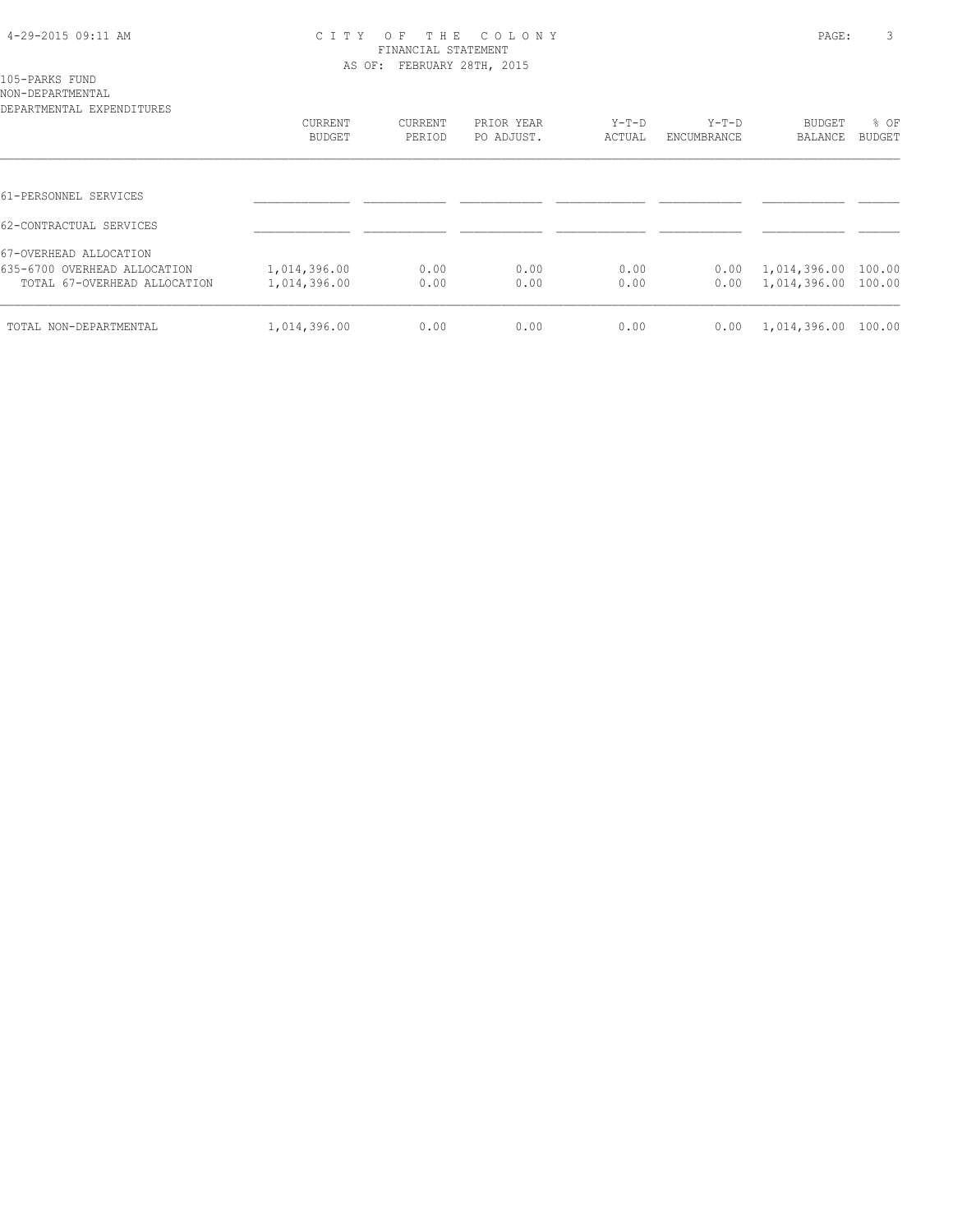#### 4-29-2015 09:11 AM C I T Y O F T H E C O L O N Y PAGE: 3 FINANCIAL STATEMENT AS OF: FEBRUARY 28TH, 2015

105-PARKS FUND

| NON-DEPARTMENTAL<br>DEPARTMENTAL EXPENDITURES |               |         |            |         |             |                |        |
|-----------------------------------------------|---------------|---------|------------|---------|-------------|----------------|--------|
|                                               | CURRENT       | CURRENT | PRIOR YEAR | $Y-T-D$ | $Y-T-D$     | <b>BUDGET</b>  | % OF   |
|                                               | <b>BUDGET</b> | PERIOD  | PO ADJUST. | ACTUAL  | ENCUMBRANCE | <b>BALANCE</b> | BUDGET |
|                                               |               |         |            |         |             |                |        |
| 61-PERSONNEL SERVICES                         |               |         |            |         |             |                |        |
| 62-CONTRACTUAL SERVICES                       |               |         |            |         |             |                |        |
| 67-OVERHEAD ALLOCATION                        |               |         |            |         |             |                |        |
| 635-6700 OVERHEAD ALLOCATION                  | 1,014,396.00  | 0.00    | 0.00       | 0.00    | 0.00        | 1,014,396.00   | 100.00 |
| TOTAL 67-OVERHEAD ALLOCATION                  | 1,014,396.00  | 0.00    | 0.00       | 0.00    | 0.00        | 1,014,396.00   | 100.00 |
| TOTAL NON-DEPARTMENTAL                        | 1,014,396.00  | 0.00    | 0.00       | 0.00    | 0.00        | 1,014,396.00   | 100.00 |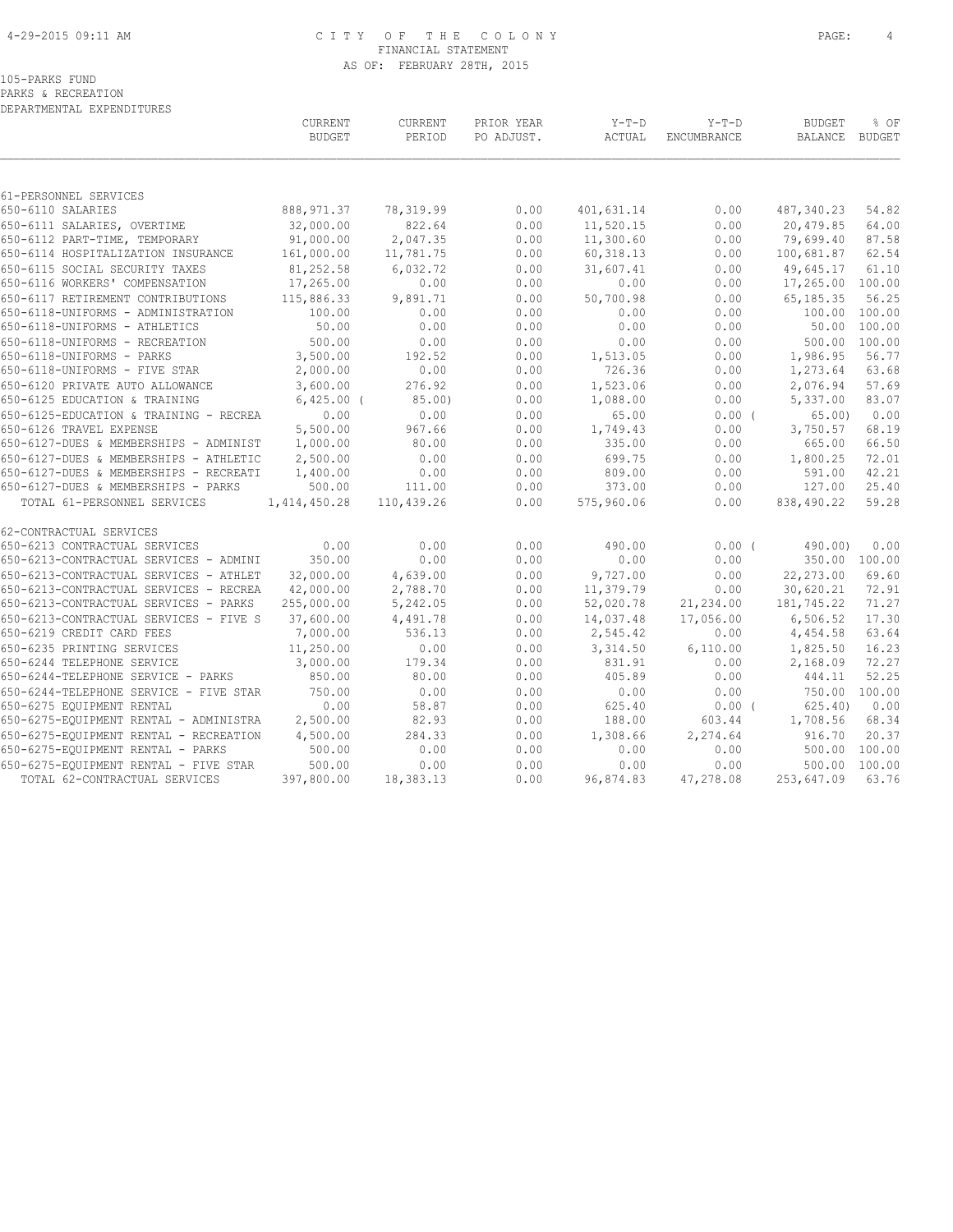#### 4-29-2015 09:11 AM C I T Y O F T H E C O L O N Y PAGE: 4 FINANCIAL STATEMENT AS OF: FEBRUARY 28TH, 2015

PARKS & RECREATION DEPARTMENTAL EXPENDITURES

|                                                                     | CURRENT<br><b>BUDGET</b> | CURRENT<br>PERIOD     | PRIOR YEAR<br>PO ADJUST. | $Y-T-D$<br>ACTUAL | $Y-T-D$<br><b>ENCUMBRANCE</b> | <b>BUDGET</b><br>BALANCE     | % OF<br>BUDGET |
|---------------------------------------------------------------------|--------------------------|-----------------------|--------------------------|-------------------|-------------------------------|------------------------------|----------------|
|                                                                     |                          |                       |                          |                   |                               |                              |                |
| 61-PERSONNEL SERVICES                                               |                          |                       |                          |                   |                               |                              |                |
| 650-6110 SALARIES                                                   | 888, 971.37              | 78, 319.99            | 0.00                     | 401,631.14        | 0.00                          | 487,340.23                   | 54.82          |
| 650-6111 SALARIES, OVERTIME                                         | 32,000.00                | 822.64                | 0.00                     | 11,520.15         | 0.00                          | 20,479.85                    | 64.00          |
| 650-6112 PART-TIME, TEMPORARY                                       | 91,000.00                | 2,047.35              | 0.00                     | 11,300.60         | 0.00                          | 79,699.40                    | 87.58          |
| 650-6114 HOSPITALIZATION INSURANCE                                  | 161,000.00               | 11,781.75<br>6,032.72 | 0.00                     | 60, 318.13        | 0.00                          | 100,681.87                   | 62.54<br>61.10 |
| 650-6115 SOCIAL SECURITY TAXES<br>650-6116 WORKERS' COMPENSATION    | 81,252.58<br>17,265.00   | 0.00                  | 0.00<br>0.00             | 31,607.41<br>0.00 | 0.00                          | 49,645.17<br>17,265.00       | 100.00         |
|                                                                     |                          |                       |                          |                   | 0.00                          |                              |                |
| 650-6117 RETIREMENT CONTRIBUTIONS                                   | 115,886.33               | 9,891.71<br>0.00      | 0.00<br>0.00             | 50,700.98         | 0.00<br>0.00                  | 65, 185. 35<br>100.00 100.00 | 56.25          |
| 650-6118-UNIFORMS - ADMINISTRATION<br>650-6118-UNIFORMS - ATHLETICS | 100.00<br>50.00          | 0.00                  | 0.00                     | 0.00<br>0.00      | 0.00                          | 50.00                        | 100.00         |
|                                                                     | 500.00                   |                       |                          |                   |                               | 500.00                       | 100.00         |
| 650-6118-UNIFORMS - RECREATION<br>650-6118-UNIFORMS - PARKS         | 3,500.00                 | 0.00<br>192.52        | 0.00<br>0.00             | 0.00<br>1,513.05  | 0.00<br>0.00                  | 1,986.95                     | 56.77          |
| 650-6118-UNIFORMS - FIVE STAR                                       | 2,000.00                 | 0.00                  | 0.00                     | 726.36            | 0.00                          | 1,273.64                     | 63.68          |
| 650-6120 PRIVATE AUTO ALLOWANCE                                     | 3,600.00                 | 276.92                | 0.00                     | 1,523.06          | 0.00                          | 2,076.94                     | 57.69          |
| 650-6125 EDUCATION & TRAINING                                       | $6,425.00$ (             | $85.00$ )             | 0.00                     | 1,088.00          | 0.00                          | 5,337.00                     | 83.07          |
| 650-6125-EDUCATION & TRAINING - RECREA                              | 0.00                     | 0.00                  | 0.00                     | 65.00             | 0.00(                         | 65.00                        | 0.00           |
| 650-6126 TRAVEL EXPENSE                                             | 5,500.00                 | 967.66                | 0.00                     | 1,749.43          | 0.00                          | 3,750.57                     | 68.19          |
| 650-6127-DUES & MEMBERSHIPS - ADMINIST                              | 1,000.00                 | 80.00                 | 0.00                     | 335.00            | 0.00                          | 665.00                       | 66.50          |
| 650-6127-DUES & MEMBERSHIPS - ATHLETIC                              | 2,500.00                 | 0.00                  | 0.00                     | 699.75            | 0.00                          | 1,800.25                     | 72.01          |
| 650-6127-DUES & MEMBERSHIPS - RECREATI                              | 1,400.00                 | 0.00                  | 0.00                     | 809.00            | 0.00                          | 591.00                       | 42.21          |
| 650-6127-DUES & MEMBERSHIPS - PARKS                                 | 500.00                   | 111.00                | 0.00                     | 373.00            | 0.00                          | 127.00                       | 25.40          |
| TOTAL 61-PERSONNEL SERVICES                                         | 1,414,450.28             | 110,439.26            | 0.00                     | 575,960.06        | 0.00                          | 838,490.22                   | 59.28          |
| 62-CONTRACTUAL SERVICES                                             |                          |                       |                          |                   |                               |                              |                |
| 650-6213 CONTRACTUAL SERVICES                                       | 0.00                     | 0.00                  | 0.00                     | 490.00            | 0.00(                         | 490.00)                      | 0.00           |
| 650-6213-CONTRACTUAL SERVICES - ADMINI                              | 350.00                   | 0.00                  | 0.00                     | 0.00              | 0.00                          |                              | 350.00 100.00  |
| 650-6213-CONTRACTUAL SERVICES - ATHLET                              | 32,000.00                | 4,639.00              | 0.00                     | 9,727.00          | 0.00                          | 22,273.00                    | 69.60          |
| 650-6213-CONTRACTUAL SERVICES - RECREA                              | 42,000.00                | 2,788.70              | 0.00                     | 11,379.79         | 0.00                          | 30,620.21                    | 72.91          |
| 650-6213-CONTRACTUAL SERVICES - PARKS                               | 255,000.00               | 5,242.05              | 0.00                     | 52,020.78         | 21,234.00                     | 181,745.22                   | 71.27          |
| 650-6213-CONTRACTUAL SERVICES - FIVE S                              | 37,600.00                | 4,491.78              | 0.00                     | 14,037.48         | 17,056.00                     | 6,506.52                     | 17.30          |
| 650-6219 CREDIT CARD FEES                                           | 7,000.00                 | 536.13                | 0.00                     | 2,545.42          | 0.00                          | 4,454.58                     | 63.64          |
| 650-6235 PRINTING SERVICES                                          | 11,250.00                | 0.00                  | 0.00                     | 3,314.50          | 6,110.00                      | 1,825.50                     | 16.23          |
| 650-6244 TELEPHONE SERVICE                                          | 3,000.00                 | 179.34                | 0.00                     | 831.91            | 0.00                          | 2,168.09                     | 72.27          |
| 650-6244-TELEPHONE SERVICE - PARKS                                  | 850.00                   | 80.00                 | 0.00                     | 405.89            | 0.00                          | 444.11                       | 52.25          |
| 650-6244-TELEPHONE SERVICE - FIVE STAR                              | 750.00                   | 0.00                  | 0.00                     | 0.00              | 0.00                          | 750.00 100.00                |                |
| 650-6275 EQUIPMENT RENTAL                                           | 0.00                     | 58.87                 | 0.00                     | 625.40            | $0.00$ (                      | 625.40                       | 0.00           |
| 650-6275-EQUIPMENT RENTAL - ADMINISTRA                              | 2,500.00                 | 82.93                 | 0.00                     | 188.00            | 603.44                        | 1,708.56                     | 68.34          |
| 650-6275-EQUIPMENT RENTAL - RECREATION                              | 4,500.00                 | 284.33                | 0.00                     | 1,308.66          | 2,274.64                      | 916.70                       | 20.37          |
| 650-6275-EQUIPMENT RENTAL - PARKS                                   | 500.00                   | 0.00                  | 0.00                     | 0.00              | 0.00                          | 500.00                       | 100.00         |
| 650-6275-EQUIPMENT RENTAL - FIVE STAR                               | 500.00                   | 0.00                  | 0.00                     | 0.00              | 0.00                          | 500.00                       | 100.00         |
| TOTAL 62-CONTRACTUAL SERVICES                                       | 397,800.00               | 18,383.13             | 0.00                     | 96,874.83         | 47,278.08                     | 253,647.09                   | 63.76          |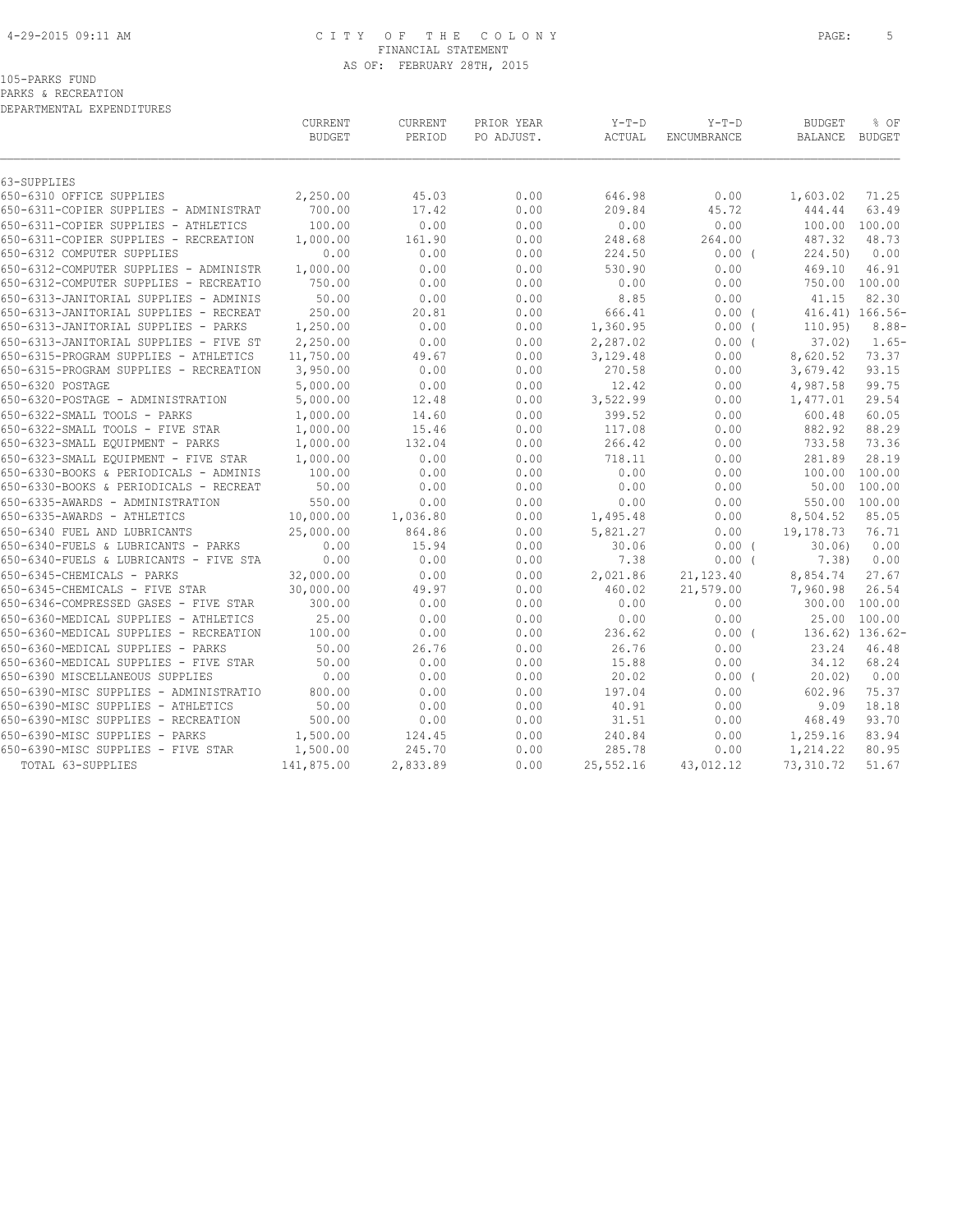#### 4-29-2015 09:11 AM C I T Y O F T H E C O L O N Y PAGE: 5 FINANCIAL STATEMENT AS OF: FEBRUARY 28TH, 2015

## 105-PARKS FUND

PARKS & RECREATION

|                                        | CURRENT<br><b>BUDGET</b> | CURRENT<br>PERIOD | PRIOR YEAR<br>PO ADJUST. | $Y-T-D$<br>ACTUAL | $Y-T-D$<br>ENCUMBRANCE | <b>BUDGET</b><br><b>BALANCE</b> | % OF<br><b>BUDGET</b> |
|----------------------------------------|--------------------------|-------------------|--------------------------|-------------------|------------------------|---------------------------------|-----------------------|
| 63-SUPPLIES                            |                          |                   |                          |                   |                        |                                 |                       |
| 650-6310 OFFICE SUPPLIES               | 2,250.00                 | 45.03             | 0.00                     | 646.98            | 0.00                   | 1,603.02                        | 71.25                 |
| 650-6311-COPIER SUPPLIES - ADMINISTRAT | 700.00                   | 17.42             | 0.00                     | 209.84            | 45.72                  | 444.44                          | 63.49                 |
| 650-6311-COPIER SUPPLIES - ATHLETICS   | 100.00                   | 0.00              | 0.00                     | 0.00              | 0.00                   | 100.00 100.00                   |                       |
| 650-6311-COPIER SUPPLIES - RECREATION  | 1,000.00                 | 161.90            | 0.00                     | 248.68            | 264.00                 | 487.32                          | 48.73                 |
| 650-6312 COMPUTER SUPPLIES             | 0.00                     | 0.00              | 0.00                     | 224.50            | $0.00$ (               | 224.50                          | 0.00                  |
| 650-6312-COMPUTER SUPPLIES - ADMINISTR | 1,000.00                 | 0.00              | 0.00                     | 530.90            | 0.00                   | 469.10                          | 46.91                 |
| 650-6312-COMPUTER SUPPLIES - RECREATIO | 750.00                   | 0.00              | 0.00                     | 0.00              | 0.00                   | 750.00 100.00                   |                       |
| 650-6313-JANITORIAL SUPPLIES - ADMINIS | 50.00                    | 0.00              | 0.00                     | 8.85              | 0.00                   | 41.15                           | 82.30                 |
| 650-6313-JANITORIAL SUPPLIES - RECREAT | 250.00                   | 20.81             | 0.00                     | 666.41            | 0.00(                  |                                 | 416.41) 166.56-       |
| 650-6313-JANITORIAL SUPPLIES - PARKS   | 1,250.00                 | 0.00              | 0.00                     | 1,360.95          | $0.00$ (               | 110.95)                         | $8.88-$               |
| 650-6313-JANITORIAL SUPPLIES - FIVE ST | 2,250.00                 | 0.00              | 0.00                     | 2,287.02          | $0.00$ (               | 37.02                           | $1.65-$               |
| 650-6315-PROGRAM SUPPLIES - ATHLETICS  | 11,750.00                | 49.67             | 0.00                     | 3,129.48          | 0.00                   | 8,620.52                        | 73.37                 |
| 650-6315-PROGRAM SUPPLIES - RECREATION | 3,950.00                 | 0.00              | 0.00                     | 270.58            | 0.00                   | 3,679.42                        | 93.15                 |
| 650-6320 POSTAGE                       | 5,000.00                 | 0.00              | 0.00                     | 12.42             | 0.00                   | 4,987.58                        | 99.75                 |
| 650-6320-POSTAGE - ADMINISTRATION      | 5,000.00                 | 12.48             | 0.00                     | 3,522.99          | 0.00                   | 1,477.01                        | 29.54                 |
| 650-6322-SMALL TOOLS - PARKS           | 1,000.00                 | 14.60             | 0.00                     | 399.52            | 0.00                   | 600.48                          | 60.05                 |
| 650-6322-SMALL TOOLS - FIVE STAR       | 1,000.00                 | 15.46             | 0.00                     | 117.08            | 0.00                   | 882.92                          | 88.29                 |
| 650-6323-SMALL EQUIPMENT - PARKS       | 1,000.00                 | 132.04            | 0.00                     | 266.42            | 0.00                   | 733.58                          | 73.36                 |
| 650-6323-SMALL EQUIPMENT - FIVE STAR   | 1,000.00                 | 0.00              | 0.00                     | 718.11            | 0.00                   | 281.89                          | 28.19                 |
| 650-6330-BOOKS & PERIODICALS - ADMINIS | 100.00                   | 0.00              | 0.00                     | 0.00              | 0.00                   | 100.00 100.00                   |                       |
| 650-6330-BOOKS & PERIODICALS - RECREAT | 50.00                    | 0.00              | 0.00                     | 0.00              | 0.00                   | 50.00                           | 100.00                |
| 650-6335-AWARDS - ADMINISTRATION       | 550.00                   | 0.00              | 0.00                     | 0.00              | 0.00                   | 550.00 100.00                   |                       |
| 650-6335-AWARDS - ATHLETICS            | 10,000.00                | 1,036.80          | 0.00                     | 1,495.48          | 0.00                   | 8,504.52                        | 85.05                 |
| 650-6340 FUEL AND LUBRICANTS           | 25,000.00                | 864.86            | 0.00                     | 5,821.27          | 0.00                   | 19,178.73                       | 76.71                 |
| 650-6340-FUELS & LUBRICANTS - PARKS    | 0.00                     | 15.94             | 0.00                     | 30.06             | 0.00(                  | 30.06)                          | 0.00                  |
| 650-6340-FUELS & LUBRICANTS - FIVE STA | 0.00                     | 0.00              | 0.00                     | 7.38              | 0.00(                  | 7.38)                           | 0.00                  |
| 650-6345-CHEMICALS - PARKS             | 32,000.00                | 0.00              | 0.00                     | 2,021.86          | 21, 123.40             | 8,854.74                        | 27.67                 |
| 650-6345-CHEMICALS - FIVE STAR         | 30,000.00                | 49.97             | 0.00                     | 460.02            | 21,579.00              | 7,960.98                        | 26.54                 |
| 650-6346-COMPRESSED GASES - FIVE STAR  | 300.00                   | 0.00              | 0.00                     | 0.00              | 0.00                   | 300.00 100.00                   |                       |
| 650-6360-MEDICAL SUPPLIES - ATHLETICS  | 25.00                    | 0.00              | 0.00                     | 0.00              | 0.00                   | 25.00                           | 100.00                |
| 650-6360-MEDICAL SUPPLIES - RECREATION | 100.00                   | 0.00              | 0.00                     | 236.62            | $0.00$ (               |                                 | 136.62) 136.62-       |
| 650-6360-MEDICAL SUPPLIES - PARKS      | 50.00                    | 26.76             | 0.00                     | 26.76             | 0.00                   | 23.24                           | 46.48                 |
| 650-6360-MEDICAL SUPPLIES - FIVE STAR  | 50.00                    | 0.00              | 0.00                     | 15.88             | 0.00                   | 34.12                           | 68.24                 |
| 650-6390 MISCELLANEOUS SUPPLIES        | 0.00                     | 0.00              | 0.00                     | 20.02             | $0.00$ (               | 20.02)                          | 0.00                  |
| 650-6390-MISC SUPPLIES - ADMINISTRATIO | 800.00                   | 0.00              | 0.00                     | 197.04            | 0.00                   | 602.96                          | 75.37                 |
| 650-6390-MISC SUPPLIES - ATHLETICS     | 50.00                    | 0.00              | 0.00                     | 40.91             | 0.00                   | 9.09                            | 18.18                 |
| 650-6390-MISC SUPPLIES - RECREATION    | 500.00                   | 0.00              | 0.00                     | 31.51             | 0.00                   | 468.49                          | 93.70                 |
| 650-6390-MISC SUPPLIES - PARKS         | 1,500.00                 | 124.45            | 0.00                     | 240.84            | 0.00                   | 1,259.16                        | 83.94                 |
| 650-6390-MISC SUPPLIES - FIVE STAR     | 1,500.00                 | 245.70            | 0.00                     | 285.78            | 0.00                   | 1,214.22                        | 80.95                 |
| TOTAL 63-SUPPLIES                      | 141,875.00               | 2,833.89          | 0.00                     | 25,552.16         | 43,012.12              | 73,310.72                       | 51.67                 |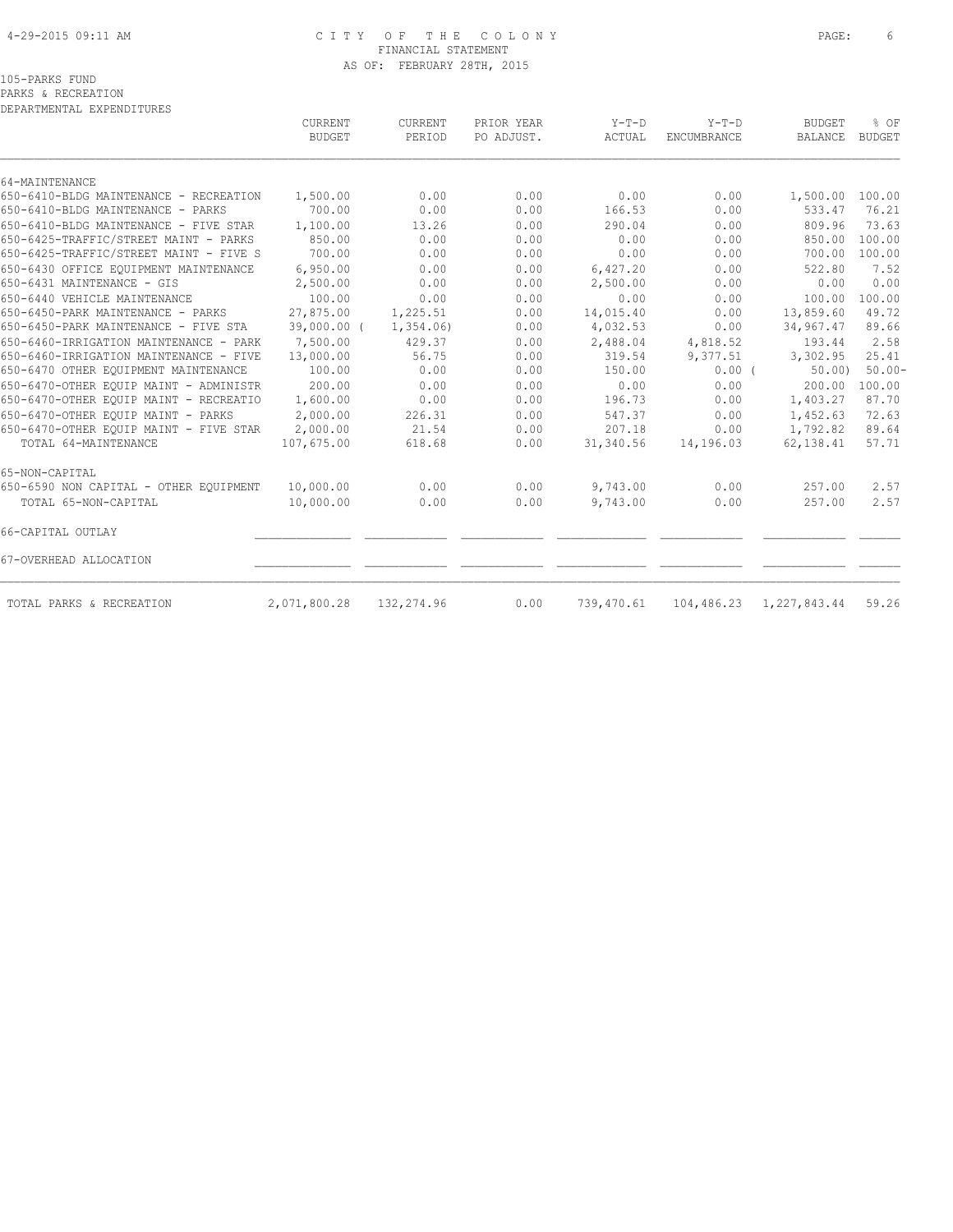#### 4-29-2015 09:11 AM C I T Y O F T H E C O L O N Y PAGE: 6 FINANCIAL STATEMENT AS OF: FEBRUARY 28TH, 2015

PARKS & RECREATION DEPARTMENTAL EXPENDITURES

|                                        | CURRENT<br><b>BUDGET</b> | CURRENT<br>PERIOD | PRIOR YEAR<br>PO ADJUST. | $Y-T-D$<br>ACTUAL | $Y-T-D$<br>ENCUMBRANCE | <b>BUDGET</b><br>BALANCE | % OF<br><b>BUDGET</b> |
|----------------------------------------|--------------------------|-------------------|--------------------------|-------------------|------------------------|--------------------------|-----------------------|
|                                        |                          |                   |                          |                   |                        |                          |                       |
| 64-MAINTENANCE                         |                          |                   |                          |                   |                        |                          |                       |
| 650-6410-BLDG MAINTENANCE - RECREATION | 1,500.00                 | 0.00              | 0.00                     | 0.00              | 0.00                   | 1,500.00                 | 100.00                |
| 650-6410-BLDG MAINTENANCE - PARKS      | 700.00                   | 0.00              | 0.00                     | 166.53            | 0.00                   | 533.47                   | 76.21                 |
| 650-6410-BLDG MAINTENANCE - FIVE STAR  | 1,100.00                 | 13.26             | 0.00                     | 290.04            | 0.00                   | 809.96                   | 73.63                 |
| 650-6425-TRAFFIC/STREET MAINT - PARKS  | 850.00                   | 0.00              | 0.00                     | 0.00              | 0.00                   | 850.00                   | 100.00                |
| 650-6425-TRAFFIC/STREET MAINT - FIVE S | 700.00                   | 0.00              | 0.00                     | 0.00              | 0.00                   | 700.00                   | 100.00                |
| 650-6430 OFFICE EOUIPMENT MAINTENANCE  | 6,950.00                 | 0.00              | 0.00                     | 6,427.20          | 0.00                   | 522.80                   | 7.52                  |
| 650-6431 MAINTENANCE - GIS             | 2,500.00                 | 0.00              | 0.00                     | 2,500.00          | 0.00                   | 0.00                     | 0.00                  |
| 650-6440 VEHICLE MAINTENANCE           | 100.00                   | 0.00              | 0.00                     | 0.00              | 0.00                   | 100.00                   | 100.00                |
| 650-6450-PARK MAINTENANCE - PARKS      | 27,875.00                | 1,225.51          | 0.00                     | 14,015.40         | 0.00                   | 13,859.60                | 49.72                 |
| 650-6450-PARK MAINTENANCE - FIVE STA   | 39,000.00 (              | 1,354.06          | 0.00                     | 4,032.53          | 0.00                   | 34,967.47                | 89.66                 |
| 650-6460-IRRIGATION MAINTENANCE - PARK | 7,500.00                 | 429.37            | 0.00                     | 2,488.04          | 4,818.52               | 193.44                   | 2.58                  |
| 650-6460-IRRIGATION MAINTENANCE - FIVE | 13,000.00                | 56.75             | 0.00                     | 319.54            | 9,377.51               | 3,302.95                 | 25.41                 |
| 650-6470 OTHER EQUIPMENT MAINTENANCE   | 100.00                   | 0.00              | 0.00                     | 150.00            | 0.00(                  | 50.00                    | $50.00 -$             |
| 650-6470-OTHER EQUIP MAINT - ADMINISTR | 200.00                   | 0.00              | 0.00                     | 0.00              | 0.00                   | 200.00                   | 100.00                |
| 650-6470-OTHER EQUIP MAINT - RECREATIO | 1,600.00                 | 0.00              | 0.00                     | 196.73            | 0.00                   | 1,403.27                 | 87.70                 |
| 650-6470-OTHER EOUIP MAINT - PARKS     | 2,000.00                 | 226.31            | 0.00                     | 547.37            | 0.00                   | 1,452.63                 | 72.63                 |
| 650-6470-OTHER EQUIP MAINT - FIVE STAR | 2,000.00                 | 21.54             | 0.00                     | 207.18            | 0.00                   | 1,792.82                 | 89.64                 |
| TOTAL 64-MAINTENANCE                   | 107,675.00               | 618.68            | 0.00                     | 31,340.56         | 14,196.03              | 62, 138.41               | 57.71                 |
| 65-NON-CAPITAL                         |                          |                   |                          |                   |                        |                          |                       |
| 650-6590 NON CAPITAL - OTHER EQUIPMENT | 10,000.00                | 0.00              | 0.00                     | 9,743.00          | 0.00                   | 257.00                   | 2.57                  |
| TOTAL 65-NON-CAPITAL                   | 10,000.00                | 0.00              | 0.00                     | 9,743.00          | 0.00                   | 257.00                   | 2.57                  |
| 66-CAPITAL OUTLAY                      |                          |                   |                          |                   |                        |                          |                       |
| 67-OVERHEAD ALLOCATION                 |                          |                   |                          |                   |                        |                          |                       |
| TOTAL PARKS & RECREATION               | 2,071,800.28             | 132,274.96        | 0.00                     | 739,470.61        |                        | 104,486.23 1,227,843.44  | 59.26                 |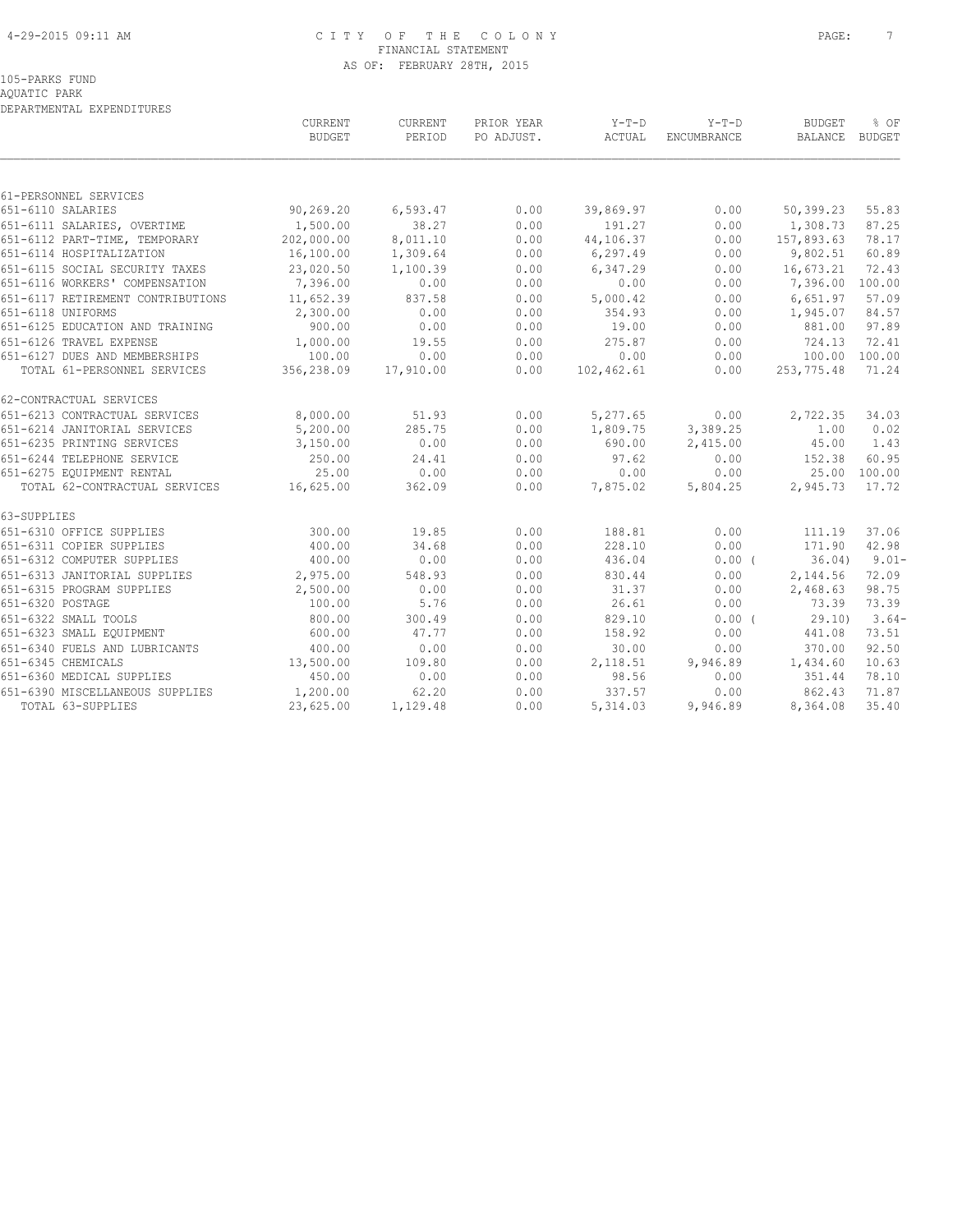#### 4-29-2015 09:11 AM C I T Y O F T H E C O L O N Y PAGE: 7 FINANCIAL STATEMENT AS OF: FEBRUARY 28TH, 2015

## 105-PARKS FUND

AQUATIC PARK

|                         | DEPARTMENTAL EXPENDITURES         |                          |                   |                          |                   |                               |                          |                |
|-------------------------|-----------------------------------|--------------------------|-------------------|--------------------------|-------------------|-------------------------------|--------------------------|----------------|
|                         |                                   | CURRENT<br><b>BUDGET</b> | CURRENT<br>PERIOD | PRIOR YEAR<br>PO ADJUST. | $Y-T-D$<br>ACTUAL | $Y-T-D$<br><b>ENCUMBRANCE</b> | <b>BUDGET</b><br>BALANCE | % OF<br>BUDGET |
|                         |                                   |                          |                   |                          |                   |                               |                          |                |
| 61-PERSONNEL SERVICES   |                                   |                          |                   |                          |                   |                               |                          |                |
| 651-6110 SALARIES       |                                   | 90,269.20                | 6,593.47          | 0.00                     | 39,869.97         | 0.00                          | 50,399.23                | 55.83          |
|                         | 651-6111 SALARIES, OVERTIME       | 1,500.00                 | 38.27             | 0.00                     | 191.27            | 0.00                          | 1,308.73                 | 87.25          |
|                         | 651-6112 PART-TIME, TEMPORARY     | 202,000.00               | 8,011.10          | 0.00                     | 44,106.37         | 0.00                          | 157,893.63               | 78.17          |
|                         | 651-6114 HOSPITALIZATION          | 16,100.00                | 1,309.64          | 0.00                     | 6, 297.49         | 0.00                          | 9,802.51                 | 60.89          |
|                         | 651-6115 SOCIAL SECURITY TAXES    | 23,020.50                | 1,100.39          | 0.00                     | 6,347.29          | 0.00                          | 16,673.21                | 72.43          |
|                         | 651-6116 WORKERS' COMPENSATION    | 7,396.00                 | 0.00              | 0.00                     | 0.00              | 0.00                          | 7,396.00                 | 100.00         |
|                         | 651-6117 RETIREMENT CONTRIBUTIONS | 11,652.39                | 837.58            | 0.00                     | 5,000.42          | 0.00                          | 6,651.97                 | 57.09          |
| 651-6118 UNIFORMS       |                                   | 2,300.00                 | 0.00              | 0.00                     | 354.93            | 0.00                          | 1,945.07                 | 84.57          |
|                         | 651-6125 EDUCATION AND TRAINING   | 900.00                   | 0.00              | 0.00                     | 19.00             | 0.00                          | 881.00                   | 97.89          |
| 651-6126 TRAVEL EXPENSE |                                   | 1,000.00                 | 19.55             | 0.00                     | 275.87            | 0.00                          | 724.13                   | 72.41          |
|                         | 651-6127 DUES AND MEMBERSHIPS     | 100.00                   | 0.00              | 0.00                     | 0.00              | 0.00                          | 100.00                   | 100.00         |
|                         | TOTAL 61-PERSONNEL SERVICES       | 356,238.09               | 17,910.00         | 0.00                     | 102,462.61        | 0.00                          | 253,775.48               | 71.24          |
| 62-CONTRACTUAL SERVICES |                                   |                          |                   |                          |                   |                               |                          |                |
|                         | 651-6213 CONTRACTUAL SERVICES     | 8,000.00                 | 51.93             | 0.00                     | 5,277.65          | 0.00                          | 2,722.35                 | 34.03          |
|                         | 651-6214 JANITORIAL SERVICES      | 5,200.00                 | 285.75            | 0.00                     | 1,809.75          | 3,389.25                      | 1.00                     | 0.02           |
|                         | 651-6235 PRINTING SERVICES        | 3,150.00                 | 0.00              | 0.00                     | 690.00            | 2,415.00                      | 45.00                    | 1.43           |
|                         | 651-6244 TELEPHONE SERVICE        | 250.00                   | 24.41             | 0.00                     | 97.62             | 0.00                          | 152.38                   | 60.95          |
|                         | 651-6275 EQUIPMENT RENTAL         | 25.00                    | 0.00              | 0.00                     | 0.00              | 0.00                          |                          | 25.00 100.00   |
|                         | TOTAL 62-CONTRACTUAL SERVICES     | 16,625.00                | 362.09            | 0.00                     | 7,875.02          | 5,804.25                      | 2,945.73                 | 17.72          |
| 63-SUPPLIES             |                                   |                          |                   |                          |                   |                               |                          |                |
|                         | 651-6310 OFFICE SUPPLIES          | 300.00                   | 19.85             | 0.00                     | 188.81            | 0.00                          | 111.19                   | 37.06          |
|                         | 651-6311 COPIER SUPPLIES          | 400.00                   | 34.68             | 0.00                     | 228.10            | 0.00                          | 171.90                   | 42.98          |
|                         | 651-6312 COMPUTER SUPPLIES        | 400.00                   | 0.00              | 0.00                     | 436.04            | $0.00$ (                      | 36.04)                   | $9.01 -$       |
|                         | 651-6313 JANITORIAL SUPPLIES      | 2,975.00                 | 548.93            | 0.00                     | 830.44            | 0.00                          | 2,144.56                 | 72.09          |
|                         | 651-6315 PROGRAM SUPPLIES         | 2,500.00                 | 0.00              | 0.00                     | 31.37             | 0.00                          | 2,468.63                 | 98.75          |
| 651-6320 POSTAGE        |                                   | 100.00                   | 5.76              | 0.00                     | 26.61             | 0.00                          | 73.39                    | 73.39          |
| 651-6322 SMALL TOOLS    |                                   | 800.00                   | 300.49            | 0.00                     | 829.10            | 0.00(                         | 29.10                    | $3.64-$        |
|                         | 651-6323 SMALL EQUIPMENT          | 600.00                   | 47.77             | 0.00                     | 158.92            | 0.00                          | 441.08                   | 73.51          |
|                         | 651-6340 FUELS AND LUBRICANTS     | 400.00                   | 0.00              | 0.00                     | 30.00             | 0.00                          | 370.00                   | 92.50          |
| 651-6345 CHEMICALS      |                                   | 13,500.00                | 109.80            | 0.00                     | 2,118.51          | 9,946.89                      | 1,434.60                 | 10.63          |
|                         | 651-6360 MEDICAL SUPPLIES         | 450.00                   | 0.00              | 0.00                     | 98.56             | 0.00                          | 351.44                   | 78.10          |
|                         | 651-6390 MISCELLANEOUS SUPPLIES   | 1,200.00                 | 62.20             | 0.00                     | 337.57            | 0.00                          | 862.43                   | 71.87          |
| TOTAL 63-SUPPLIES       |                                   | 23,625.00                | 1,129.48          | 0.00                     | 5,314.03          | 9,946.89                      | 8,364.08                 | 35.40          |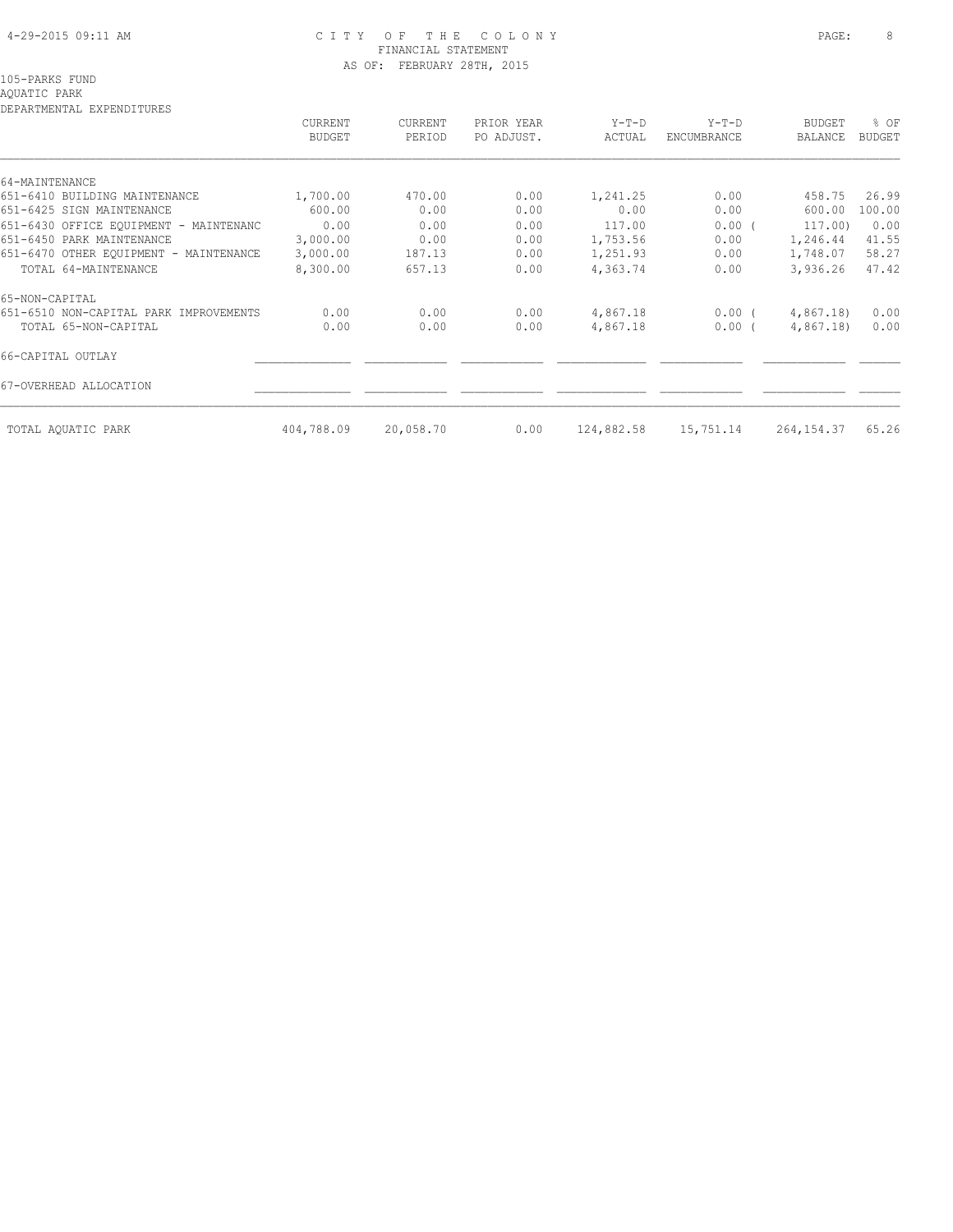#### 4-29-2015 09:11 AM C I T Y O F T H E C O L O N Y PAGE: 8 FINANCIAL STATEMENT AS OF: FEBRUARY 28TH, 2015

### AQUATIC PARK

| DEFARIMENIAL EAFENDIIORES              | CURRENT<br><b>BUDGET</b> | <b>CURRENT</b><br>PERIOD | PRIOR YEAR<br>PO ADJUST. | $Y-T-D$<br>ACTUAL | $Y-T-D$<br>ENCUMBRANCE | <b>BUDGET</b><br>BALANCE | % OF<br><b>BUDGET</b> |
|----------------------------------------|--------------------------|--------------------------|--------------------------|-------------------|------------------------|--------------------------|-----------------------|
| 64-MAINTENANCE                         |                          |                          |                          |                   |                        |                          |                       |
| 651-6410 BUILDING MAINTENANCE          | 1,700.00                 | 470.00                   | 0.00                     | 1,241.25          | 0.00                   | 458.75                   | 26.99                 |
| 651-6425 SIGN MAINTENANCE              | 600.00                   | 0.00                     | 0.00                     | 0.00              | 0.00                   | 600.00                   | 100.00                |
| 651-6430 OFFICE EOUIPMENT - MAINTENANC | 0.00                     | 0.00                     | 0.00                     | 117.00            | 0.00(                  | 117.00)                  | 0.00                  |
| 651-6450 PARK MAINTENANCE              | 3,000.00                 | 0.00                     | 0.00                     | 1,753.56          | 0.00                   | 1,246.44                 | 41.55                 |
| 651-6470 OTHER EQUIPMENT - MAINTENANCE | 3,000.00                 | 187.13                   | 0.00                     | 1,251.93          | 0.00                   | 1,748.07                 | 58.27                 |
| TOTAL 64-MAINTENANCE                   | 8,300.00                 | 657.13                   | 0.00                     | 4,363.74          | 0.00                   | 3,936.26                 | 47.42                 |
| 65-NON-CAPITAL                         |                          |                          |                          |                   |                        |                          |                       |
| 651-6510 NON-CAPITAL PARK IMPROVEMENTS | 0.00                     | 0.00                     | 0.00                     | 4,867.18          | $0.00$ (               | 4,867.18)                | 0.00                  |
| TOTAL 65-NON-CAPITAL                   | 0.00                     | 0.00                     | 0.00                     | 4,867.18          | $0.00$ (               | 4,867.18)                | 0.00                  |
| 66-CAPITAL OUTLAY                      |                          |                          |                          |                   |                        |                          |                       |
| 67-OVERHEAD ALLOCATION                 |                          |                          |                          |                   |                        |                          |                       |
| TOTAL AQUATIC PARK                     | 404,788.09               | 20,058.70                | 0.00                     | 124,882.58        | 15,751.14              | 264, 154. 37             | 65.26                 |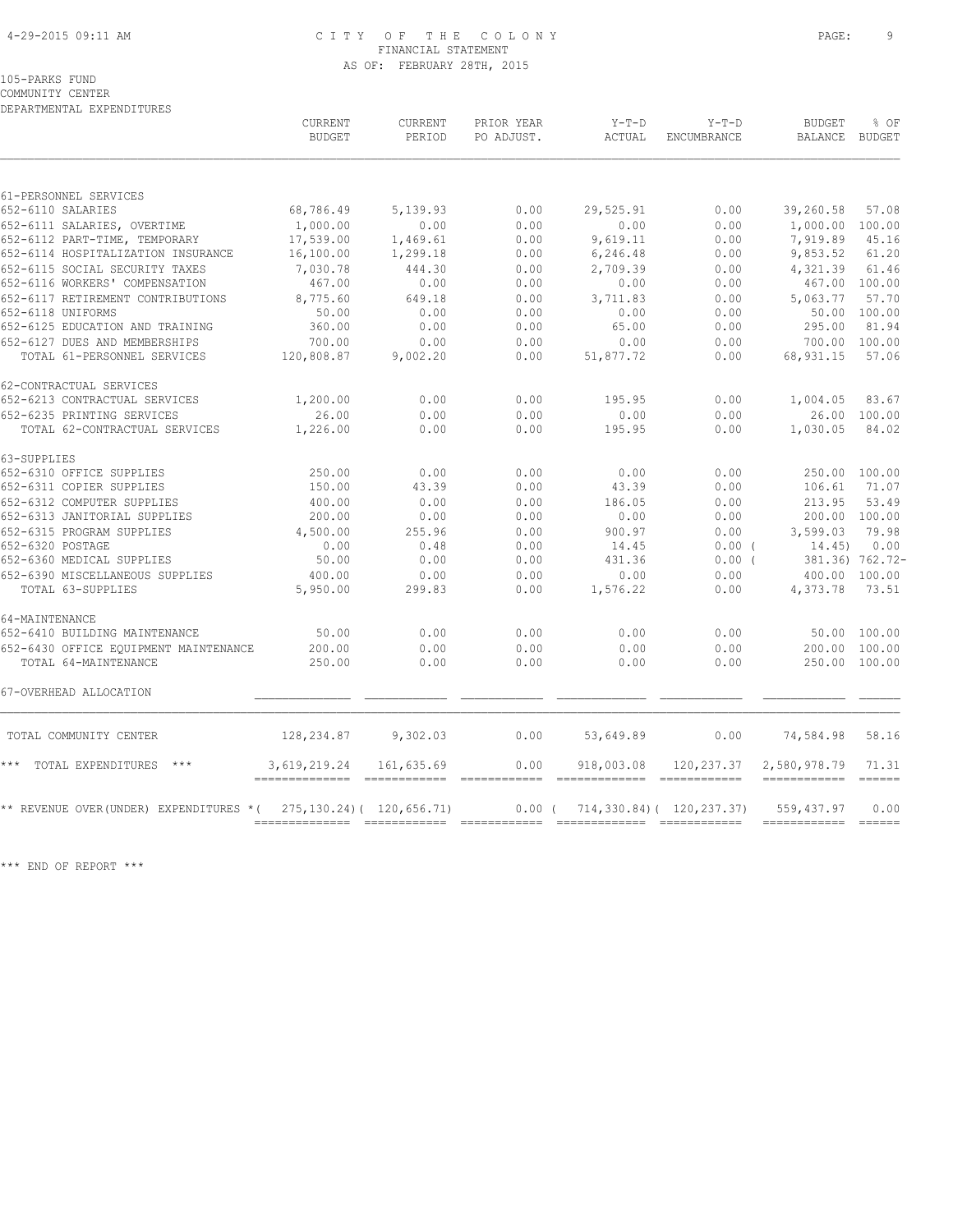#### 4-29-2015 09:11 AM C I T Y O F T H E C O L O N Y PAGE: 9 FINANCIAL STATEMENT AS OF: FEBRUARY 28TH, 2015

#### 105-PARKS FUND

COMMUNITY CENTER

DEPARTMENTAL EXPENDITURES

|                                        | <b>CURRENT</b><br><b>BUDGET</b>                        | <b>CURRENT</b><br>PERIOD    | PRIOR YEAR<br>PO ADJUST. | $Y-T-D$<br>ACTUAL                                                                                                                                                                                                                                                                                                                                                                                                                                                                  | $Y-T-D$<br>ENCUMBRANCE          | <b>BUDGET</b><br>BALANCE                                                                                                                                                                                                                                                                                                                                                                                                                                                                             | % OF<br>BUDGET  |
|----------------------------------------|--------------------------------------------------------|-----------------------------|--------------------------|------------------------------------------------------------------------------------------------------------------------------------------------------------------------------------------------------------------------------------------------------------------------------------------------------------------------------------------------------------------------------------------------------------------------------------------------------------------------------------|---------------------------------|------------------------------------------------------------------------------------------------------------------------------------------------------------------------------------------------------------------------------------------------------------------------------------------------------------------------------------------------------------------------------------------------------------------------------------------------------------------------------------------------------|-----------------|
| 61-PERSONNEL SERVICES                  |                                                        |                             |                          |                                                                                                                                                                                                                                                                                                                                                                                                                                                                                    |                                 |                                                                                                                                                                                                                                                                                                                                                                                                                                                                                                      |                 |
| 652-6110 SALARIES                      | 68,786.49                                              | 5,139.93                    | 0.00                     | 29,525.91                                                                                                                                                                                                                                                                                                                                                                                                                                                                          | 0.00                            | 39,260.58                                                                                                                                                                                                                                                                                                                                                                                                                                                                                            | 57.08           |
| 652-6111 SALARIES, OVERTIME            | 1,000.00                                               | 0.00                        | 0.00                     | 0.00                                                                                                                                                                                                                                                                                                                                                                                                                                                                               | 0.00                            | 1,000.00 100.00                                                                                                                                                                                                                                                                                                                                                                                                                                                                                      |                 |
| 652-6112 PART-TIME, TEMPORARY          | 17,539.00                                              | 1,469.61                    | 0.00                     | 9,619.11                                                                                                                                                                                                                                                                                                                                                                                                                                                                           | 0.00                            | 7,919.89                                                                                                                                                                                                                                                                                                                                                                                                                                                                                             | 45.16           |
| 652-6114 HOSPITALIZATION INSURANCE     | 16,100.00                                              | 1,299.18                    | 0.00                     | 6,246.48                                                                                                                                                                                                                                                                                                                                                                                                                                                                           | 0.00                            | 9,853.52                                                                                                                                                                                                                                                                                                                                                                                                                                                                                             | 61.20           |
| 652-6115 SOCIAL SECURITY TAXES         | 7,030.78                                               | 444.30                      | 0.00                     | 2,709.39                                                                                                                                                                                                                                                                                                                                                                                                                                                                           | 0.00                            | 4,321.39                                                                                                                                                                                                                                                                                                                                                                                                                                                                                             | 61.46           |
| 652-6116 WORKERS' COMPENSATION         | 467.00                                                 | 0.00                        | 0.00                     | 0.00                                                                                                                                                                                                                                                                                                                                                                                                                                                                               | 0.00                            | 467.00 100.00                                                                                                                                                                                                                                                                                                                                                                                                                                                                                        |                 |
| 652-6117 RETIREMENT CONTRIBUTIONS      | 8,775.60                                               | 649.18                      | 0.00                     | 3,711.83                                                                                                                                                                                                                                                                                                                                                                                                                                                                           | 0.00                            | 5,063.77                                                                                                                                                                                                                                                                                                                                                                                                                                                                                             | 57.70           |
| 652-6118 UNIFORMS                      | 50.00                                                  | 0.00                        | 0.00                     | 0.00                                                                                                                                                                                                                                                                                                                                                                                                                                                                               | 0.00                            |                                                                                                                                                                                                                                                                                                                                                                                                                                                                                                      | 50.00 100.00    |
| 652-6125 EDUCATION AND TRAINING        | 360.00                                                 | 0.00                        | 0.00                     | 65.00                                                                                                                                                                                                                                                                                                                                                                                                                                                                              | 0.00                            | 295.00                                                                                                                                                                                                                                                                                                                                                                                                                                                                                               | 81.94           |
| 652-6127 DUES AND MEMBERSHIPS          | 700.00                                                 | 0.00                        | 0.00                     | 0.00                                                                                                                                                                                                                                                                                                                                                                                                                                                                               | 0.00                            |                                                                                                                                                                                                                                                                                                                                                                                                                                                                                                      | 700.00 100.00   |
| TOTAL 61-PERSONNEL SERVICES            | 120,808.87                                             | 9,002.20                    | 0.00                     | 51,877.72                                                                                                                                                                                                                                                                                                                                                                                                                                                                          | 0.00                            | 68,931.15                                                                                                                                                                                                                                                                                                                                                                                                                                                                                            | 57.06           |
| 62-CONTRACTUAL SERVICES                |                                                        |                             |                          |                                                                                                                                                                                                                                                                                                                                                                                                                                                                                    |                                 |                                                                                                                                                                                                                                                                                                                                                                                                                                                                                                      |                 |
| 652-6213 CONTRACTUAL SERVICES          | 1,200.00                                               | 0.00                        | 0.00                     | 195.95                                                                                                                                                                                                                                                                                                                                                                                                                                                                             | 0.00                            | 1,004.05                                                                                                                                                                                                                                                                                                                                                                                                                                                                                             | 83.67           |
| 652-6235 PRINTING SERVICES             | 26.00                                                  | 0.00                        | 0.00                     | 0.00                                                                                                                                                                                                                                                                                                                                                                                                                                                                               | 0.00                            |                                                                                                                                                                                                                                                                                                                                                                                                                                                                                                      | 26.00 100.00    |
| TOTAL 62-CONTRACTUAL SERVICES          | 1,226.00                                               | 0.00                        | 0.00                     | 195.95                                                                                                                                                                                                                                                                                                                                                                                                                                                                             | 0.00                            | 1,030.05                                                                                                                                                                                                                                                                                                                                                                                                                                                                                             | 84.02           |
| 63-SUPPLIES                            |                                                        |                             |                          |                                                                                                                                                                                                                                                                                                                                                                                                                                                                                    |                                 |                                                                                                                                                                                                                                                                                                                                                                                                                                                                                                      |                 |
| 652-6310 OFFICE SUPPLIES               | 250.00                                                 | 0.00                        | 0.00                     | 0.00                                                                                                                                                                                                                                                                                                                                                                                                                                                                               | 0.00                            | 250.00 100.00                                                                                                                                                                                                                                                                                                                                                                                                                                                                                        |                 |
| 652-6311 COPIER SUPPLIES               | 150.00                                                 | 43.39                       | 0.00                     | 43.39                                                                                                                                                                                                                                                                                                                                                                                                                                                                              | 0.00                            | 106.61                                                                                                                                                                                                                                                                                                                                                                                                                                                                                               | 71.07           |
| 652-6312 COMPUTER SUPPLIES             | 400.00                                                 | 0.00                        | 0.00                     | 186.05                                                                                                                                                                                                                                                                                                                                                                                                                                                                             | 0.00                            | 213.95                                                                                                                                                                                                                                                                                                                                                                                                                                                                                               | 53.49           |
| 652-6313 JANITORIAL SUPPLIES           | 200.00                                                 | 0.00                        | 0.00                     | 0.00                                                                                                                                                                                                                                                                                                                                                                                                                                                                               | 0.00                            |                                                                                                                                                                                                                                                                                                                                                                                                                                                                                                      | 200.00 100.00   |
| 652-6315 PROGRAM SUPPLIES              | 4,500.00                                               | 255.96                      | 0.00                     | 900.97                                                                                                                                                                                                                                                                                                                                                                                                                                                                             | 0.00                            | 3,599.03                                                                                                                                                                                                                                                                                                                                                                                                                                                                                             | 79.98           |
| 652-6320 POSTAGE                       | 0.00                                                   | 0.48                        | 0.00                     | 14.45                                                                                                                                                                                                                                                                                                                                                                                                                                                                              | $0.00$ (                        | 14.45)                                                                                                                                                                                                                                                                                                                                                                                                                                                                                               | 0.00            |
| 652-6360 MEDICAL SUPPLIES              | 50.00                                                  | 0.00                        | 0.00                     | 431.36                                                                                                                                                                                                                                                                                                                                                                                                                                                                             | $0.00$ (                        |                                                                                                                                                                                                                                                                                                                                                                                                                                                                                                      | 381.36) 762.72- |
| 652-6390 MISCELLANEOUS SUPPLIES        | 400.00                                                 | 0.00                        | 0.00                     | 0.00                                                                                                                                                                                                                                                                                                                                                                                                                                                                               | 0.00                            | 400.00 100.00                                                                                                                                                                                                                                                                                                                                                                                                                                                                                        |                 |
| TOTAL 63-SUPPLIES                      | 5,950.00                                               | 299.83                      | 0.00                     | 1,576.22                                                                                                                                                                                                                                                                                                                                                                                                                                                                           | 0.00                            | 4,373.78                                                                                                                                                                                                                                                                                                                                                                                                                                                                                             | 73.51           |
| 64-MAINTENANCE                         |                                                        |                             |                          |                                                                                                                                                                                                                                                                                                                                                                                                                                                                                    |                                 |                                                                                                                                                                                                                                                                                                                                                                                                                                                                                                      |                 |
| 652-6410 BUILDING MAINTENANCE          | 50.00                                                  | 0.00                        | 0.00                     | 0.00                                                                                                                                                                                                                                                                                                                                                                                                                                                                               | 0.00                            |                                                                                                                                                                                                                                                                                                                                                                                                                                                                                                      | 50.00 100.00    |
| 652-6430 OFFICE EOUIPMENT MAINTENANCE  | 200.00                                                 | 0.00                        | 0.00                     | 0.00                                                                                                                                                                                                                                                                                                                                                                                                                                                                               | 0.00                            | 200.00                                                                                                                                                                                                                                                                                                                                                                                                                                                                                               | 100.00          |
| TOTAL 64-MAINTENANCE                   | 250.00                                                 | 0.00                        | 0.00                     | 0.00                                                                                                                                                                                                                                                                                                                                                                                                                                                                               | 0.00                            | 250.00 100.00                                                                                                                                                                                                                                                                                                                                                                                                                                                                                        |                 |
| 67-OVERHEAD ALLOCATION                 |                                                        |                             |                          |                                                                                                                                                                                                                                                                                                                                                                                                                                                                                    |                                 |                                                                                                                                                                                                                                                                                                                                                                                                                                                                                                      |                 |
| TOTAL COMMUNITY CENTER                 | 128,234.87                                             | 9,302.03                    | 0.00                     | 53,649.89                                                                                                                                                                                                                                                                                                                                                                                                                                                                          | 0.00                            | 74,584.98                                                                                                                                                                                                                                                                                                                                                                                                                                                                                            | 58.16           |
| *** TOTAL EXPENDITURES ***             | 3,619,219.24<br>-------------- ----------- ----------- | 161,635.69                  | 0.00                     | 918,003.08<br>$\begin{tabular}{lllllllllll} \multicolumn{2}{l}{{\small{\textbf{0.02}}}} & \multicolumn{2}{l}{{{\small{\textbf{0.02}}}} & \multicolumn{2}{l}{{{\small{\textbf{0.02}}}} & \multicolumn{2}{l}{{{\small{\textbf{0.02}}}} & \multicolumn{2}{l}{{{\small{\textbf{0.02}}}} & \multicolumn{2}{l}{{{\small{\textbf{0.02}}}} & \multicolumn{2}{l}{{{\small{\textbf{0.02}}}} & \multicolumn{2}{l}{{{\small{\textbf{0.02}}}} & \multicolumn{2}{l}{{{\small{\textbf{0.02}}}} &$ | 120,237.37                      | 2,580,978.79<br>======================                                                                                                                                                                                                                                                                                                                                                                                                                                                               | 71.31           |
| ** REVENUE OVER(UNDER) EXPENDITURES *( |                                                        | 275, 130.24) ( 120, 656.71) | $0.00$ (                 |                                                                                                                                                                                                                                                                                                                                                                                                                                                                                    | $714, 330.84$ ( $120, 237.37$ ) | 559,437.97<br>$\begin{array}{cccccccccc} \multicolumn{2}{c}{} & \multicolumn{2}{c}{} & \multicolumn{2}{c}{} & \multicolumn{2}{c}{} & \multicolumn{2}{c}{} & \multicolumn{2}{c}{} & \multicolumn{2}{c}{} & \multicolumn{2}{c}{} & \multicolumn{2}{c}{} & \multicolumn{2}{c}{} & \multicolumn{2}{c}{} & \multicolumn{2}{c}{} & \multicolumn{2}{c}{} & \multicolumn{2}{c}{} & \multicolumn{2}{c}{} & \multicolumn{2}{c}{} & \multicolumn{2}{c}{} & \multicolumn{2}{c}{} & \multicolumn{2}{c}{} & \mult$ | 0.00<br>------- |

\*\*\* END OF REPORT \*\*\*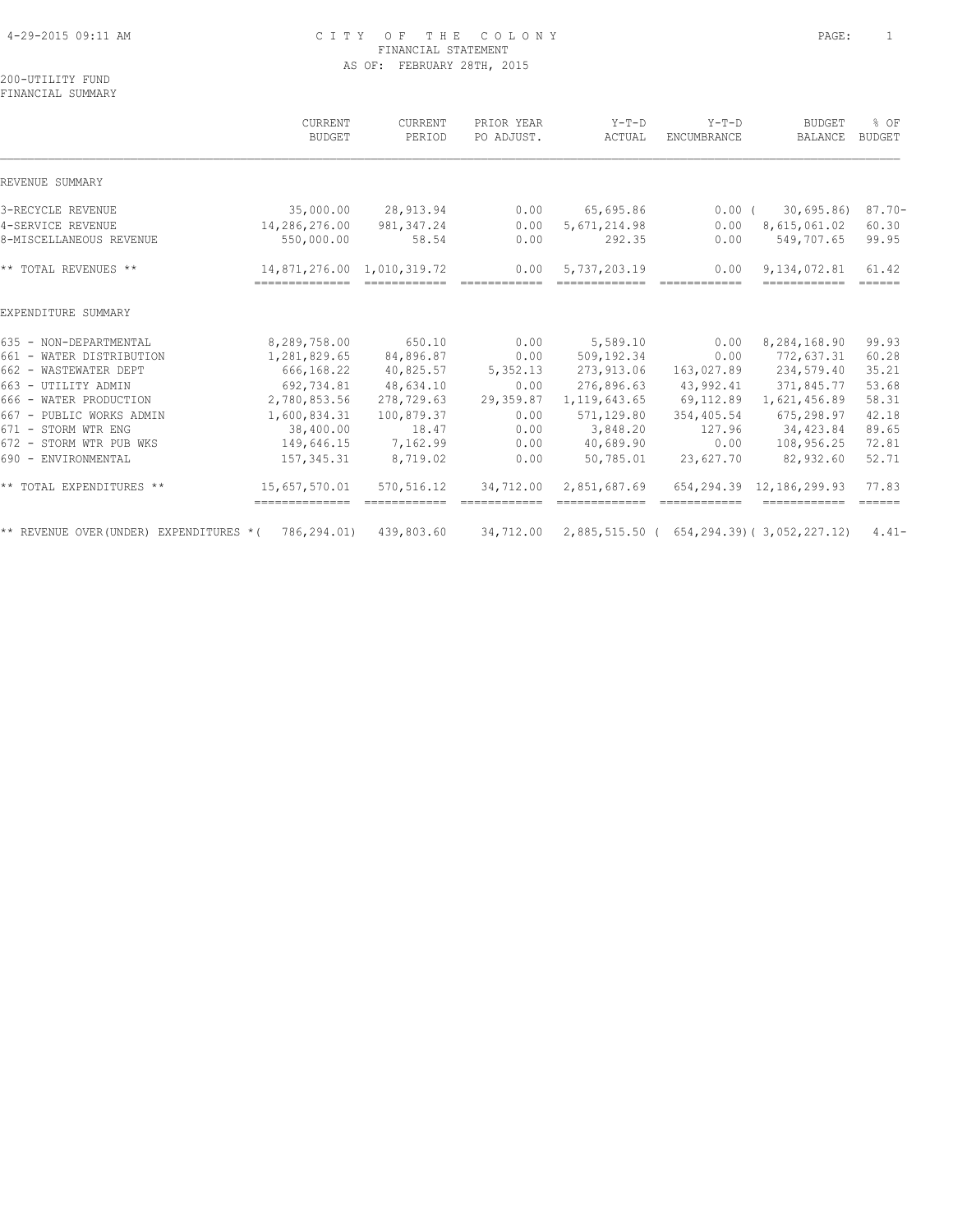#### 4-29-2015 09:11 AM C I T Y O F T H E C O L O N Y PAGE: 1 FINANCIAL STATEMENT AS OF: FEBRUARY 28TH, 2015

200-UTILITY FUND FINANCIAL SUMMARY

|                                              | CURRENT<br><b>BUDGET</b>    | CURRENT<br>PERIOD    | PRIOR YEAR<br>PO ADJUST. | $Y-T-D$<br>ACTUAL                          | $Y-T-D$<br><b>ENCUMBRANCE</b> | <b>BUDGET</b><br>BALANCE    | % OF<br><b>BUDGET</b>        |
|----------------------------------------------|-----------------------------|----------------------|--------------------------|--------------------------------------------|-------------------------------|-----------------------------|------------------------------|
| REVENUE SUMMARY                              |                             |                      |                          |                                            |                               |                             |                              |
| 3-RECYCLE REVENUE                            | 35,000.00                   | 28,913.94            | 0.00                     | 65,695.86                                  | $0.00$ (                      | 30,695.86                   | $87.70 -$                    |
| 4-SERVICE REVENUE<br>8-MISCELLANEOUS REVENUE | 14,286,276.00<br>550,000.00 | 981, 347.24<br>58.54 | 0.00<br>0.00             | 5,671,214.98<br>292.35                     | 0.00<br>0.00                  | 8,615,061.02<br>549,707.65  | 60.30<br>99.95               |
| ** TOTAL REVENUES **                         | 14,871,276.00               | 1,010,319.72         | 0.00                     | 5,737,203.19                               | 0.00                          | 9,134,072.81                | 61.42<br>$=$ $=$ $=$ $=$ $=$ |
| EXPENDITURE SUMMARY                          |                             |                      |                          |                                            |                               |                             |                              |
| 635 - NON-DEPARTMENTAL                       | 8,289,758.00                | 650.10               | 0.00                     | 5,589.10                                   | 0.00                          | 8,284,168.90                | 99.93                        |
| 661 - WATER DISTRIBUTION                     | 1,281,829.65                | 84,896.87            | 0.00                     | 509,192.34                                 | 0.00                          | 772,637.31                  | 60.28                        |
| 662 - WASTEWATER DEPT                        | 666,168.22                  | 40,825.57            | 5,352.13                 | 273,913.06                                 | 163,027.89                    | 234,579.40                  | 35.21                        |
| 663 - UTILITY ADMIN                          | 692,734.81                  | 48,634.10            | 0.00                     | 276,896.63                                 | 43,992.41                     | 371,845.77                  | 53.68                        |
| 666 - WATER PRODUCTION                       | 2,780,853.56                | 278,729.63           | 29,359.87                | 1, 119, 643.65                             | 69,112.89                     | 1,621,456.89                | 58.31                        |
| 667 - PUBLIC WORKS ADMIN                     | 1,600,834.31                | 100,879.37           | 0.00                     | 571,129.80                                 | 354,405.54                    | 675,298.97                  | 42.18                        |
| 671 - STORM WTR ENG                          | 38,400.00                   | 18.47                | 0.00                     | 3,848.20                                   | 127.96                        | 34,423.84                   | 89.65                        |
| 672 - STORM WTR PUB WKS                      | 149,646.15                  | 7,162.99             | 0.00                     | 40,689.90                                  | 0.00                          | 108,956.25                  | 72.81                        |
| 690 - ENVIRONMENTAL                          | 157, 345.31                 | 8,719.02             | 0.00                     | 50,785.01                                  | 23,627.70                     | 82,932.60                   | 52.71                        |
| ** TOTAL EXPENDITURES **                     | 15,657,570.01               | 570,516.12           | 34,712.00                | 2,851,687.69                               |                               | 654, 294.39 12, 186, 299.93 | 77.83<br>$=$ $=$ $=$ $=$ $=$ |
| ** REVENUE OVER (UNDER) EXPENDITURES * (     | 786,294.01)                 | 439,803.60           | 34,712.00                | 2,885,515.50 ( 654,294.39) ( 3,052,227.12) |                               |                             | $4.41-$                      |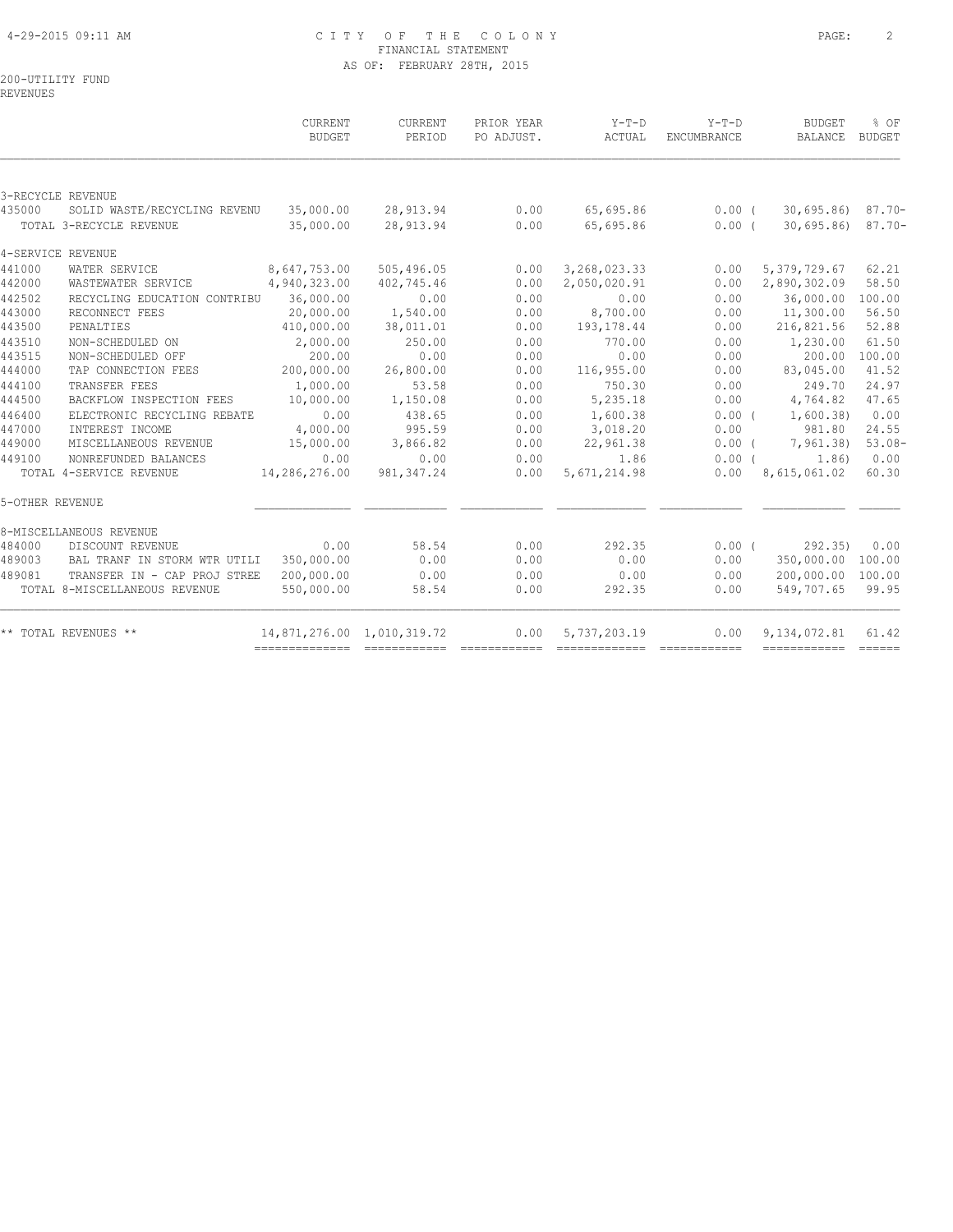#### 4-29-2015 09:11 AM C I T Y O F T H E C O L O N Y PAGE: 2 FINANCIAL STATEMENT AS OF: FEBRUARY 28TH, 2015

200-UTILITY FUND

REVENUES

|                 |                               | CURRENT<br>BUDGET          | CURRENT<br>PERIOD | PRIOR YEAR<br>PO ADJUST. | $Y-T-D$<br>ACTUAL | $Y-T-D$<br>ENCUMBRANCE | <b>BUDGET</b><br><b>BALANCE</b> | % OF<br>BUDGET |
|-----------------|-------------------------------|----------------------------|-------------------|--------------------------|-------------------|------------------------|---------------------------------|----------------|
|                 |                               |                            |                   |                          |                   |                        |                                 |                |
|                 | 3-RECYCLE REVENUE             |                            |                   |                          |                   |                        |                                 |                |
| 435000          | SOLID WASTE/RECYCLING REVENU  | 35,000.00                  | 28,913.94         | 0.00                     | 65,695.86         | 0.00(                  | 30,695.86                       | $87.70 -$      |
|                 | TOTAL 3-RECYCLE REVENUE       | 35,000.00                  | 28,913.94         | 0.00                     | 65,695.86         | 0.00(                  | 30,695.86                       | $87.70 -$      |
|                 | 4-SERVICE REVENUE             |                            |                   |                          |                   |                        |                                 |                |
| 441000          | WATER SERVICE                 | 8,647,753.00               | 505,496.05        | 0.00                     | 3, 268, 023.33    | 0.00                   | 5, 379, 729.67                  | 62.21          |
| 442000          | WASTEWATER SERVICE            | 4,940,323.00               | 402,745.46        | 0.00                     | 2,050,020.91      | 0.00                   | 2,890,302.09                    | 58.50          |
| 442502          | RECYCLING EDUCATION CONTRIBU  | 36,000.00                  | 0.00              | 0.00                     | 0.00              | 0.00                   | 36,000.00                       | 100.00         |
| 443000          | RECONNECT FEES                | 20,000.00                  | 1,540.00          | 0.00                     | 8,700.00          | 0.00                   | 11,300.00                       | 56.50          |
| 443500          | PENALTIES                     | 410,000.00                 | 38,011.01         | 0.00                     | 193, 178.44       | 0.00                   | 216,821.56                      | 52.88          |
| 443510          | NON-SCHEDULED ON              | 2,000.00                   | 250.00            | 0.00                     | 770.00            | 0.00                   | 1,230.00                        | 61.50          |
| 443515          | NON-SCHEDULED OFF             | 200.00                     | 0.00              | 0.00                     | 0.00              | 0.00                   | 200.00                          | 100.00         |
| 444000          | TAP CONNECTION FEES           | 200,000.00                 | 26,800.00         | 0.00                     | 116,955.00        | 0.00                   | 83,045.00                       | 41.52          |
| 444100          | TRANSFER FEES                 | 1,000.00                   | 53.58             | 0.00                     | 750.30            | 0.00                   | 249.70                          | 24.97          |
| 444500          | BACKFLOW INSPECTION FEES      | 10,000.00                  | 1,150.08          | 0.00                     | 5,235.18          | 0.00                   | 4,764.82                        | 47.65          |
| 446400          | ELECTRONIC RECYCLING REBATE   | 0.00                       | 438.65            | 0.00                     | 1,600.38          | $0.00$ (               | 1,600.38                        | 0.00           |
| 447000          | INTEREST INCOME               | 4,000.00                   | 995.59            | 0.00                     | 3,018.20          | 0.00                   | 981.80                          | 24.55          |
| 449000          | MISCELLANEOUS REVENUE         | 15,000.00                  | 3,866.82          | 0.00                     | 22,961.38         | $0.00$ (               | 7,961.38)                       | $53.08-$       |
| 449100          | NONREFUNDED BALANCES          | 0.00                       | 0.00              | 0.00                     | 1.86              | 0.00(                  | 1.86)                           | 0.00           |
|                 | TOTAL 4-SERVICE REVENUE       | 14,286,276.00              | 981, 347.24       | 0.00                     | 5, 671, 214.98    | 0.00                   | 8,615,061.02                    | 60.30          |
| 5-OTHER REVENUE |                               |                            |                   |                          |                   |                        |                                 |                |
|                 | 8-MISCELLANEOUS REVENUE       |                            |                   |                          |                   |                        |                                 |                |
| 484000          | DISCOUNT REVENUE              | 0.00                       | 58.54             | 0.00                     | 292.35            | 0.00(                  | 292.35                          | 0.00           |
| 489003          | BAL TRANF IN STORM WTR UTILI  | 350,000.00                 | 0.00              | 0.00                     | 0.00              | 0.00                   | 350,000.00 100.00               |                |
| 489081          | TRANSFER IN - CAP PROJ STREE  | 200,000.00                 | 0.00              | 0.00                     | 0.00              | 0.00                   | 200,000.00 100.00               |                |
|                 | TOTAL 8-MISCELLANEOUS REVENUE | 550,000.00                 | 58.54             | 0.00                     | 292.35            | 0.00                   | 549,707.65                      | 99.95          |
|                 | ** TOTAL REVENUES **          | 14,871,276.00 1,010,319.72 |                   | 0.00                     | 5,737,203.19      | 0.00                   | 9, 134, 072.81                  | 61.42          |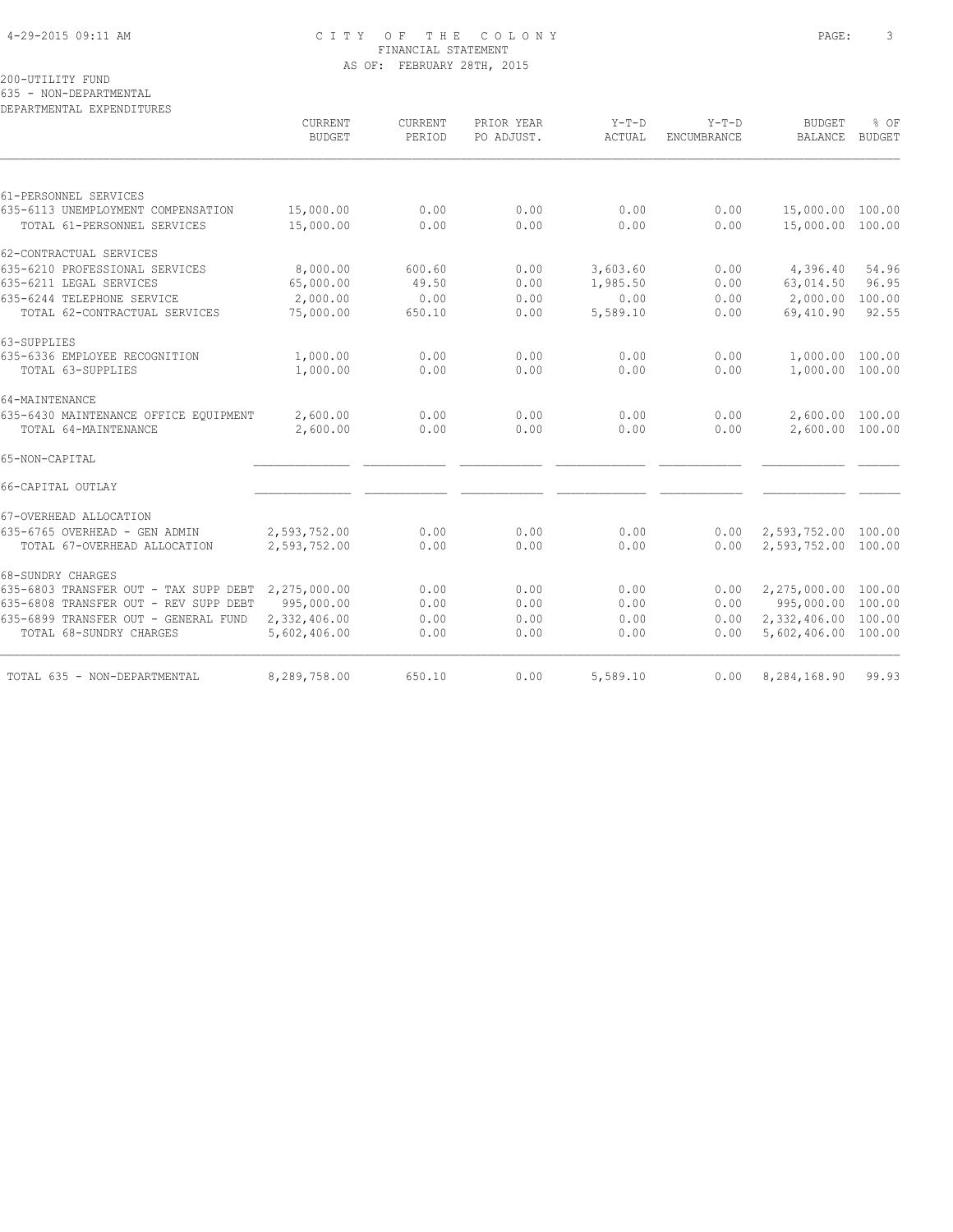#### 4-29-2015 09:11 AM C I T Y O F T H E C O L O N Y PAGE: 3 FINANCIAL STATEMENT AS OF: FEBRUARY 28TH, 2015

200-UTILITY FUND

635 - NON-DEPARTMENTAL

DEPARTMENTAL EXPENDITURES CURRENT CURRENT PRIOR YEAR Y-T-D Y-T-D BUDGET % OF BUDGET PERIOD PO ADJUST. ACTUAL ENCUMBRANCE  $\mathcal{L} = \{ \mathcal{L} = \{ \mathcal{L} = \{ \mathcal{L} = \{ \mathcal{L} = \{ \mathcal{L} = \{ \mathcal{L} = \{ \mathcal{L} = \{ \mathcal{L} = \{ \mathcal{L} = \{ \mathcal{L} = \{ \mathcal{L} = \{ \mathcal{L} = \{ \mathcal{L} = \{ \mathcal{L} = \{ \mathcal{L} = \{ \mathcal{L} = \{ \mathcal{L} = \{ \mathcal{L} = \{ \mathcal{L} = \{ \mathcal{L} = \{ \mathcal{L} = \{ \mathcal{L} = \{ \mathcal{L} = \{ \mathcal{$ 61-PERSONNEL SERVICES 635-6113 UNEMPLOYMENT COMPENSATION 15,000.00 0.00 0.00 0.00 0.00 15,000.00 100.00 TOTAL 61-PERSONNEL SERVICES 15,000.00 0.00 0.00 0.00 0.00 15,000.00 100.00 62-CONTRACTUAL SERVICES 635-6210 PROFESSIONAL SERVICES 8,000.00 600.60 0.00 3,603.60 0.00 4,396.40 54.96 635-6211 LEGAL SERVICES 65,000.00 49.50 0.00 1,985.50 0.00 63,014.50 96.95 635-6244 TELEPHONE SERVICE 2,000.00 0.00 0.00 0.00 0.00 2,000.00 100.00 TOTAL 62-CONTRACTUAL SERVICES 75,000.00 650.10 0.00 5,589.10 0.00 69,410.90 92.55 63-SUPPLIES<br>635-6336 EMPLOYEE RECOGNITION 635-6336 EMPLOYEE RECOGNITION 1,000.00 0.00 0.00 0.00 0.00 1,000.00 100.00 TOTAL 63-SUPPLIES 1,000.00 0.00 0.00 0.00 0.00 1,000.00 100.00 64-MAINTENANCE 635-6430 MAINTENANCE OFFICE EQUIPMENT 2,600.00 0.00 0.00 0.00 0.00 2,600.00 100.00 TOTAL 64-MAINTENANCE 2,600.00 0.00 0.00 0.00 0.00 2,600.00 100.00 65-NON-CAPITAL \_\_\_\_\_\_\_\_\_\_\_\_\_\_ \_\_\_\_\_\_\_\_\_\_\_\_ \_\_\_\_\_\_\_\_\_\_\_\_ \_\_\_\_\_\_\_\_\_\_\_\_\_ \_\_\_\_\_\_\_\_\_\_\_\_ \_\_\_\_\_\_\_\_\_\_\_\_ \_\_\_\_\_\_ 66-CAPITAL OUTLAY \_\_\_\_\_\_\_\_\_\_\_\_\_\_ \_\_\_\_\_\_\_\_\_\_\_\_ \_\_\_\_\_\_\_\_\_\_\_\_ \_\_\_\_\_\_\_\_\_\_\_\_\_ \_\_\_\_\_\_\_\_\_\_\_\_ \_\_\_\_\_\_\_\_\_\_\_\_ \_\_\_\_\_\_ 67-OVERHEAD ALLOCATION 635-6765 OVERHEAD - GEN ADMIN 2,593,752.00 0.00 0.00 0.00 0.00 2,593,752.00 100.00 TOTAL 67-OVERHEAD ALLOCATION 2,593,752.00 0.00 0.00 0.00 0.00 2,593,752.00 100.00 68-SUNDRY CHARGES 635-6803 TRANSFER OUT - TAX SUPP DEBT 2,275,000.00 0.00 0.00 0.00<br>635-6808 TRANSFER OUT - REV SUPP DEBT 995,000.00 0.00 0.00 0.00<br>635-6899 TRANSFER OUT - GENERAL FUND 2,332,406.00 0.00 0.00 0.00<br>TOTAL 68-SUNDRY CHARGES 5,6 635-6808 TRANSFER OUT - REV SUPP DEBT 995,000.00 635-6899 TRANSFER OUT - GENERAL FUND 2,332,406.00 0.00 0.00 0.00 0.00 2,332,406.00 100.00 TOTAL 68-SUNDRY CHARGES 5,602,406.00 0.00 0.00 0.00 0.00 5,602,406.00 100.00 TOTAL 635 - NON-DEPARTMENTAL 8,289,758.00 650.10 0.00 5,589.10 0.00 8,284,168.90 99.93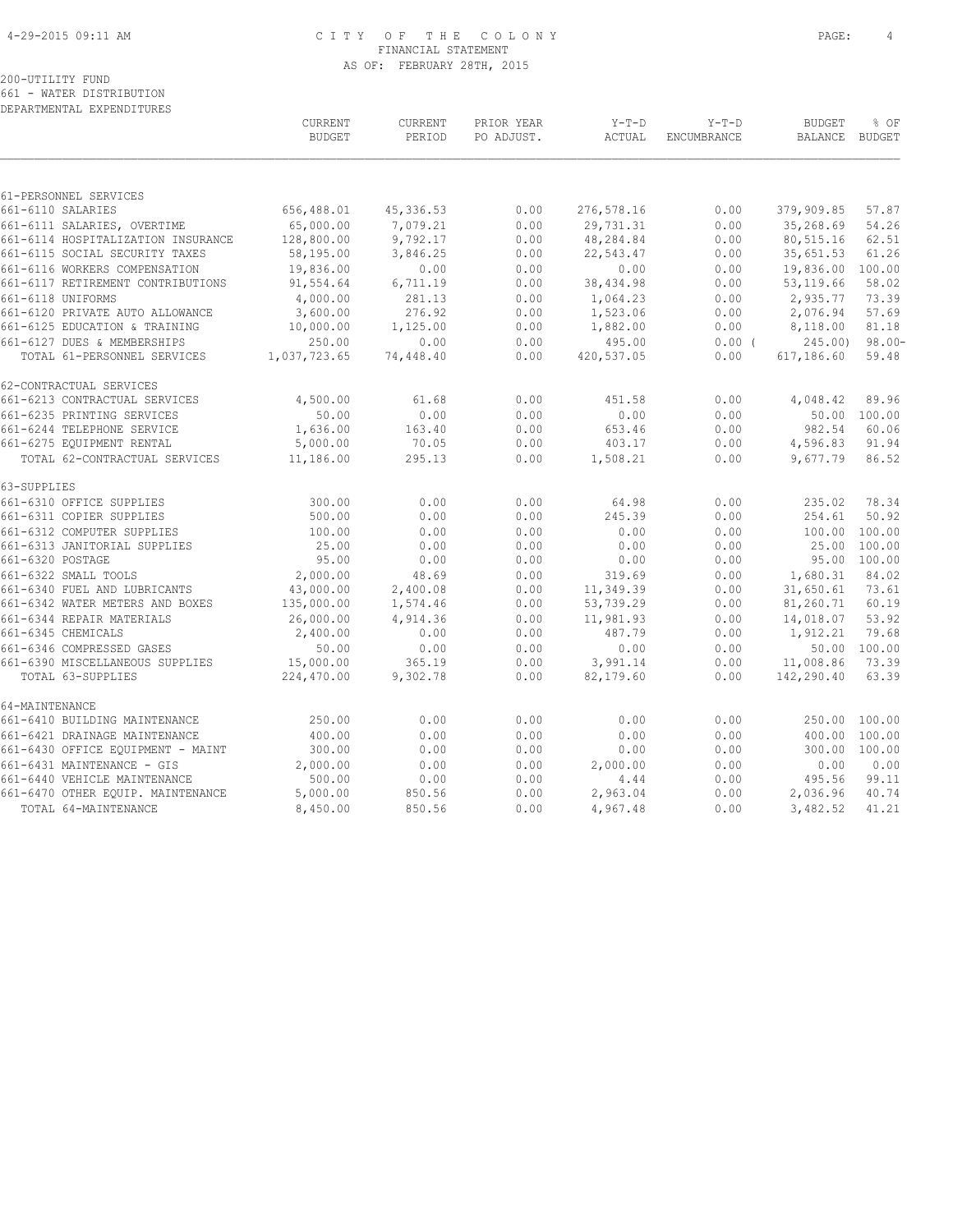#### 4-29-2015 09:11 AM C I T Y O F T H E C O L O N Y PAGE: 4 FINANCIAL STATEMENT AS OF: FEBRUARY 28TH, 2015

# 200-UTILITY FUND

661 - WATER DISTRIBUTION DEPARTMENTAL EXPENDITURES

|                                    | CURRENT<br><b>BUDGET</b> | CURRENT<br>PERIOD | PRIOR YEAR<br>PO ADJUST. | $Y-T-D$<br>ACTUAL | $Y-T-D$<br>ENCUMBRANCE | <b>BUDGET</b><br>BALANCE BUDGET | % OF         |
|------------------------------------|--------------------------|-------------------|--------------------------|-------------------|------------------------|---------------------------------|--------------|
|                                    |                          |                   |                          |                   |                        |                                 |              |
| 61-PERSONNEL SERVICES              |                          |                   |                          |                   |                        |                                 |              |
| 661-6110 SALARIES                  | 656,488.01               | 45, 336.53        | 0.00                     | 276,578.16        | 0.00                   | 379,909.85                      | 57.87        |
| 661-6111 SALARIES, OVERTIME        | 65,000.00                | 7,079.21          | 0.00                     | 29,731.31         | 0.00                   | 35,268.69                       | 54.26        |
| 661-6114 HOSPITALIZATION INSURANCE | 128,800.00               | 9,792.17          | 0.00                     | 48,284.84         | 0.00                   | 80,515.16                       | 62.51        |
| 661-6115 SOCIAL SECURITY TAXES     | 58,195.00                | 3,846.25          | 0.00                     | 22,543.47         | 0.00                   | 35,651.53                       | 61.26        |
| 661-6116 WORKERS COMPENSATION      | 19,836.00                | 0.00              | 0.00                     | 0.00              | 0.00                   | 19,836.00                       | 100.00       |
| 661-6117 RETIREMENT CONTRIBUTIONS  | 91,554.64                | 6,711.19          | 0.00                     | 38,434.98         | 0.00                   | 53, 119.66                      | 58.02        |
| 661-6118 UNIFORMS                  | 4,000.00                 | 281.13            | 0.00                     | 1,064.23          | 0.00                   | 2,935.77                        | 73.39        |
| 661-6120 PRIVATE AUTO ALLOWANCE    | 3,600.00                 | 276.92            | 0.00                     | 1,523.06          | 0.00                   | 2,076.94                        | 57.69        |
| 661-6125 EDUCATION & TRAINING      | 10,000.00                | 1,125.00          | 0.00                     | 1,882.00          | 0.00                   | 8,118.00                        | 81.18        |
| 661-6127 DUES & MEMBERSHIPS        | 250.00                   | 0.00              | 0.00                     | 495.00            | $0.00$ (               | 245.00                          | $98.00 -$    |
| TOTAL 61-PERSONNEL SERVICES        | 1,037,723.65             | 74,448.40         | 0.00                     | 420,537.05        | 0.00                   | 617,186.60                      | 59.48        |
| 62-CONTRACTUAL SERVICES            |                          |                   |                          |                   |                        |                                 |              |
| 661-6213 CONTRACTUAL SERVICES      | 4,500.00                 | 61.68             | 0.00                     | 451.58            | 0.00                   | 4,048.42                        | 89.96        |
| 661-6235 PRINTING SERVICES         | 50.00                    | 0.00              | 0.00                     | 0.00              | 0.00                   |                                 | 50.00 100.00 |
| 661-6244 TELEPHONE SERVICE         | 1,636.00                 | 163.40            | 0.00                     | 653.46            | 0.00                   | 982.54                          | 60.06        |
| 661-6275 EQUIPMENT RENTAL          | 5,000.00                 | 70.05             | 0.00                     | 403.17            | 0.00                   | 4,596.83                        | 91.94        |
| TOTAL 62-CONTRACTUAL SERVICES      | 11,186.00                | 295.13            | 0.00                     | 1,508.21          | 0.00                   | 9,677.79                        | 86.52        |
| 63-SUPPLIES                        |                          |                   |                          |                   |                        |                                 |              |
| 661-6310 OFFICE SUPPLIES           | 300.00                   | 0.00              | 0.00                     | 64.98             | 0.00                   | 235.02                          | 78.34        |
| 661-6311 COPIER SUPPLIES           | 500.00                   | 0.00              | 0.00                     | 245.39            | 0.00                   | 254.61                          | 50.92        |
| 661-6312 COMPUTER SUPPLIES         | 100.00                   | 0.00              | 0.00                     | 0.00              | 0.00                   | 100.00                          | 100.00       |
| 661-6313 JANITORIAL SUPPLIES       | 25.00                    | 0.00              | 0.00                     | 0.00              | 0.00                   | 25.00                           | 100.00       |
| 661-6320 POSTAGE                   | 95.00                    | 0.00              | 0.00                     | 0.00              | 0.00                   | 95.00                           | 100.00       |
| 661-6322 SMALL TOOLS               | 2,000.00                 | 48.69             | 0.00                     | 319.69            | 0.00                   | 1,680.31                        | 84.02        |
| 661-6340 FUEL AND LUBRICANTS       | 43,000.00                | 2,400.08          | 0.00                     | 11,349.39         | 0.00                   | 31,650.61                       | 73.61        |
| 661-6342 WATER METERS AND BOXES    | 135,000.00               | 1,574.46          | 0.00                     | 53,739.29         | 0.00                   | 81,260.71                       | 60.19        |
| 661-6344 REPAIR MATERIALS          | 26,000.00                | 4,914.36          | 0.00                     | 11,981.93         | 0.00                   | 14,018.07                       | 53.92        |
| 661-6345 CHEMICALS                 | 2,400.00                 | 0.00              | 0.00                     | 487.79            | 0.00                   | 1,912.21                        | 79.68        |
| 661-6346 COMPRESSED GASES          | 50.00                    | 0.00              | 0.00                     | 0.00              | 0.00                   |                                 | 50.00 100.00 |
| 661-6390 MISCELLANEOUS SUPPLIES    | 15,000.00                | 365.19            | 0.00                     | 3,991.14          | 0.00                   | 11,008.86                       | 73.39        |
| TOTAL 63-SUPPLIES                  | 224,470.00               | 9,302.78          | 0.00                     | 82,179.60         | 0.00                   | 142,290.40                      | 63.39        |
| 64-MAINTENANCE                     |                          |                   |                          |                   |                        |                                 |              |
| 661-6410 BUILDING MAINTENANCE      | 250.00                   | 0.00              | 0.00                     | 0.00              | 0.00                   | 250.00                          | 100.00       |
| 661-6421 DRAINAGE MAINTENANCE      | 400.00                   | 0.00              | 0.00                     | 0.00              | 0.00                   | 400.00                          | 100.00       |
| 661-6430 OFFICE EQUIPMENT - MAINT  | 300.00                   | 0.00              | 0.00                     | 0.00              | 0.00                   | 300.00                          | 100.00       |
| 661-6431 MAINTENANCE - GIS         | 2,000.00                 | 0.00              | 0.00                     | 2,000.00          | 0.00                   | 0.00                            | 0.00         |
| 661-6440 VEHICLE MAINTENANCE       | 500.00                   | 0.00              | 0.00                     | 4.44              | 0.00                   | 495.56                          | 99.11        |
| 661-6470 OTHER EQUIP. MAINTENANCE  | 5,000.00                 | 850.56            | 0.00                     | 2,963.04          | 0.00                   | 2,036.96                        | 40.74        |
| TOTAL 64-MAINTENANCE               | 8,450.00                 | 850.56            | 0.00                     | 4,967.48          | 0.00                   | 3,482.52                        | 41.21        |
|                                    |                          |                   |                          |                   |                        |                                 |              |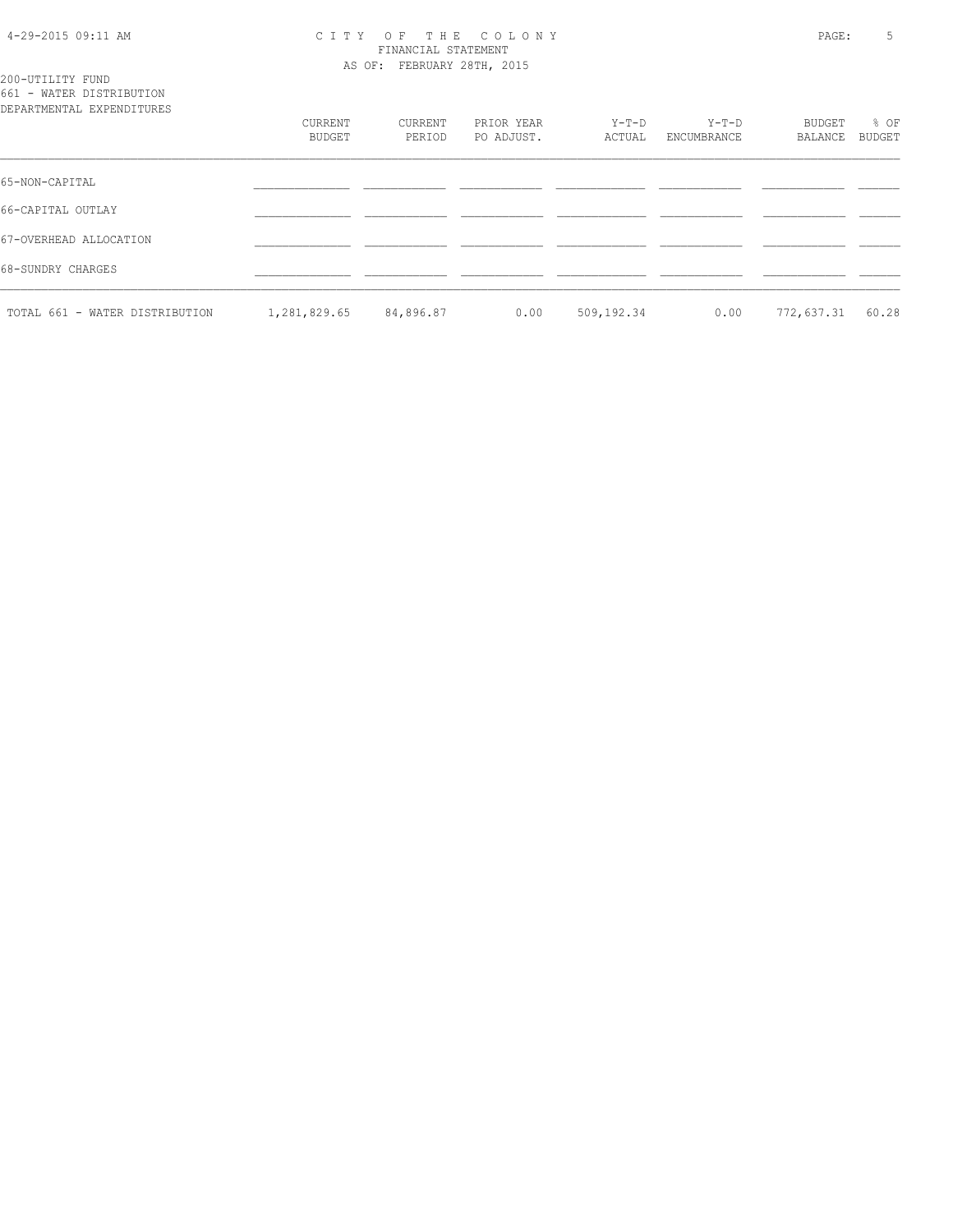#### 4-29-2015 09:11 AM C I T Y O F T H E C O L O N Y PAGE: 5 FINANCIAL STATEMENT AS OF: FEBRUARY 28TH, 2015

200-UTILITY FUND 661 - WATER DISTRIBUTION

| DEPARTMENTAL EXPENDITURES      |                   |                   |                          |                 |                        |                   |                |
|--------------------------------|-------------------|-------------------|--------------------------|-----------------|------------------------|-------------------|----------------|
|                                | CURRENT<br>BUDGET | CURRENT<br>PERIOD | PRIOR YEAR<br>PO ADJUST. | Y-T-D<br>ACTUAL | $Y-T-D$<br>ENCUMBRANCE | BUDGET<br>BALANCE | % OF<br>BUDGET |
| 65-NON-CAPITAL                 |                   |                   |                          |                 |                        |                   |                |
| 66-CAPITAL OUTLAY              |                   |                   |                          |                 |                        |                   |                |
| 67-OVERHEAD ALLOCATION         |                   |                   |                          |                 |                        |                   |                |
| 68-SUNDRY CHARGES              |                   |                   |                          |                 |                        |                   |                |
| TOTAL 661 - WATER DISTRIBUTION | 1,281,829.65      | 84,896.87         | 0.00                     | 509,192.34      | 0.00                   | 772,637.31        | 60.28          |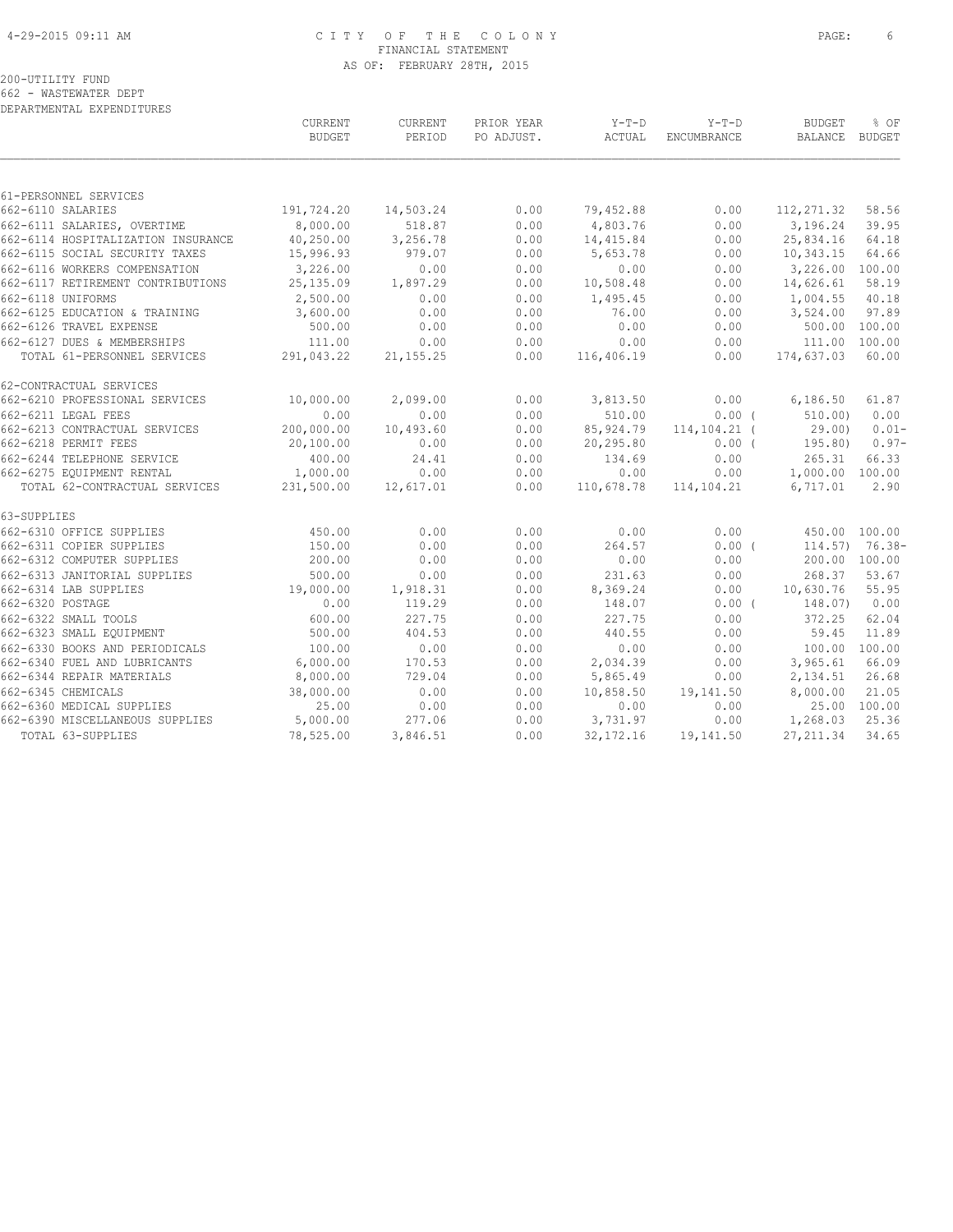#### 4-29-2015 09:11 AM C I T Y O F T H E C O L O N Y PAGE: 6 FINANCIAL STATEMENT AS OF: FEBRUARY 28TH, 2015

#### 200-UTILITY FUND 662 - WASTEWATER DEPT

|                                    | CURRENT<br><b>BUDGET</b> | CURRENT<br>PERIOD | PRIOR YEAR<br>PO ADJUST. | $Y-T-D$<br>ACTUAL | $Y-T-D$<br>ENCUMBRANCE | <b>BUDGET</b><br>BALANCE | % OF<br><b>BUDGET</b> |
|------------------------------------|--------------------------|-------------------|--------------------------|-------------------|------------------------|--------------------------|-----------------------|
|                                    |                          |                   |                          |                   |                        |                          |                       |
| 61-PERSONNEL SERVICES              |                          |                   |                          |                   |                        |                          |                       |
| 662-6110 SALARIES                  | 191,724.20               | 14,503.24         | 0.00                     | 79,452.88         | 0.00                   | 112, 271.32              | 58.56                 |
| 662-6111 SALARIES, OVERTIME        | 8,000.00                 | 518.87            | 0.00                     | 4,803.76          | 0.00                   | 3,196.24                 | 39.95                 |
| 662-6114 HOSPITALIZATION INSURANCE | 40,250.00                | 3,256.78          | 0.00                     | 14, 415.84        | 0.00                   | 25,834.16                | 64.18                 |
| 662-6115 SOCIAL SECURITY TAXES     | 15,996.93                | 979.07            | 0.00                     | 5,653.78          | 0.00                   | 10,343.15                | 64.66                 |
| 662-6116 WORKERS COMPENSATION      | 3,226.00                 | 0.00              | 0.00                     | 0.00              | 0.00                   | 3,226.00 100.00          |                       |
| 662-6117 RETIREMENT CONTRIBUTIONS  | 25,135.09                | 1,897.29          | 0.00                     | 10,508.48         | 0.00                   | 14,626.61                | 58.19                 |
| 662-6118 UNIFORMS                  | 2,500.00                 | 0.00              | 0.00                     | 1,495.45          | 0.00                   | 1,004.55                 | 40.18                 |
| 662-6125 EDUCATION & TRAINING      | 3,600.00                 | 0.00              | 0.00                     | 76.00             | 0.00                   | 3,524.00                 | 97.89                 |
| 662-6126 TRAVEL EXPENSE            | 500.00                   | 0.00              | 0.00                     | 0.00              | 0.00                   | 500.00 100.00            |                       |
| 662-6127 DUES & MEMBERSHIPS        | 111.00                   | 0.00              | 0.00                     | 0.00              | 0.00                   | 111.00 100.00            |                       |
| TOTAL 61-PERSONNEL SERVICES        | 291,043.22               | 21, 155.25        | 0.00                     | 116,406.19        | 0.00                   | 174,637.03               | 60.00                 |
| 62-CONTRACTUAL SERVICES            |                          |                   |                          |                   |                        |                          |                       |
| 662-6210 PROFESSIONAL SERVICES     | 10,000.00                | 2,099.00          | 0.00                     | 3,813.50          | 0.00                   | 6,186.50                 | 61.87                 |
| 662-6211 LEGAL FEES                | 0.00                     | 0.00              | 0.00                     | 510.00            | 0.00(                  | 510.00                   | 0.00                  |
| 662-6213 CONTRACTUAL SERVICES      | 200,000.00               | 10,493.60         | 0.00                     | 85,924.79         | $114, 104.21$ (        | 29.00)                   | $0.01 -$              |
| 662-6218 PERMIT FEES               | 20,100.00                | 0.00              | 0.00                     | 20,295.80         | $0.00$ (               | 195.80)                  | $0.97-$               |
| 662-6244 TELEPHONE SERVICE         | 400.00                   | 24.41             | 0.00                     | 134.69            | 0.00                   | 265.31                   | 66.33                 |
| 662-6275 EQUIPMENT RENTAL          | 1,000.00                 | 0.00              | 0.00                     | 0.00              | 0.00                   | 1,000.00 100.00          |                       |
| TOTAL 62-CONTRACTUAL SERVICES      | 231,500.00               | 12,617.01         | 0.00                     | 110,678.78        | 114,104.21             | 6,717.01                 | 2.90                  |
| 63-SUPPLIES                        |                          |                   |                          |                   |                        |                          |                       |
| 662-6310 OFFICE SUPPLIES           | 450.00                   | 0.00              | 0.00                     | 0.00              | 0.00                   | 450.00 100.00            |                       |
| 662-6311 COPIER SUPPLIES           | 150.00                   | 0.00              | 0.00                     | 264.57            | $0.00$ (               |                          | $114.57$ ) 76.38-     |
| 662-6312 COMPUTER SUPPLIES         | 200.00                   | 0.00              | 0.00                     | 0.00              | 0.00                   | 200.00 100.00            |                       |
| 662-6313 JANITORIAL SUPPLIES       | 500.00                   | 0.00              | 0.00                     | 231.63            | 0.00                   | 268.37                   | 53.67                 |
| 662-6314 LAB SUPPLIES              | 19,000.00                | 1,918.31          | 0.00                     | 8,369.24          | 0.00                   | 10,630.76                | 55.95                 |
| 662-6320 POSTAGE                   | 0.00                     | 119.29            | 0.00                     | 148.07            | $0.00$ (               | 148.07)                  | 0.00                  |
| 662-6322 SMALL TOOLS               | 600.00                   | 227.75            | 0.00                     | 227.75            | 0.00                   | 372.25                   | 62.04                 |
| 662-6323 SMALL EQUIPMENT           | 500.00                   | 404.53            | 0.00                     | 440.55            | 0.00                   | 59.45                    | 11.89                 |
| 662-6330 BOOKS AND PERIODICALS     | 100.00                   | 0.00              | 0.00                     | 0.00              | 0.00                   | 100.00 100.00            |                       |
| 662-6340 FUEL AND LUBRICANTS       | 6,000.00                 | 170.53            | 0.00                     | 2,034.39          | 0.00                   | 3,965.61                 | 66.09                 |
| 662-6344 REPAIR MATERIALS          | 8,000.00                 | 729.04            | 0.00                     | 5,865.49          | 0.00                   | 2,134.51                 | 26.68                 |
| 662-6345 CHEMICALS                 | 38,000.00                | 0.00              | 0.00                     | 10,858.50         | 19,141.50              | 8,000.00                 | 21.05                 |
| 662-6360 MEDICAL SUPPLIES          | 25.00                    | 0.00              | 0.00                     | 0.00              | 0.00                   |                          | 25.00 100.00          |
| 662-6390 MISCELLANEOUS SUPPLIES    | 5,000.00                 | 277.06            | 0.00                     | 3,731.97          | 0.00                   | 1,268.03                 | 25.36                 |
| TOTAL 63-SUPPLIES                  | 78,525.00                | 3,846.51          | 0.00                     | 32, 172. 16       | 19,141.50              | 27, 211.34               | 34.65                 |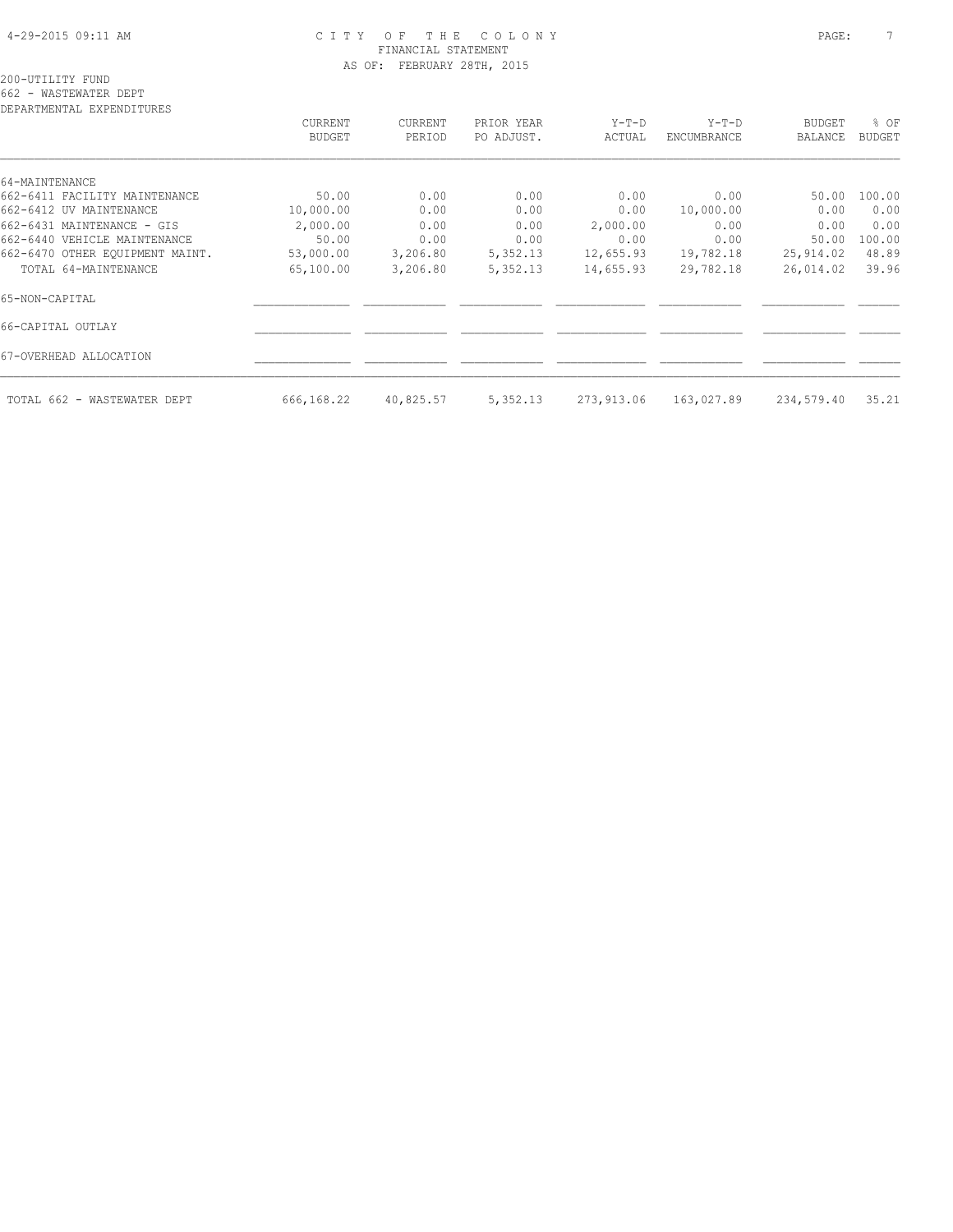#### 4-29-2015 09:11 AM C I T Y O F T H E C O L O N Y PAGE: 7 FINANCIAL STATEMENT AS OF: FEBRUARY 28TH, 2015

| CURRENT    | CURRENT                        | PRIOR YEAR   | $Y-T-D$              | $Y-T-D$                  | BUDGET            | % OF          |
|------------|--------------------------------|--------------|----------------------|--------------------------|-------------------|---------------|
| BUDGET     | PERIOD                         | PO ADJUST.   | ACTUAL               | ENCUMBRANCE              | <b>BALANCE</b>    | <b>BUDGET</b> |
|            |                                |              |                      |                          |                   |               |
|            |                                |              |                      |                          |                   | 100.00        |
|            |                                |              |                      |                          |                   | 0.00          |
|            | 0.00                           |              |                      | 0.00                     | 0.00              | 0.00          |
| 50.00      | 0.00                           | 0.00         | 0.00                 | 0.00                     | 50.00             | 100.00        |
| 53,000.00  | 3,206.80                       | 5,352.13     | 12,655.93            | 19,782.18                | 25,914.02         | 48.89         |
| 65,100.00  | 3,206.80                       | 5,352.13     | 14,655.93            | 29,782.18                | 26,014.02         | 39.96         |
|            |                                |              |                      |                          |                   |               |
|            |                                |              |                      |                          |                   |               |
|            |                                |              |                      |                          |                   |               |
| 666,168.22 | 40,825.57                      | 5,352.13     | 273,913.06           | 163,027.89               | 234,579.40        | 35.21         |
|            | 50.00<br>10,000.00<br>2,000.00 | 0.00<br>0.00 | 0.00<br>0.00<br>0.00 | 0.00<br>0.00<br>2,000.00 | 0.00<br>10,000.00 | 50.00<br>0.00 |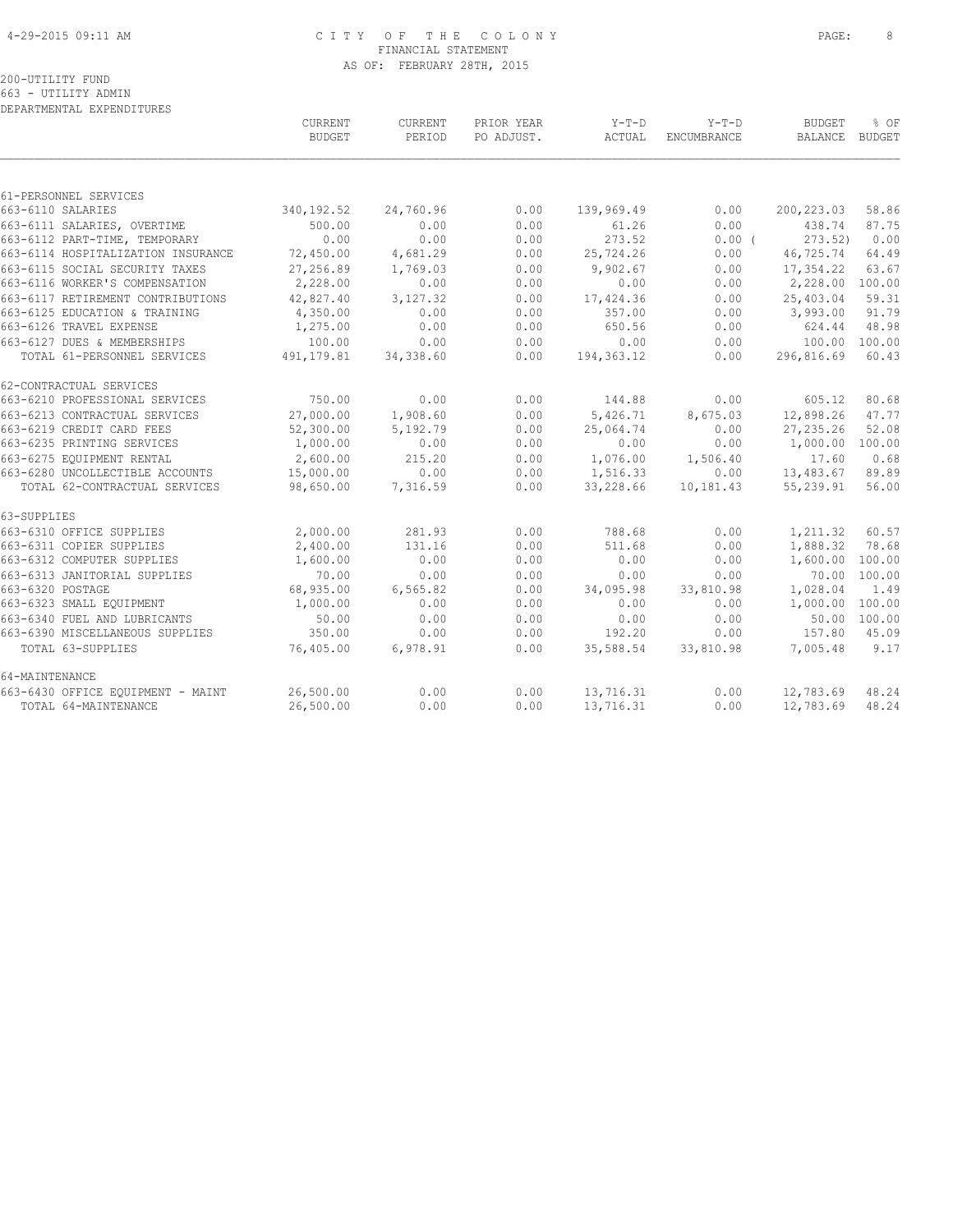#### 4-29-2015 09:11 AM C I T Y O F T H E C O L O N Y PAGE: 8 FINANCIAL STATEMENT AS OF: FEBRUARY 28TH, 2015

#### 200-UTILITY FUND 663 - UTILITY ADMIN

|                                    | CURRENT<br><b>BUDGET</b> | CURRENT<br>PERIOD | PRIOR YEAR<br>PO ADJUST. | $Y-T-D$<br>ACTUAL | $Y-T-D$<br>ENCUMBRANCE | <b>BUDGET</b><br><b>BALANCE</b> | % OF<br><b>BUDGET</b> |
|------------------------------------|--------------------------|-------------------|--------------------------|-------------------|------------------------|---------------------------------|-----------------------|
|                                    |                          |                   |                          |                   |                        |                                 |                       |
| 61-PERSONNEL SERVICES              |                          |                   |                          |                   |                        |                                 |                       |
| 663-6110 SALARIES                  | 340, 192.52              | 24,760.96         | 0.00                     | 139,969.49        | 0.00                   | 200, 223.03                     | 58.86                 |
| 663-6111 SALARIES, OVERTIME        | 500.00                   | 0.00              | 0.00                     | 61.26             | 0.00                   | 438.74                          | 87.75                 |
| 663-6112 PART-TIME, TEMPORARY      | 0.00                     | 0.00              | 0.00                     | 273.52            | 0.00(                  | 273.52)                         | 0.00                  |
| 663-6114 HOSPITALIZATION INSURANCE | 72,450.00                | 4,681.29          | 0.00                     | 25,724.26         | 0.00                   | 46,725.74                       | 64.49                 |
| 663-6115 SOCIAL SECURITY TAXES     | 27,256.89                | 1,769.03          | 0.00                     | 9,902.67          | 0.00                   | 17,354.22                       | 63.67                 |
| 663-6116 WORKER'S COMPENSATION     | 2,228.00                 | 0.00              | 0.00                     | 0.00              | 0.00                   | 2,228.00                        | 100.00                |
| 663-6117 RETIREMENT CONTRIBUTIONS  | 42,827.40                | 3,127.32          | 0.00                     | 17,424.36         | 0.00                   | 25,403.04                       | 59.31                 |
| 663-6125 EDUCATION & TRAINING      | 4,350.00                 | 0.00              | 0.00                     | 357.00            | 0.00                   | 3,993.00                        | 91.79                 |
| 663-6126 TRAVEL EXPENSE            | 1,275.00                 | 0.00              | 0.00                     | 650.56            | 0.00                   | 624.44                          | 48.98                 |
| 663-6127 DUES & MEMBERSHIPS        | 100.00                   | 0.00              | 0.00                     | 0.00              | 0.00                   | 100.00                          | 100.00                |
| TOTAL 61-PERSONNEL SERVICES        | 491, 179.81              | 34,338.60         | 0.00                     | 194, 363.12       | 0.00                   | 296,816.69                      | 60.43                 |
| 62-CONTRACTUAL SERVICES            |                          |                   |                          |                   |                        |                                 |                       |
| 663-6210 PROFESSIONAL SERVICES     | 750.00                   | 0.00              | 0.00                     | 144.88            | 0.00                   | 605.12                          | 80.68                 |
| 663-6213 CONTRACTUAL SERVICES      | 27,000.00                | 1,908.60          | 0.00                     | 5,426.71          | 8,675.03               | 12,898.26                       | 47.77                 |
| 663-6219 CREDIT CARD FEES          | 52,300.00                | 5,192.79          | 0.00                     | 25,064.74         | 0.00                   | 27, 235.26                      | 52.08                 |
| 663-6235 PRINTING SERVICES         | 1,000.00                 | 0.00              | 0.00                     | 0.00              | 0.00                   | 1,000.00                        | 100.00                |
| 663-6275 EQUIPMENT RENTAL          | 2,600.00                 | 215.20            | 0.00                     | 1,076.00          | 1,506.40               | 17.60                           | 0.68                  |
| 663-6280 UNCOLLECTIBLE ACCOUNTS    | 15,000.00                | 0.00              | 0.00                     | 1,516.33          | 0.00                   | 13,483.67                       | 89.89                 |
| TOTAL 62-CONTRACTUAL SERVICES      | 98,650.00                | 7,316.59          | 0.00                     | 33,228.66         | 10,181.43              | 55,239.91                       | 56.00                 |
| 63-SUPPLIES                        |                          |                   |                          |                   |                        |                                 |                       |
| 663-6310 OFFICE SUPPLIES           | 2,000.00                 | 281.93            | 0.00                     | 788.68            | 0.00                   | 1,211.32                        | 60.57                 |
| 663-6311 COPIER SUPPLIES           | 2,400.00                 | 131.16            | 0.00                     | 511.68            | 0.00                   | 1,888.32                        | 78.68                 |
| 663-6312 COMPUTER SUPPLIES         | 1,600.00                 | 0.00              | 0.00                     | 0.00              | 0.00                   | 1,600.00                        | 100.00                |
| 663-6313 JANITORIAL SUPPLIES       | 70.00                    | 0.00              | 0.00                     | 0.00              | 0.00                   | 70.00                           | 100.00                |
| 663-6320 POSTAGE                   | 68,935.00                | 6,565.82          | 0.00                     | 34,095.98         | 33,810.98              | 1,028.04                        | 1.49                  |
| 663-6323 SMALL EQUIPMENT           | 1,000.00                 | 0.00              | 0.00                     | 0.00              | 0.00                   | 1,000.00                        | 100.00                |
| 663-6340 FUEL AND LUBRICANTS       | 50.00                    | 0.00              | 0.00                     | 0.00              | 0.00                   | 50.00                           | 100.00                |
| 663-6390 MISCELLANEOUS SUPPLIES    | 350.00                   | 0.00              | 0.00                     | 192.20            | 0.00                   | 157.80                          | 45.09                 |
| TOTAL 63-SUPPLIES                  | 76,405.00                | 6,978.91          | 0.00                     | 35,588.54         | 33,810.98              | 7,005.48                        | 9.17                  |
| 64-MAINTENANCE                     |                          |                   |                          |                   |                        |                                 |                       |
| 663-6430 OFFICE EQUIPMENT - MAINT  | 26,500.00                | 0.00              | 0.00                     | 13,716.31         | 0.00                   | 12,783.69                       | 48.24                 |
| TOTAL 64-MAINTENANCE               | 26,500.00                | 0.00              | 0.00                     | 13,716.31         | 0.00                   | 12,783.69                       | 48.24                 |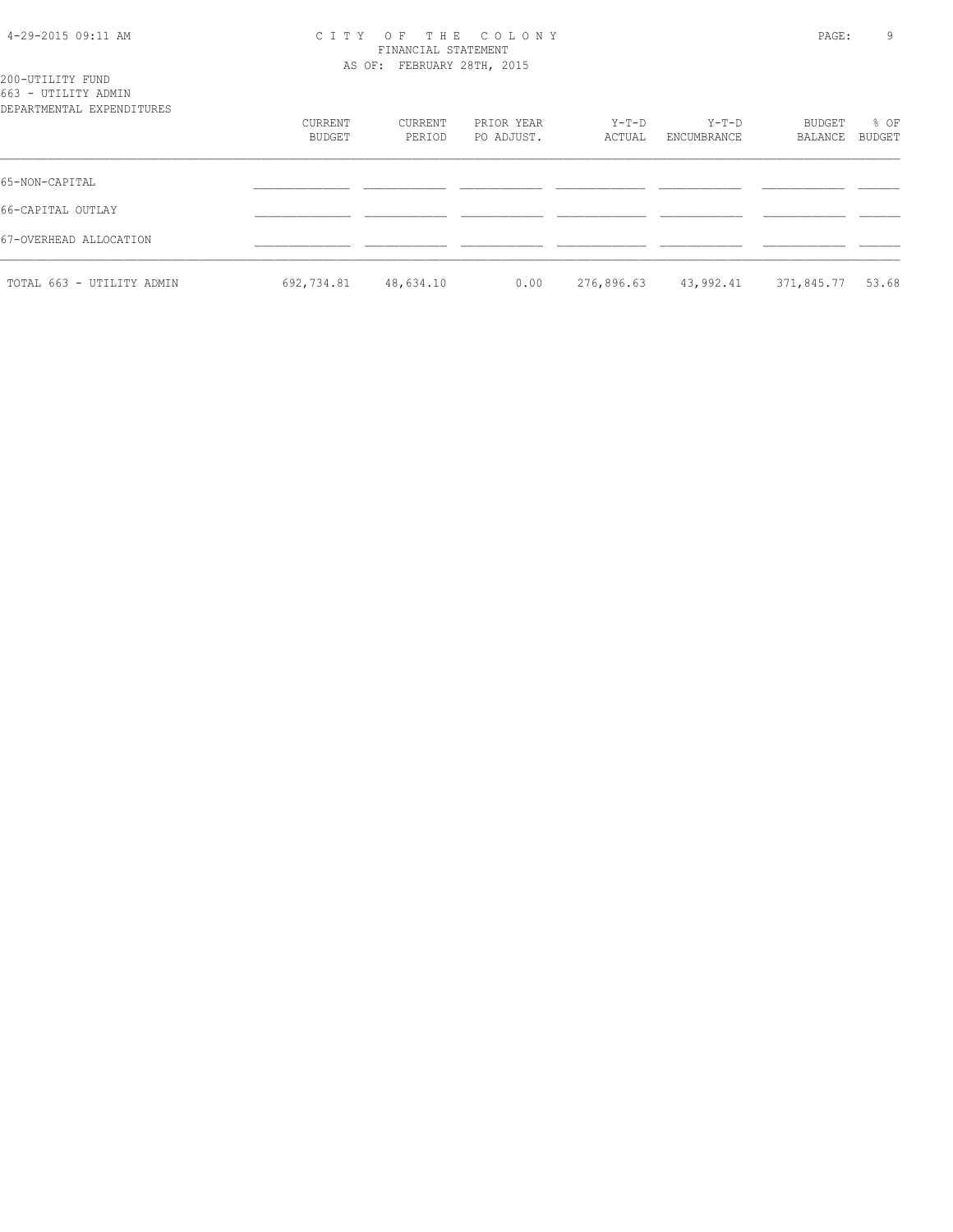## 4-29-2015 09:11 AM C I T Y O F T H E C O L O N Y PAGE: 9 FINANCIAL STATEMENT

| 200-UTILITY FUND                                 |                          |                   | AS OF: FEBRUARY 28TH, 2015 |                 |                        |                   |                       |  |  |
|--------------------------------------------------|--------------------------|-------------------|----------------------------|-----------------|------------------------|-------------------|-----------------------|--|--|
| 663 - UTILITY ADMIN<br>DEPARTMENTAL EXPENDITURES |                          |                   |                            |                 |                        |                   |                       |  |  |
|                                                  | CURRENT<br><b>BUDGET</b> | CURRENT<br>PERIOD | PRIOR YEAR<br>PO ADJUST.   | Y-T-D<br>ACTUAL | $Y-T-D$<br>ENCUMBRANCE | BUDGET<br>BALANCE | % OF<br><b>BUDGET</b> |  |  |
| 65-NON-CAPITAL                                   |                          |                   |                            |                 |                        |                   |                       |  |  |
| 66-CAPITAL OUTLAY                                |                          |                   |                            |                 |                        |                   |                       |  |  |
| 67-OVERHEAD ALLOCATION                           |                          |                   |                            |                 |                        |                   |                       |  |  |
| TOTAL 663 - UTILITY ADMIN                        | 692,734.81               | 48,634.10         | 0.00                       | 276,896.63      | 43,992.41              | 371,845.77        | 53.68                 |  |  |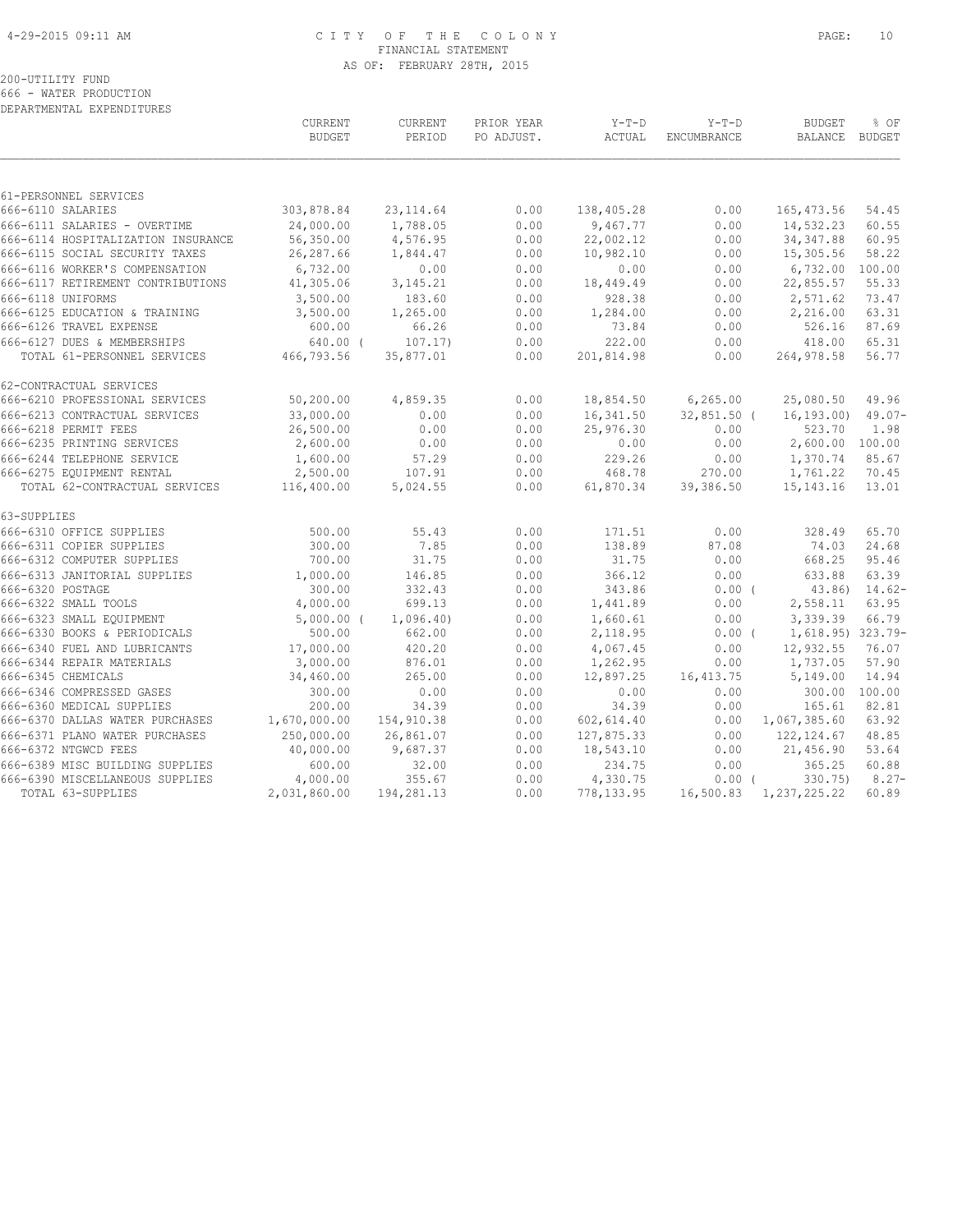#### 4-29-2015 09:11 AM C I T Y O F T H E C O L O N Y PAGE: 10 FINANCIAL STATEMENT AS OF: FEBRUARY 28TH, 2015

# 200-UTILITY FUND

666 - WATER PRODUCTION DEPARTMENTAL EXPENDITURES

|                                                           | <b>CURRENT</b><br><b>BUDGET</b> | CURRENT<br>PERIOD | PRIOR YEAR<br>PO ADJUST. | $Y-T-D$<br>ACTUAL     | $Y-T-D$<br>ENCUMBRANCE | <b>BUDGET</b><br>BALANCE BUDGET | % OF           |
|-----------------------------------------------------------|---------------------------------|-------------------|--------------------------|-----------------------|------------------------|---------------------------------|----------------|
| 61-PERSONNEL SERVICES                                     |                                 |                   |                          |                       |                        |                                 |                |
| 666-6110 SALARIES                                         | 303,878.84                      | 23, 114.64        | 0.00                     | 138,405.28            | 0.00                   | 165, 473.56                     | 54.45          |
| 666-6111 SALARIES - OVERTIME                              | 24,000.00                       | 1,788.05          | 0.00                     | 9,467.77              | 0.00                   | 14,532.23                       | 60.55          |
| 666-6114 HOSPITALIZATION INSURANCE                        | 56,350.00                       | 4,576.95          | 0.00                     | 22,002.12             | 0.00                   | 34, 347.88                      | 60.95          |
| 666-6115 SOCIAL SECURITY TAXES                            | 26,287.66                       | 1,844.47          | 0.00                     | 10,982.10             | 0.00                   | 15,305.56                       | 58.22          |
| 666-6116 WORKER'S COMPENSATION                            | 6,732.00                        | 0.00              | 0.00                     | 0.00                  | 0.00                   | 6,732.00                        | 100.00         |
| 666-6117 RETIREMENT CONTRIBUTIONS                         | 41,305.06                       | 3, 145. 21        | 0.00                     | 18,449.49             | 0.00                   | 22,855.57                       | 55.33          |
| 666-6118 UNIFORMS                                         | 3,500.00                        | 183.60            | 0.00                     | 928.38                | 0.00                   | 2,571.62                        | 73.47          |
| 666-6125 EDUCATION & TRAINING                             | 3,500.00                        | 1,265.00          | 0.00                     | 1,284.00              | 0.00                   | 2,216.00                        | 63.31          |
| 666-6126 TRAVEL EXPENSE                                   | 600.00                          | 66.26             | 0.00                     | 73.84                 | 0.00                   | 526.16                          | 87.69          |
| 666-6127 DUES & MEMBERSHIPS                               | $640.00$ (                      | 107.17)           | 0.00                     | 222.00                | 0.00                   | 418.00                          | 65.31          |
| TOTAL 61-PERSONNEL SERVICES                               | 466,793.56                      | 35,877.01         | 0.00                     | 201,814.98            | 0.00                   | 264,978.58                      | 56.77          |
| 62-CONTRACTUAL SERVICES                                   |                                 |                   |                          |                       |                        |                                 |                |
| 666-6210 PROFESSIONAL SERVICES                            | 50,200.00                       | 4,859.35          | 0.00                     | 18,854.50             | 6,265.00               | 25,080.50                       | 49.96          |
| 666-6213 CONTRACTUAL SERVICES                             | 33,000.00                       | 0.00              | 0.00                     | 16,341.50             | $32,851.50$ (          | 16, 193.00                      | $49.07 -$      |
| 666-6218 PERMIT FEES                                      | 26,500.00                       | 0.00              | 0.00                     | 25,976.30             | 0.00                   | 523.70                          | 1.98           |
| 666-6235 PRINTING SERVICES                                | 2,600.00                        | 0.00              | 0.00                     | 0.00                  | 0.00                   | 2,600.00 100.00                 |                |
| 666-6244 TELEPHONE SERVICE                                | 1,600.00                        | 57.29             | 0.00                     | 229.26                | 0.00                   | 1,370.74                        | 85.67          |
| 666-6275 EQUIPMENT RENTAL                                 | 2,500.00                        | 107.91            | 0.00                     | 468.78                | 270.00                 | 1,761.22                        | 70.45          |
| TOTAL 62-CONTRACTUAL SERVICES                             | 116,400.00                      | 5,024.55          | 0.00                     | 61,870.34             | 39,386.50              | 15, 143. 16                     | 13.01          |
| 63-SUPPLIES                                               |                                 |                   |                          |                       |                        |                                 |                |
| 666-6310 OFFICE SUPPLIES                                  | 500.00                          | 55.43             | 0.00                     | 171.51                | 0.00                   | 328.49                          | 65.70          |
| 666-6311 COPIER SUPPLIES                                  | 300.00                          | 7.85              | 0.00                     | 138.89                | 87.08                  | 74.03                           | 24.68          |
| 666-6312 COMPUTER SUPPLIES                                | 700.00                          | 31.75             | 0.00                     | 31.75                 | 0.00                   | 668.25                          | 95.46          |
| 666-6313 JANITORIAL SUPPLIES                              | 1,000.00                        | 146.85            | 0.00                     | 366.12                | 0.00                   | 633.88                          | 63.39          |
| 666-6320 POSTAGE                                          | 300.00                          | 332.43            | 0.00                     | 343.86                | $0.00$ (               | 43.86)                          | $14.62-$       |
| 666-6322 SMALL TOOLS                                      | 4,000.00                        | 699.13            | 0.00                     | 1,441.89              | 0.00                   | 2,558.11                        | 63.95          |
| 666-6323 SMALL EQUIPMENT                                  | $5,000.00$ (                    | 1,096.40          | 0.00                     | 1,660.61              | 0.00                   | 3,339.39                        | 66.79          |
| 666-6330 BOOKS & PERIODICALS                              | 500.00                          | 662.00            | 0.00                     | 2,118.95              | $0.00$ (               | 1,618.95) 323.79-               |                |
| 666-6340 FUEL AND LUBRICANTS<br>666-6344 REPAIR MATERIALS | 17,000.00<br>3,000.00           | 420.20<br>876.01  | 0.00<br>0.00             | 4,067.45              | 0.00<br>0.00           | 12,932.55<br>1,737.05           | 76.07<br>57.90 |
| 666-6345 CHEMICALS                                        | 34,460.00                       | 265.00            | 0.00                     | 1,262.95<br>12,897.25 | 16, 413.75             | 5,149.00                        | 14.94          |
| 666-6346 COMPRESSED GASES                                 | 300.00                          | 0.00              | 0.00                     | 0.00                  | 0.00                   | 300.00                          | 100.00         |
| 666-6360 MEDICAL SUPPLIES                                 | 200.00                          | 34.39             | 0.00                     | 34.39                 | 0.00                   | 165.61                          | 82.81          |
| 666-6370 DALLAS WATER PURCHASES                           | 1,670,000.00                    | 154,910.38        | 0.00                     | 602,614.40            | 0.00                   | 1,067,385.60                    | 63.92          |
| 666-6371 PLANO WATER PURCHASES                            | 250,000.00                      | 26,861.07         | 0.00                     | 127,875.33            | 0.00                   | 122, 124.67                     | 48.85          |
| 666-6372 NTGWCD FEES                                      | 40,000.00                       | 9,687.37          | 0.00                     | 18,543.10             | 0.00                   | 21,456.90                       | 53.64          |
| 666-6389 MISC BUILDING SUPPLIES                           | 600.00                          | 32.00             | 0.00                     | 234.75                | 0.00                   | 365.25                          | 60.88          |
| 666-6390 MISCELLANEOUS SUPPLIES                           | 4,000.00                        | 355.67            | 0.00                     | 4,330.75              | $0.00$ (               | 330.75)                         | $8.27 -$       |
| TOTAL 63-SUPPLIES                                         | 2,031,860.00                    | 194,281.13        | 0.00                     | 778, 133.95           |                        | 16,500.83 1,237,225.22          | 60.89          |
|                                                           |                                 |                   |                          |                       |                        |                                 |                |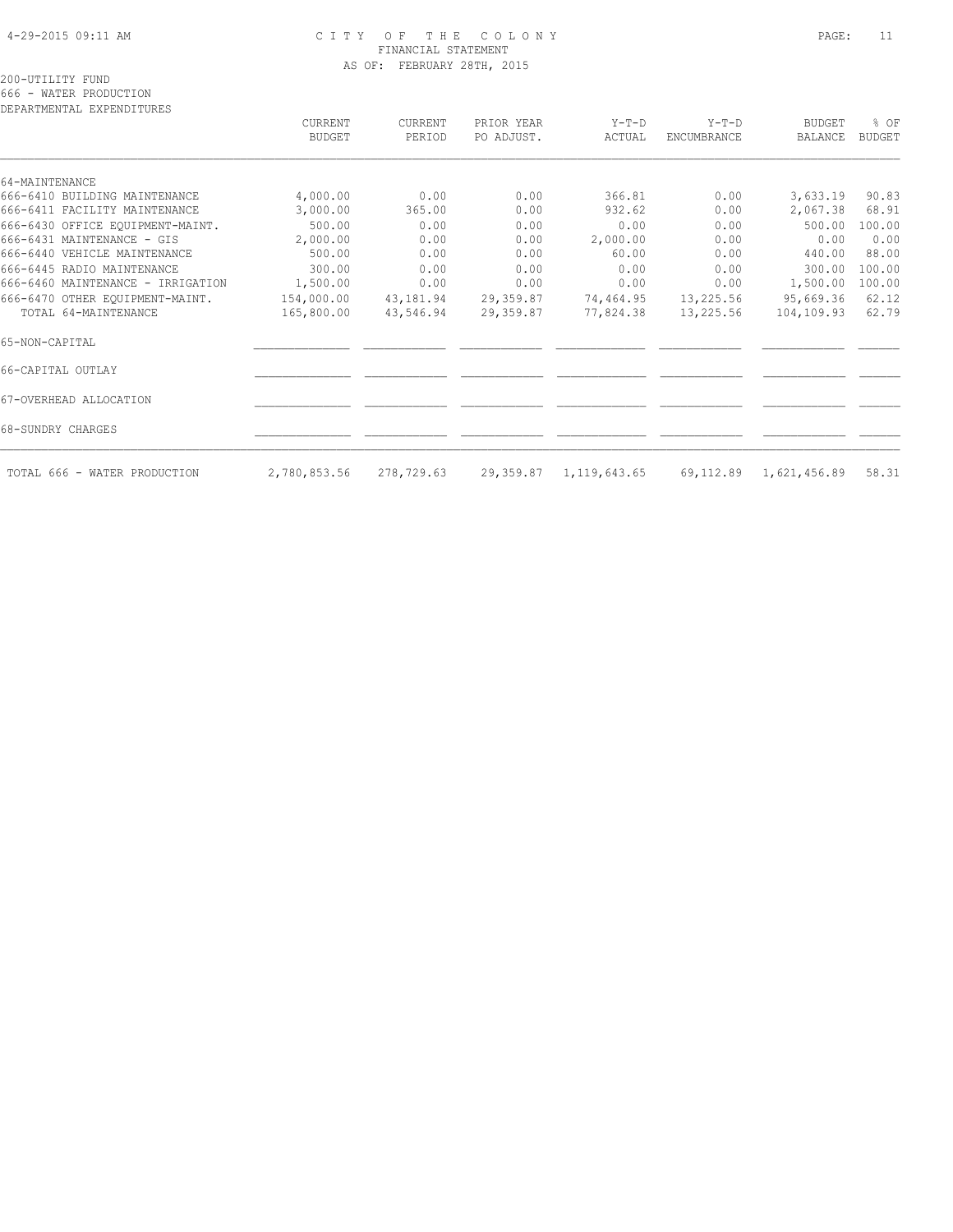#### 4-29-2015 09:11 AM C I T Y O F T H E C O L O N Y PAGE: 11 FINANCIAL STATEMENT AS OF: FEBRUARY 28TH, 2015

200-UTILITY FUND

666 - WATER PRODUCTION

| DEPARTMENTAL EXPENDITURES         |                          |                          |                          |                           |                               |                           |                       |
|-----------------------------------|--------------------------|--------------------------|--------------------------|---------------------------|-------------------------------|---------------------------|-----------------------|
|                                   | CURRENT<br><b>BUDGET</b> | <b>CURRENT</b><br>PERIOD | PRIOR YEAR<br>PO ADJUST. | $Y-T-D$<br>ACTUAL         | $Y-T-D$<br><b>ENCUMBRANCE</b> | <b>BUDGET</b><br>BALANCE  | % OF<br><b>BUDGET</b> |
| 64-MAINTENANCE                    |                          |                          |                          |                           |                               |                           |                       |
| 666-6410 BUILDING MAINTENANCE     | 4,000.00                 | 0.00                     | 0.00                     | 366.81                    | 0.00                          | 3,633.19                  | 90.83                 |
| 666-6411 FACILITY MAINTENANCE     | 3,000.00                 | 365.00                   | 0.00                     | 932.62                    | 0.00                          | 2,067.38                  | 68.91                 |
| 666-6430 OFFICE EQUIPMENT-MAINT.  | 500.00                   | 0.00                     | 0.00                     | 0.00                      | 0.00                          | 500.00                    | 100.00                |
| 666-6431 MAINTENANCE - GIS        | 2,000.00                 | 0.00                     | 0.00                     | 2,000.00                  | 0.00                          | 0.00                      | 0.00                  |
| 666-6440 VEHICLE MAINTENANCE      | 500.00                   | 0.00                     | 0.00                     | 60.00                     | 0.00                          | 440.00                    | 88.00                 |
| 666-6445 RADIO MAINTENANCE        | 300.00                   | 0.00                     | 0.00                     | 0.00                      | 0.00                          | 300.00                    | 100.00                |
| 666-6460 MAINTENANCE - IRRIGATION | 1,500.00                 | 0.00                     | 0.00                     | 0.00                      | 0.00                          | 1,500.00                  | 100.00                |
| 666-6470 OTHER EQUIPMENT-MAINT.   | 154,000.00               | 43,181.94                | 29,359.87                | 74,464.95                 | 13,225.56                     | 95,669.36                 | 62.12                 |
| TOTAL 64-MAINTENANCE              | 165,800.00               | 43,546.94                | 29,359.87                | 77,824.38                 | 13,225.56                     | 104,109.93                | 62.79                 |
| 65-NON-CAPITAL                    |                          |                          |                          |                           |                               |                           |                       |
| 66-CAPITAL OUTLAY                 |                          |                          |                          |                           |                               |                           |                       |
| 67-OVERHEAD ALLOCATION            |                          |                          |                          |                           |                               |                           |                       |
| 68-SUNDRY CHARGES                 |                          |                          |                          |                           |                               |                           |                       |
| TOTAL 666 - WATER PRODUCTION      | 2,780,853.56             | 278,729.63               |                          | 29, 359.87 1, 119, 643.65 |                               | 69, 112.89 1, 621, 456.89 | 58.31                 |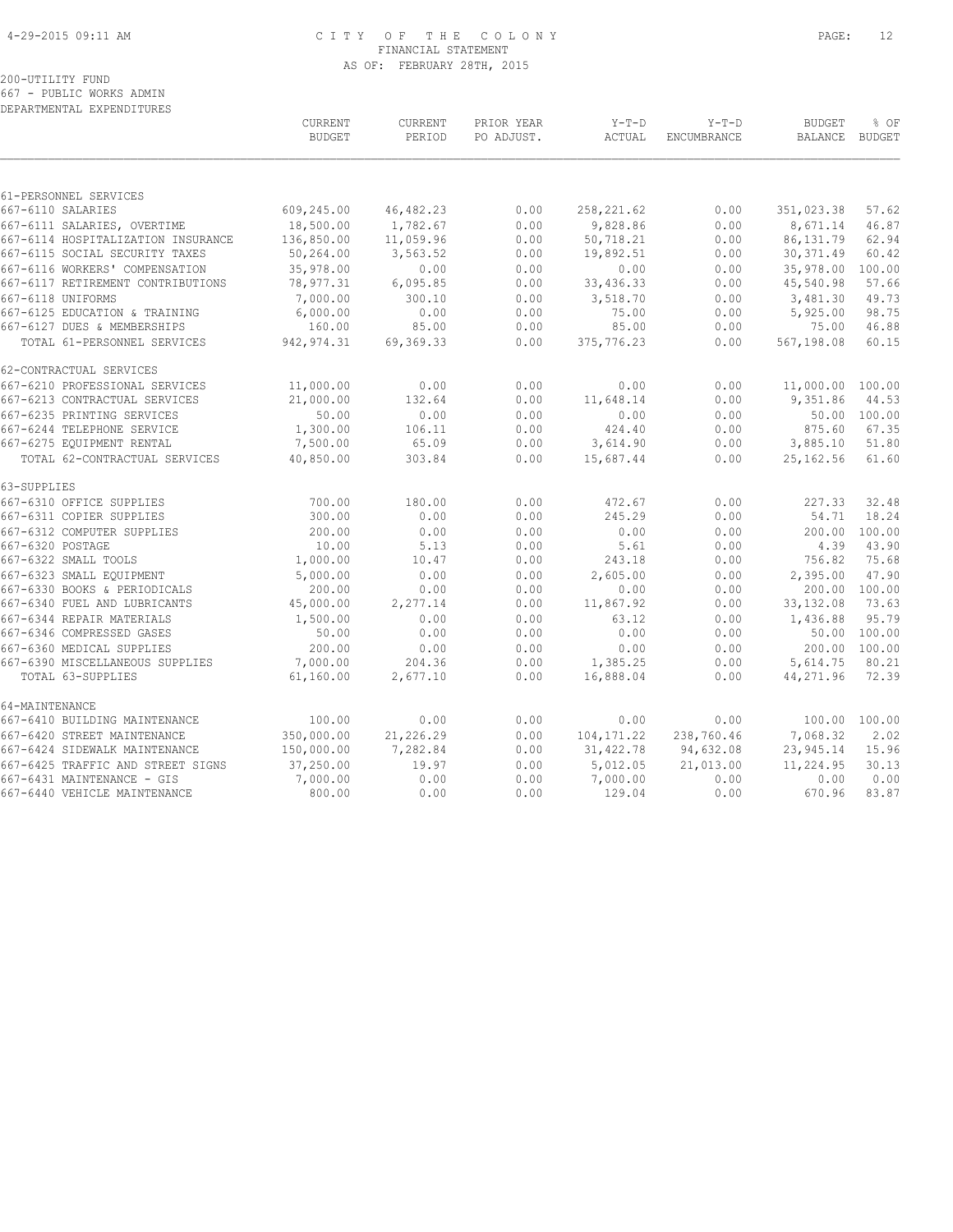#### 4-29-2015 09:11 AM C I T Y O F T H E C O L O N Y PAGE: 12 FINANCIAL STATEMENT AS OF: FEBRUARY 28TH, 2015

# 200-UTILITY FUND

667 - PUBLIC WORKS ADMIN DEPARTMENTAL EXPENDITURES

|                                    | CURRENT<br><b>BUDGET</b> | <b>CURRENT</b><br>PERIOD | PRIOR YEAR<br>PO ADJUST. | $Y-T-D$<br>ACTUAL | $Y-T-D$<br>ENCUMBRANCE | <b>BUDGET</b><br><b>BALANCE</b> | % OF<br><b>BUDGET</b> |
|------------------------------------|--------------------------|--------------------------|--------------------------|-------------------|------------------------|---------------------------------|-----------------------|
|                                    |                          |                          |                          |                   |                        |                                 |                       |
| 61-PERSONNEL SERVICES              |                          |                          |                          |                   |                        |                                 |                       |
| 667-6110 SALARIES                  | 609,245.00               | 46, 482.23               | 0.00                     | 258, 221.62       | 0.00                   | 351,023.38                      | 57.62                 |
| 667-6111 SALARIES, OVERTIME        | 18,500.00                | 1,782.67                 | 0.00                     | 9,828.86          | 0.00                   | 8,671.14                        | 46.87                 |
| 667-6114 HOSPITALIZATION INSURANCE | 136,850.00               | 11,059.96                | 0.00                     | 50,718.21         | 0.00                   | 86, 131.79                      | 62.94                 |
| 667-6115 SOCIAL SECURITY TAXES     | 50,264.00                | 3,563.52                 | 0.00                     | 19,892.51         | 0.00                   | 30, 371.49                      | 60.42                 |
| 667-6116 WORKERS' COMPENSATION     | 35,978.00                | 0.00                     | 0.00                     | 0.00              | 0.00                   | 35,978.00                       | 100.00                |
| 667-6117 RETIREMENT CONTRIBUTIONS  | 78,977.31                | 6,095.85                 | 0.00                     | 33, 436.33        | 0.00                   | 45,540.98                       | 57.66                 |
| 667-6118 UNIFORMS                  | 7,000.00                 | 300.10                   | 0.00                     | 3,518.70          | 0.00                   | 3,481.30                        | 49.73                 |
| 667-6125 EDUCATION & TRAINING      | 6,000.00                 | 0.00                     | 0.00                     | 75.00             | 0.00                   | 5,925.00                        | 98.75                 |
| 667-6127 DUES & MEMBERSHIPS        | 160.00                   | 85.00                    | 0.00                     | 85.00             | 0.00                   | 75.00                           | 46.88                 |
| TOTAL 61-PERSONNEL SERVICES        | 942, 974.31              | 69,369.33                | 0.00                     | 375,776.23        | 0.00                   | 567,198.08                      | 60.15                 |
| 62-CONTRACTUAL SERVICES            |                          |                          |                          |                   |                        |                                 |                       |
| 667-6210 PROFESSIONAL SERVICES     | 11,000.00                | 0.00                     | 0.00                     | 0.00              | 0.00                   | 11,000.00 100.00                |                       |
| 667-6213 CONTRACTUAL SERVICES      | 21,000.00                | 132.64                   | 0.00                     | 11,648.14         | 0.00                   | 9,351.86                        | 44.53                 |
| 667-6235 PRINTING SERVICES         | 50.00                    | 0.00                     | 0.00                     | 0.00              | 0.00                   |                                 | 50.00 100.00          |
| 667-6244 TELEPHONE SERVICE         | 1,300.00                 | 106.11                   | 0.00                     | 424.40            | 0.00                   | 875.60                          | 67.35                 |
| 667-6275 EQUIPMENT RENTAL          | 7,500.00                 | 65.09                    | 0.00                     | 3,614.90          | 0.00                   | 3,885.10                        | 51.80                 |
| TOTAL 62-CONTRACTUAL SERVICES      | 40,850.00                | 303.84                   | 0.00                     | 15,687.44         | 0.00                   | 25, 162.56                      | 61.60                 |
| 63-SUPPLIES                        |                          |                          |                          |                   |                        |                                 |                       |
| 667-6310 OFFICE SUPPLIES           | 700.00                   | 180.00                   | 0.00                     | 472.67            | 0.00                   | 227.33                          | 32.48                 |
| 667-6311 COPIER SUPPLIES           | 300.00                   | 0.00                     | 0.00                     | 245.29            | 0.00                   | 54.71                           | 18.24                 |
| 667-6312 COMPUTER SUPPLIES         | 200.00                   | 0.00                     | 0.00                     | 0.00              | 0.00                   | 200.00                          | 100.00                |
| 667-6320 POSTAGE                   | 10.00                    | 5.13                     | 0.00                     | 5.61              | 0.00                   | 4.39                            | 43.90                 |
| 667-6322 SMALL TOOLS               | 1,000.00                 | 10.47                    | 0.00                     | 243.18            | 0.00                   | 756.82                          | 75.68                 |
| 667-6323 SMALL EQUIPMENT           | 5,000.00                 | 0.00                     | 0.00                     | 2,605.00          | 0.00                   | 2,395.00                        | 47.90                 |
| 667-6330 BOOKS & PERIODICALS       | 200.00                   | 0.00                     | 0.00                     | 0.00              | 0.00                   | 200.00                          | 100.00                |
| 667-6340 FUEL AND LUBRICANTS       | 45,000.00                | 2,277.14                 | 0.00                     | 11,867.92         | 0.00                   | 33, 132.08                      | 73.63                 |
| 667-6344 REPAIR MATERIALS          | 1,500.00                 | 0.00                     | 0.00                     | 63.12             | 0.00                   | 1,436.88                        | 95.79                 |
| 667-6346 COMPRESSED GASES          | 50.00                    | 0.00                     | 0.00                     | 0.00              | 0.00                   |                                 | 50.00 100.00          |
| 667-6360 MEDICAL SUPPLIES          | 200.00                   | 0.00                     | 0.00                     | 0.00              | 0.00                   |                                 | 200.00 100.00         |
| 667-6390 MISCELLANEOUS SUPPLIES    | 7,000.00                 | 204.36                   | 0.00                     | 1,385.25          | 0.00                   | 5,614.75                        | 80.21                 |
| TOTAL 63-SUPPLIES                  | 61,160.00                | 2,677.10                 | 0.00                     | 16,888.04         | 0.00                   | 44,271.96                       | 72.39                 |
| 64-MAINTENANCE                     |                          |                          |                          |                   |                        |                                 |                       |
| 667-6410 BUILDING MAINTENANCE      | 100.00                   | 0.00                     | 0.00                     | 0.00              | 0.00                   |                                 | 100.00 100.00         |
| 667-6420 STREET MAINTENANCE        | 350,000.00               | 21,226.29                | 0.00                     | 104, 171.22       | 238,760.46             | 7,068.32                        | 2.02                  |
| 667-6424 SIDEWALK MAINTENANCE      | 150,000.00               | 7,282.84                 | 0.00                     | 31,422.78         | 94,632.08              | 23,945.14                       | 15.96                 |
| 667-6425 TRAFFIC AND STREET SIGNS  | 37,250.00                | 19.97                    | 0.00                     | 5,012.05          | 21,013.00              | 11,224.95                       | 30.13                 |
| 667-6431 MAINTENANCE - GIS         | 7,000.00                 | 0.00                     | 0.00                     | 7,000.00          | 0.00                   | 0.00                            | 0.00                  |
| 667-6440 VEHICLE MAINTENANCE       | 800.00                   | 0.00                     | 0.00                     | 129.04            | 0.00                   | 670.96                          | 83.87                 |
|                                    |                          |                          |                          |                   |                        |                                 |                       |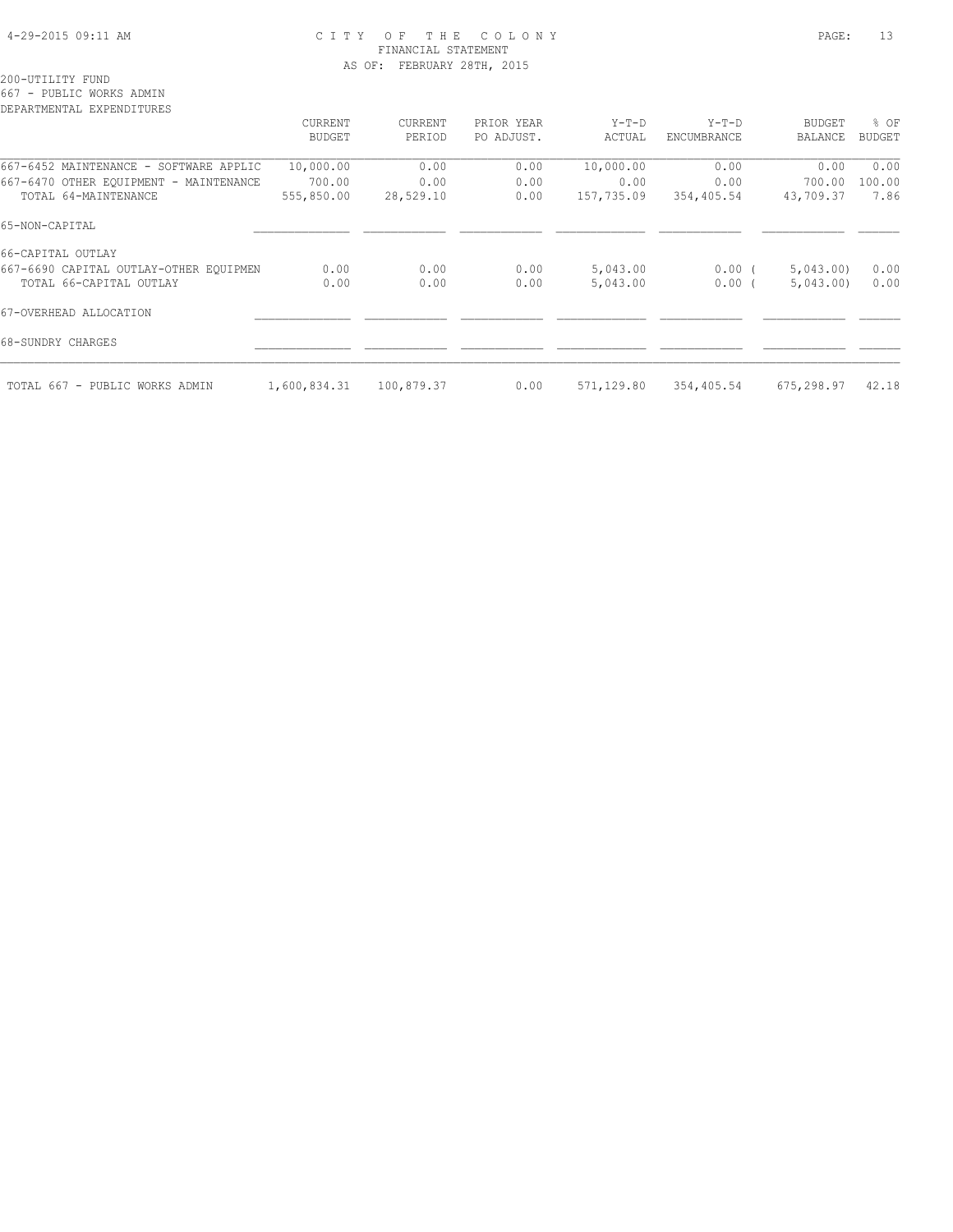#### 4-29-2015 09:11 AM C I T Y O F T H E C O L O N Y PAGE: 13 FINANCIAL STATEMENT AS OF: FEBRUARY 28TH, 2015

200-UTILITY FUND

667 - PUBLIC WORKS ADMIN

| DEPARTMENTAL EXPENDITURES              |               |            |            |            |                    |                |               |
|----------------------------------------|---------------|------------|------------|------------|--------------------|----------------|---------------|
|                                        | CURRENT       | CURRENT    | PRIOR YEAR | $Y-T-D$    | $Y-T-D$            | <b>BUDGET</b>  | % OF          |
|                                        | <b>BUDGET</b> | PERIOD     | PO ADJUST. | ACTUAL     | <b>ENCUMBRANCE</b> | <b>BALANCE</b> | <b>BUDGET</b> |
| 667-6452 MAINTENANCE - SOFTWARE APPLIC | 10,000.00     | 0.00       | 0.00       | 10,000.00  | 0.00               | 0.00           | 0.00          |
| 667-6470 OTHER EQUIPMENT - MAINTENANCE | 700.00        | 0.00       | 0.00       | 0.00       | 0.00               | 700.00         | 100.00        |
| TOTAL 64-MAINTENANCE                   | 555,850.00    | 28,529.10  | 0.00       | 157,735.09 | 354,405.54         | 43,709.37      | 7.86          |
| 65-NON-CAPITAL                         |               |            |            |            |                    |                |               |
| 66-CAPITAL OUTLAY                      |               |            |            |            |                    |                |               |
| 667-6690 CAPITAL OUTLAY-OTHER EQUIPMEN | 0.00          | 0.00       | 0.00       | 5,043.00   | $0.00$ (           | 5,043.00       | 0.00          |
| TOTAL 66-CAPITAL OUTLAY                | 0.00          | 0.00       | 0.00       | 5,043.00   | 0.00(              | 5,043.00       | 0.00          |
| 67-OVERHEAD ALLOCATION                 |               |            |            |            |                    |                |               |
| 68-SUNDRY CHARGES                      |               |            |            |            |                    |                |               |
| TOTAL 667 - PUBLIC WORKS ADMIN         | 1,600,834.31  | 100,879.37 | 0.00       | 571,129.80 | 354,405.54         | 675,298.97     | 42.18         |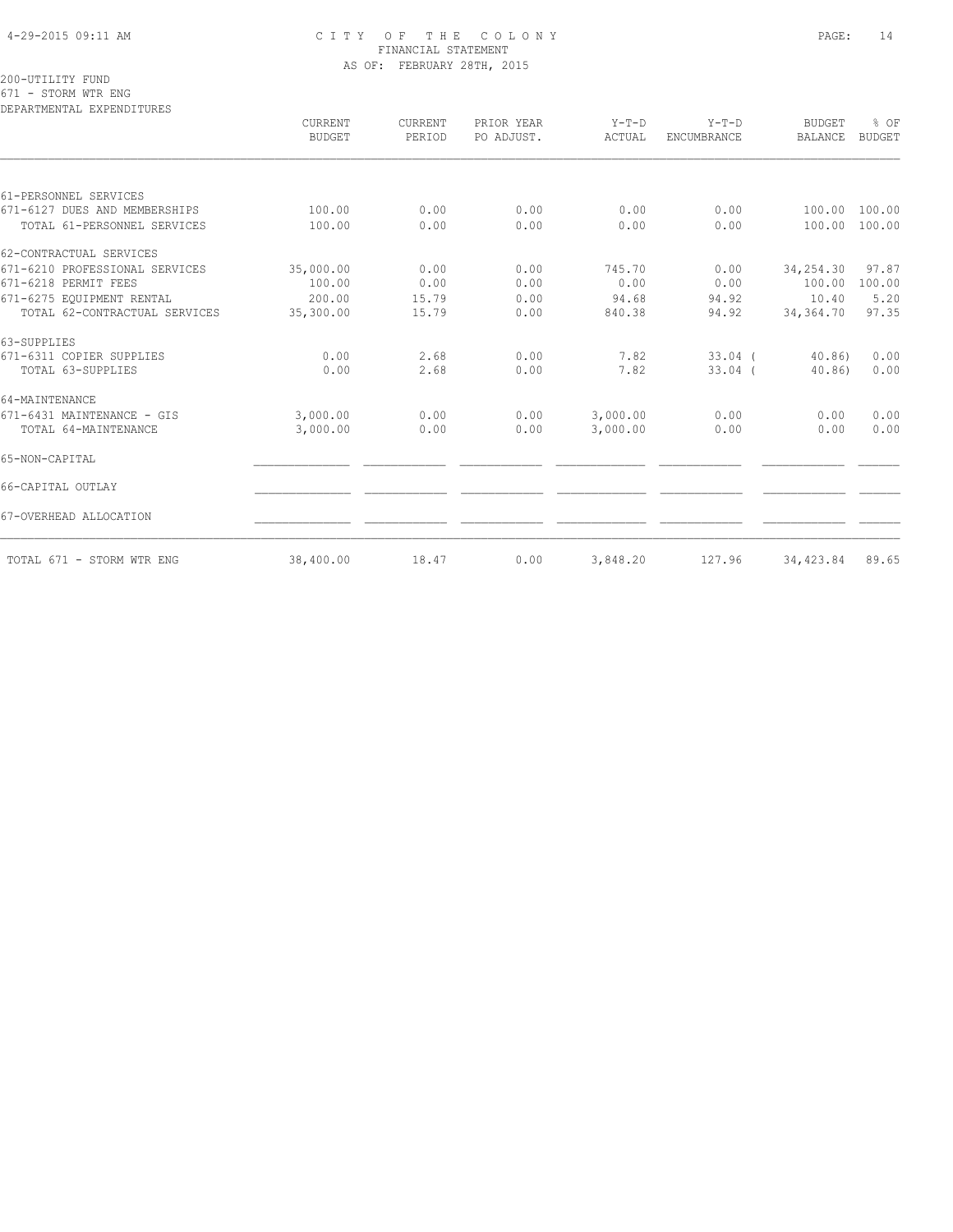#### 4-29-2015 09:11 AM C I T Y O F T H E C O L O N Y PAGE: 14 FINANCIAL STATEMENT AS OF: FEBRUARY 28TH, 2015

200-UTILITY FUND 671 - STORM WTR ENG

|                                | CURRENT<br><b>BUDGET</b> | CURRENT<br>PERIOD | PRIOR YEAR<br>PO ADJUST. | $Y-T-D$<br>ACTUAL | $Y-T-D$<br>ENCUMBRANCE | <b>BUDGET</b><br><b>BALANCE</b> | % OF<br><b>BUDGET</b> |
|--------------------------------|--------------------------|-------------------|--------------------------|-------------------|------------------------|---------------------------------|-----------------------|
| 61-PERSONNEL SERVICES          |                          |                   |                          |                   |                        |                                 |                       |
| 671-6127 DUES AND MEMBERSHIPS  | 100.00                   | 0.00              | 0.00                     | 0.00              | 0.00                   | 100.00                          | 100.00                |
| TOTAL 61-PERSONNEL SERVICES    | 100.00                   | 0.00              | 0.00                     | 0.00              | 0.00                   | 100.00                          | 100.00                |
| 62-CONTRACTUAL SERVICES        |                          |                   |                          |                   |                        |                                 |                       |
| 671-6210 PROFESSIONAL SERVICES | 35,000.00                | 0.00              | 0.00                     | 745.70            | 0.00                   | 34,254.30                       | 97.87                 |
| 671-6218 PERMIT FEES           | 100.00                   | 0.00              | 0.00                     | 0.00              | 0.00                   | 100.00                          | 100.00                |
| 671-6275 EQUIPMENT RENTAL      | 200.00                   | 15.79             | 0.00                     | 94.68             | 94.92                  | 10.40                           | 5.20                  |
| TOTAL 62-CONTRACTUAL SERVICES  | 35,300.00                | 15.79             | 0.00                     | 840.38            | 94.92                  | 34,364.70                       | 97.35                 |
| 63-SUPPLIES                    |                          |                   |                          |                   |                        |                                 |                       |
| 671-6311 COPIER SUPPLIES       | 0.00                     | 2.68              | 0.00                     | 7.82              | $33.04$ (              | 40.86                           | 0.00                  |
| TOTAL 63-SUPPLIES              | 0.00                     | 2.68              | 0.00                     | 7.82              | $33.04$ (              | 40.86)                          | 0.00                  |
| 64-MAINTENANCE                 |                          |                   |                          |                   |                        |                                 |                       |
| 671-6431 MAINTENANCE - GIS     | 3,000.00                 | 0.00              | 0.00                     | 3,000.00          | 0.00                   | 0.00                            | 0.00                  |
| TOTAL 64-MAINTENANCE           | 3,000.00                 | 0.00              | 0.00                     | 3,000.00          | 0.00                   | 0.00                            | 0.00                  |
| 65-NON-CAPITAL                 |                          |                   |                          |                   |                        |                                 |                       |
| 66-CAPITAL OUTLAY              |                          |                   |                          |                   |                        |                                 |                       |
| 67-OVERHEAD ALLOCATION         |                          |                   |                          |                   |                        |                                 |                       |
| TOTAL 671 - STORM WTR ENG      | 38,400.00                | 18.47             | 0.00                     | 3,848.20          | 127.96                 | 34,423.84                       | 89.65                 |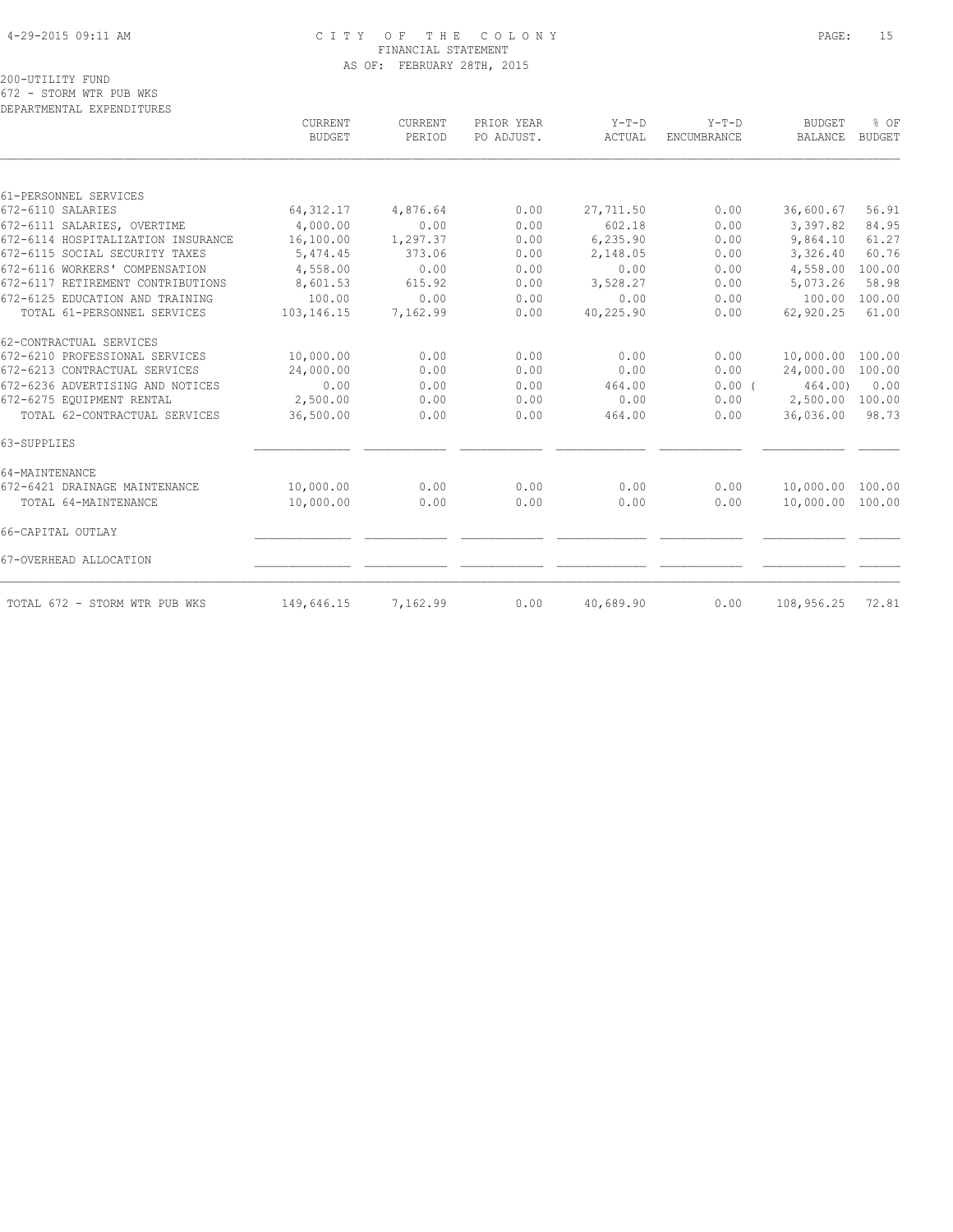#### 4-29-2015 09:11 AM C I T Y O F T H E C O L O N Y PAGE: 15 FINANCIAL STATEMENT AS OF: FEBRUARY 28TH, 2015

200-UTILITY FUND 672 - STORM WTR PUB WKS

|                                    | CURRENT<br><b>BUDGET</b> | CURRENT<br>PERIOD | PRIOR YEAR<br>PO ADJUST. | $Y-T-D$<br>ACTUAL | $Y-T-D$<br><b>ENCUMBRANCE</b> | <b>BUDGET</b><br><b>BALANCE</b> | % OF<br><b>BUDGET</b> |
|------------------------------------|--------------------------|-------------------|--------------------------|-------------------|-------------------------------|---------------------------------|-----------------------|
|                                    |                          |                   |                          |                   |                               |                                 |                       |
| 61-PERSONNEL SERVICES              |                          |                   |                          |                   |                               |                                 |                       |
| 672-6110 SALARIES                  | 64, 312.17               | 4,876.64          | 0.00                     | 27,711.50         | 0.00                          | 36,600.67                       | 56.91                 |
| 672-6111 SALARIES, OVERTIME        | 4,000.00                 | 0.00              | 0.00                     | 602.18            | 0.00                          | 3,397.82                        | 84.95                 |
| 672-6114 HOSPITALIZATION INSURANCE | 16,100.00                | 1,297.37          | 0.00                     | 6,235.90          | 0.00                          | 9,864.10                        | 61.27                 |
| 672-6115 SOCIAL SECURITY TAXES     | 5,474.45                 | 373.06            | 0.00                     | 2,148.05          | 0.00                          | 3,326.40                        | 60.76                 |
| 672-6116 WORKERS' COMPENSATION     | 4,558.00                 | 0.00              | 0.00                     | 0.00              | 0.00                          | 4,558.00                        | 100.00                |
| 672-6117 RETIREMENT CONTRIBUTIONS  | 8,601.53                 | 615.92            | 0.00                     | 3,528.27          | 0.00                          | 5,073.26                        | 58.98                 |
| 672-6125 EDUCATION AND TRAINING    | 100.00                   | 0.00              | 0.00                     | 0.00              | 0.00                          | 100.00                          | 100.00                |
| TOTAL 61-PERSONNEL SERVICES        | 103,146.15               | 7,162.99          | 0.00                     | 40,225.90         | 0.00                          | 62,920.25                       | 61.00                 |
| 62-CONTRACTUAL SERVICES            |                          |                   |                          |                   |                               |                                 |                       |
| 672-6210 PROFESSIONAL SERVICES     | 10,000.00                | 0.00              | 0.00                     | 0.00              | 0.00                          | 10,000.00                       | 100.00                |
| 672-6213 CONTRACTUAL SERVICES      | 24,000.00                | 0.00              | 0.00                     | 0.00              | 0.00                          | 24,000.00                       | 100.00                |
| 672-6236 ADVERTISING AND NOTICES   | 0.00                     | 0.00              | 0.00                     | 464.00            | 0.00(                         | 464.00)                         | 0.00                  |
| 672-6275 EQUIPMENT RENTAL          | 2,500.00                 | 0.00              | 0.00                     | 0.00              | 0.00                          | 2,500.00                        | 100.00                |
| TOTAL 62-CONTRACTUAL SERVICES      | 36,500.00                | 0.00              | 0.00                     | 464.00            | 0.00                          | 36,036.00                       | 98.73                 |
| 63-SUPPLIES                        |                          |                   |                          |                   |                               |                                 |                       |
| 64-MAINTENANCE                     |                          |                   |                          |                   |                               |                                 |                       |
| 672-6421 DRAINAGE MAINTENANCE      | 10,000.00                | 0.00              | 0.00                     | 0.00              | 0.00                          | 10,000.00                       | 100.00                |
| TOTAL 64-MAINTENANCE               | 10,000.00                | 0.00              | 0.00                     | 0.00              | 0.00                          | 10,000.00                       | 100.00                |
| 66-CAPITAL OUTLAY                  |                          |                   |                          |                   |                               |                                 |                       |
| 67-OVERHEAD ALLOCATION             |                          |                   |                          |                   |                               |                                 |                       |
| TOTAL 672 - STORM WTR PUB WKS      | 149,646.15               | 7,162.99          | 0.00                     | 40,689.90         | 0.00                          | 108,956.25                      | 72.81                 |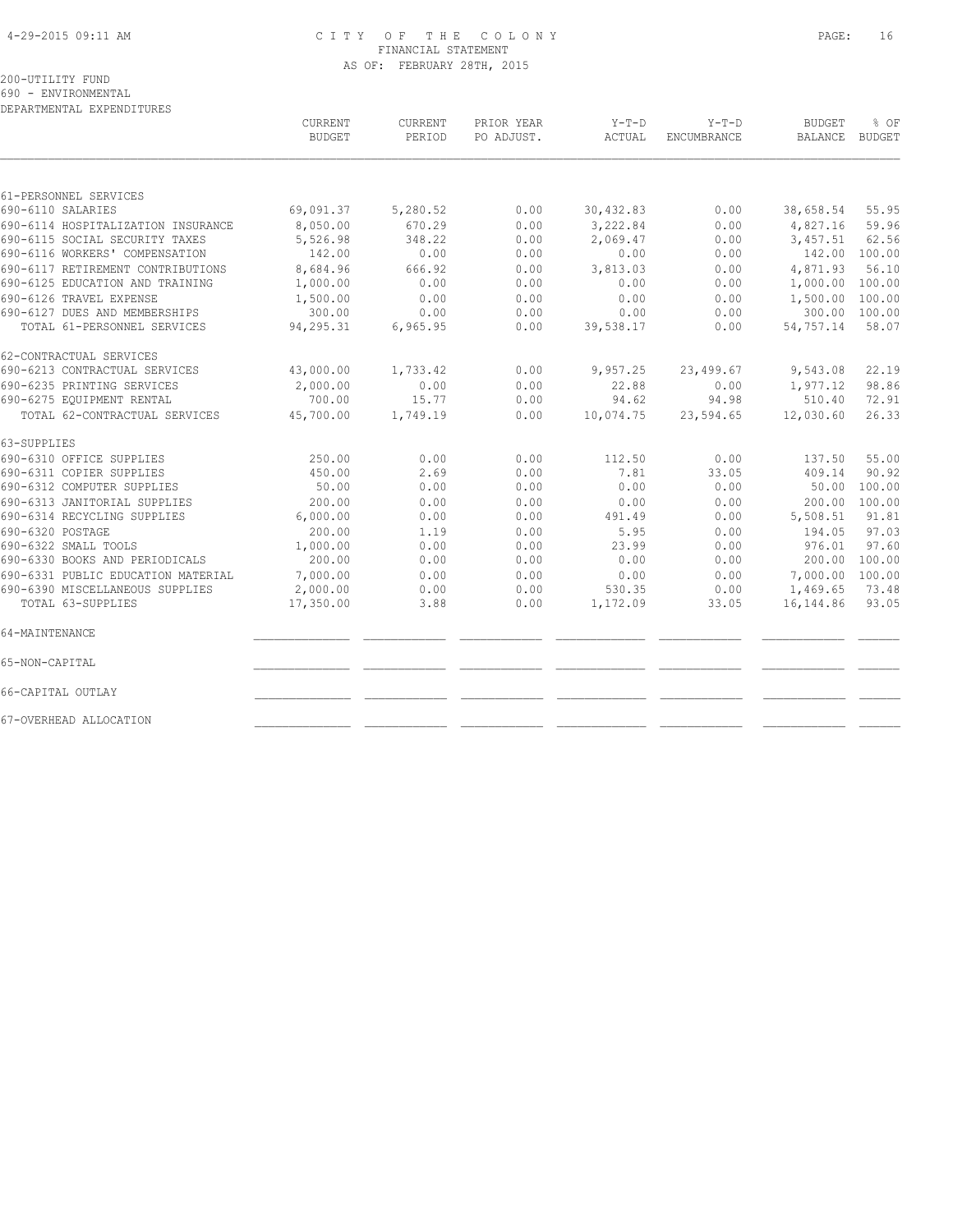#### 4-29-2015 09:11 AM C I T Y O F T H E C O L O N Y PAGE: 16 FINANCIAL STATEMENT AS OF: FEBRUARY 28TH, 2015

200-UTILITY FUND

690 - ENVIRONMENTAL

|                                    | <b>CURRENT</b><br><b>BUDGET</b> | <b>CURRENT</b><br>PERIOD | PRIOR YEAR<br>PO ADJUST. | $Y-T-D$<br>ACTUAL | $Y-T-D$<br>ENCUMBRANCE | <b>BUDGET</b><br>BALANCE | % OF<br><b>BUDGET</b> |
|------------------------------------|---------------------------------|--------------------------|--------------------------|-------------------|------------------------|--------------------------|-----------------------|
|                                    |                                 |                          |                          |                   |                        |                          |                       |
| 61-PERSONNEL SERVICES              |                                 |                          |                          |                   |                        |                          |                       |
| 690-6110 SALARIES                  | 69,091.37                       | 5,280.52                 | 0.00                     | 30,432.83         | 0.00                   | 38,658.54                | 55.95                 |
| 690-6114 HOSPITALIZATION INSURANCE | 8,050.00                        | 670.29                   | 0.00                     | 3,222.84          | 0.00                   | 4,827.16                 | 59.96                 |
| 690-6115 SOCIAL SECURITY TAXES     | 5,526.98                        | 348.22                   | 0.00                     | 2,069.47          | 0.00                   | 3,457.51                 | 62.56                 |
| 690-6116 WORKERS' COMPENSATION     | 142.00                          | 0.00                     | 0.00                     | 0.00              | 0.00                   |                          | 142.00 100.00         |
| 690-6117 RETIREMENT CONTRIBUTIONS  | 8,684.96                        | 666.92                   | 0.00                     | 3,813.03          | 0.00                   | 4,871.93                 | 56.10                 |
| 690-6125 EDUCATION AND TRAINING    | 1,000.00                        | 0.00                     | 0.00                     | 0.00              | 0.00                   | 1,000.00                 | 100.00                |
| 690-6126 TRAVEL EXPENSE            | 1,500.00                        | 0.00                     | 0.00                     | 0.00              | 0.00                   | 1,500.00                 | 100.00                |
| 690-6127 DUES AND MEMBERSHIPS      | 300.00                          | 0.00                     | 0.00                     | 0.00              | 0.00                   | 300.00                   | 100.00                |
| TOTAL 61-PERSONNEL SERVICES        | 94,295.31                       | 6,965.95                 | 0.00                     | 39,538.17         | 0.00                   | 54,757.14                | 58.07                 |
| 62-CONTRACTUAL SERVICES            |                                 |                          |                          |                   |                        |                          |                       |
| 690-6213 CONTRACTUAL SERVICES      | 43,000.00                       | 1,733.42                 | 0.00                     | 9,957.25          | 23,499.67              | 9,543.08                 | 22.19                 |
| 690-6235 PRINTING SERVICES         | 2,000.00                        | 0.00                     | 0.00                     | 22.88             | 0.00                   | 1,977.12                 | 98.86                 |
| 690-6275 EQUIPMENT RENTAL          | 700.00                          | 15.77                    | 0.00                     | 94.62             | 94.98                  | 510.40                   | 72.91                 |
| TOTAL 62-CONTRACTUAL SERVICES      | 45,700.00                       | 1,749.19                 | 0.00                     | 10,074.75         | 23,594.65              | 12,030.60                | 26.33                 |
| 63-SUPPLIES                        |                                 |                          |                          |                   |                        |                          |                       |
| 690-6310 OFFICE SUPPLIES           | 250.00                          | 0.00                     | 0.00                     | 112.50            | 0.00                   | 137.50                   | 55.00                 |
| 690-6311 COPIER SUPPLIES           | 450.00                          | 2.69                     | 0.00                     | 7.81              | 33.05                  | 409.14                   | 90.92                 |
| 690-6312 COMPUTER SUPPLIES         | 50.00                           | 0.00                     | 0.00                     | 0.00              | 0.00                   | 50.00                    | 100.00                |
| 690-6313 JANITORIAL SUPPLIES       | 200.00                          | 0.00                     | 0.00                     | 0.00              | 0.00                   | 200.00                   | 100.00                |
| 690-6314 RECYCLING SUPPLIES        | 6,000.00                        | 0.00                     | 0.00                     | 491.49            | 0.00                   | 5,508.51                 | 91.81                 |
| 690-6320 POSTAGE                   | 200.00                          | 1.19                     | 0.00                     | 5.95              | 0.00                   | 194.05                   | 97.03                 |
| 690-6322 SMALL TOOLS               | 1,000.00                        | 0.00                     | 0.00                     | 23.99             | 0.00                   | 976.01                   | 97.60                 |
| 690-6330 BOOKS AND PERIODICALS     | 200.00                          | 0.00                     | 0.00                     | 0.00              | 0.00                   | 200.00                   | 100.00                |
| 690-6331 PUBLIC EDUCATION MATERIAL | 7,000.00                        | 0.00                     | 0.00                     | 0.00              | 0.00                   | 7,000.00                 | 100.00                |
| 690-6390 MISCELLANEOUS SUPPLIES    | 2,000.00                        | 0.00                     | 0.00                     | 530.35            | 0.00                   | 1,469.65                 | 73.48                 |
| TOTAL 63-SUPPLIES                  | 17,350.00                       | 3.88                     | 0.00                     | 1,172.09          | 33.05                  | 16, 144.86               | 93.05                 |
| 64-MAINTENANCE                     |                                 |                          |                          |                   |                        |                          |                       |
| 65-NON-CAPITAL                     |                                 |                          |                          |                   |                        |                          |                       |
| 66-CAPITAL OUTLAY                  |                                 |                          |                          |                   |                        |                          |                       |
| 67-OVERHEAD ALLOCATION             |                                 |                          |                          |                   |                        |                          |                       |